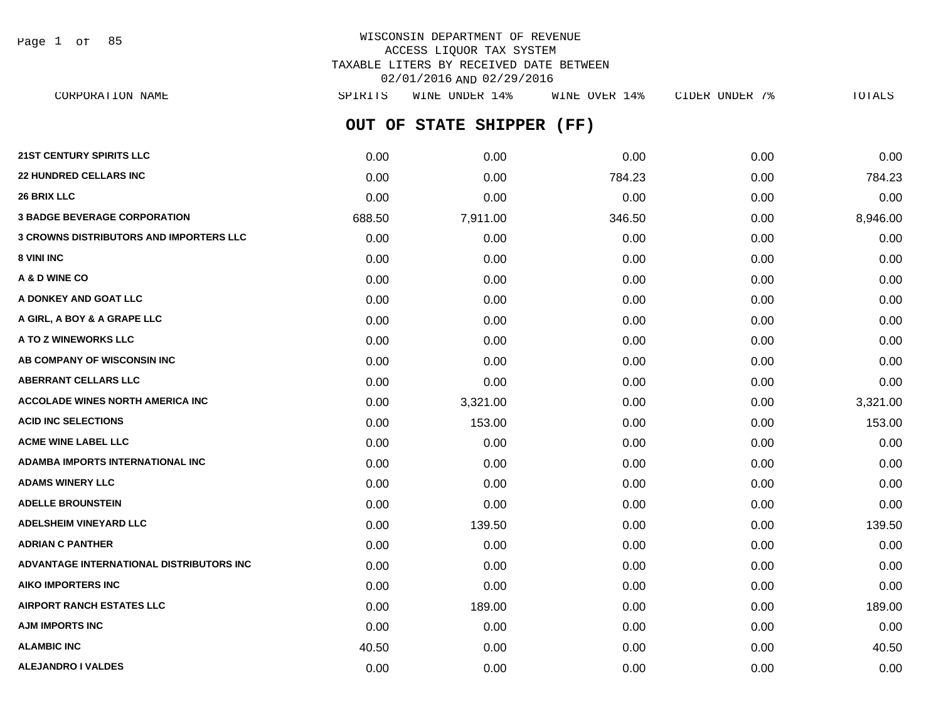Page 1 of 85

## WISCONSIN DEPARTMENT OF REVENUE ACCESS LIQUOR TAX SYSTEM TAXABLE LITERS BY RECEIVED DATE BETWEEN 02/01/2016 AND 02/29/2016

**OUT OF STATE SHIPPER (FF) 21ST CENTURY SPIRITS LLC** 0.00 0.00 0.00 0.00 0.00 **22 HUNDRED CELLARS INC** 0.00 0.00 784.23 0.00 784.23 **26 BRIX LLC** 0.00 0.00 0.00 0.00 0.00 **3 BADGE BEVERAGE CORPORATION** 688.50 7,911.00 346.50 0.00 8,946.00 **3 CROWNS DISTRIBUTORS AND IMPORTERS LLC** 0.00 0.00 0.00 0.00 0.00 **8 VINI INC** 0.00 0.00 0.00 0.00 0.00 **A & D WINE CO** 0.00 0.00 0.00 0.00 0.00 **A DONKEY AND GOAT LLC**  $\begin{array}{ccc} 0.00 & 0.00 & 0.00 & 0.00 & 0.00 & 0.00 \end{array}$ **A GIRL, A BOY & A GRAPE LLC** 0.00 0.00 0.00 0.00 0.00 **A TO Z WINEWORKS LLC** 0.00 0.00 0.00 0.00 0.00 **AB COMPANY OF WISCONSIN INC**  $0.00$   $0.00$   $0.00$   $0.00$   $0.00$   $0.00$   $0.00$   $0.00$   $0.00$   $0.00$   $0.00$   $0.00$   $0.00$   $0.00$   $0.00$   $0.00$   $0.00$   $0.00$   $0.00$   $0.00$   $0.00$   $0.00$   $0.00$   $0.00$   $0.00$   $0.00$   $0.00$   $0.$ **ABERRANT CELLARS LLC** 0.00 0.00 0.00 0.00 0.00 **ACCOLADE WINES NORTH AMERICA INC** 0.00 3,321.00 0.00 0.00 3,321.00 **ACID INC SELECTIONS** 0.00 153.00 0.00 0.00 153.00 **ACME WINE LABEL LLC** 0.00 0.00 0.00 0.00 0.00 **ADAMBA IMPORTS INTERNATIONAL INC** 0.00 0.00 0.00 0.00 0.00 **ADAMS WINERY LLC** 0.00 0.00 0.00 0.00 0.00 **ADELLE BROUNSTEIN** 0.00 0.00 0.00 0.00 0.00 **ADELSHEIM VINEYARD LLC** 0.00 139.50 0.00 0.00 139.50 **ADRIAN C PANTHER** 0.00 0.00 0.00 0.00 0.00 **ADVANTAGE INTERNATIONAL DISTRIBUTORS INC** 0.00 0.00 0.00 0.00 0.00 **AIKO IMPORTERS INC** 0.00 0.00 0.00 0.00 0.00 **AIRPORT RANCH ESTATES LLC** 0.00 189.00 0.00 0.00 189.00 **AJM IMPORTS INC** 0.00 0.00 0.00 0.00 0.00 CORPORATION NAME SPIRITS WINE UNDER 14% WINE OVER 14% CIDER UNDER 7% TOTALS

**ALAMBIC INC** 6.000 **10.50 40.50 40.50 10.00 0.00 0.00 0.00 0.00 0.00 40.50 ALEJANDRO I VALDES** 0.00 0.00 0.00 0.00 0.00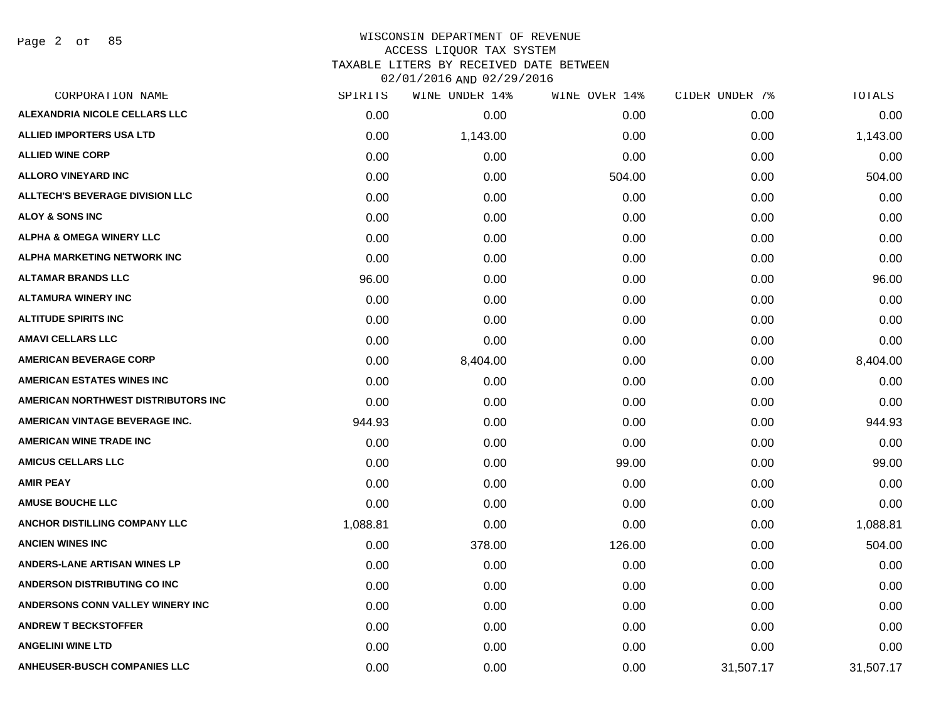Page 2 of 85

# WISCONSIN DEPARTMENT OF REVENUE ACCESS LIQUOR TAX SYSTEM TAXABLE LITERS BY RECEIVED DATE BETWEEN

| CORPORATION NAME                       | SPIRITS  | WINE UNDER 14% | WINE OVER 14% | CIDER UNDER 7% | TOTALS    |
|----------------------------------------|----------|----------------|---------------|----------------|-----------|
| ALEXANDRIA NICOLE CELLARS LLC          | 0.00     | 0.00           | 0.00          | 0.00           | 0.00      |
| <b>ALLIED IMPORTERS USA LTD</b>        | 0.00     | 1,143.00       | 0.00          | 0.00           | 1,143.00  |
| <b>ALLIED WINE CORP</b>                | 0.00     | 0.00           | 0.00          | 0.00           | 0.00      |
| <b>ALLORO VINEYARD INC</b>             | 0.00     | 0.00           | 504.00        | 0.00           | 504.00    |
| <b>ALLTECH'S BEVERAGE DIVISION LLC</b> | 0.00     | 0.00           | 0.00          | 0.00           | 0.00      |
| <b>ALOY &amp; SONS INC</b>             | 0.00     | 0.00           | 0.00          | 0.00           | 0.00      |
| <b>ALPHA &amp; OMEGA WINERY LLC</b>    | 0.00     | 0.00           | 0.00          | 0.00           | 0.00      |
| <b>ALPHA MARKETING NETWORK INC</b>     | 0.00     | 0.00           | 0.00          | 0.00           | 0.00      |
| <b>ALTAMAR BRANDS LLC</b>              | 96.00    | 0.00           | 0.00          | 0.00           | 96.00     |
| <b>ALTAMURA WINERY INC</b>             | 0.00     | 0.00           | 0.00          | 0.00           | 0.00      |
| <b>ALTITUDE SPIRITS INC</b>            | 0.00     | 0.00           | 0.00          | 0.00           | 0.00      |
| <b>AMAVI CELLARS LLC</b>               | 0.00     | 0.00           | 0.00          | 0.00           | 0.00      |
| <b>AMERICAN BEVERAGE CORP</b>          | 0.00     | 8,404.00       | 0.00          | 0.00           | 8,404.00  |
| AMERICAN ESTATES WINES INC             | 0.00     | 0.00           | 0.00          | 0.00           | 0.00      |
| AMERICAN NORTHWEST DISTRIBUTORS INC    | 0.00     | 0.00           | 0.00          | 0.00           | 0.00      |
| AMERICAN VINTAGE BEVERAGE INC.         | 944.93   | 0.00           | 0.00          | 0.00           | 944.93    |
| <b>AMERICAN WINE TRADE INC</b>         | 0.00     | 0.00           | 0.00          | 0.00           | 0.00      |
| <b>AMICUS CELLARS LLC</b>              | 0.00     | 0.00           | 99.00         | 0.00           | 99.00     |
| <b>AMIR PEAY</b>                       | 0.00     | 0.00           | 0.00          | 0.00           | 0.00      |
| <b>AMUSE BOUCHE LLC</b>                | 0.00     | 0.00           | 0.00          | 0.00           | 0.00      |
| ANCHOR DISTILLING COMPANY LLC          | 1,088.81 | 0.00           | 0.00          | 0.00           | 1,088.81  |
| <b>ANCIEN WINES INC</b>                | 0.00     | 378.00         | 126.00        | 0.00           | 504.00    |
| <b>ANDERS-LANE ARTISAN WINES LP</b>    | 0.00     | 0.00           | 0.00          | 0.00           | 0.00      |
| ANDERSON DISTRIBUTING CO INC           | 0.00     | 0.00           | 0.00          | 0.00           | 0.00      |
| ANDERSONS CONN VALLEY WINERY INC       | 0.00     | 0.00           | 0.00          | 0.00           | 0.00      |
| <b>ANDREW T BECKSTOFFER</b>            | 0.00     | 0.00           | 0.00          | 0.00           | 0.00      |
| <b>ANGELINI WINE LTD</b>               | 0.00     | 0.00           | 0.00          | 0.00           | 0.00      |
| <b>ANHEUSER-BUSCH COMPANIES LLC</b>    | 0.00     | 0.00           | 0.00          | 31,507.17      | 31,507.17 |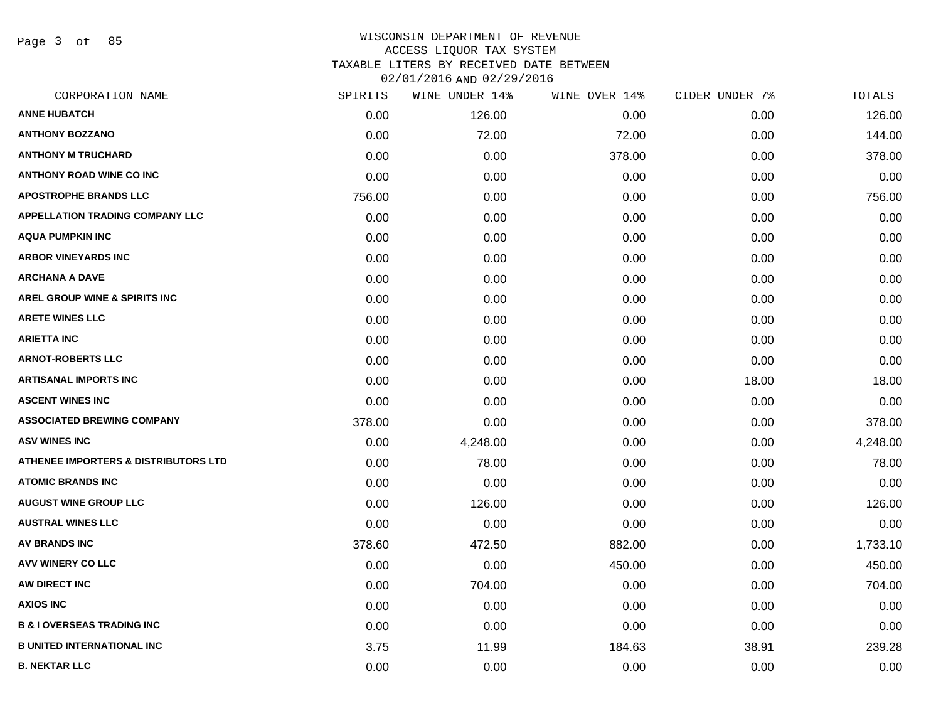Page 3 of 85

| CORPORATION NAME                                | SPIRITS | WINE UNDER 14% | WINE OVER 14% | CIDER UNDER 7% | TOTALS   |
|-------------------------------------------------|---------|----------------|---------------|----------------|----------|
| <b>ANNE HUBATCH</b>                             | 0.00    | 126.00         | 0.00          | 0.00           | 126.00   |
| <b>ANTHONY BOZZANO</b>                          | 0.00    | 72.00          | 72.00         | 0.00           | 144.00   |
| <b>ANTHONY M TRUCHARD</b>                       | 0.00    | 0.00           | 378.00        | 0.00           | 378.00   |
| <b>ANTHONY ROAD WINE CO INC</b>                 | 0.00    | 0.00           | 0.00          | 0.00           | 0.00     |
| <b>APOSTROPHE BRANDS LLC</b>                    | 756.00  | 0.00           | 0.00          | 0.00           | 756.00   |
| <b>APPELLATION TRADING COMPANY LLC</b>          | 0.00    | 0.00           | 0.00          | 0.00           | 0.00     |
| <b>AQUA PUMPKIN INC</b>                         | 0.00    | 0.00           | 0.00          | 0.00           | 0.00     |
| <b>ARBOR VINEYARDS INC</b>                      | 0.00    | 0.00           | 0.00          | 0.00           | 0.00     |
| <b>ARCHANA A DAVE</b>                           | 0.00    | 0.00           | 0.00          | 0.00           | 0.00     |
| <b>AREL GROUP WINE &amp; SPIRITS INC</b>        | 0.00    | 0.00           | 0.00          | 0.00           | 0.00     |
| <b>ARETE WINES LLC</b>                          | 0.00    | 0.00           | 0.00          | 0.00           | 0.00     |
| <b>ARIETTA INC</b>                              | 0.00    | 0.00           | 0.00          | 0.00           | 0.00     |
| <b>ARNOT-ROBERTS LLC</b>                        | 0.00    | 0.00           | 0.00          | 0.00           | 0.00     |
| ARTISANAL IMPORTS INC                           | 0.00    | 0.00           | 0.00          | 18.00          | 18.00    |
| <b>ASCENT WINES INC</b>                         | 0.00    | 0.00           | 0.00          | 0.00           | 0.00     |
| <b>ASSOCIATED BREWING COMPANY</b>               | 378.00  | 0.00           | 0.00          | 0.00           | 378.00   |
| <b>ASV WINES INC</b>                            | 0.00    | 4,248.00       | 0.00          | 0.00           | 4,248.00 |
| <b>ATHENEE IMPORTERS &amp; DISTRIBUTORS LTD</b> | 0.00    | 78.00          | 0.00          | 0.00           | 78.00    |
| <b>ATOMIC BRANDS INC</b>                        | 0.00    | 0.00           | 0.00          | 0.00           | 0.00     |
| <b>AUGUST WINE GROUP LLC</b>                    | 0.00    | 126.00         | 0.00          | 0.00           | 126.00   |
| <b>AUSTRAL WINES LLC</b>                        | 0.00    | 0.00           | 0.00          | 0.00           | 0.00     |
| <b>AV BRANDS INC</b>                            | 378.60  | 472.50         | 882.00        | 0.00           | 1,733.10 |
| <b>AVV WINERY CO LLC</b>                        | 0.00    | 0.00           | 450.00        | 0.00           | 450.00   |
| AW DIRECT INC                                   | 0.00    | 704.00         | 0.00          | 0.00           | 704.00   |
| <b>AXIOS INC</b>                                | 0.00    | 0.00           | 0.00          | 0.00           | 0.00     |
| <b>B &amp; I OVERSEAS TRADING INC</b>           | 0.00    | 0.00           | 0.00          | 0.00           | 0.00     |
| <b>B UNITED INTERNATIONAL INC</b>               | 3.75    | 11.99          | 184.63        | 38.91          | 239.28   |
| <b>B. NEKTAR LLC</b>                            | 0.00    | 0.00           | 0.00          | 0.00           | 0.00     |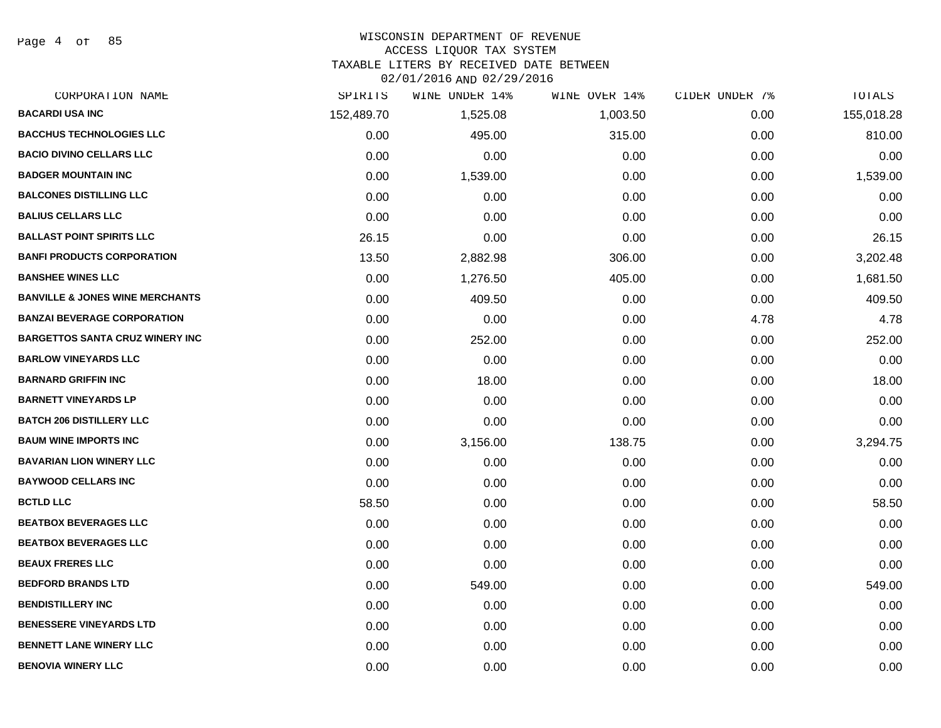Page 4 of 85

#### WISCONSIN DEPARTMENT OF REVENUE

#### ACCESS LIQUOR TAX SYSTEM

TAXABLE LITERS BY RECEIVED DATE BETWEEN

| CORPORATION NAME                           | SPIRITS    | WINE UNDER 14% | WINE OVER 14% | CIDER UNDER 7% | TOTALS     |
|--------------------------------------------|------------|----------------|---------------|----------------|------------|
| <b>BACARDI USA INC</b>                     | 152,489.70 | 1,525.08       | 1,003.50      | 0.00           | 155,018.28 |
| <b>BACCHUS TECHNOLOGIES LLC</b>            | 0.00       | 495.00         | 315.00        | 0.00           | 810.00     |
| <b>BACIO DIVINO CELLARS LLC</b>            | 0.00       | 0.00           | 0.00          | 0.00           | 0.00       |
| <b>BADGER MOUNTAIN INC</b>                 | 0.00       | 1,539.00       | 0.00          | 0.00           | 1,539.00   |
| <b>BALCONES DISTILLING LLC</b>             | 0.00       | 0.00           | 0.00          | 0.00           | 0.00       |
| <b>BALIUS CELLARS LLC</b>                  | 0.00       | 0.00           | 0.00          | 0.00           | 0.00       |
| <b>BALLAST POINT SPIRITS LLC</b>           | 26.15      | 0.00           | 0.00          | 0.00           | 26.15      |
| <b>BANFI PRODUCTS CORPORATION</b>          | 13.50      | 2,882.98       | 306.00        | 0.00           | 3,202.48   |
| <b>BANSHEE WINES LLC</b>                   | 0.00       | 1,276.50       | 405.00        | 0.00           | 1,681.50   |
| <b>BANVILLE &amp; JONES WINE MERCHANTS</b> | 0.00       | 409.50         | 0.00          | 0.00           | 409.50     |
| <b>BANZAI BEVERAGE CORPORATION</b>         | 0.00       | 0.00           | 0.00          | 4.78           | 4.78       |
| <b>BARGETTOS SANTA CRUZ WINERY INC</b>     | 0.00       | 252.00         | 0.00          | 0.00           | 252.00     |
| <b>BARLOW VINEYARDS LLC</b>                | 0.00       | 0.00           | 0.00          | 0.00           | 0.00       |
| <b>BARNARD GRIFFIN INC</b>                 | 0.00       | 18.00          | 0.00          | 0.00           | 18.00      |
| <b>BARNETT VINEYARDS LP</b>                | 0.00       | 0.00           | 0.00          | 0.00           | 0.00       |
| <b>BATCH 206 DISTILLERY LLC</b>            | 0.00       | 0.00           | 0.00          | 0.00           | 0.00       |
| <b>BAUM WINE IMPORTS INC</b>               | 0.00       | 3,156.00       | 138.75        | 0.00           | 3,294.75   |
| <b>BAVARIAN LION WINERY LLC</b>            | 0.00       | 0.00           | 0.00          | 0.00           | 0.00       |
| <b>BAYWOOD CELLARS INC</b>                 | 0.00       | 0.00           | 0.00          | 0.00           | 0.00       |
| <b>BCTLD LLC</b>                           | 58.50      | 0.00           | 0.00          | 0.00           | 58.50      |
| <b>BEATBOX BEVERAGES LLC</b>               | 0.00       | 0.00           | 0.00          | 0.00           | 0.00       |
| <b>BEATBOX BEVERAGES LLC</b>               | 0.00       | 0.00           | 0.00          | 0.00           | 0.00       |
| <b>BEAUX FRERES LLC</b>                    | 0.00       | 0.00           | 0.00          | 0.00           | 0.00       |
| <b>BEDFORD BRANDS LTD</b>                  | 0.00       | 549.00         | 0.00          | 0.00           | 549.00     |
| <b>BENDISTILLERY INC</b>                   | 0.00       | 0.00           | 0.00          | 0.00           | 0.00       |
| <b>BENESSERE VINEYARDS LTD</b>             | 0.00       | 0.00           | 0.00          | 0.00           | 0.00       |
| <b>BENNETT LANE WINERY LLC</b>             | 0.00       | 0.00           | 0.00          | 0.00           | 0.00       |
| <b>BENOVIA WINERY LLC</b>                  | 0.00       | 0.00           | 0.00          | 0.00           | 0.00       |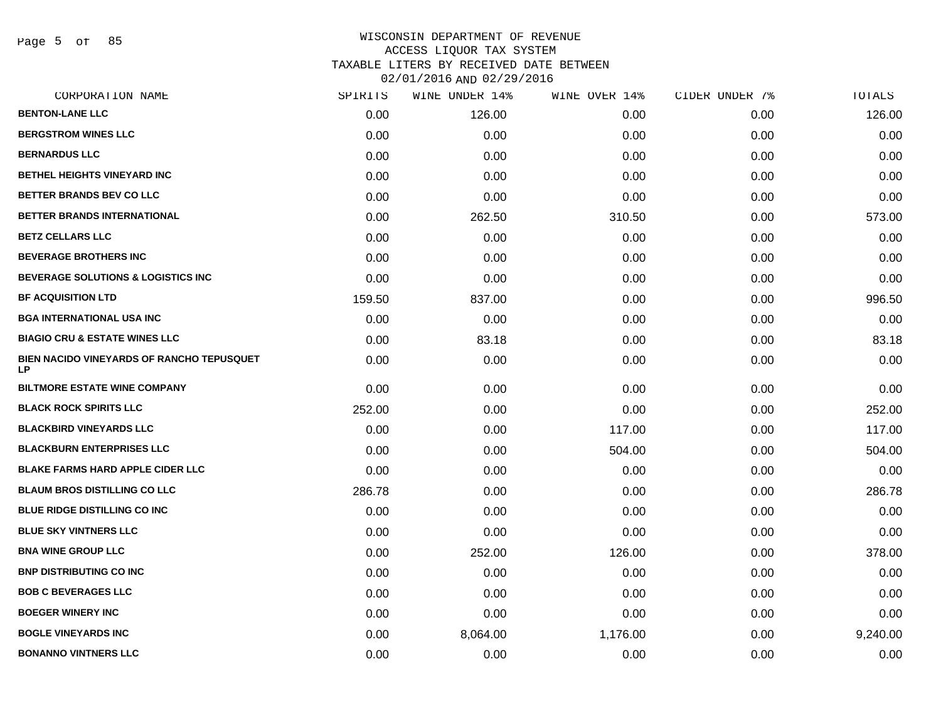Page 5 of 85

| CORPORATION NAME                                | SPIRITS | WINE UNDER 14% | WINE OVER 14% | CIDER UNDER 7% | <b>TOTALS</b> |
|-------------------------------------------------|---------|----------------|---------------|----------------|---------------|
| <b>BENTON-LANE LLC</b>                          | 0.00    | 126.00         | 0.00          | 0.00           | 126.00        |
| <b>BERGSTROM WINES LLC</b>                      | 0.00    | 0.00           | 0.00          | 0.00           | 0.00          |
| <b>BERNARDUS LLC</b>                            | 0.00    | 0.00           | 0.00          | 0.00           | 0.00          |
| BETHEL HEIGHTS VINEYARD INC                     | 0.00    | 0.00           | 0.00          | 0.00           | 0.00          |
| BETTER BRANDS BEV CO LLC                        | 0.00    | 0.00           | 0.00          | 0.00           | 0.00          |
| BETTER BRANDS INTERNATIONAL                     | 0.00    | 262.50         | 310.50        | 0.00           | 573.00        |
| <b>BETZ CELLARS LLC</b>                         | 0.00    | 0.00           | 0.00          | 0.00           | 0.00          |
| <b>BEVERAGE BROTHERS INC</b>                    | 0.00    | 0.00           | 0.00          | 0.00           | 0.00          |
| BEVERAGE SOLUTIONS & LOGISTICS INC              | 0.00    | 0.00           | 0.00          | 0.00           | 0.00          |
| <b>BF ACQUISITION LTD</b>                       | 159.50  | 837.00         | 0.00          | 0.00           | 996.50        |
| <b>BGA INTERNATIONAL USA INC</b>                | 0.00    | 0.00           | 0.00          | 0.00           | 0.00          |
| <b>BIAGIO CRU &amp; ESTATE WINES LLC</b>        | 0.00    | 83.18          | 0.00          | 0.00           | 83.18         |
| BIEN NACIDO VINEYARDS OF RANCHO TEPUSQUET<br>LP | 0.00    | 0.00           | 0.00          | 0.00           | 0.00          |
| <b>BILTMORE ESTATE WINE COMPANY</b>             | 0.00    | 0.00           | 0.00          | 0.00           | 0.00          |
| <b>BLACK ROCK SPIRITS LLC</b>                   | 252.00  | 0.00           | 0.00          | 0.00           | 252.00        |
| <b>BLACKBIRD VINEYARDS LLC</b>                  | 0.00    | 0.00           | 117.00        | 0.00           | 117.00        |
| <b>BLACKBURN ENTERPRISES LLC</b>                | 0.00    | 0.00           | 504.00        | 0.00           | 504.00        |
| <b>BLAKE FARMS HARD APPLE CIDER LLC</b>         | 0.00    | 0.00           | 0.00          | 0.00           | 0.00          |
| <b>BLAUM BROS DISTILLING CO LLC</b>             | 286.78  | 0.00           | 0.00          | 0.00           | 286.78        |
| <b>BLUE RIDGE DISTILLING CO INC</b>             | 0.00    | 0.00           | 0.00          | 0.00           | 0.00          |
| <b>BLUE SKY VINTNERS LLC</b>                    | 0.00    | 0.00           | 0.00          | 0.00           | 0.00          |
| <b>BNA WINE GROUP LLC</b>                       | 0.00    | 252.00         | 126.00        | 0.00           | 378.00        |
| <b>BNP DISTRIBUTING CO INC</b>                  | 0.00    | 0.00           | 0.00          | 0.00           | 0.00          |
| <b>BOB C BEVERAGES LLC</b>                      | 0.00    | 0.00           | 0.00          | 0.00           | 0.00          |
| <b>BOEGER WINERY INC</b>                        | 0.00    | 0.00           | 0.00          | 0.00           | 0.00          |
| <b>BOGLE VINEYARDS INC</b>                      | 0.00    | 8,064.00       | 1,176.00      | 0.00           | 9,240.00      |
| <b>BONANNO VINTNERS LLC</b>                     | 0.00    | 0.00           | 0.00          | 0.00           | 0.00          |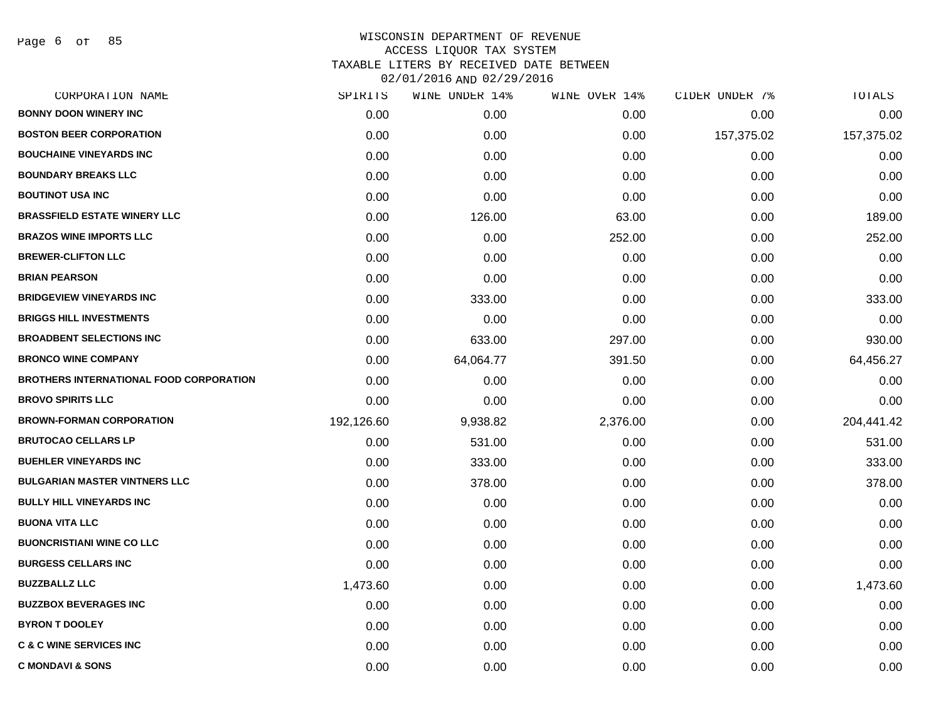Page 6 of 85

|            | WINE UNDER 14% | WINE OVER 14% | CIDER UNDER 7% | TOTALS     |
|------------|----------------|---------------|----------------|------------|
| 0.00       | 0.00           | 0.00          | 0.00           | 0.00       |
| 0.00       | 0.00           | 0.00          | 157,375.02     | 157,375.02 |
| 0.00       | 0.00           | 0.00          | 0.00           | 0.00       |
| 0.00       | 0.00           | 0.00          | 0.00           | 0.00       |
| 0.00       | 0.00           | 0.00          | 0.00           | 0.00       |
| 0.00       | 126.00         | 63.00         | 0.00           | 189.00     |
| 0.00       | 0.00           | 252.00        | 0.00           | 252.00     |
| 0.00       | 0.00           | 0.00          | 0.00           | 0.00       |
| 0.00       | 0.00           | 0.00          | 0.00           | 0.00       |
| 0.00       | 333.00         | 0.00          | 0.00           | 333.00     |
| 0.00       | 0.00           | 0.00          | 0.00           | 0.00       |
| 0.00       | 633.00         | 297.00        | 0.00           | 930.00     |
| 0.00       | 64,064.77      | 391.50        | 0.00           | 64,456.27  |
| 0.00       | 0.00           | 0.00          | 0.00           | 0.00       |
| 0.00       | 0.00           | 0.00          | 0.00           | 0.00       |
| 192,126.60 | 9,938.82       | 2,376.00      | 0.00           | 204,441.42 |
| 0.00       | 531.00         | 0.00          | 0.00           | 531.00     |
| 0.00       | 333.00         | 0.00          | 0.00           | 333.00     |
| 0.00       | 378.00         | 0.00          | 0.00           | 378.00     |
| 0.00       | 0.00           | 0.00          | 0.00           | 0.00       |
| 0.00       | 0.00           | 0.00          | 0.00           | 0.00       |
| 0.00       | 0.00           | 0.00          | 0.00           | 0.00       |
| 0.00       | 0.00           | 0.00          | 0.00           | 0.00       |
| 1,473.60   | 0.00           | 0.00          | 0.00           | 1,473.60   |
| 0.00       | 0.00           | 0.00          | 0.00           | 0.00       |
| 0.00       | 0.00           | 0.00          | 0.00           | 0.00       |
| 0.00       | 0.00           | 0.00          | 0.00           | 0.00       |
| 0.00       | 0.00           | 0.00          | 0.00           | 0.00       |
|            | SPIRITS        |               |                |            |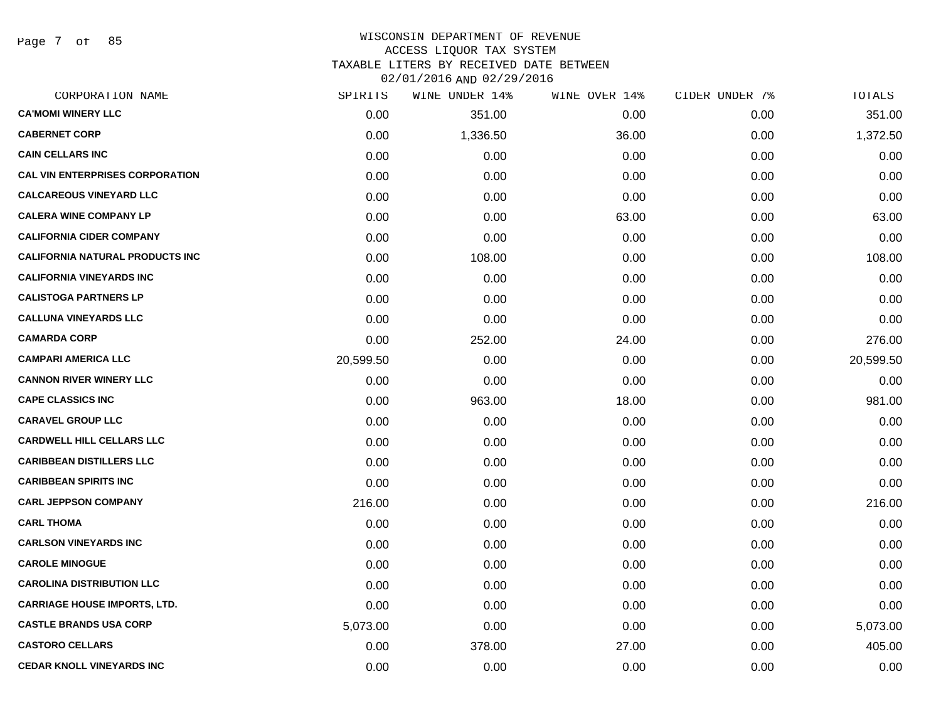Page 7 of 85

| CORPORATION NAME                       | SPIRITS   | WINE UNDER 14% | WINE OVER 14% | CIDER UNDER 7% | TOTALS    |
|----------------------------------------|-----------|----------------|---------------|----------------|-----------|
| <b>CA'MOMI WINERY LLC</b>              | 0.00      | 351.00         | 0.00          | 0.00           | 351.00    |
| <b>CABERNET CORP</b>                   | 0.00      | 1,336.50       | 36.00         | 0.00           | 1,372.50  |
| <b>CAIN CELLARS INC</b>                | 0.00      | 0.00           | 0.00          | 0.00           | 0.00      |
| <b>CAL VIN ENTERPRISES CORPORATION</b> | 0.00      | 0.00           | 0.00          | 0.00           | 0.00      |
| <b>CALCAREOUS VINEYARD LLC</b>         | 0.00      | 0.00           | 0.00          | 0.00           | 0.00      |
| <b>CALERA WINE COMPANY LP</b>          | 0.00      | 0.00           | 63.00         | 0.00           | 63.00     |
| <b>CALIFORNIA CIDER COMPANY</b>        | 0.00      | 0.00           | 0.00          | 0.00           | 0.00      |
| <b>CALIFORNIA NATURAL PRODUCTS INC</b> | 0.00      | 108.00         | 0.00          | 0.00           | 108.00    |
| <b>CALIFORNIA VINEYARDS INC</b>        | 0.00      | 0.00           | 0.00          | 0.00           | 0.00      |
| <b>CALISTOGA PARTNERS LP</b>           | 0.00      | 0.00           | 0.00          | 0.00           | 0.00      |
| <b>CALLUNA VINEYARDS LLC</b>           | 0.00      | 0.00           | 0.00          | 0.00           | 0.00      |
| <b>CAMARDA CORP</b>                    | 0.00      | 252.00         | 24.00         | 0.00           | 276.00    |
| <b>CAMPARI AMERICA LLC</b>             | 20,599.50 | 0.00           | 0.00          | 0.00           | 20,599.50 |
| <b>CANNON RIVER WINERY LLC</b>         | 0.00      | 0.00           | 0.00          | 0.00           | 0.00      |
| <b>CAPE CLASSICS INC</b>               | 0.00      | 963.00         | 18.00         | 0.00           | 981.00    |
| <b>CARAVEL GROUP LLC</b>               | 0.00      | 0.00           | 0.00          | 0.00           | 0.00      |
| <b>CARDWELL HILL CELLARS LLC</b>       | 0.00      | 0.00           | 0.00          | 0.00           | 0.00      |
| <b>CARIBBEAN DISTILLERS LLC</b>        | 0.00      | 0.00           | 0.00          | 0.00           | 0.00      |
| <b>CARIBBEAN SPIRITS INC</b>           | 0.00      | 0.00           | 0.00          | 0.00           | 0.00      |
| <b>CARL JEPPSON COMPANY</b>            | 216.00    | 0.00           | 0.00          | 0.00           | 216.00    |
| <b>CARL THOMA</b>                      | 0.00      | 0.00           | 0.00          | 0.00           | 0.00      |
| <b>CARLSON VINEYARDS INC</b>           | 0.00      | 0.00           | 0.00          | 0.00           | 0.00      |
| <b>CAROLE MINOGUE</b>                  | 0.00      | 0.00           | 0.00          | 0.00           | 0.00      |
| <b>CAROLINA DISTRIBUTION LLC</b>       | 0.00      | 0.00           | 0.00          | 0.00           | 0.00      |
| <b>CARRIAGE HOUSE IMPORTS, LTD.</b>    | 0.00      | 0.00           | 0.00          | 0.00           | 0.00      |
| <b>CASTLE BRANDS USA CORP</b>          | 5,073.00  | 0.00           | 0.00          | 0.00           | 5,073.00  |
| <b>CASTORO CELLARS</b>                 | 0.00      | 378.00         | 27.00         | 0.00           | 405.00    |
| <b>CEDAR KNOLL VINEYARDS INC</b>       | 0.00      | 0.00           | 0.00          | 0.00           | 0.00      |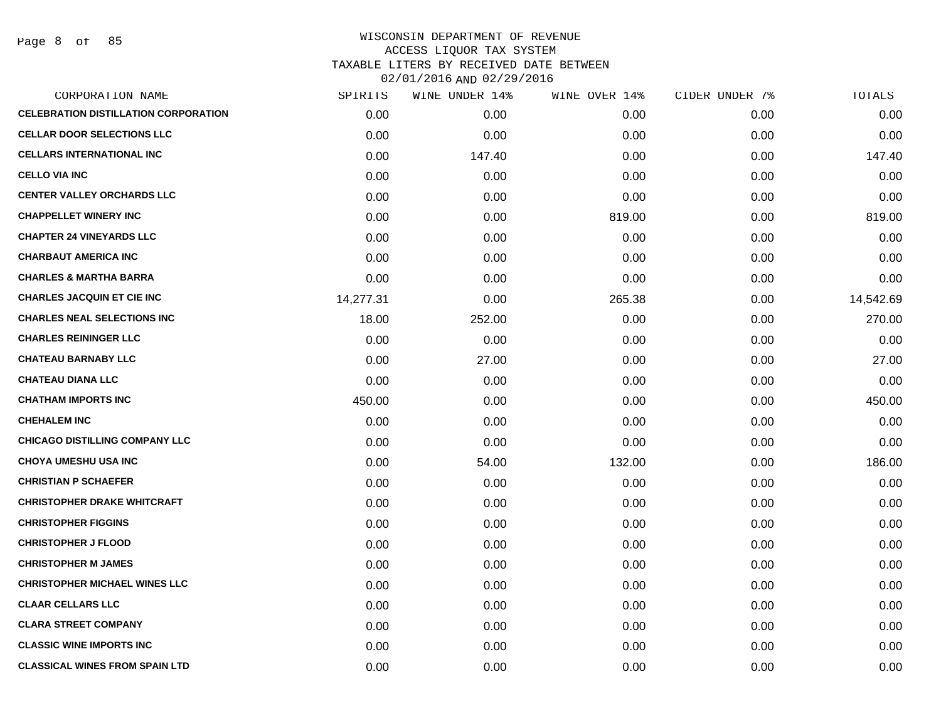Page 8 of 85

| CORPORATION NAME                            | SPIRITS   | WINE UNDER 14% | WINE OVER 14% | CIDER UNDER 7% | TOTALS    |
|---------------------------------------------|-----------|----------------|---------------|----------------|-----------|
| <b>CELEBRATION DISTILLATION CORPORATION</b> | 0.00      | 0.00           | 0.00          | 0.00           | 0.00      |
| <b>CELLAR DOOR SELECTIONS LLC</b>           | 0.00      | 0.00           | 0.00          | 0.00           | 0.00      |
| <b>CELLARS INTERNATIONAL INC</b>            | 0.00      | 147.40         | 0.00          | 0.00           | 147.40    |
| <b>CELLO VIA INC</b>                        | 0.00      | 0.00           | 0.00          | 0.00           | 0.00      |
| <b>CENTER VALLEY ORCHARDS LLC</b>           | 0.00      | 0.00           | 0.00          | 0.00           | 0.00      |
| <b>CHAPPELLET WINERY INC</b>                | 0.00      | 0.00           | 819.00        | 0.00           | 819.00    |
| <b>CHAPTER 24 VINEYARDS LLC</b>             | 0.00      | 0.00           | 0.00          | 0.00           | 0.00      |
| <b>CHARBAUT AMERICA INC</b>                 | 0.00      | 0.00           | 0.00          | 0.00           | 0.00      |
| <b>CHARLES &amp; MARTHA BARRA</b>           | 0.00      | 0.00           | 0.00          | 0.00           | 0.00      |
| <b>CHARLES JACQUIN ET CIE INC</b>           | 14,277.31 | 0.00           | 265.38        | 0.00           | 14,542.69 |
| <b>CHARLES NEAL SELECTIONS INC</b>          | 18.00     | 252.00         | 0.00          | 0.00           | 270.00    |
| <b>CHARLES REININGER LLC</b>                | 0.00      | 0.00           | 0.00          | 0.00           | 0.00      |
| <b>CHATEAU BARNABY LLC</b>                  | 0.00      | 27.00          | 0.00          | 0.00           | 27.00     |
| <b>CHATEAU DIANA LLC</b>                    | 0.00      | 0.00           | 0.00          | 0.00           | 0.00      |
| <b>CHATHAM IMPORTS INC</b>                  | 450.00    | 0.00           | 0.00          | 0.00           | 450.00    |
| <b>CHEHALEM INC</b>                         | 0.00      | 0.00           | 0.00          | 0.00           | 0.00      |
| <b>CHICAGO DISTILLING COMPANY LLC</b>       | 0.00      | 0.00           | 0.00          | 0.00           | 0.00      |
| <b>CHOYA UMESHU USA INC</b>                 | 0.00      | 54.00          | 132.00        | 0.00           | 186.00    |
| <b>CHRISTIAN P SCHAEFER</b>                 | 0.00      | 0.00           | 0.00          | 0.00           | 0.00      |
| <b>CHRISTOPHER DRAKE WHITCRAFT</b>          | 0.00      | 0.00           | 0.00          | 0.00           | 0.00      |
| <b>CHRISTOPHER FIGGINS</b>                  | 0.00      | 0.00           | 0.00          | 0.00           | 0.00      |
| <b>CHRISTOPHER J FLOOD</b>                  | 0.00      | 0.00           | 0.00          | 0.00           | 0.00      |
| <b>CHRISTOPHER M JAMES</b>                  | 0.00      | 0.00           | 0.00          | 0.00           | 0.00      |
| <b>CHRISTOPHER MICHAEL WINES LLC</b>        | 0.00      | 0.00           | 0.00          | 0.00           | 0.00      |
| <b>CLAAR CELLARS LLC</b>                    | 0.00      | 0.00           | 0.00          | 0.00           | 0.00      |
| <b>CLARA STREET COMPANY</b>                 | 0.00      | 0.00           | 0.00          | 0.00           | 0.00      |
| <b>CLASSIC WINE IMPORTS INC</b>             | 0.00      | 0.00           | 0.00          | 0.00           | 0.00      |
| <b>CLASSICAL WINES FROM SPAIN LTD</b>       | 0.00      | 0.00           | 0.00          | 0.00           | 0.00      |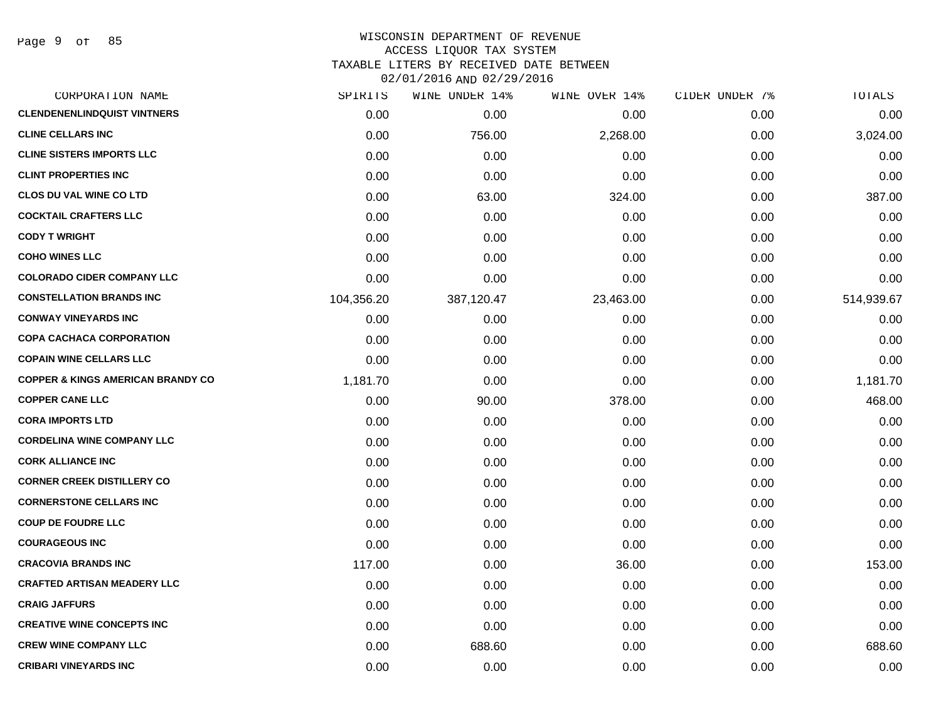Page 9 of 85

| CORPORATION NAME                             | SPIRITS    | WINE UNDER 14% | WINE OVER 14% | CIDER UNDER 7% | TOTALS     |
|----------------------------------------------|------------|----------------|---------------|----------------|------------|
| <b>CLENDENENLINDQUIST VINTNERS</b>           | 0.00       | 0.00           | 0.00          | 0.00           | 0.00       |
| <b>CLINE CELLARS INC</b>                     | 0.00       | 756.00         | 2,268.00      | 0.00           | 3,024.00   |
| <b>CLINE SISTERS IMPORTS LLC</b>             | 0.00       | 0.00           | 0.00          | 0.00           | 0.00       |
| <b>CLINT PROPERTIES INC</b>                  | 0.00       | 0.00           | 0.00          | 0.00           | 0.00       |
| <b>CLOS DU VAL WINE CO LTD</b>               | 0.00       | 63.00          | 324.00        | 0.00           | 387.00     |
| <b>COCKTAIL CRAFTERS LLC</b>                 | 0.00       | 0.00           | 0.00          | 0.00           | 0.00       |
| <b>CODY T WRIGHT</b>                         | 0.00       | 0.00           | 0.00          | 0.00           | 0.00       |
| <b>COHO WINES LLC</b>                        | 0.00       | 0.00           | 0.00          | 0.00           | 0.00       |
| <b>COLORADO CIDER COMPANY LLC</b>            | 0.00       | 0.00           | 0.00          | 0.00           | 0.00       |
| <b>CONSTELLATION BRANDS INC</b>              | 104,356.20 | 387,120.47     | 23,463.00     | 0.00           | 514,939.67 |
| <b>CONWAY VINEYARDS INC</b>                  | 0.00       | 0.00           | 0.00          | 0.00           | 0.00       |
| <b>COPA CACHACA CORPORATION</b>              | 0.00       | 0.00           | 0.00          | 0.00           | 0.00       |
| <b>COPAIN WINE CELLARS LLC</b>               | 0.00       | 0.00           | 0.00          | 0.00           | 0.00       |
| <b>COPPER &amp; KINGS AMERICAN BRANDY CO</b> | 1,181.70   | 0.00           | 0.00          | 0.00           | 1,181.70   |
| <b>COPPER CANE LLC</b>                       | 0.00       | 90.00          | 378.00        | 0.00           | 468.00     |
| <b>CORA IMPORTS LTD</b>                      | 0.00       | 0.00           | 0.00          | 0.00           | 0.00       |
| <b>CORDELINA WINE COMPANY LLC</b>            | 0.00       | 0.00           | 0.00          | 0.00           | 0.00       |
| <b>CORK ALLIANCE INC</b>                     | 0.00       | 0.00           | 0.00          | 0.00           | 0.00       |
| <b>CORNER CREEK DISTILLERY CO</b>            | 0.00       | 0.00           | 0.00          | 0.00           | 0.00       |
| <b>CORNERSTONE CELLARS INC</b>               | 0.00       | 0.00           | 0.00          | 0.00           | 0.00       |
| <b>COUP DE FOUDRE LLC</b>                    | 0.00       | 0.00           | 0.00          | 0.00           | 0.00       |
| <b>COURAGEOUS INC</b>                        | 0.00       | 0.00           | 0.00          | 0.00           | 0.00       |
| <b>CRACOVIA BRANDS INC</b>                   | 117.00     | 0.00           | 36.00         | 0.00           | 153.00     |
| <b>CRAFTED ARTISAN MEADERY LLC</b>           | 0.00       | 0.00           | 0.00          | 0.00           | 0.00       |
| <b>CRAIG JAFFURS</b>                         | 0.00       | 0.00           | 0.00          | 0.00           | 0.00       |
| <b>CREATIVE WINE CONCEPTS INC</b>            | 0.00       | 0.00           | 0.00          | 0.00           | 0.00       |
| <b>CREW WINE COMPANY LLC</b>                 | 0.00       | 688.60         | 0.00          | 0.00           | 688.60     |
| <b>CRIBARI VINEYARDS INC</b>                 | 0.00       | 0.00           | 0.00          | 0.00           | 0.00       |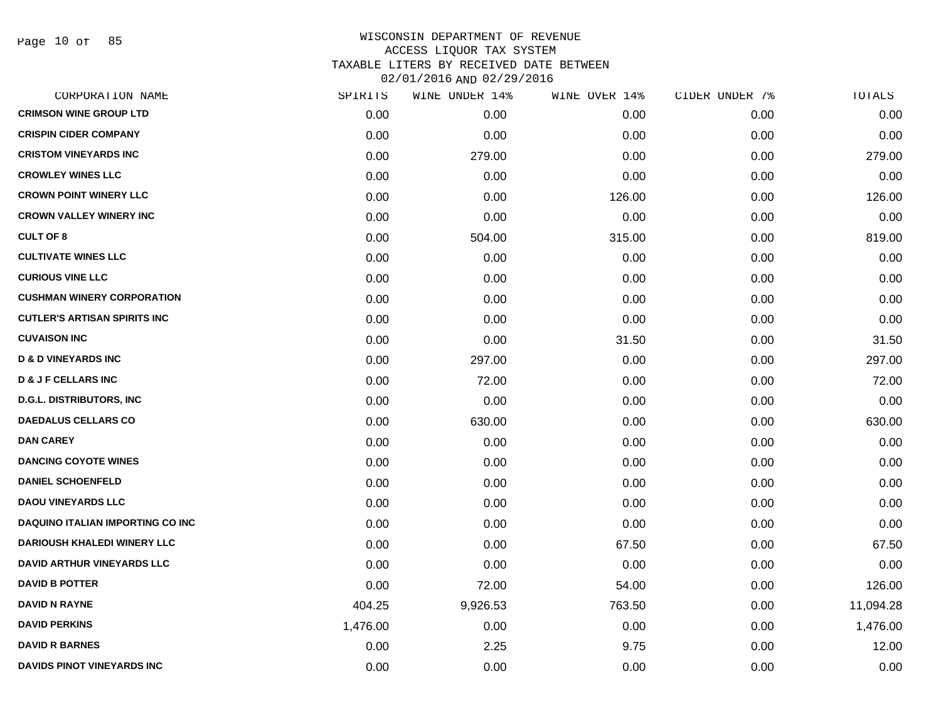Page 10 of 85

| CORPORATION NAME                        | SPIRITS  | WINE UNDER 14% | WINE OVER 14% | CIDER UNDER 7% | TOTALS    |
|-----------------------------------------|----------|----------------|---------------|----------------|-----------|
| <b>CRIMSON WINE GROUP LTD</b>           | 0.00     | 0.00           | 0.00          | 0.00           | 0.00      |
| <b>CRISPIN CIDER COMPANY</b>            | 0.00     | 0.00           | 0.00          | 0.00           | 0.00      |
| <b>CRISTOM VINEYARDS INC</b>            | 0.00     | 279.00         | 0.00          | 0.00           | 279.00    |
| <b>CROWLEY WINES LLC</b>                | 0.00     | 0.00           | 0.00          | 0.00           | 0.00      |
| <b>CROWN POINT WINERY LLC</b>           | 0.00     | 0.00           | 126.00        | 0.00           | 126.00    |
| <b>CROWN VALLEY WINERY INC</b>          | 0.00     | 0.00           | 0.00          | 0.00           | 0.00      |
| <b>CULT OF 8</b>                        | 0.00     | 504.00         | 315.00        | 0.00           | 819.00    |
| <b>CULTIVATE WINES LLC</b>              | 0.00     | 0.00           | 0.00          | 0.00           | 0.00      |
| <b>CURIOUS VINE LLC</b>                 | 0.00     | 0.00           | 0.00          | 0.00           | 0.00      |
| <b>CUSHMAN WINERY CORPORATION</b>       | 0.00     | 0.00           | 0.00          | 0.00           | 0.00      |
| <b>CUTLER'S ARTISAN SPIRITS INC</b>     | 0.00     | 0.00           | 0.00          | 0.00           | 0.00      |
| <b>CUVAISON INC</b>                     | 0.00     | 0.00           | 31.50         | 0.00           | 31.50     |
| <b>D &amp; D VINEYARDS INC</b>          | 0.00     | 297.00         | 0.00          | 0.00           | 297.00    |
| <b>D &amp; J F CELLARS INC</b>          | 0.00     | 72.00          | 0.00          | 0.00           | 72.00     |
| <b>D.G.L. DISTRIBUTORS, INC.</b>        | 0.00     | 0.00           | 0.00          | 0.00           | 0.00      |
| <b>DAEDALUS CELLARS CO</b>              | 0.00     | 630.00         | 0.00          | 0.00           | 630.00    |
| <b>DAN CAREY</b>                        | 0.00     | 0.00           | 0.00          | 0.00           | 0.00      |
| <b>DANCING COYOTE WINES</b>             | 0.00     | 0.00           | 0.00          | 0.00           | 0.00      |
| <b>DANIEL SCHOENFELD</b>                | 0.00     | 0.00           | 0.00          | 0.00           | 0.00      |
| <b>DAOU VINEYARDS LLC</b>               | 0.00     | 0.00           | 0.00          | 0.00           | 0.00      |
| <b>DAQUINO ITALIAN IMPORTING CO INC</b> | 0.00     | 0.00           | 0.00          | 0.00           | 0.00      |
| <b>DARIOUSH KHALEDI WINERY LLC</b>      | 0.00     | 0.00           | 67.50         | 0.00           | 67.50     |
| <b>DAVID ARTHUR VINEYARDS LLC</b>       | 0.00     | 0.00           | 0.00          | 0.00           | 0.00      |
| <b>DAVID B POTTER</b>                   | 0.00     | 72.00          | 54.00         | 0.00           | 126.00    |
| <b>DAVID N RAYNE</b>                    | 404.25   | 9,926.53       | 763.50        | 0.00           | 11,094.28 |
| <b>DAVID PERKINS</b>                    | 1,476.00 | 0.00           | 0.00          | 0.00           | 1,476.00  |
| <b>DAVID R BARNES</b>                   | 0.00     | 2.25           | 9.75          | 0.00           | 12.00     |
| DAVIDS PINOT VINEYARDS INC              | 0.00     | 0.00           | 0.00          | 0.00           | 0.00      |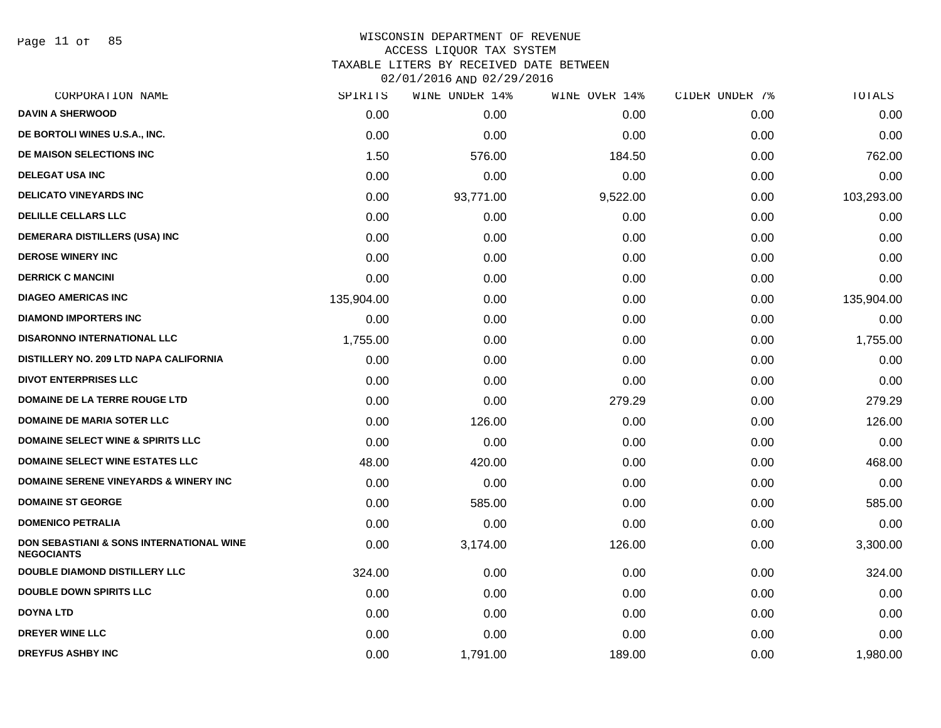Page 11 of 85

## WISCONSIN DEPARTMENT OF REVENUE ACCESS LIQUOR TAX SYSTEM TAXABLE LITERS BY RECEIVED DATE BETWEEN

| CORPORATION NAME                                                         | SPIRITS    | WINE UNDER 14% | WINE OVER 14% | CIDER UNDER 7% | TOTALS     |
|--------------------------------------------------------------------------|------------|----------------|---------------|----------------|------------|
| <b>DAVIN A SHERWOOD</b>                                                  | 0.00       | 0.00           | 0.00          | 0.00           | 0.00       |
| DE BORTOLI WINES U.S.A., INC.                                            | 0.00       | 0.00           | 0.00          | 0.00           | 0.00       |
| DE MAISON SELECTIONS INC                                                 | 1.50       | 576.00         | 184.50        | 0.00           | 762.00     |
| <b>DELEGAT USA INC</b>                                                   | 0.00       | 0.00           | 0.00          | 0.00           | 0.00       |
| <b>DELICATO VINEYARDS INC</b>                                            | 0.00       | 93,771.00      | 9,522.00      | 0.00           | 103,293.00 |
| <b>DELILLE CELLARS LLC</b>                                               | 0.00       | 0.00           | 0.00          | 0.00           | 0.00       |
| <b>DEMERARA DISTILLERS (USA) INC</b>                                     | 0.00       | 0.00           | 0.00          | 0.00           | 0.00       |
| <b>DEROSE WINERY INC</b>                                                 | 0.00       | 0.00           | 0.00          | 0.00           | 0.00       |
| <b>DERRICK C MANCINI</b>                                                 | 0.00       | 0.00           | 0.00          | 0.00           | 0.00       |
| <b>DIAGEO AMERICAS INC</b>                                               | 135,904.00 | 0.00           | 0.00          | 0.00           | 135,904.00 |
| <b>DIAMOND IMPORTERS INC</b>                                             | 0.00       | 0.00           | 0.00          | 0.00           | 0.00       |
| <b>DISARONNO INTERNATIONAL LLC</b>                                       | 1,755.00   | 0.00           | 0.00          | 0.00           | 1,755.00   |
| DISTILLERY NO. 209 LTD NAPA CALIFORNIA                                   | 0.00       | 0.00           | 0.00          | 0.00           | 0.00       |
| <b>DIVOT ENTERPRISES LLC</b>                                             | 0.00       | 0.00           | 0.00          | 0.00           | 0.00       |
| <b>DOMAINE DE LA TERRE ROUGE LTD</b>                                     | 0.00       | 0.00           | 279.29        | 0.00           | 279.29     |
| <b>DOMAINE DE MARIA SOTER LLC</b>                                        | 0.00       | 126.00         | 0.00          | 0.00           | 126.00     |
| <b>DOMAINE SELECT WINE &amp; SPIRITS LLC</b>                             | 0.00       | 0.00           | 0.00          | 0.00           | 0.00       |
| <b>DOMAINE SELECT WINE ESTATES LLC</b>                                   | 48.00      | 420.00         | 0.00          | 0.00           | 468.00     |
| <b>DOMAINE SERENE VINEYARDS &amp; WINERY INC</b>                         | 0.00       | 0.00           | 0.00          | 0.00           | 0.00       |
| <b>DOMAINE ST GEORGE</b>                                                 | 0.00       | 585.00         | 0.00          | 0.00           | 585.00     |
| <b>DOMENICO PETRALIA</b>                                                 | 0.00       | 0.00           | 0.00          | 0.00           | 0.00       |
| <b>DON SEBASTIANI &amp; SONS INTERNATIONAL WINE</b><br><b>NEGOCIANTS</b> | 0.00       | 3,174.00       | 126.00        | 0.00           | 3,300.00   |
| <b>DOUBLE DIAMOND DISTILLERY LLC</b>                                     | 324.00     | 0.00           | 0.00          | 0.00           | 324.00     |
| <b>DOUBLE DOWN SPIRITS LLC</b>                                           | 0.00       | 0.00           | 0.00          | 0.00           | 0.00       |
| <b>DOYNA LTD</b>                                                         | 0.00       | 0.00           | 0.00          | 0.00           | 0.00       |
| <b>DREYER WINE LLC</b>                                                   | 0.00       | 0.00           | 0.00          | 0.00           | 0.00       |
| <b>DREYFUS ASHBY INC</b>                                                 | 0.00       | 1,791.00       | 189.00        | 0.00           | 1,980.00   |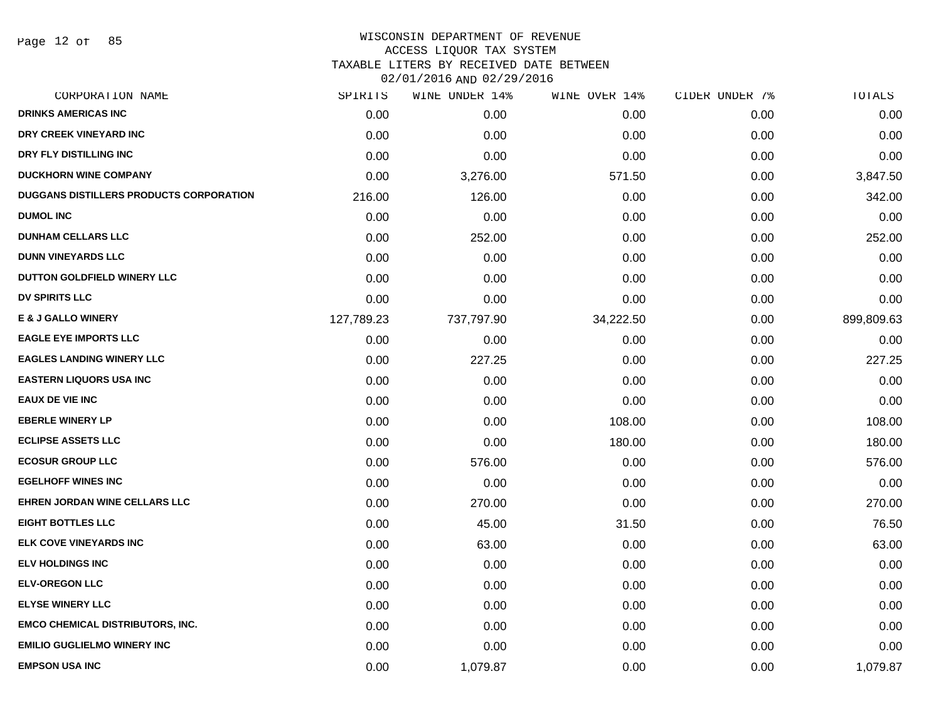Page 12 of 85

#### WISCONSIN DEPARTMENT OF REVENUE ACCESS LIQUOR TAX SYSTEM

TAXABLE LITERS BY RECEIVED DATE BETWEEN

| CORPORATION NAME                        | SPIRITS    | WINE UNDER 14% | WINE OVER 14% | CIDER UNDER 7% | TOTALS     |
|-----------------------------------------|------------|----------------|---------------|----------------|------------|
| <b>DRINKS AMERICAS INC</b>              | 0.00       | 0.00           | 0.00          | 0.00           | 0.00       |
| DRY CREEK VINEYARD INC                  | 0.00       | 0.00           | 0.00          | 0.00           | 0.00       |
| DRY FLY DISTILLING INC                  | 0.00       | 0.00           | 0.00          | 0.00           | 0.00       |
| <b>DUCKHORN WINE COMPANY</b>            | 0.00       | 3,276.00       | 571.50        | 0.00           | 3,847.50   |
| DUGGANS DISTILLERS PRODUCTS CORPORATION | 216.00     | 126.00         | 0.00          | 0.00           | 342.00     |
| <b>DUMOL INC</b>                        | 0.00       | 0.00           | 0.00          | 0.00           | 0.00       |
| <b>DUNHAM CELLARS LLC</b>               | 0.00       | 252.00         | 0.00          | 0.00           | 252.00     |
| <b>DUNN VINEYARDS LLC</b>               | 0.00       | 0.00           | 0.00          | 0.00           | 0.00       |
| DUTTON GOLDFIELD WINERY LLC             | 0.00       | 0.00           | 0.00          | 0.00           | 0.00       |
| <b>DV SPIRITS LLC</b>                   | 0.00       | 0.00           | 0.00          | 0.00           | 0.00       |
| <b>E &amp; J GALLO WINERY</b>           | 127,789.23 | 737,797.90     | 34,222.50     | 0.00           | 899,809.63 |
| <b>EAGLE EYE IMPORTS LLC</b>            | 0.00       | 0.00           | 0.00          | 0.00           | 0.00       |
| <b>EAGLES LANDING WINERY LLC</b>        | 0.00       | 227.25         | 0.00          | 0.00           | 227.25     |
| <b>EASTERN LIQUORS USA INC</b>          | 0.00       | 0.00           | 0.00          | 0.00           | 0.00       |
| <b>EAUX DE VIE INC</b>                  | 0.00       | 0.00           | 0.00          | 0.00           | 0.00       |
| <b>EBERLE WINERY LP</b>                 | 0.00       | 0.00           | 108.00        | 0.00           | 108.00     |
| <b>ECLIPSE ASSETS LLC</b>               | 0.00       | 0.00           | 180.00        | 0.00           | 180.00     |
| <b>ECOSUR GROUP LLC</b>                 | 0.00       | 576.00         | 0.00          | 0.00           | 576.00     |
| <b>EGELHOFF WINES INC</b>               | 0.00       | 0.00           | 0.00          | 0.00           | 0.00       |
| EHREN JORDAN WINE CELLARS LLC           | 0.00       | 270.00         | 0.00          | 0.00           | 270.00     |
| <b>EIGHT BOTTLES LLC</b>                | 0.00       | 45.00          | 31.50         | 0.00           | 76.50      |
| <b>ELK COVE VINEYARDS INC</b>           | 0.00       | 63.00          | 0.00          | 0.00           | 63.00      |
| <b>ELV HOLDINGS INC</b>                 | 0.00       | 0.00           | 0.00          | 0.00           | 0.00       |
| <b>ELV-OREGON LLC</b>                   | 0.00       | 0.00           | 0.00          | 0.00           | 0.00       |
| <b>ELYSE WINERY LLC</b>                 | 0.00       | 0.00           | 0.00          | 0.00           | 0.00       |
| <b>EMCO CHEMICAL DISTRIBUTORS, INC.</b> | 0.00       | 0.00           | 0.00          | 0.00           | 0.00       |
| <b>EMILIO GUGLIELMO WINERY INC</b>      | 0.00       | 0.00           | 0.00          | 0.00           | 0.00       |
| <b>EMPSON USA INC</b>                   | 0.00       | 1,079.87       | 0.00          | 0.00           | 1,079.87   |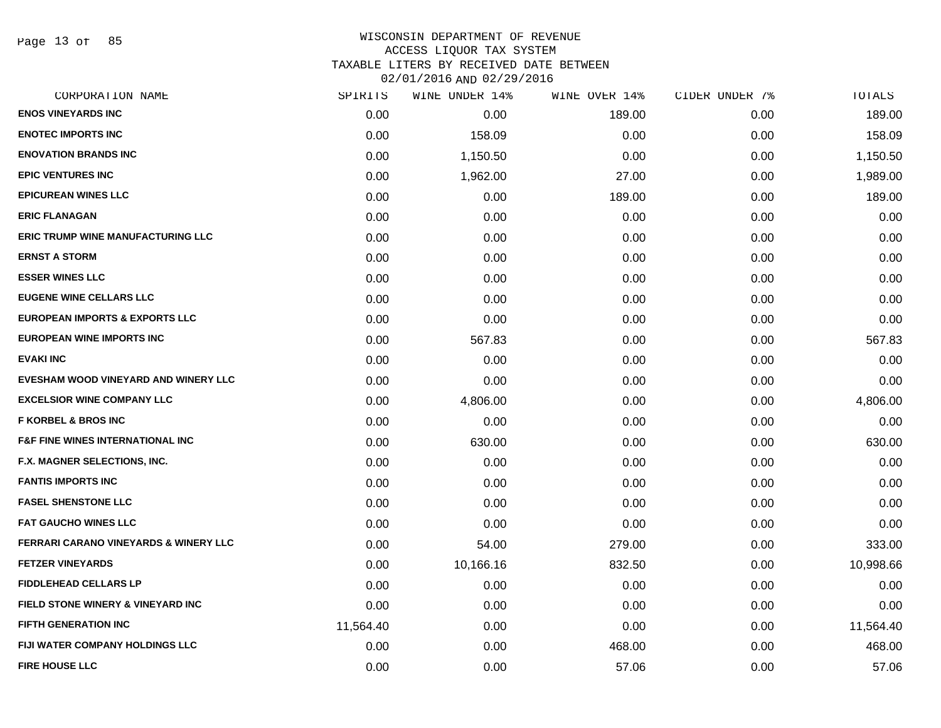Page 13 of 85

#### WISCONSIN DEPARTMENT OF REVENUE ACCESS LIQUOR TAX SYSTEM TAXABLE LITERS BY RECEIVED DATE BETWEEN

| CORPORATION NAME                                 | SPIRITS   | WINE UNDER 14% | WINE OVER 14% | CIDER UNDER 7% | TOTALS    |
|--------------------------------------------------|-----------|----------------|---------------|----------------|-----------|
| <b>ENOS VINEYARDS INC</b>                        | 0.00      | 0.00           | 189.00        | 0.00           | 189.00    |
| <b>ENOTEC IMPORTS INC</b>                        | 0.00      | 158.09         | 0.00          | 0.00           | 158.09    |
| <b>ENOVATION BRANDS INC</b>                      | 0.00      | 1,150.50       | 0.00          | 0.00           | 1,150.50  |
| <b>EPIC VENTURES INC</b>                         | 0.00      | 1,962.00       | 27.00         | 0.00           | 1,989.00  |
| <b>EPICUREAN WINES LLC</b>                       | 0.00      | 0.00           | 189.00        | 0.00           | 189.00    |
| <b>ERIC FLANAGAN</b>                             | 0.00      | 0.00           | 0.00          | 0.00           | 0.00      |
| <b>ERIC TRUMP WINE MANUFACTURING LLC</b>         | 0.00      | 0.00           | 0.00          | 0.00           | 0.00      |
| <b>ERNST A STORM</b>                             | 0.00      | 0.00           | 0.00          | 0.00           | 0.00      |
| <b>ESSER WINES LLC</b>                           | 0.00      | 0.00           | 0.00          | 0.00           | 0.00      |
| <b>EUGENE WINE CELLARS LLC</b>                   | 0.00      | 0.00           | 0.00          | 0.00           | 0.00      |
| <b>EUROPEAN IMPORTS &amp; EXPORTS LLC</b>        | 0.00      | 0.00           | 0.00          | 0.00           | 0.00      |
| <b>EUROPEAN WINE IMPORTS INC</b>                 | 0.00      | 567.83         | 0.00          | 0.00           | 567.83    |
| <b>EVAKI INC</b>                                 | 0.00      | 0.00           | 0.00          | 0.00           | 0.00      |
| EVESHAM WOOD VINEYARD AND WINERY LLC             | 0.00      | 0.00           | 0.00          | 0.00           | 0.00      |
| <b>EXCELSIOR WINE COMPANY LLC</b>                | 0.00      | 4,806.00       | 0.00          | 0.00           | 4,806.00  |
| <b>F KORBEL &amp; BROS INC</b>                   | 0.00      | 0.00           | 0.00          | 0.00           | 0.00      |
| <b>F&amp;F FINE WINES INTERNATIONAL INC</b>      | 0.00      | 630.00         | 0.00          | 0.00           | 630.00    |
| F.X. MAGNER SELECTIONS, INC.                     | 0.00      | 0.00           | 0.00          | 0.00           | 0.00      |
| <b>FANTIS IMPORTS INC</b>                        | 0.00      | 0.00           | 0.00          | 0.00           | 0.00      |
| <b>FASEL SHENSTONE LLC</b>                       | 0.00      | 0.00           | 0.00          | 0.00           | 0.00      |
| <b>FAT GAUCHO WINES LLC</b>                      | 0.00      | 0.00           | 0.00          | 0.00           | 0.00      |
| <b>FERRARI CARANO VINEYARDS &amp; WINERY LLC</b> | 0.00      | 54.00          | 279.00        | 0.00           | 333.00    |
| <b>FETZER VINEYARDS</b>                          | 0.00      | 10,166.16      | 832.50        | 0.00           | 10,998.66 |
| <b>FIDDLEHEAD CELLARS LP</b>                     | 0.00      | 0.00           | 0.00          | 0.00           | 0.00      |
| FIELD STONE WINERY & VINEYARD INC                | 0.00      | 0.00           | 0.00          | 0.00           | 0.00      |
| <b>FIFTH GENERATION INC</b>                      | 11,564.40 | 0.00           | 0.00          | 0.00           | 11,564.40 |
| FIJI WATER COMPANY HOLDINGS LLC                  | 0.00      | 0.00           | 468.00        | 0.00           | 468.00    |
| <b>FIRE HOUSE LLC</b>                            | 0.00      | 0.00           | 57.06         | 0.00           | 57.06     |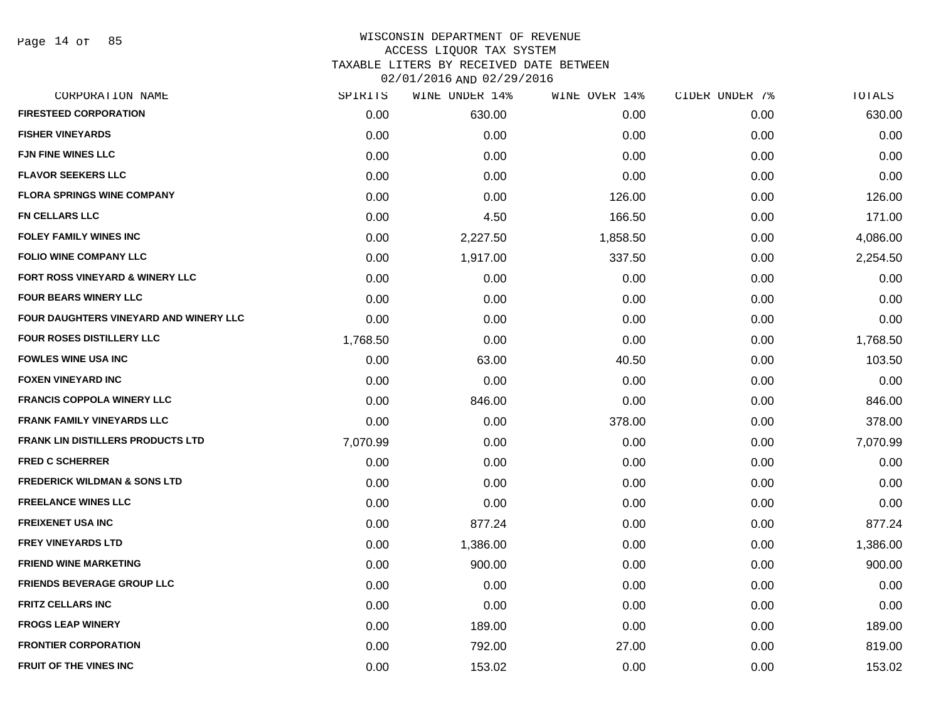| CORPORATION NAME                           | SPIRITS  | WINE UNDER 14% | WINE OVER 14% | CIDER UNDER 7% | TOTALS   |
|--------------------------------------------|----------|----------------|---------------|----------------|----------|
| <b>FIRESTEED CORPORATION</b>               | 0.00     | 630.00         | 0.00          | 0.00           | 630.00   |
| <b>FISHER VINEYARDS</b>                    | 0.00     | 0.00           | 0.00          | 0.00           | 0.00     |
| <b>FJN FINE WINES LLC</b>                  | 0.00     | 0.00           | 0.00          | 0.00           | 0.00     |
| <b>FLAVOR SEEKERS LLC</b>                  | 0.00     | 0.00           | 0.00          | 0.00           | 0.00     |
| <b>FLORA SPRINGS WINE COMPANY</b>          | 0.00     | 0.00           | 126.00        | 0.00           | 126.00   |
| <b>FN CELLARS LLC</b>                      | 0.00     | 4.50           | 166.50        | 0.00           | 171.00   |
| <b>FOLEY FAMILY WINES INC</b>              | 0.00     | 2,227.50       | 1,858.50      | 0.00           | 4,086.00 |
| <b>FOLIO WINE COMPANY LLC</b>              | 0.00     | 1,917.00       | 337.50        | 0.00           | 2,254.50 |
| <b>FORT ROSS VINEYARD &amp; WINERY LLC</b> | 0.00     | 0.00           | 0.00          | 0.00           | 0.00     |
| <b>FOUR BEARS WINERY LLC</b>               | 0.00     | 0.00           | 0.00          | 0.00           | 0.00     |
| FOUR DAUGHTERS VINEYARD AND WINERY LLC     | 0.00     | 0.00           | 0.00          | 0.00           | 0.00     |
| FOUR ROSES DISTILLERY LLC                  | 1,768.50 | 0.00           | 0.00          | 0.00           | 1,768.50 |
| <b>FOWLES WINE USA INC</b>                 | 0.00     | 63.00          | 40.50         | 0.00           | 103.50   |
| <b>FOXEN VINEYARD INC</b>                  | 0.00     | 0.00           | 0.00          | 0.00           | 0.00     |
| <b>FRANCIS COPPOLA WINERY LLC</b>          | 0.00     | 846.00         | 0.00          | 0.00           | 846.00   |
| <b>FRANK FAMILY VINEYARDS LLC</b>          | 0.00     | 0.00           | 378.00        | 0.00           | 378.00   |
| <b>FRANK LIN DISTILLERS PRODUCTS LTD</b>   | 7,070.99 | 0.00           | 0.00          | 0.00           | 7,070.99 |
| <b>FRED C SCHERRER</b>                     | 0.00     | 0.00           | 0.00          | 0.00           | 0.00     |
| <b>FREDERICK WILDMAN &amp; SONS LTD</b>    | 0.00     | 0.00           | 0.00          | 0.00           | 0.00     |
| <b>FREELANCE WINES LLC</b>                 | 0.00     | 0.00           | 0.00          | 0.00           | 0.00     |
| <b>FREIXENET USA INC</b>                   | 0.00     | 877.24         | 0.00          | 0.00           | 877.24   |
| <b>FREY VINEYARDS LTD</b>                  | 0.00     | 1,386.00       | 0.00          | 0.00           | 1,386.00 |
| <b>FRIEND WINE MARKETING</b>               | 0.00     | 900.00         | 0.00          | 0.00           | 900.00   |
| <b>FRIENDS BEVERAGE GROUP LLC</b>          | 0.00     | 0.00           | 0.00          | 0.00           | 0.00     |
| <b>FRITZ CELLARS INC</b>                   | 0.00     | 0.00           | 0.00          | 0.00           | 0.00     |
| <b>FROGS LEAP WINERY</b>                   | 0.00     | 189.00         | 0.00          | 0.00           | 189.00   |
| <b>FRONTIER CORPORATION</b>                | 0.00     | 792.00         | 27.00         | 0.00           | 819.00   |
| <b>FRUIT OF THE VINES INC</b>              | 0.00     | 153.02         | 0.00          | 0.00           | 153.02   |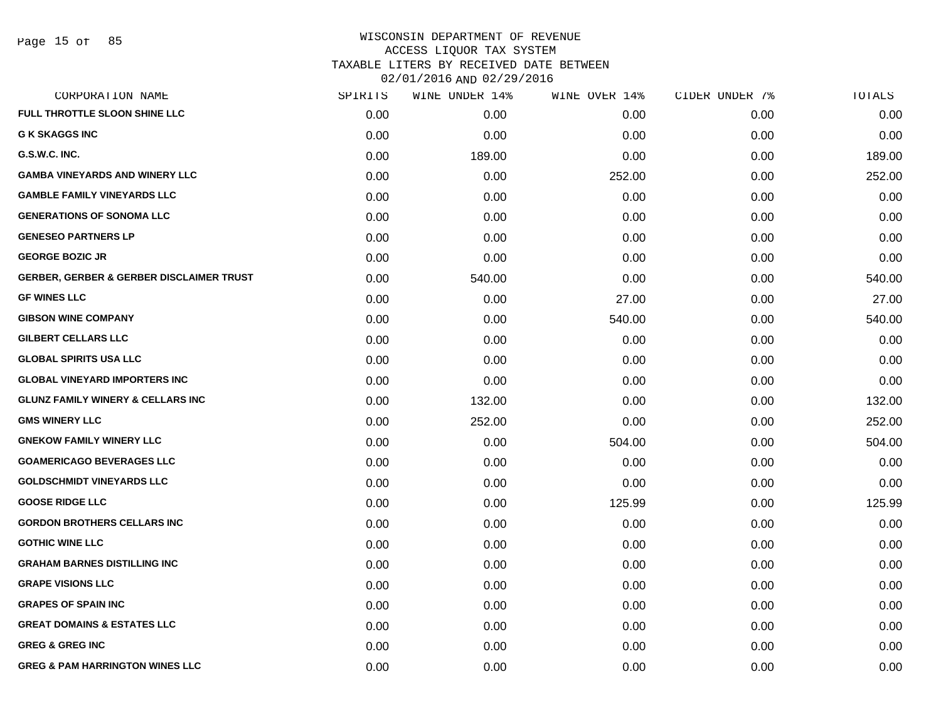| CORPORATION NAME                                    | SPIRITS | WINE UNDER 14% | WINE OVER 14% | CIDER UNDER 7% | TOTALS |
|-----------------------------------------------------|---------|----------------|---------------|----------------|--------|
| <b>FULL THROTTLE SLOON SHINE LLC</b>                | 0.00    | 0.00           | 0.00          | 0.00           | 0.00   |
| <b>G K SKAGGS INC</b>                               | 0.00    | 0.00           | 0.00          | 0.00           | 0.00   |
| G.S.W.C. INC.                                       | 0.00    | 189.00         | 0.00          | 0.00           | 189.00 |
| <b>GAMBA VINEYARDS AND WINERY LLC</b>               | 0.00    | 0.00           | 252.00        | 0.00           | 252.00 |
| <b>GAMBLE FAMILY VINEYARDS LLC</b>                  | 0.00    | 0.00           | 0.00          | 0.00           | 0.00   |
| <b>GENERATIONS OF SONOMA LLC</b>                    | 0.00    | 0.00           | 0.00          | 0.00           | 0.00   |
| <b>GENESEO PARTNERS LP</b>                          | 0.00    | 0.00           | 0.00          | 0.00           | 0.00   |
| <b>GEORGE BOZIC JR</b>                              | 0.00    | 0.00           | 0.00          | 0.00           | 0.00   |
| <b>GERBER, GERBER &amp; GERBER DISCLAIMER TRUST</b> | 0.00    | 540.00         | 0.00          | 0.00           | 540.00 |
| <b>GF WINES LLC</b>                                 | 0.00    | 0.00           | 27.00         | 0.00           | 27.00  |
| <b>GIBSON WINE COMPANY</b>                          | 0.00    | 0.00           | 540.00        | 0.00           | 540.00 |
| <b>GILBERT CELLARS LLC</b>                          | 0.00    | 0.00           | 0.00          | 0.00           | 0.00   |
| <b>GLOBAL SPIRITS USA LLC</b>                       | 0.00    | 0.00           | 0.00          | 0.00           | 0.00   |
| <b>GLOBAL VINEYARD IMPORTERS INC</b>                | 0.00    | 0.00           | 0.00          | 0.00           | 0.00   |
| <b>GLUNZ FAMILY WINERY &amp; CELLARS INC</b>        | 0.00    | 132.00         | 0.00          | 0.00           | 132.00 |
| <b>GMS WINERY LLC</b>                               | 0.00    | 252.00         | 0.00          | 0.00           | 252.00 |
| <b>GNEKOW FAMILY WINERY LLC</b>                     | 0.00    | 0.00           | 504.00        | 0.00           | 504.00 |
| <b>GOAMERICAGO BEVERAGES LLC</b>                    | 0.00    | 0.00           | 0.00          | 0.00           | 0.00   |
| <b>GOLDSCHMIDT VINEYARDS LLC</b>                    | 0.00    | 0.00           | 0.00          | 0.00           | 0.00   |
| <b>GOOSE RIDGE LLC</b>                              | 0.00    | 0.00           | 125.99        | 0.00           | 125.99 |
| <b>GORDON BROTHERS CELLARS INC</b>                  | 0.00    | 0.00           | 0.00          | 0.00           | 0.00   |
| <b>GOTHIC WINE LLC</b>                              | 0.00    | 0.00           | 0.00          | 0.00           | 0.00   |
| <b>GRAHAM BARNES DISTILLING INC</b>                 | 0.00    | 0.00           | 0.00          | 0.00           | 0.00   |
| <b>GRAPE VISIONS LLC</b>                            | 0.00    | 0.00           | 0.00          | 0.00           | 0.00   |
| <b>GRAPES OF SPAIN INC</b>                          | 0.00    | 0.00           | 0.00          | 0.00           | 0.00   |
| <b>GREAT DOMAINS &amp; ESTATES LLC</b>              | 0.00    | 0.00           | 0.00          | 0.00           | 0.00   |
| <b>GREG &amp; GREG INC</b>                          | 0.00    | 0.00           | 0.00          | 0.00           | 0.00   |
| <b>GREG &amp; PAM HARRINGTON WINES LLC</b>          | 0.00    | 0.00           | 0.00          | 0.00           | 0.00   |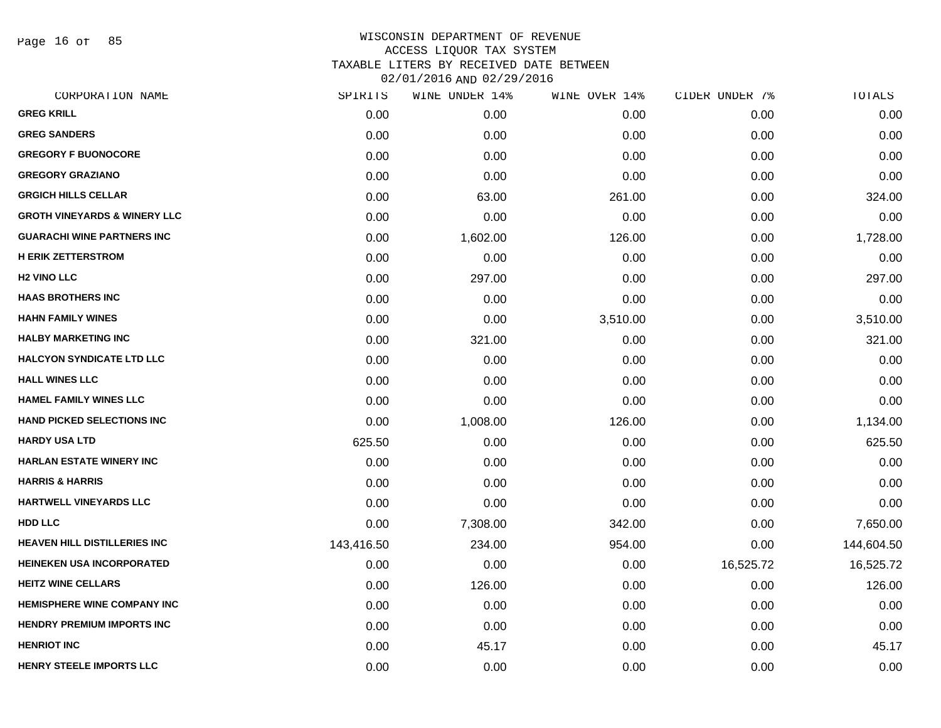Page 16 of 85

| CORPORATION NAME                        | SPIRITS    | WINE UNDER 14% | WINE OVER 14% | CIDER UNDER 7% | TOTALS     |
|-----------------------------------------|------------|----------------|---------------|----------------|------------|
| <b>GREG KRILL</b>                       | 0.00       | 0.00           | 0.00          | 0.00           | 0.00       |
| <b>GREG SANDERS</b>                     | 0.00       | 0.00           | 0.00          | 0.00           | 0.00       |
| <b>GREGORY F BUONOCORE</b>              | 0.00       | 0.00           | 0.00          | 0.00           | 0.00       |
| <b>GREGORY GRAZIANO</b>                 | 0.00       | 0.00           | 0.00          | 0.00           | 0.00       |
| <b>GRGICH HILLS CELLAR</b>              | 0.00       | 63.00          | 261.00        | 0.00           | 324.00     |
| <b>GROTH VINEYARDS &amp; WINERY LLC</b> | 0.00       | 0.00           | 0.00          | 0.00           | 0.00       |
| <b>GUARACHI WINE PARTNERS INC</b>       | 0.00       | 1,602.00       | 126.00        | 0.00           | 1,728.00   |
| <b>H ERIK ZETTERSTROM</b>               | 0.00       | 0.00           | 0.00          | 0.00           | 0.00       |
| <b>H2 VINO LLC</b>                      | 0.00       | 297.00         | 0.00          | 0.00           | 297.00     |
| <b>HAAS BROTHERS INC</b>                | 0.00       | 0.00           | 0.00          | 0.00           | 0.00       |
| <b>HAHN FAMILY WINES</b>                | 0.00       | 0.00           | 3,510.00      | 0.00           | 3,510.00   |
| <b>HALBY MARKETING INC</b>              | 0.00       | 321.00         | 0.00          | 0.00           | 321.00     |
| <b>HALCYON SYNDICATE LTD LLC</b>        | 0.00       | 0.00           | 0.00          | 0.00           | 0.00       |
| <b>HALL WINES LLC</b>                   | 0.00       | 0.00           | 0.00          | 0.00           | 0.00       |
| <b>HAMEL FAMILY WINES LLC</b>           | 0.00       | 0.00           | 0.00          | 0.00           | 0.00       |
| <b>HAND PICKED SELECTIONS INC</b>       | 0.00       | 1,008.00       | 126.00        | 0.00           | 1,134.00   |
| <b>HARDY USA LTD</b>                    | 625.50     | 0.00           | 0.00          | 0.00           | 625.50     |
| <b>HARLAN ESTATE WINERY INC</b>         | 0.00       | 0.00           | 0.00          | 0.00           | 0.00       |
| <b>HARRIS &amp; HARRIS</b>              | 0.00       | 0.00           | 0.00          | 0.00           | 0.00       |
| <b>HARTWELL VINEYARDS LLC</b>           | 0.00       | 0.00           | 0.00          | 0.00           | 0.00       |
| <b>HDD LLC</b>                          | 0.00       | 7,308.00       | 342.00        | 0.00           | 7,650.00   |
| <b>HEAVEN HILL DISTILLERIES INC</b>     | 143,416.50 | 234.00         | 954.00        | 0.00           | 144,604.50 |
| <b>HEINEKEN USA INCORPORATED</b>        | 0.00       | 0.00           | 0.00          | 16,525.72      | 16,525.72  |
| <b>HEITZ WINE CELLARS</b>               | 0.00       | 126.00         | 0.00          | 0.00           | 126.00     |
| <b>HEMISPHERE WINE COMPANY INC</b>      | 0.00       | 0.00           | 0.00          | 0.00           | 0.00       |
| <b>HENDRY PREMIUM IMPORTS INC</b>       | 0.00       | 0.00           | 0.00          | 0.00           | 0.00       |
| <b>HENRIOT INC</b>                      | 0.00       | 45.17          | 0.00          | 0.00           | 45.17      |
| HENRY STEELE IMPORTS LLC                | 0.00       | 0.00           | 0.00          | 0.00           | 0.00       |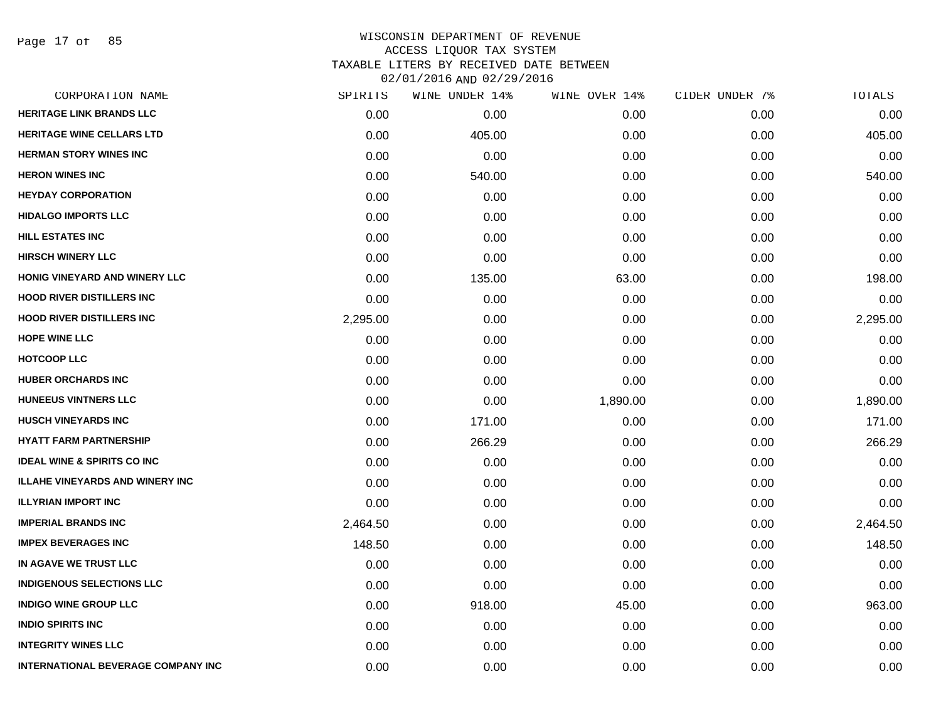Page 17 of 85

| CORPORATION NAME                          | SPIRITS  | WINE UNDER 14% | WINE OVER 14% | CIDER UNDER 7% | TOTALS   |
|-------------------------------------------|----------|----------------|---------------|----------------|----------|
| <b>HERITAGE LINK BRANDS LLC</b>           | 0.00     | 0.00           | 0.00          | 0.00           | 0.00     |
| <b>HERITAGE WINE CELLARS LTD</b>          | 0.00     | 405.00         | 0.00          | 0.00           | 405.00   |
| <b>HERMAN STORY WINES INC</b>             | 0.00     | 0.00           | 0.00          | 0.00           | 0.00     |
| <b>HERON WINES INC</b>                    | 0.00     | 540.00         | 0.00          | 0.00           | 540.00   |
| <b>HEYDAY CORPORATION</b>                 | 0.00     | 0.00           | 0.00          | 0.00           | 0.00     |
| <b>HIDALGO IMPORTS LLC</b>                | 0.00     | 0.00           | 0.00          | 0.00           | 0.00     |
| <b>HILL ESTATES INC</b>                   | 0.00     | 0.00           | 0.00          | 0.00           | 0.00     |
| <b>HIRSCH WINERY LLC</b>                  | 0.00     | 0.00           | 0.00          | 0.00           | 0.00     |
| HONIG VINEYARD AND WINERY LLC             | 0.00     | 135.00         | 63.00         | 0.00           | 198.00   |
| <b>HOOD RIVER DISTILLERS INC</b>          | 0.00     | 0.00           | 0.00          | 0.00           | 0.00     |
| <b>HOOD RIVER DISTILLERS INC</b>          | 2,295.00 | 0.00           | 0.00          | 0.00           | 2,295.00 |
| <b>HOPE WINE LLC</b>                      | 0.00     | 0.00           | 0.00          | 0.00           | 0.00     |
| <b>HOTCOOP LLC</b>                        | 0.00     | 0.00           | 0.00          | 0.00           | 0.00     |
| <b>HUBER ORCHARDS INC</b>                 | 0.00     | 0.00           | 0.00          | 0.00           | 0.00     |
| <b>HUNEEUS VINTNERS LLC</b>               | 0.00     | 0.00           | 1,890.00      | 0.00           | 1,890.00 |
| <b>HUSCH VINEYARDS INC</b>                | 0.00     | 171.00         | 0.00          | 0.00           | 171.00   |
| <b>HYATT FARM PARTNERSHIP</b>             | 0.00     | 266.29         | 0.00          | 0.00           | 266.29   |
| <b>IDEAL WINE &amp; SPIRITS CO INC</b>    | 0.00     | 0.00           | 0.00          | 0.00           | 0.00     |
| <b>ILLAHE VINEYARDS AND WINERY INC</b>    | 0.00     | 0.00           | 0.00          | 0.00           | 0.00     |
| <b>ILLYRIAN IMPORT INC</b>                | 0.00     | 0.00           | 0.00          | 0.00           | 0.00     |
| <b>IMPERIAL BRANDS INC</b>                | 2,464.50 | 0.00           | 0.00          | 0.00           | 2,464.50 |
| <b>IMPEX BEVERAGES INC</b>                | 148.50   | 0.00           | 0.00          | 0.00           | 148.50   |
| IN AGAVE WE TRUST LLC                     | 0.00     | 0.00           | 0.00          | 0.00           | 0.00     |
| <b>INDIGENOUS SELECTIONS LLC</b>          | 0.00     | 0.00           | 0.00          | 0.00           | 0.00     |
| <b>INDIGO WINE GROUP LLC</b>              | 0.00     | 918.00         | 45.00         | 0.00           | 963.00   |
| <b>INDIO SPIRITS INC</b>                  | 0.00     | 0.00           | 0.00          | 0.00           | 0.00     |
| <b>INTEGRITY WINES LLC</b>                | 0.00     | 0.00           | 0.00          | 0.00           | 0.00     |
| <b>INTERNATIONAL BEVERAGE COMPANY INC</b> | 0.00     | 0.00           | 0.00          | 0.00           | 0.00     |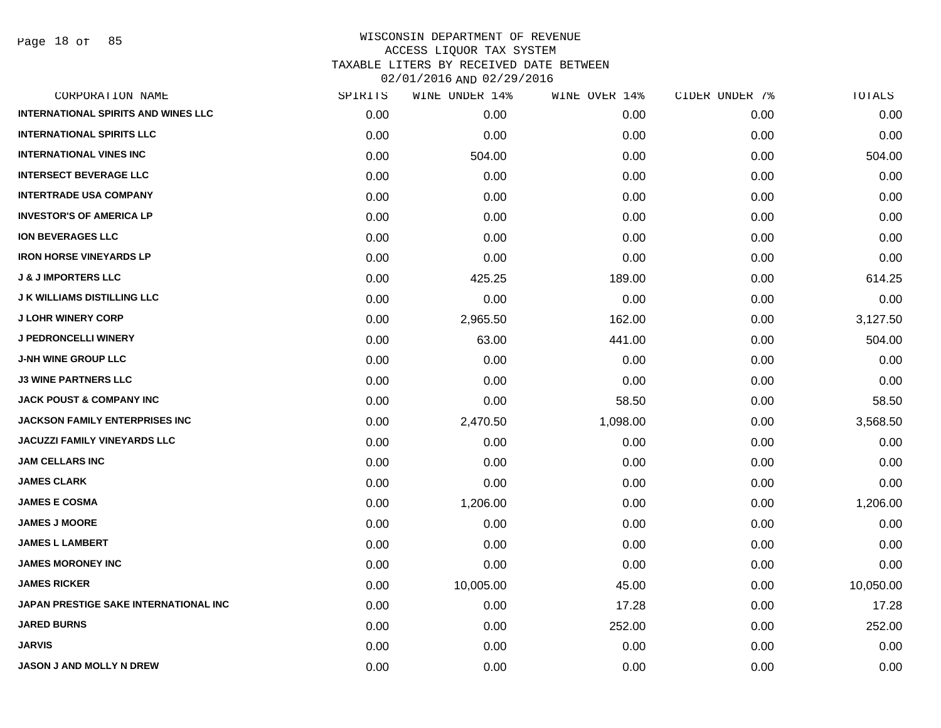Page 18 of 85

| CORPORATION NAME                           | SPIRITS | WINE UNDER 14% | WINE OVER 14% | CIDER UNDER 7% | TOTALS    |
|--------------------------------------------|---------|----------------|---------------|----------------|-----------|
| <b>INTERNATIONAL SPIRITS AND WINES LLC</b> | 0.00    | 0.00           | 0.00          | 0.00           | 0.00      |
| <b>INTERNATIONAL SPIRITS LLC</b>           | 0.00    | 0.00           | 0.00          | 0.00           | 0.00      |
| <b>INTERNATIONAL VINES INC</b>             | 0.00    | 504.00         | 0.00          | 0.00           | 504.00    |
| <b>INTERSECT BEVERAGE LLC</b>              | 0.00    | 0.00           | 0.00          | 0.00           | 0.00      |
| <b>INTERTRADE USA COMPANY</b>              | 0.00    | 0.00           | 0.00          | 0.00           | 0.00      |
| <b>INVESTOR'S OF AMERICA LP</b>            | 0.00    | 0.00           | 0.00          | 0.00           | 0.00      |
| <b>ION BEVERAGES LLC</b>                   | 0.00    | 0.00           | 0.00          | 0.00           | 0.00      |
| <b>IRON HORSE VINEYARDS LP</b>             | 0.00    | 0.00           | 0.00          | 0.00           | 0.00      |
| <b>J &amp; J IMPORTERS LLC</b>             | 0.00    | 425.25         | 189.00        | 0.00           | 614.25    |
| <b>J K WILLIAMS DISTILLING LLC</b>         | 0.00    | 0.00           | 0.00          | 0.00           | 0.00      |
| <b>J LOHR WINERY CORP</b>                  | 0.00    | 2,965.50       | 162.00        | 0.00           | 3,127.50  |
| J PEDRONCELLI WINERY                       | 0.00    | 63.00          | 441.00        | 0.00           | 504.00    |
| <b>J-NH WINE GROUP LLC</b>                 | 0.00    | 0.00           | 0.00          | 0.00           | 0.00      |
| <b>J3 WINE PARTNERS LLC</b>                | 0.00    | 0.00           | 0.00          | 0.00           | 0.00      |
| <b>JACK POUST &amp; COMPANY INC</b>        | 0.00    | 0.00           | 58.50         | 0.00           | 58.50     |
| JACKSON FAMILY ENTERPRISES INC             | 0.00    | 2,470.50       | 1,098.00      | 0.00           | 3,568.50  |
| JACUZZI FAMILY VINEYARDS LLC               | 0.00    | 0.00           | 0.00          | 0.00           | 0.00      |
| <b>JAM CELLARS INC</b>                     | 0.00    | 0.00           | 0.00          | 0.00           | 0.00      |
| <b>JAMES CLARK</b>                         | 0.00    | 0.00           | 0.00          | 0.00           | 0.00      |
| <b>JAMES E COSMA</b>                       | 0.00    | 1,206.00       | 0.00          | 0.00           | 1,206.00  |
| <b>JAMES J MOORE</b>                       | 0.00    | 0.00           | 0.00          | 0.00           | 0.00      |
| <b>JAMES L LAMBERT</b>                     | 0.00    | 0.00           | 0.00          | 0.00           | 0.00      |
| <b>JAMES MORONEY INC</b>                   | 0.00    | 0.00           | 0.00          | 0.00           | 0.00      |
| <b>JAMES RICKER</b>                        | 0.00    | 10,005.00      | 45.00         | 0.00           | 10,050.00 |
| JAPAN PRESTIGE SAKE INTERNATIONAL INC      | 0.00    | 0.00           | 17.28         | 0.00           | 17.28     |
| <b>JARED BURNS</b>                         | 0.00    | 0.00           | 252.00        | 0.00           | 252.00    |
| <b>JARVIS</b>                              | 0.00    | 0.00           | 0.00          | 0.00           | 0.00      |
| JASON J AND MOLLY N DREW                   | 0.00    | 0.00           | 0.00          | 0.00           | 0.00      |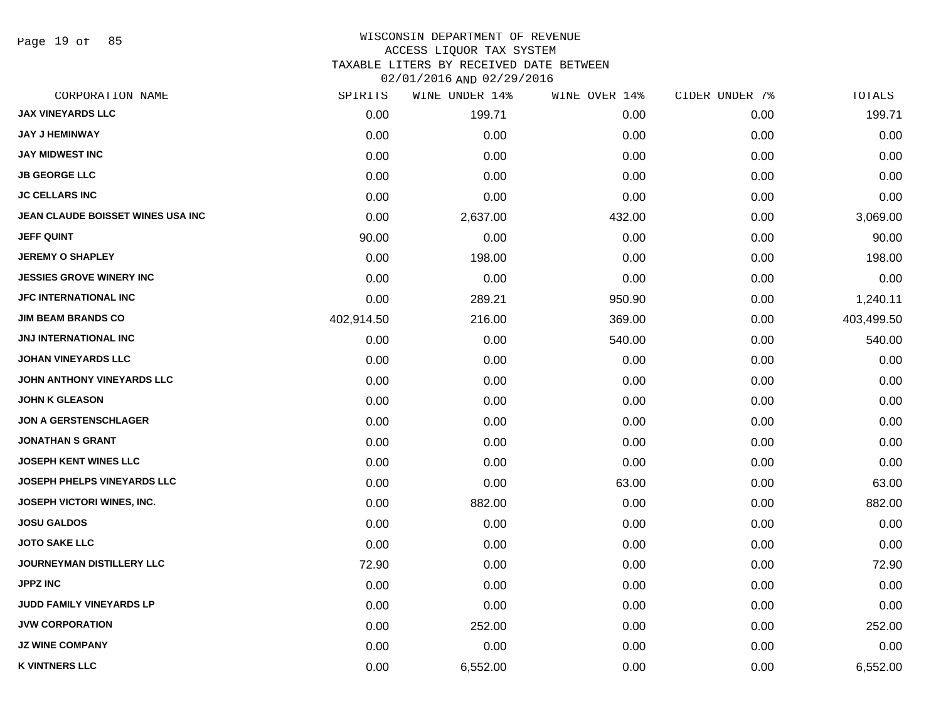Page 19 of 85

#### WISCONSIN DEPARTMENT OF REVENUE ACCESS LIQUOR TAX SYSTEM TAXABLE LITERS BY RECEIVED DATE BETWEEN

| CORPORATION NAME                   | SPIRITS    | WINE UNDER 14% | WINE OVER 14% | CIDER UNDER 7% | TOTALS     |
|------------------------------------|------------|----------------|---------------|----------------|------------|
| <b>JAX VINEYARDS LLC</b>           | 0.00       | 199.71         | 0.00          | 0.00           | 199.71     |
| <b>JAY J HEMINWAY</b>              | 0.00       | 0.00           | 0.00          | 0.00           | 0.00       |
| <b>JAY MIDWEST INC</b>             | 0.00       | 0.00           | 0.00          | 0.00           | 0.00       |
| <b>JB GEORGE LLC</b>               | 0.00       | 0.00           | 0.00          | 0.00           | 0.00       |
| <b>JC CELLARS INC</b>              | 0.00       | 0.00           | 0.00          | 0.00           | 0.00       |
| JEAN CLAUDE BOISSET WINES USA INC  | 0.00       | 2,637.00       | 432.00        | 0.00           | 3,069.00   |
| <b>JEFF QUINT</b>                  | 90.00      | 0.00           | 0.00          | 0.00           | 90.00      |
| <b>JEREMY O SHAPLEY</b>            | 0.00       | 198.00         | 0.00          | 0.00           | 198.00     |
| <b>JESSIES GROVE WINERY INC</b>    | 0.00       | 0.00           | 0.00          | 0.00           | 0.00       |
| <b>JFC INTERNATIONAL INC</b>       | 0.00       | 289.21         | 950.90        | 0.00           | 1,240.11   |
| <b>JIM BEAM BRANDS CO</b>          | 402,914.50 | 216.00         | 369.00        | 0.00           | 403,499.50 |
| <b>JNJ INTERNATIONAL INC</b>       | 0.00       | 0.00           | 540.00        | 0.00           | 540.00     |
| <b>JOHAN VINEYARDS LLC</b>         | 0.00       | 0.00           | 0.00          | 0.00           | 0.00       |
| JOHN ANTHONY VINEYARDS LLC         | 0.00       | 0.00           | 0.00          | 0.00           | 0.00       |
| <b>JOHN K GLEASON</b>              | 0.00       | 0.00           | 0.00          | 0.00           | 0.00       |
| <b>JON A GERSTENSCHLAGER</b>       | 0.00       | 0.00           | 0.00          | 0.00           | 0.00       |
| <b>JONATHAN S GRANT</b>            | 0.00       | 0.00           | 0.00          | 0.00           | 0.00       |
| <b>JOSEPH KENT WINES LLC</b>       | 0.00       | 0.00           | 0.00          | 0.00           | 0.00       |
| <b>JOSEPH PHELPS VINEYARDS LLC</b> | 0.00       | 0.00           | 63.00         | 0.00           | 63.00      |
| JOSEPH VICTORI WINES, INC.         | 0.00       | 882.00         | 0.00          | 0.00           | 882.00     |
| <b>JOSU GALDOS</b>                 | 0.00       | 0.00           | 0.00          | 0.00           | 0.00       |
| <b>JOTO SAKE LLC</b>               | 0.00       | 0.00           | 0.00          | 0.00           | 0.00       |
| <b>JOURNEYMAN DISTILLERY LLC</b>   | 72.90      | 0.00           | 0.00          | 0.00           | 72.90      |
| <b>JPPZ INC</b>                    | 0.00       | 0.00           | 0.00          | 0.00           | 0.00       |
| JUDD FAMILY VINEYARDS LP           | 0.00       | 0.00           | 0.00          | 0.00           | 0.00       |
| <b>JVW CORPORATION</b>             | 0.00       | 252.00         | 0.00          | 0.00           | 252.00     |
| <b>JZ WINE COMPANY</b>             | 0.00       | 0.00           | 0.00          | 0.00           | 0.00       |
| <b>K VINTNERS LLC</b>              | 0.00       | 6,552.00       | 0.00          | 0.00           | 6,552.00   |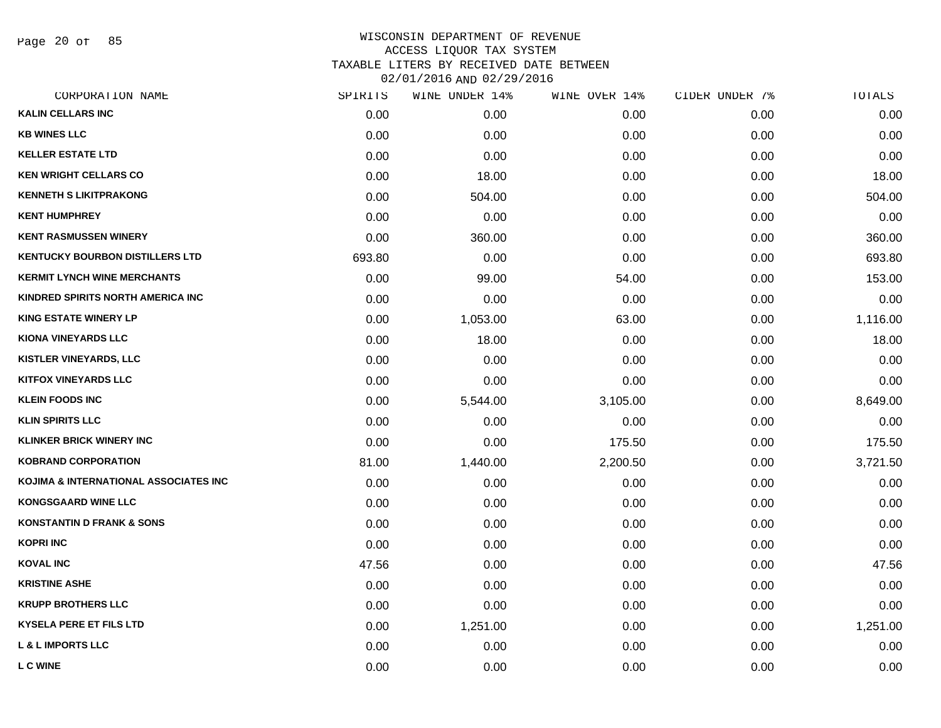Page 20 of 85

| CORPORATION NAME                       | SPIRITS | WINE UNDER 14% | WINE OVER 14% | CIDER UNDER 7% | TOTALS   |
|----------------------------------------|---------|----------------|---------------|----------------|----------|
| <b>KALIN CELLARS INC</b>               | 0.00    | 0.00           | 0.00          | 0.00           | 0.00     |
| <b>KB WINES LLC</b>                    | 0.00    | 0.00           | 0.00          | 0.00           | 0.00     |
| <b>KELLER ESTATE LTD</b>               | 0.00    | 0.00           | 0.00          | 0.00           | 0.00     |
| <b>KEN WRIGHT CELLARS CO</b>           | 0.00    | 18.00          | 0.00          | 0.00           | 18.00    |
| <b>KENNETH S LIKITPRAKONG</b>          | 0.00    | 504.00         | 0.00          | 0.00           | 504.00   |
| <b>KENT HUMPHREY</b>                   | 0.00    | 0.00           | 0.00          | 0.00           | 0.00     |
| <b>KENT RASMUSSEN WINERY</b>           | 0.00    | 360.00         | 0.00          | 0.00           | 360.00   |
| <b>KENTUCKY BOURBON DISTILLERS LTD</b> | 693.80  | 0.00           | 0.00          | 0.00           | 693.80   |
| <b>KERMIT LYNCH WINE MERCHANTS</b>     | 0.00    | 99.00          | 54.00         | 0.00           | 153.00   |
| KINDRED SPIRITS NORTH AMERICA INC      | 0.00    | 0.00           | 0.00          | 0.00           | 0.00     |
| <b>KING ESTATE WINERY LP</b>           | 0.00    | 1,053.00       | 63.00         | 0.00           | 1,116.00 |
| <b>KIONA VINEYARDS LLC</b>             | 0.00    | 18.00          | 0.00          | 0.00           | 18.00    |
| KISTLER VINEYARDS, LLC                 | 0.00    | 0.00           | 0.00          | 0.00           | 0.00     |
| <b>KITFOX VINEYARDS LLC</b>            | 0.00    | 0.00           | 0.00          | 0.00           | 0.00     |
| <b>KLEIN FOODS INC</b>                 | 0.00    | 5,544.00       | 3,105.00      | 0.00           | 8,649.00 |
| <b>KLIN SPIRITS LLC</b>                | 0.00    | 0.00           | 0.00          | 0.00           | 0.00     |
| <b>KLINKER BRICK WINERY INC</b>        | 0.00    | 0.00           | 175.50        | 0.00           | 175.50   |
| <b>KOBRAND CORPORATION</b>             | 81.00   | 1,440.00       | 2,200.50      | 0.00           | 3,721.50 |
| KOJIMA & INTERNATIONAL ASSOCIATES INC  | 0.00    | 0.00           | 0.00          | 0.00           | 0.00     |
| <b>KONGSGAARD WINE LLC</b>             | 0.00    | 0.00           | 0.00          | 0.00           | 0.00     |
| <b>KONSTANTIN D FRANK &amp; SONS</b>   | 0.00    | 0.00           | 0.00          | 0.00           | 0.00     |
| <b>KOPRI INC</b>                       | 0.00    | 0.00           | 0.00          | 0.00           | 0.00     |
| <b>KOVAL INC</b>                       | 47.56   | 0.00           | 0.00          | 0.00           | 47.56    |
| <b>KRISTINE ASHE</b>                   | 0.00    | 0.00           | 0.00          | 0.00           | 0.00     |
| <b>KRUPP BROTHERS LLC</b>              | 0.00    | 0.00           | 0.00          | 0.00           | 0.00     |
| <b>KYSELA PERE ET FILS LTD</b>         | 0.00    | 1,251.00       | 0.00          | 0.00           | 1,251.00 |
| <b>L &amp; L IMPORTS LLC</b>           | 0.00    | 0.00           | 0.00          | 0.00           | 0.00     |
| <b>L C WINE</b>                        | 0.00    | 0.00           | 0.00          | 0.00           | 0.00     |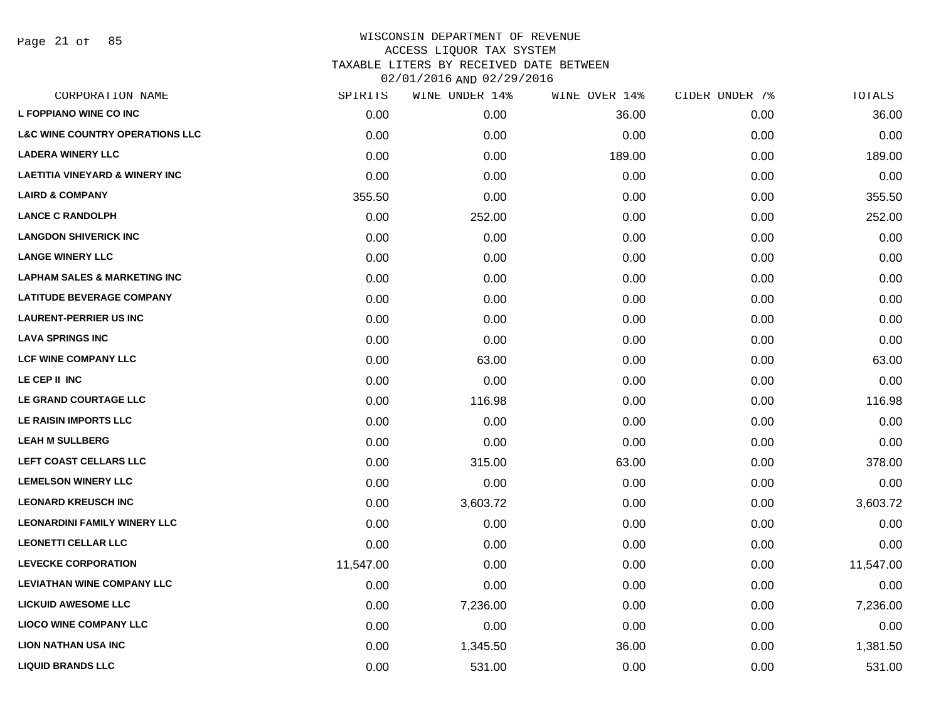Page 21 of 85

| CORPORATION NAME                           | SPIRITS   | WINE UNDER 14% | WINE OVER 14% | CIDER UNDER 7% | TOTALS    |
|--------------------------------------------|-----------|----------------|---------------|----------------|-----------|
| <b>L FOPPIANO WINE CO INC</b>              | 0.00      | 0.00           | 36.00         | 0.00           | 36.00     |
| <b>L&amp;C WINE COUNTRY OPERATIONS LLC</b> | 0.00      | 0.00           | 0.00          | 0.00           | 0.00      |
| <b>LADERA WINERY LLC</b>                   | 0.00      | 0.00           | 189.00        | 0.00           | 189.00    |
| <b>LAETITIA VINEYARD &amp; WINERY INC</b>  | 0.00      | 0.00           | 0.00          | 0.00           | 0.00      |
| <b>LAIRD &amp; COMPANY</b>                 | 355.50    | 0.00           | 0.00          | 0.00           | 355.50    |
| <b>LANCE C RANDOLPH</b>                    | 0.00      | 252.00         | 0.00          | 0.00           | 252.00    |
| <b>LANGDON SHIVERICK INC</b>               | 0.00      | 0.00           | 0.00          | 0.00           | 0.00      |
| <b>LANGE WINERY LLC</b>                    | 0.00      | 0.00           | 0.00          | 0.00           | 0.00      |
| <b>LAPHAM SALES &amp; MARKETING INC</b>    | 0.00      | 0.00           | 0.00          | 0.00           | 0.00      |
| <b>LATITUDE BEVERAGE COMPANY</b>           | 0.00      | 0.00           | 0.00          | 0.00           | 0.00      |
| <b>LAURENT-PERRIER US INC</b>              | 0.00      | 0.00           | 0.00          | 0.00           | 0.00      |
| <b>LAVA SPRINGS INC</b>                    | 0.00      | 0.00           | 0.00          | 0.00           | 0.00      |
| <b>LCF WINE COMPANY LLC</b>                | 0.00      | 63.00          | 0.00          | 0.00           | 63.00     |
| LE CEP II INC                              | 0.00      | 0.00           | 0.00          | 0.00           | 0.00      |
| LE GRAND COURTAGE LLC                      | 0.00      | 116.98         | 0.00          | 0.00           | 116.98    |
| LE RAISIN IMPORTS LLC                      | 0.00      | 0.00           | 0.00          | 0.00           | 0.00      |
| <b>LEAH M SULLBERG</b>                     | 0.00      | 0.00           | 0.00          | 0.00           | 0.00      |
| LEFT COAST CELLARS LLC                     | 0.00      | 315.00         | 63.00         | 0.00           | 378.00    |
| <b>LEMELSON WINERY LLC</b>                 | 0.00      | 0.00           | 0.00          | 0.00           | 0.00      |
| <b>LEONARD KREUSCH INC</b>                 | 0.00      | 3,603.72       | 0.00          | 0.00           | 3,603.72  |
| <b>LEONARDINI FAMILY WINERY LLC</b>        | 0.00      | 0.00           | 0.00          | 0.00           | 0.00      |
| <b>LEONETTI CELLAR LLC</b>                 | 0.00      | 0.00           | 0.00          | 0.00           | 0.00      |
| <b>LEVECKE CORPORATION</b>                 | 11,547.00 | 0.00           | 0.00          | 0.00           | 11,547.00 |
| <b>LEVIATHAN WINE COMPANY LLC</b>          | 0.00      | 0.00           | 0.00          | 0.00           | 0.00      |
| <b>LICKUID AWESOME LLC</b>                 | 0.00      | 7,236.00       | 0.00          | 0.00           | 7,236.00  |
| <b>LIOCO WINE COMPANY LLC</b>              | 0.00      | 0.00           | 0.00          | 0.00           | 0.00      |
| <b>LION NATHAN USA INC</b>                 | 0.00      | 1,345.50       | 36.00         | 0.00           | 1,381.50  |
| <b>LIQUID BRANDS LLC</b>                   | 0.00      | 531.00         | 0.00          | 0.00           | 531.00    |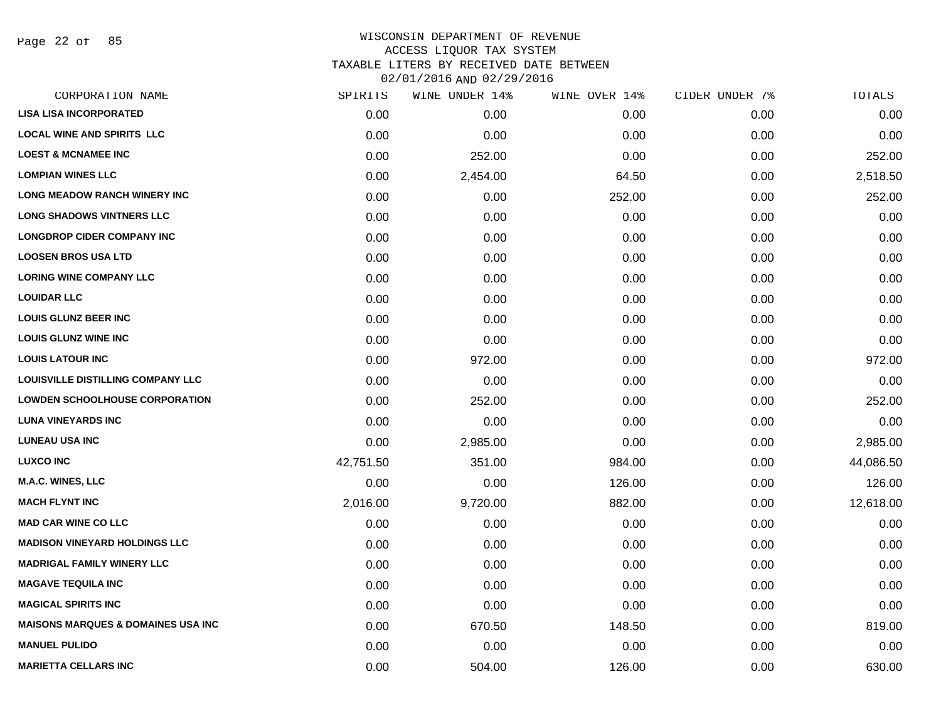| CORPORATION NAME                               | SPIRITS   | WINE UNDER 14% | WINE OVER 14% | CIDER UNDER 7% | TOTALS    |
|------------------------------------------------|-----------|----------------|---------------|----------------|-----------|
| <b>LISA LISA INCORPORATED</b>                  | 0.00      | 0.00           | 0.00          | 0.00           | 0.00      |
| <b>LOCAL WINE AND SPIRITS LLC</b>              | 0.00      | 0.00           | 0.00          | 0.00           | 0.00      |
| <b>LOEST &amp; MCNAMEE INC</b>                 | 0.00      | 252.00         | 0.00          | 0.00           | 252.00    |
| <b>LOMPIAN WINES LLC</b>                       | 0.00      | 2,454.00       | 64.50         | 0.00           | 2,518.50  |
| <b>LONG MEADOW RANCH WINERY INC</b>            | 0.00      | 0.00           | 252.00        | 0.00           | 252.00    |
| <b>LONG SHADOWS VINTNERS LLC</b>               | 0.00      | 0.00           | 0.00          | 0.00           | 0.00      |
| <b>LONGDROP CIDER COMPANY INC</b>              | 0.00      | 0.00           | 0.00          | 0.00           | 0.00      |
| <b>LOOSEN BROS USA LTD</b>                     | 0.00      | 0.00           | 0.00          | 0.00           | 0.00      |
| <b>LORING WINE COMPANY LLC</b>                 | 0.00      | 0.00           | 0.00          | 0.00           | 0.00      |
| <b>LOUIDAR LLC</b>                             | 0.00      | 0.00           | 0.00          | 0.00           | 0.00      |
| <b>LOUIS GLUNZ BEER INC</b>                    | 0.00      | 0.00           | 0.00          | 0.00           | 0.00      |
| <b>LOUIS GLUNZ WINE INC</b>                    | 0.00      | 0.00           | 0.00          | 0.00           | 0.00      |
| <b>LOUIS LATOUR INC</b>                        | 0.00      | 972.00         | 0.00          | 0.00           | 972.00    |
| LOUISVILLE DISTILLING COMPANY LLC              | 0.00      | 0.00           | 0.00          | 0.00           | 0.00      |
| <b>LOWDEN SCHOOLHOUSE CORPORATION</b>          | 0.00      | 252.00         | 0.00          | 0.00           | 252.00    |
| <b>LUNA VINEYARDS INC</b>                      | 0.00      | 0.00           | 0.00          | 0.00           | 0.00      |
| <b>LUNEAU USA INC</b>                          | 0.00      | 2,985.00       | 0.00          | 0.00           | 2,985.00  |
| <b>LUXCO INC</b>                               | 42,751.50 | 351.00         | 984.00        | 0.00           | 44,086.50 |
| <b>M.A.C. WINES, LLC</b>                       | 0.00      | 0.00           | 126.00        | 0.00           | 126.00    |
| <b>MACH FLYNT INC</b>                          | 2,016.00  | 9,720.00       | 882.00        | 0.00           | 12,618.00 |
| <b>MAD CAR WINE CO LLC</b>                     | 0.00      | 0.00           | 0.00          | 0.00           | 0.00      |
| <b>MADISON VINEYARD HOLDINGS LLC</b>           | 0.00      | 0.00           | 0.00          | 0.00           | 0.00      |
| <b>MADRIGAL FAMILY WINERY LLC</b>              | 0.00      | 0.00           | 0.00          | 0.00           | 0.00      |
| <b>MAGAVE TEQUILA INC</b>                      | 0.00      | 0.00           | 0.00          | 0.00           | 0.00      |
| <b>MAGICAL SPIRITS INC</b>                     | 0.00      | 0.00           | 0.00          | 0.00           | 0.00      |
| <b>MAISONS MARQUES &amp; DOMAINES USA INC.</b> | 0.00      | 670.50         | 148.50        | 0.00           | 819.00    |
| <b>MANUEL PULIDO</b>                           | 0.00      | 0.00           | 0.00          | 0.00           | 0.00      |
| <b>MARIETTA CELLARS INC</b>                    | 0.00      | 504.00         | 126.00        | 0.00           | 630.00    |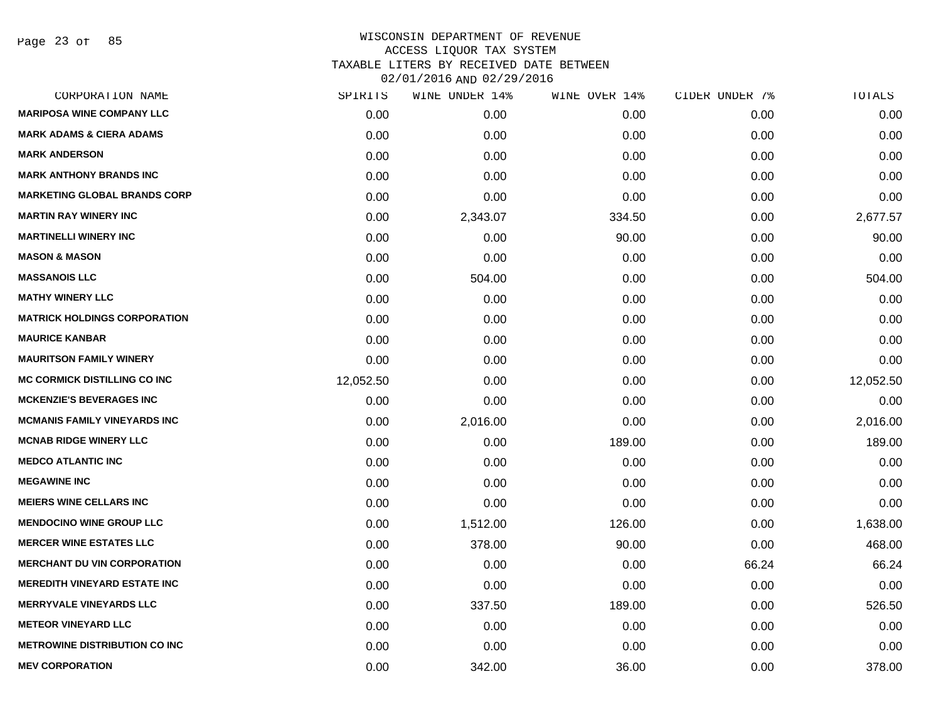| CORPORATION NAME                     | SPIRITS   | WINE UNDER 14% | WINE OVER 14% | CIDER UNDER 7% | TOTALS    |
|--------------------------------------|-----------|----------------|---------------|----------------|-----------|
| <b>MARIPOSA WINE COMPANY LLC</b>     | 0.00      | 0.00           | 0.00          | 0.00           | 0.00      |
| <b>MARK ADAMS &amp; CIERA ADAMS</b>  | 0.00      | 0.00           | 0.00          | 0.00           | 0.00      |
| <b>MARK ANDERSON</b>                 | 0.00      | 0.00           | 0.00          | 0.00           | 0.00      |
| <b>MARK ANTHONY BRANDS INC</b>       | 0.00      | 0.00           | 0.00          | 0.00           | 0.00      |
| <b>MARKETING GLOBAL BRANDS CORP</b>  | 0.00      | 0.00           | 0.00          | 0.00           | 0.00      |
| <b>MARTIN RAY WINERY INC</b>         | 0.00      | 2,343.07       | 334.50        | 0.00           | 2,677.57  |
| <b>MARTINELLI WINERY INC</b>         | 0.00      | 0.00           | 90.00         | 0.00           | 90.00     |
| <b>MASON &amp; MASON</b>             | 0.00      | 0.00           | 0.00          | 0.00           | 0.00      |
| <b>MASSANOIS LLC</b>                 | 0.00      | 504.00         | 0.00          | 0.00           | 504.00    |
| <b>MATHY WINERY LLC</b>              | 0.00      | 0.00           | 0.00          | 0.00           | 0.00      |
| <b>MATRICK HOLDINGS CORPORATION</b>  | 0.00      | 0.00           | 0.00          | 0.00           | 0.00      |
| <b>MAURICE KANBAR</b>                | 0.00      | 0.00           | 0.00          | 0.00           | 0.00      |
| <b>MAURITSON FAMILY WINERY</b>       | 0.00      | 0.00           | 0.00          | 0.00           | 0.00      |
| <b>MC CORMICK DISTILLING CO INC</b>  | 12,052.50 | 0.00           | 0.00          | 0.00           | 12,052.50 |
| <b>MCKENZIE'S BEVERAGES INC</b>      | 0.00      | 0.00           | 0.00          | 0.00           | 0.00      |
| <b>MCMANIS FAMILY VINEYARDS INC</b>  | 0.00      | 2,016.00       | 0.00          | 0.00           | 2,016.00  |
| <b>MCNAB RIDGE WINERY LLC</b>        | 0.00      | 0.00           | 189.00        | 0.00           | 189.00    |
| <b>MEDCO ATLANTIC INC</b>            | 0.00      | 0.00           | 0.00          | 0.00           | 0.00      |
| <b>MEGAWINE INC</b>                  | 0.00      | 0.00           | 0.00          | 0.00           | 0.00      |
| <b>MEIERS WINE CELLARS INC</b>       | 0.00      | 0.00           | 0.00          | 0.00           | 0.00      |
| <b>MENDOCINO WINE GROUP LLC</b>      | 0.00      | 1,512.00       | 126.00        | 0.00           | 1,638.00  |
| <b>MERCER WINE ESTATES LLC</b>       | 0.00      | 378.00         | 90.00         | 0.00           | 468.00    |
| <b>MERCHANT DU VIN CORPORATION</b>   | 0.00      | 0.00           | 0.00          | 66.24          | 66.24     |
| <b>MEREDITH VINEYARD ESTATE INC</b>  | 0.00      | 0.00           | 0.00          | 0.00           | 0.00      |
| <b>MERRYVALE VINEYARDS LLC</b>       | 0.00      | 337.50         | 189.00        | 0.00           | 526.50    |
| <b>METEOR VINEYARD LLC</b>           | 0.00      | 0.00           | 0.00          | 0.00           | 0.00      |
| <b>METROWINE DISTRIBUTION CO INC</b> | 0.00      | 0.00           | 0.00          | 0.00           | 0.00      |
| <b>MEV CORPORATION</b>               | 0.00      | 342.00         | 36.00         | 0.00           | 378.00    |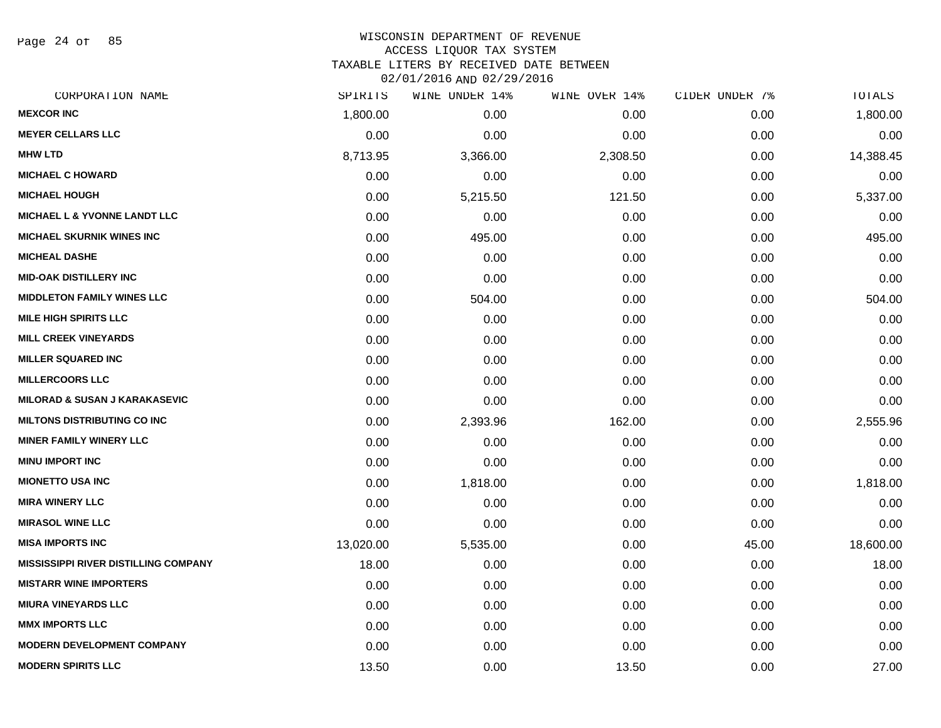Page 24 of 85

#### WISCONSIN DEPARTMENT OF REVENUE ACCESS LIQUOR TAX SYSTEM TAXABLE LITERS BY RECEIVED DATE BETWEEN

| CORPORATION NAME                            | SPIRITS   | WINE UNDER 14% | WINE OVER 14% | CIDER UNDER 7% | TOTALS    |
|---------------------------------------------|-----------|----------------|---------------|----------------|-----------|
| <b>MEXCOR INC</b>                           | 1,800.00  | 0.00           | 0.00          | 0.00           | 1,800.00  |
| <b>MEYER CELLARS LLC</b>                    | 0.00      | 0.00           | 0.00          | 0.00           | 0.00      |
| <b>MHW LTD</b>                              | 8,713.95  | 3,366.00       | 2,308.50      | 0.00           | 14,388.45 |
| <b>MICHAEL C HOWARD</b>                     | 0.00      | 0.00           | 0.00          | 0.00           | 0.00      |
| <b>MICHAEL HOUGH</b>                        | 0.00      | 5,215.50       | 121.50        | 0.00           | 5,337.00  |
| <b>MICHAEL L &amp; YVONNE LANDT LLC</b>     | 0.00      | 0.00           | 0.00          | 0.00           | 0.00      |
| <b>MICHAEL SKURNIK WINES INC</b>            | 0.00      | 495.00         | 0.00          | 0.00           | 495.00    |
| <b>MICHEAL DASHE</b>                        | 0.00      | 0.00           | 0.00          | 0.00           | 0.00      |
| <b>MID-OAK DISTILLERY INC</b>               | 0.00      | 0.00           | 0.00          | 0.00           | 0.00      |
| <b>MIDDLETON FAMILY WINES LLC</b>           | 0.00      | 504.00         | 0.00          | 0.00           | 504.00    |
| <b>MILE HIGH SPIRITS LLC</b>                | 0.00      | 0.00           | 0.00          | 0.00           | 0.00      |
| <b>MILL CREEK VINEYARDS</b>                 | 0.00      | 0.00           | 0.00          | 0.00           | 0.00      |
| <b>MILLER SQUARED INC</b>                   | 0.00      | 0.00           | 0.00          | 0.00           | 0.00      |
| <b>MILLERCOORS LLC</b>                      | 0.00      | 0.00           | 0.00          | 0.00           | 0.00      |
| <b>MILORAD &amp; SUSAN J KARAKASEVIC</b>    | 0.00      | 0.00           | 0.00          | 0.00           | 0.00      |
| <b>MILTONS DISTRIBUTING CO INC</b>          | 0.00      | 2,393.96       | 162.00        | 0.00           | 2,555.96  |
| <b>MINER FAMILY WINERY LLC</b>              | 0.00      | 0.00           | 0.00          | 0.00           | 0.00      |
| <b>MINU IMPORT INC</b>                      | 0.00      | 0.00           | 0.00          | 0.00           | 0.00      |
| <b>MIONETTO USA INC</b>                     | 0.00      | 1,818.00       | 0.00          | 0.00           | 1,818.00  |
| <b>MIRA WINERY LLC</b>                      | 0.00      | 0.00           | 0.00          | 0.00           | 0.00      |
| <b>MIRASOL WINE LLC</b>                     | 0.00      | 0.00           | 0.00          | 0.00           | 0.00      |
| <b>MISA IMPORTS INC</b>                     | 13,020.00 | 5,535.00       | 0.00          | 45.00          | 18,600.00 |
| <b>MISSISSIPPI RIVER DISTILLING COMPANY</b> | 18.00     | 0.00           | 0.00          | 0.00           | 18.00     |
| <b>MISTARR WINE IMPORTERS</b>               | 0.00      | 0.00           | 0.00          | 0.00           | 0.00      |
| <b>MIURA VINEYARDS LLC</b>                  | 0.00      | 0.00           | 0.00          | 0.00           | 0.00      |
| <b>MMX IMPORTS LLC</b>                      | 0.00      | 0.00           | 0.00          | 0.00           | 0.00      |
| <b>MODERN DEVELOPMENT COMPANY</b>           | 0.00      | 0.00           | 0.00          | 0.00           | 0.00      |
| <b>MODERN SPIRITS LLC</b>                   | 13.50     | 0.00           | 13.50         | 0.00           | 27.00     |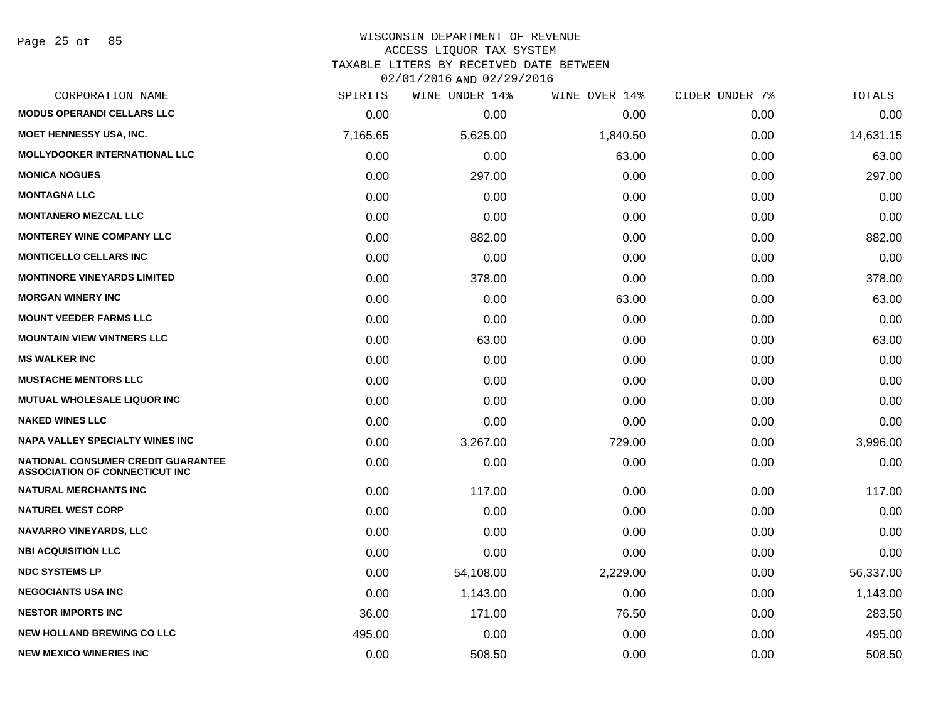Page 25 of 85

### WISCONSIN DEPARTMENT OF REVENUE ACCESS LIQUOR TAX SYSTEM TAXABLE LITERS BY RECEIVED DATE BETWEEN

| CORPORATION NAME                                                            | SPIRITS  | WINE UNDER 14% | WINE OVER 14% | CIDER UNDER 7% | TOTALS    |
|-----------------------------------------------------------------------------|----------|----------------|---------------|----------------|-----------|
| <b>MODUS OPERANDI CELLARS LLC</b>                                           | 0.00     | 0.00           | 0.00          | 0.00           | 0.00      |
| <b>MOET HENNESSY USA, INC.</b>                                              | 7,165.65 | 5,625.00       | 1,840.50      | 0.00           | 14,631.15 |
| <b>MOLLYDOOKER INTERNATIONAL LLC</b>                                        | 0.00     | 0.00           | 63.00         | 0.00           | 63.00     |
| <b>MONICA NOGUES</b>                                                        | 0.00     | 297.00         | 0.00          | 0.00           | 297.00    |
| <b>MONTAGNA LLC</b>                                                         | 0.00     | 0.00           | 0.00          | 0.00           | 0.00      |
| <b>MONTANERO MEZCAL LLC</b>                                                 | 0.00     | 0.00           | 0.00          | 0.00           | 0.00      |
| <b>MONTEREY WINE COMPANY LLC</b>                                            | 0.00     | 882.00         | 0.00          | 0.00           | 882.00    |
| <b>MONTICELLO CELLARS INC</b>                                               | 0.00     | 0.00           | 0.00          | 0.00           | 0.00      |
| <b>MONTINORE VINEYARDS LIMITED</b>                                          | 0.00     | 378.00         | 0.00          | 0.00           | 378.00    |
| <b>MORGAN WINERY INC</b>                                                    | 0.00     | 0.00           | 63.00         | 0.00           | 63.00     |
| <b>MOUNT VEEDER FARMS LLC</b>                                               | 0.00     | 0.00           | 0.00          | 0.00           | 0.00      |
| <b>MOUNTAIN VIEW VINTNERS LLC</b>                                           | 0.00     | 63.00          | 0.00          | 0.00           | 63.00     |
| <b>MS WALKER INC</b>                                                        | 0.00     | 0.00           | 0.00          | 0.00           | 0.00      |
| <b>MUSTACHE MENTORS LLC</b>                                                 | 0.00     | 0.00           | 0.00          | 0.00           | 0.00      |
| <b>MUTUAL WHOLESALE LIQUOR INC</b>                                          | 0.00     | 0.00           | 0.00          | 0.00           | 0.00      |
| <b>NAKED WINES LLC</b>                                                      | 0.00     | 0.00           | 0.00          | 0.00           | 0.00      |
| <b>NAPA VALLEY SPECIALTY WINES INC</b>                                      | 0.00     | 3,267.00       | 729.00        | 0.00           | 3,996.00  |
| NATIONAL CONSUMER CREDIT GUARANTEE<br><b>ASSOCIATION OF CONNECTICUT INC</b> | 0.00     | 0.00           | 0.00          | 0.00           | 0.00      |
| <b>NATURAL MERCHANTS INC</b>                                                | 0.00     | 117.00         | 0.00          | 0.00           | 117.00    |
| <b>NATUREL WEST CORP</b>                                                    | 0.00     | 0.00           | 0.00          | 0.00           | 0.00      |
| <b>NAVARRO VINEYARDS, LLC</b>                                               | 0.00     | 0.00           | 0.00          | 0.00           | 0.00      |
| <b>NBI ACQUISITION LLC</b>                                                  | 0.00     | 0.00           | 0.00          | 0.00           | 0.00      |
| <b>NDC SYSTEMS LP</b>                                                       | 0.00     | 54,108.00      | 2,229.00      | 0.00           | 56,337.00 |
| <b>NEGOCIANTS USA INC</b>                                                   | 0.00     | 1,143.00       | 0.00          | 0.00           | 1,143.00  |
| <b>NESTOR IMPORTS INC</b>                                                   | 36.00    | 171.00         | 76.50         | 0.00           | 283.50    |
| <b>NEW HOLLAND BREWING CO LLC</b>                                           | 495.00   | 0.00           | 0.00          | 0.00           | 495.00    |
| <b>NEW MEXICO WINERIES INC</b>                                              | 0.00     | 508.50         | 0.00          | 0.00           | 508.50    |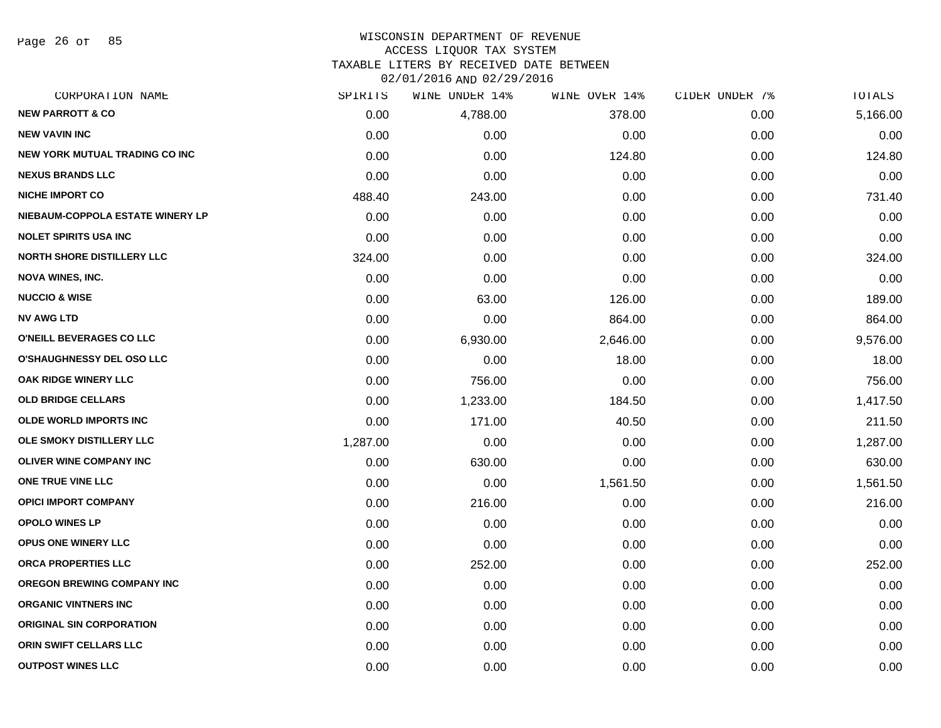Page 26 of 85

# WISCONSIN DEPARTMENT OF REVENUE ACCESS LIQUOR TAX SYSTEM TAXABLE LITERS BY RECEIVED DATE BETWEEN

| CORPORATION NAME                  | SPIRITS  | WINE UNDER 14% | WINE OVER 14% | CIDER UNDER 7% | TOTALS   |
|-----------------------------------|----------|----------------|---------------|----------------|----------|
| <b>NEW PARROTT &amp; CO</b>       | 0.00     | 4,788.00       | 378.00        | 0.00           | 5,166.00 |
| <b>NEW VAVIN INC</b>              | 0.00     | 0.00           | 0.00          | 0.00           | 0.00     |
| NEW YORK MUTUAL TRADING CO INC    | 0.00     | 0.00           | 124.80        | 0.00           | 124.80   |
| <b>NEXUS BRANDS LLC</b>           | 0.00     | 0.00           | 0.00          | 0.00           | 0.00     |
| <b>NICHE IMPORT CO</b>            | 488.40   | 243.00         | 0.00          | 0.00           | 731.40   |
| NIEBAUM-COPPOLA ESTATE WINERY LP  | 0.00     | 0.00           | 0.00          | 0.00           | 0.00     |
| <b>NOLET SPIRITS USA INC</b>      | 0.00     | 0.00           | 0.00          | 0.00           | 0.00     |
| <b>NORTH SHORE DISTILLERY LLC</b> | 324.00   | 0.00           | 0.00          | 0.00           | 324.00   |
| <b>NOVA WINES, INC.</b>           | 0.00     | 0.00           | 0.00          | 0.00           | 0.00     |
| <b>NUCCIO &amp; WISE</b>          | 0.00     | 63.00          | 126.00        | 0.00           | 189.00   |
| <b>NV AWG LTD</b>                 | 0.00     | 0.00           | 864.00        | 0.00           | 864.00   |
| O'NEILL BEVERAGES CO LLC          | 0.00     | 6,930.00       | 2,646.00      | 0.00           | 9,576.00 |
| <b>O'SHAUGHNESSY DEL OSO LLC</b>  | 0.00     | 0.00           | 18.00         | 0.00           | 18.00    |
| <b>OAK RIDGE WINERY LLC</b>       | 0.00     | 756.00         | 0.00          | 0.00           | 756.00   |
| <b>OLD BRIDGE CELLARS</b>         | 0.00     | 1,233.00       | 184.50        | 0.00           | 1,417.50 |
| <b>OLDE WORLD IMPORTS INC</b>     | 0.00     | 171.00         | 40.50         | 0.00           | 211.50   |
| OLE SMOKY DISTILLERY LLC          | 1,287.00 | 0.00           | 0.00          | 0.00           | 1,287.00 |
| OLIVER WINE COMPANY INC           | 0.00     | 630.00         | 0.00          | 0.00           | 630.00   |
| ONE TRUE VINE LLC                 | 0.00     | 0.00           | 1,561.50      | 0.00           | 1,561.50 |
| <b>OPICI IMPORT COMPANY</b>       | 0.00     | 216.00         | 0.00          | 0.00           | 216.00   |
| <b>OPOLO WINES LP</b>             | 0.00     | 0.00           | 0.00          | 0.00           | 0.00     |
| OPUS ONE WINERY LLC               | 0.00     | 0.00           | 0.00          | 0.00           | 0.00     |
| ORCA PROPERTIES LLC               | 0.00     | 252.00         | 0.00          | 0.00           | 252.00   |
| OREGON BREWING COMPANY INC        | 0.00     | 0.00           | 0.00          | 0.00           | 0.00     |
| <b>ORGANIC VINTNERS INC</b>       | 0.00     | 0.00           | 0.00          | 0.00           | 0.00     |
| <b>ORIGINAL SIN CORPORATION</b>   | 0.00     | 0.00           | 0.00          | 0.00           | 0.00     |
| ORIN SWIFT CELLARS LLC            | 0.00     | 0.00           | 0.00          | 0.00           | 0.00     |
| <b>OUTPOST WINES LLC</b>          | 0.00     | 0.00           | 0.00          | 0.00           | 0.00     |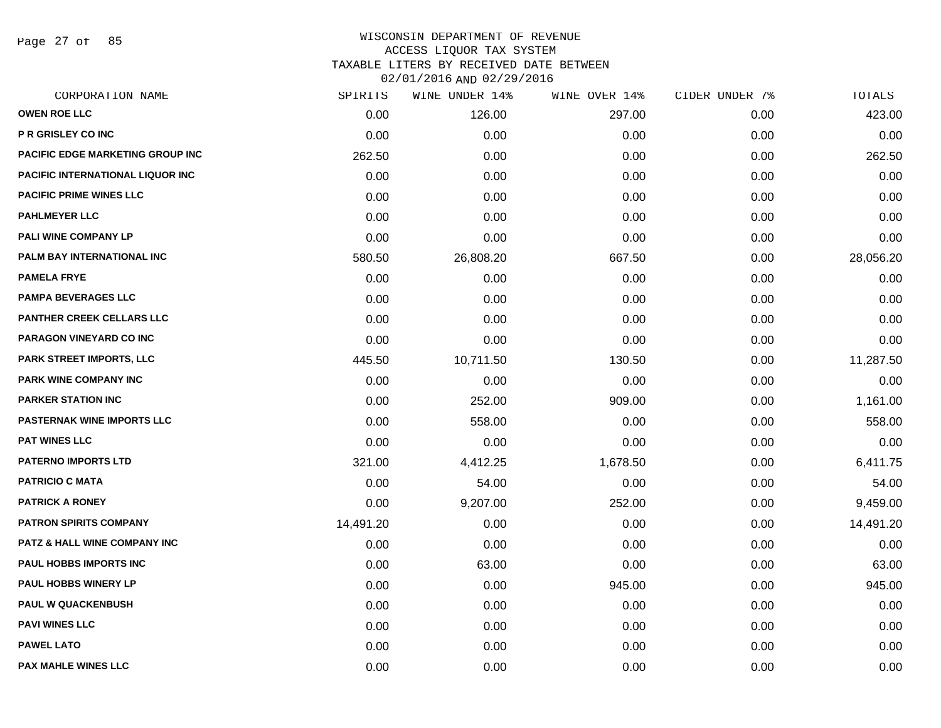Page 27 of 85

| CORPORATION NAME                        | SPIRITS   | WINE UNDER 14% | WINE OVER 14% | CIDER UNDER 7% | TOTALS    |
|-----------------------------------------|-----------|----------------|---------------|----------------|-----------|
| <b>OWEN ROE LLC</b>                     | 0.00      | 126.00         | 297.00        | 0.00           | 423.00    |
| P R GRISLEY CO INC                      | 0.00      | 0.00           | 0.00          | 0.00           | 0.00      |
| PACIFIC EDGE MARKETING GROUP INC        | 262.50    | 0.00           | 0.00          | 0.00           | 262.50    |
| PACIFIC INTERNATIONAL LIQUOR INC        | 0.00      | 0.00           | 0.00          | 0.00           | 0.00      |
| <b>PACIFIC PRIME WINES LLC</b>          | 0.00      | 0.00           | 0.00          | 0.00           | 0.00      |
| <b>PAHLMEYER LLC</b>                    | 0.00      | 0.00           | 0.00          | 0.00           | 0.00      |
| PALI WINE COMPANY LP                    | 0.00      | 0.00           | 0.00          | 0.00           | 0.00      |
| PALM BAY INTERNATIONAL INC              | 580.50    | 26,808.20      | 667.50        | 0.00           | 28,056.20 |
| <b>PAMELA FRYE</b>                      | 0.00      | 0.00           | 0.00          | 0.00           | 0.00      |
| PAMPA BEVERAGES LLC                     | 0.00      | 0.00           | 0.00          | 0.00           | 0.00      |
| PANTHER CREEK CELLARS LLC               | 0.00      | 0.00           | 0.00          | 0.00           | 0.00      |
| PARAGON VINEYARD CO INC                 | 0.00      | 0.00           | 0.00          | 0.00           | 0.00      |
| PARK STREET IMPORTS, LLC                | 445.50    | 10,711.50      | 130.50        | 0.00           | 11,287.50 |
| PARK WINE COMPANY INC                   | 0.00      | 0.00           | 0.00          | 0.00           | 0.00      |
| <b>PARKER STATION INC</b>               | 0.00      | 252.00         | 909.00        | 0.00           | 1,161.00  |
| <b>PASTERNAK WINE IMPORTS LLC</b>       | 0.00      | 558.00         | 0.00          | 0.00           | 558.00    |
| <b>PAT WINES LLC</b>                    | 0.00      | 0.00           | 0.00          | 0.00           | 0.00      |
| <b>PATERNO IMPORTS LTD</b>              | 321.00    | 4,412.25       | 1,678.50      | 0.00           | 6,411.75  |
| <b>PATRICIO C MATA</b>                  | 0.00      | 54.00          | 0.00          | 0.00           | 54.00     |
| <b>PATRICK A RONEY</b>                  | 0.00      | 9,207.00       | 252.00        | 0.00           | 9,459.00  |
| <b>PATRON SPIRITS COMPANY</b>           | 14,491.20 | 0.00           | 0.00          | 0.00           | 14,491.20 |
| <b>PATZ &amp; HALL WINE COMPANY INC</b> | 0.00      | 0.00           | 0.00          | 0.00           | 0.00      |
| <b>PAUL HOBBS IMPORTS INC</b>           | 0.00      | 63.00          | 0.00          | 0.00           | 63.00     |
| <b>PAUL HOBBS WINERY LP</b>             | 0.00      | 0.00           | 945.00        | 0.00           | 945.00    |
| <b>PAUL W QUACKENBUSH</b>               | 0.00      | 0.00           | 0.00          | 0.00           | 0.00      |
| <b>PAVI WINES LLC</b>                   | 0.00      | 0.00           | 0.00          | 0.00           | 0.00      |
| <b>PAWEL LATO</b>                       | 0.00      | 0.00           | 0.00          | 0.00           | 0.00      |
| <b>PAX MAHLE WINES LLC</b>              | 0.00      | 0.00           | 0.00          | 0.00           | 0.00      |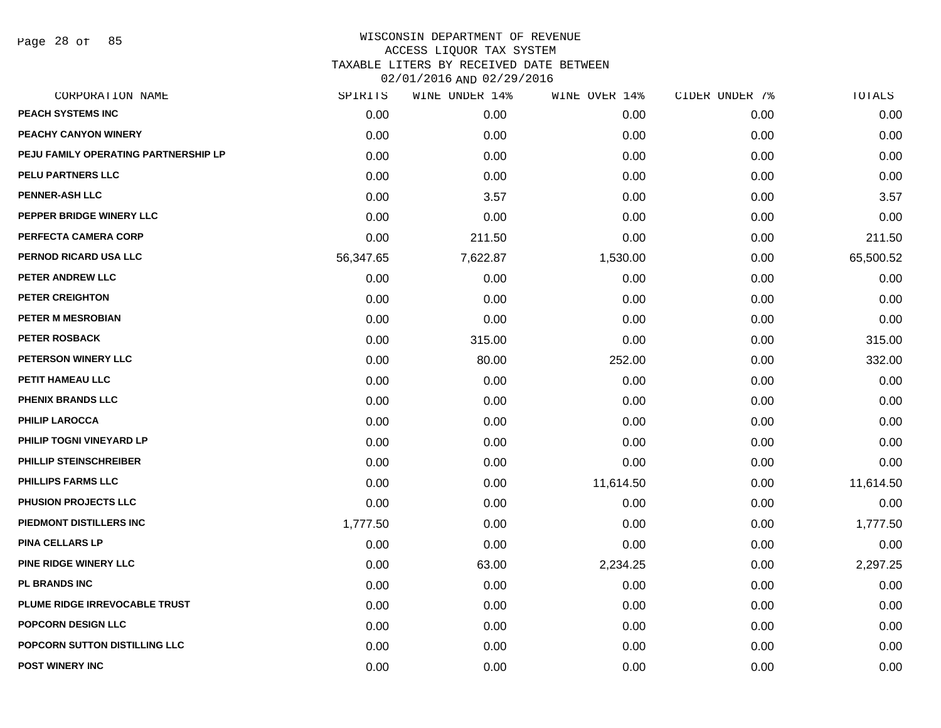Page 28 of 85

| CORPORATION NAME                     | SPIRITS   | WINE UNDER 14% | WINE OVER 14% | CIDER UNDER 7% | TOTALS    |
|--------------------------------------|-----------|----------------|---------------|----------------|-----------|
| <b>PEACH SYSTEMS INC</b>             | 0.00      | 0.00           | 0.00          | 0.00           | 0.00      |
| PEACHY CANYON WINERY                 | 0.00      | 0.00           | 0.00          | 0.00           | 0.00      |
| PEJU FAMILY OPERATING PARTNERSHIP LP | 0.00      | 0.00           | 0.00          | 0.00           | 0.00      |
| PELU PARTNERS LLC                    | 0.00      | 0.00           | 0.00          | 0.00           | 0.00      |
| <b>PENNER-ASH LLC</b>                | 0.00      | 3.57           | 0.00          | 0.00           | 3.57      |
| PEPPER BRIDGE WINERY LLC             | 0.00      | 0.00           | 0.00          | 0.00           | 0.00      |
| PERFECTA CAMERA CORP                 | 0.00      | 211.50         | 0.00          | 0.00           | 211.50    |
| PERNOD RICARD USA LLC                | 56,347.65 | 7,622.87       | 1,530.00      | 0.00           | 65,500.52 |
| PETER ANDREW LLC                     | 0.00      | 0.00           | 0.00          | 0.00           | 0.00      |
| <b>PETER CREIGHTON</b>               | 0.00      | 0.00           | 0.00          | 0.00           | 0.00      |
| <b>PETER M MESROBIAN</b>             | 0.00      | 0.00           | 0.00          | 0.00           | 0.00      |
| <b>PETER ROSBACK</b>                 | 0.00      | 315.00         | 0.00          | 0.00           | 315.00    |
| PETERSON WINERY LLC                  | 0.00      | 80.00          | 252.00        | 0.00           | 332.00    |
| PETIT HAMEAU LLC                     | 0.00      | 0.00           | 0.00          | 0.00           | 0.00      |
| <b>PHENIX BRANDS LLC</b>             | 0.00      | 0.00           | 0.00          | 0.00           | 0.00      |
| <b>PHILIP LAROCCA</b>                | 0.00      | 0.00           | 0.00          | 0.00           | 0.00      |
| PHILIP TOGNI VINEYARD LP             | 0.00      | 0.00           | 0.00          | 0.00           | 0.00      |
| PHILLIP STEINSCHREIBER               | 0.00      | 0.00           | 0.00          | 0.00           | 0.00      |
| <b>PHILLIPS FARMS LLC</b>            | 0.00      | 0.00           | 11,614.50     | 0.00           | 11,614.50 |
| PHUSION PROJECTS LLC                 | 0.00      | 0.00           | 0.00          | 0.00           | 0.00      |
| PIEDMONT DISTILLERS INC              | 1,777.50  | 0.00           | 0.00          | 0.00           | 1,777.50  |
| <b>PINA CELLARS LP</b>               | 0.00      | 0.00           | 0.00          | 0.00           | 0.00      |
| PINE RIDGE WINERY LLC                | 0.00      | 63.00          | 2,234.25      | 0.00           | 2,297.25  |
| <b>PL BRANDS INC</b>                 | 0.00      | 0.00           | 0.00          | 0.00           | 0.00      |
| PLUME RIDGE IRREVOCABLE TRUST        | 0.00      | 0.00           | 0.00          | 0.00           | 0.00      |
| POPCORN DESIGN LLC                   | 0.00      | 0.00           | 0.00          | 0.00           | 0.00      |
| POPCORN SUTTON DISTILLING LLC        | 0.00      | 0.00           | 0.00          | 0.00           | 0.00      |
| <b>POST WINERY INC</b>               | 0.00      | 0.00           | 0.00          | 0.00           | 0.00      |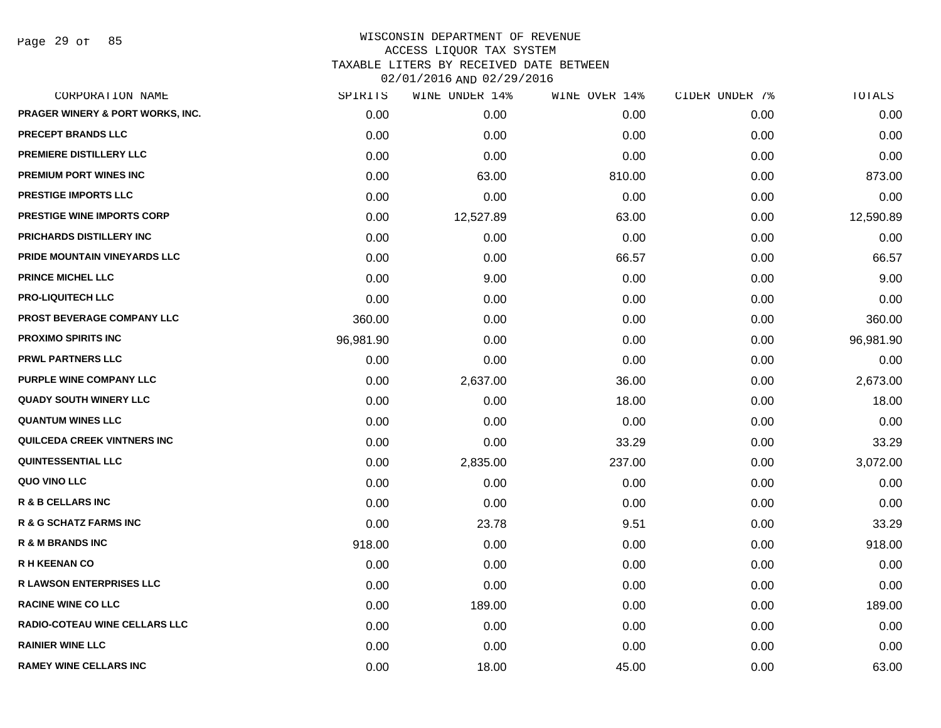Page 29 of 85

| CORPORATION NAME                  | SPIRITS   | WINE UNDER 14% | WINE OVER 14% | CIDER UNDER 7% | TOTALS    |
|-----------------------------------|-----------|----------------|---------------|----------------|-----------|
| PRAGER WINERY & PORT WORKS, INC.  | 0.00      | 0.00           | 0.00          | 0.00           | 0.00      |
| <b>PRECEPT BRANDS LLC</b>         | 0.00      | 0.00           | 0.00          | 0.00           | 0.00      |
| PREMIERE DISTILLERY LLC           | 0.00      | 0.00           | 0.00          | 0.00           | 0.00      |
| PREMIUM PORT WINES INC            | 0.00      | 63.00          | 810.00        | 0.00           | 873.00    |
| <b>PRESTIGE IMPORTS LLC</b>       | 0.00      | 0.00           | 0.00          | 0.00           | 0.00      |
| <b>PRESTIGE WINE IMPORTS CORP</b> | 0.00      | 12,527.89      | 63.00         | 0.00           | 12,590.89 |
| PRICHARDS DISTILLERY INC          | 0.00      | 0.00           | 0.00          | 0.00           | 0.00      |
| PRIDE MOUNTAIN VINEYARDS LLC      | 0.00      | 0.00           | 66.57         | 0.00           | 66.57     |
| PRINCE MICHEL LLC                 | 0.00      | 9.00           | 0.00          | 0.00           | 9.00      |
| <b>PRO-LIQUITECH LLC</b>          | 0.00      | 0.00           | 0.00          | 0.00           | 0.00      |
| PROST BEVERAGE COMPANY LLC        | 360.00    | 0.00           | 0.00          | 0.00           | 360.00    |
| <b>PROXIMO SPIRITS INC</b>        | 96,981.90 | 0.00           | 0.00          | 0.00           | 96,981.90 |
| <b>PRWL PARTNERS LLC</b>          | 0.00      | 0.00           | 0.00          | 0.00           | 0.00      |
| PURPLE WINE COMPANY LLC           | 0.00      | 2,637.00       | 36.00         | 0.00           | 2,673.00  |
| <b>QUADY SOUTH WINERY LLC</b>     | 0.00      | 0.00           | 18.00         | 0.00           | 18.00     |
| <b>QUANTUM WINES LLC</b>          | 0.00      | 0.00           | 0.00          | 0.00           | 0.00      |
| QUILCEDA CREEK VINTNERS INC       | 0.00      | 0.00           | 33.29         | 0.00           | 33.29     |
| <b>QUINTESSENTIAL LLC</b>         | 0.00      | 2,835.00       | 237.00        | 0.00           | 3,072.00  |
| QUO VINO LLC                      | 0.00      | 0.00           | 0.00          | 0.00           | 0.00      |
| <b>R &amp; B CELLARS INC</b>      | 0.00      | 0.00           | 0.00          | 0.00           | 0.00      |
| <b>R &amp; G SCHATZ FARMS INC</b> | 0.00      | 23.78          | 9.51          | 0.00           | 33.29     |
| <b>R &amp; M BRANDS INC</b>       | 918.00    | 0.00           | 0.00          | 0.00           | 918.00    |
| <b>R H KEENAN CO</b>              | 0.00      | 0.00           | 0.00          | 0.00           | 0.00      |
| R LAWSON ENTERPRISES LLC          | 0.00      | 0.00           | 0.00          | 0.00           | 0.00      |
| <b>RACINE WINE CO LLC</b>         | 0.00      | 189.00         | 0.00          | 0.00           | 189.00    |
| RADIO-COTEAU WINE CELLARS LLC     | 0.00      | 0.00           | 0.00          | 0.00           | 0.00      |
| <b>RAINIER WINE LLC</b>           | 0.00      | 0.00           | 0.00          | 0.00           | 0.00      |
| <b>RAMEY WINE CELLARS INC</b>     | 0.00      | 18.00          | 45.00         | 0.00           | 63.00     |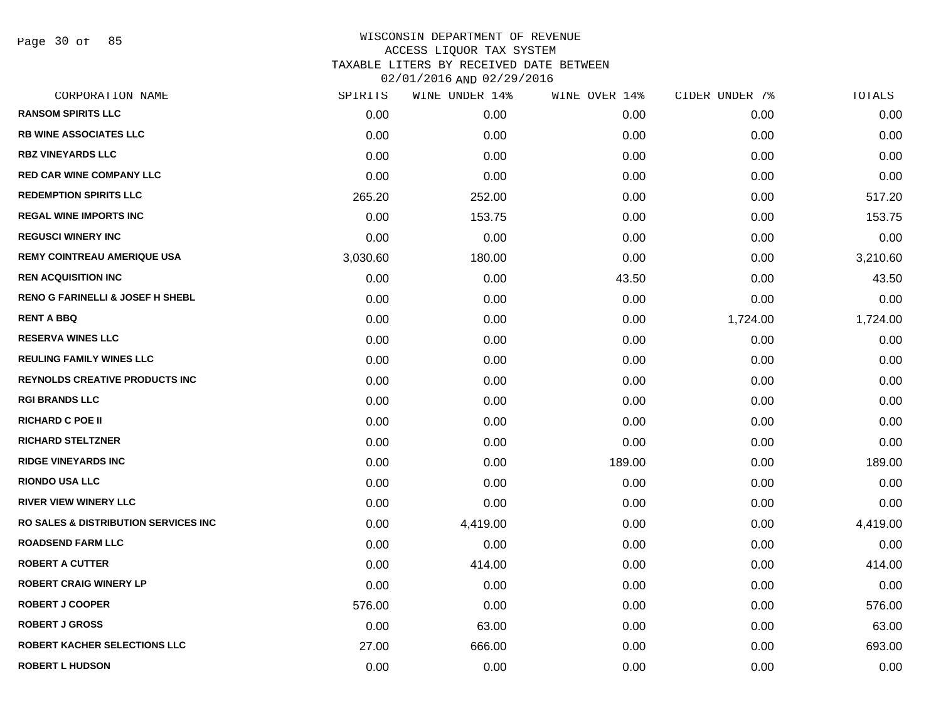Page 30 of 85

| CORPORATION NAME                                 | SPIRITS  | WINE UNDER 14% | WINE OVER 14% | CIDER UNDER 7% | TOTALS   |
|--------------------------------------------------|----------|----------------|---------------|----------------|----------|
| <b>RANSOM SPIRITS LLC</b>                        | 0.00     | 0.00           | 0.00          | 0.00           | 0.00     |
| <b>RB WINE ASSOCIATES LLC</b>                    | 0.00     | 0.00           | 0.00          | 0.00           | 0.00     |
| <b>RBZ VINEYARDS LLC</b>                         | 0.00     | 0.00           | 0.00          | 0.00           | 0.00     |
| <b>RED CAR WINE COMPANY LLC</b>                  | 0.00     | 0.00           | 0.00          | 0.00           | 0.00     |
| <b>REDEMPTION SPIRITS LLC</b>                    | 265.20   | 252.00         | 0.00          | 0.00           | 517.20   |
| <b>REGAL WINE IMPORTS INC</b>                    | 0.00     | 153.75         | 0.00          | 0.00           | 153.75   |
| <b>REGUSCI WINERY INC</b>                        | 0.00     | 0.00           | 0.00          | 0.00           | 0.00     |
| <b>REMY COINTREAU AMERIQUE USA</b>               | 3,030.60 | 180.00         | 0.00          | 0.00           | 3,210.60 |
| <b>REN ACQUISITION INC</b>                       | 0.00     | 0.00           | 43.50         | 0.00           | 43.50    |
| <b>RENO G FARINELLI &amp; JOSEF H SHEBL</b>      | 0.00     | 0.00           | 0.00          | 0.00           | 0.00     |
| <b>RENT A BBQ</b>                                | 0.00     | 0.00           | 0.00          | 1,724.00       | 1,724.00 |
| <b>RESERVA WINES LLC</b>                         | 0.00     | 0.00           | 0.00          | 0.00           | 0.00     |
| <b>REULING FAMILY WINES LLC</b>                  | 0.00     | 0.00           | 0.00          | 0.00           | 0.00     |
| REYNOLDS CREATIVE PRODUCTS INC                   | 0.00     | 0.00           | 0.00          | 0.00           | 0.00     |
| <b>RGI BRANDS LLC</b>                            | 0.00     | 0.00           | 0.00          | 0.00           | 0.00     |
| <b>RICHARD C POE II</b>                          | 0.00     | 0.00           | 0.00          | 0.00           | 0.00     |
| <b>RICHARD STELTZNER</b>                         | 0.00     | 0.00           | 0.00          | 0.00           | 0.00     |
| <b>RIDGE VINEYARDS INC</b>                       | 0.00     | 0.00           | 189.00        | 0.00           | 189.00   |
| <b>RIONDO USA LLC</b>                            | 0.00     | 0.00           | 0.00          | 0.00           | 0.00     |
| <b>RIVER VIEW WINERY LLC</b>                     | 0.00     | 0.00           | 0.00          | 0.00           | 0.00     |
| <b>RO SALES &amp; DISTRIBUTION SERVICES INC.</b> | 0.00     | 4,419.00       | 0.00          | 0.00           | 4,419.00 |
| <b>ROADSEND FARM LLC</b>                         | 0.00     | 0.00           | 0.00          | 0.00           | 0.00     |
| <b>ROBERT A CUTTER</b>                           | 0.00     | 414.00         | 0.00          | 0.00           | 414.00   |
| <b>ROBERT CRAIG WINERY LP</b>                    | 0.00     | 0.00           | 0.00          | 0.00           | 0.00     |
| <b>ROBERT J COOPER</b>                           | 576.00   | 0.00           | 0.00          | 0.00           | 576.00   |
| <b>ROBERT J GROSS</b>                            | 0.00     | 63.00          | 0.00          | 0.00           | 63.00    |
| <b>ROBERT KACHER SELECTIONS LLC</b>              | 27.00    | 666.00         | 0.00          | 0.00           | 693.00   |
| <b>ROBERT L HUDSON</b>                           | 0.00     | 0.00           | 0.00          | 0.00           | 0.00     |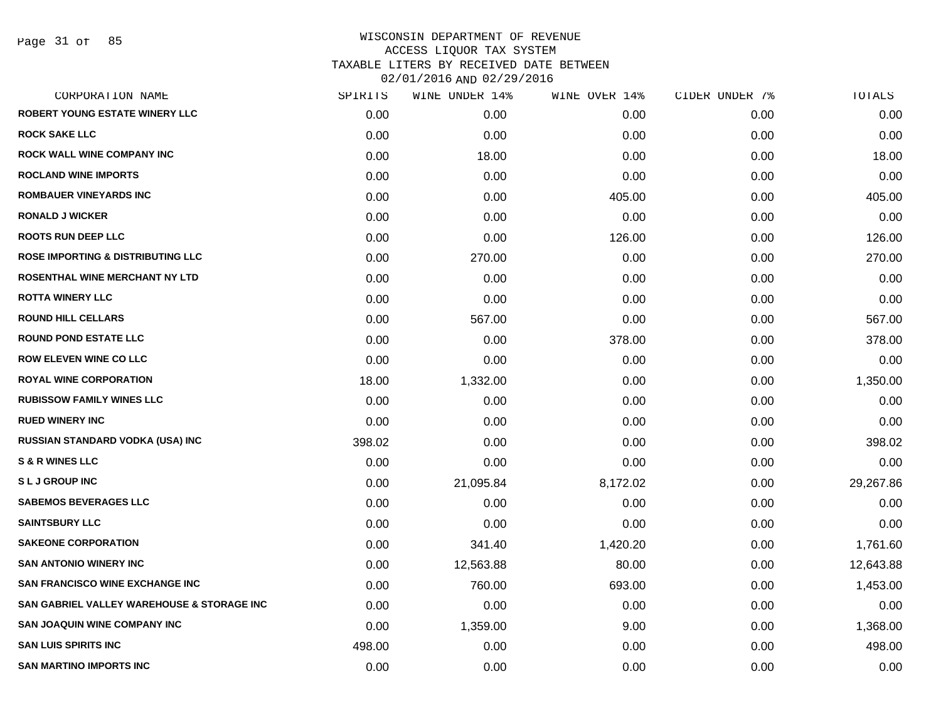Page 31 of 85

| SPIRITS | WINE UNDER 14% | WINE OVER 14% |      | TOTALS         |
|---------|----------------|---------------|------|----------------|
| 0.00    | 0.00           | 0.00          | 0.00 | 0.00           |
| 0.00    | 0.00           | 0.00          | 0.00 | 0.00           |
| 0.00    | 18.00          | 0.00          | 0.00 | 18.00          |
| 0.00    | 0.00           | 0.00          | 0.00 | 0.00           |
| 0.00    | 0.00           | 405.00        | 0.00 | 405.00         |
| 0.00    | 0.00           | 0.00          | 0.00 | 0.00           |
| 0.00    | 0.00           | 126.00        | 0.00 | 126.00         |
| 0.00    | 270.00         | 0.00          | 0.00 | 270.00         |
| 0.00    | 0.00           | 0.00          | 0.00 | 0.00           |
| 0.00    | 0.00           | 0.00          | 0.00 | 0.00           |
| 0.00    | 567.00         | 0.00          | 0.00 | 567.00         |
| 0.00    | 0.00           | 378.00        | 0.00 | 378.00         |
| 0.00    | 0.00           | 0.00          | 0.00 | 0.00           |
| 18.00   | 1,332.00       | 0.00          | 0.00 | 1,350.00       |
| 0.00    | 0.00           | 0.00          | 0.00 | 0.00           |
| 0.00    | 0.00           | 0.00          | 0.00 | 0.00           |
| 398.02  | 0.00           | 0.00          | 0.00 | 398.02         |
| 0.00    | 0.00           | 0.00          | 0.00 | 0.00           |
| 0.00    | 21,095.84      | 8,172.02      | 0.00 | 29,267.86      |
| 0.00    | 0.00           | 0.00          | 0.00 | 0.00           |
| 0.00    | 0.00           | 0.00          | 0.00 | 0.00           |
| 0.00    | 341.40         | 1,420.20      | 0.00 | 1,761.60       |
| 0.00    | 12,563.88      | 80.00         | 0.00 | 12,643.88      |
| 0.00    | 760.00         | 693.00        | 0.00 | 1,453.00       |
| 0.00    | 0.00           | 0.00          | 0.00 | 0.00           |
| 0.00    | 1,359.00       | 9.00          | 0.00 | 1,368.00       |
| 498.00  | 0.00           | 0.00          | 0.00 | 498.00         |
| 0.00    | 0.00           | 0.00          | 0.00 | 0.00           |
|         |                |               |      | CIDER UNDER 7% |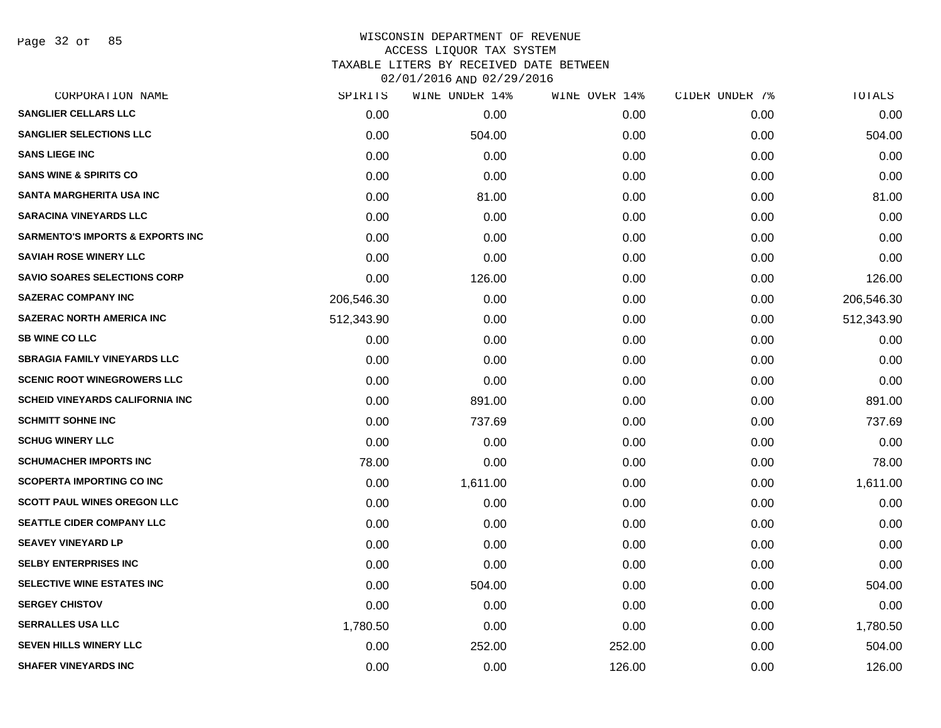Page 32 of 85

| CORPORATION NAME                            | SPIRITS    | WINE UNDER 14% | WINE OVER 14% | CIDER UNDER 7% | TOTALS     |
|---------------------------------------------|------------|----------------|---------------|----------------|------------|
| <b>SANGLIER CELLARS LLC</b>                 | 0.00       | 0.00           | 0.00          | 0.00           | 0.00       |
| <b>SANGLIER SELECTIONS LLC</b>              | 0.00       | 504.00         | 0.00          | 0.00           | 504.00     |
| <b>SANS LIEGE INC</b>                       | 0.00       | 0.00           | 0.00          | 0.00           | 0.00       |
| <b>SANS WINE &amp; SPIRITS CO</b>           | 0.00       | 0.00           | 0.00          | 0.00           | 0.00       |
| <b>SANTA MARGHERITA USA INC</b>             | 0.00       | 81.00          | 0.00          | 0.00           | 81.00      |
| <b>SARACINA VINEYARDS LLC</b>               | 0.00       | 0.00           | 0.00          | 0.00           | 0.00       |
| <b>SARMENTO'S IMPORTS &amp; EXPORTS INC</b> | 0.00       | 0.00           | 0.00          | 0.00           | 0.00       |
| <b>SAVIAH ROSE WINERY LLC</b>               | 0.00       | 0.00           | 0.00          | 0.00           | 0.00       |
| <b>SAVIO SOARES SELECTIONS CORP</b>         | 0.00       | 126.00         | 0.00          | 0.00           | 126.00     |
| <b>SAZERAC COMPANY INC</b>                  | 206,546.30 | 0.00           | 0.00          | 0.00           | 206,546.30 |
| <b>SAZERAC NORTH AMERICA INC</b>            | 512,343.90 | 0.00           | 0.00          | 0.00           | 512,343.90 |
| <b>SB WINE CO LLC</b>                       | 0.00       | 0.00           | 0.00          | 0.00           | 0.00       |
| <b>SBRAGIA FAMILY VINEYARDS LLC</b>         | 0.00       | 0.00           | 0.00          | 0.00           | 0.00       |
| <b>SCENIC ROOT WINEGROWERS LLC</b>          | 0.00       | 0.00           | 0.00          | 0.00           | 0.00       |
| <b>SCHEID VINEYARDS CALIFORNIA INC</b>      | 0.00       | 891.00         | 0.00          | 0.00           | 891.00     |
| <b>SCHMITT SOHNE INC</b>                    | 0.00       | 737.69         | 0.00          | 0.00           | 737.69     |
| <b>SCHUG WINERY LLC</b>                     | 0.00       | 0.00           | 0.00          | 0.00           | 0.00       |
| <b>SCHUMACHER IMPORTS INC</b>               | 78.00      | 0.00           | 0.00          | 0.00           | 78.00      |
| <b>SCOPERTA IMPORTING CO INC</b>            | 0.00       | 1,611.00       | 0.00          | 0.00           | 1,611.00   |
| <b>SCOTT PAUL WINES OREGON LLC</b>          | 0.00       | 0.00           | 0.00          | 0.00           | 0.00       |
| SEATTLE CIDER COMPANY LLC                   | 0.00       | 0.00           | 0.00          | 0.00           | 0.00       |
| <b>SEAVEY VINEYARD LP</b>                   | 0.00       | 0.00           | 0.00          | 0.00           | 0.00       |
| <b>SELBY ENTERPRISES INC</b>                | 0.00       | 0.00           | 0.00          | 0.00           | 0.00       |
| SELECTIVE WINE ESTATES INC                  | 0.00       | 504.00         | 0.00          | 0.00           | 504.00     |
| <b>SERGEY CHISTOV</b>                       | 0.00       | 0.00           | 0.00          | 0.00           | 0.00       |
| <b>SERRALLES USA LLC</b>                    | 1,780.50   | 0.00           | 0.00          | 0.00           | 1,780.50   |
| <b>SEVEN HILLS WINERY LLC</b>               | 0.00       | 252.00         | 252.00        | 0.00           | 504.00     |
| <b>SHAFER VINEYARDS INC</b>                 | 0.00       | 0.00           | 126.00        | 0.00           | 126.00     |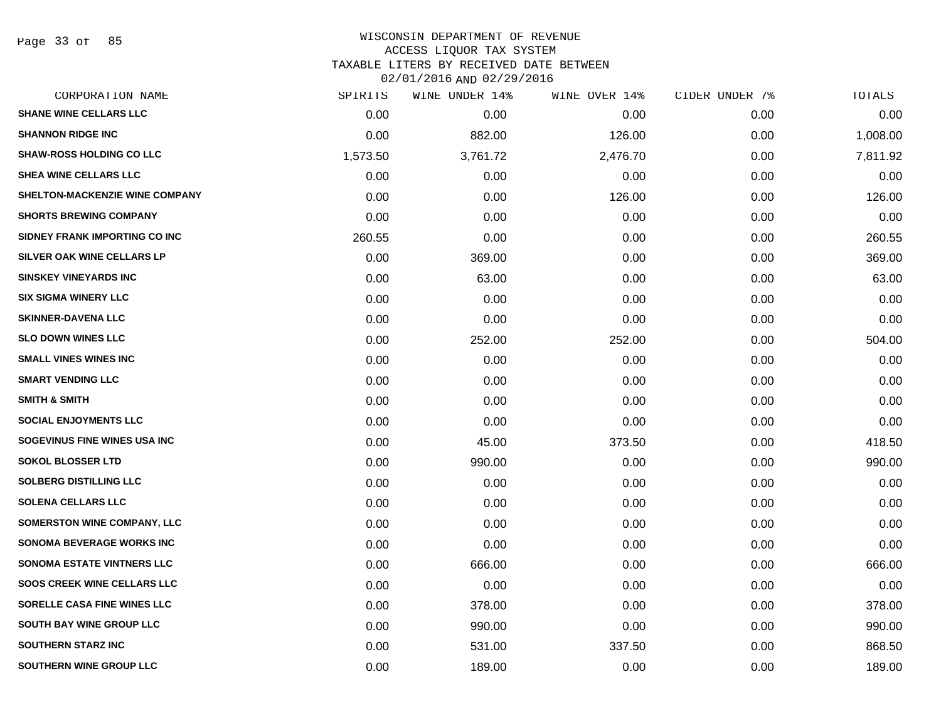Page 33 of 85

| SPIRITS  | WINE UNDER 14% | WINE OVER 14% | CIDER UNDER 7% | TOTALS   |
|----------|----------------|---------------|----------------|----------|
| 0.00     | 0.00           | 0.00          | 0.00           | 0.00     |
| 0.00     | 882.00         | 126.00        | 0.00           | 1,008.00 |
| 1,573.50 | 3,761.72       | 2,476.70      | 0.00           | 7,811.92 |
| 0.00     | 0.00           | 0.00          | 0.00           | 0.00     |
| 0.00     | 0.00           | 126.00        | 0.00           | 126.00   |
| 0.00     | 0.00           | 0.00          | 0.00           | 0.00     |
| 260.55   | 0.00           | 0.00          | 0.00           | 260.55   |
| 0.00     | 369.00         | 0.00          | 0.00           | 369.00   |
| 0.00     | 63.00          | 0.00          | 0.00           | 63.00    |
| 0.00     | 0.00           | 0.00          | 0.00           | 0.00     |
| 0.00     | 0.00           | 0.00          | 0.00           | 0.00     |
| 0.00     | 252.00         | 252.00        | 0.00           | 504.00   |
| 0.00     | 0.00           | 0.00          | 0.00           | 0.00     |
| 0.00     | 0.00           | 0.00          | 0.00           | 0.00     |
| 0.00     | 0.00           | 0.00          | 0.00           | 0.00     |
| 0.00     | 0.00           | 0.00          | 0.00           | 0.00     |
| 0.00     | 45.00          | 373.50        | 0.00           | 418.50   |
| 0.00     | 990.00         | 0.00          | 0.00           | 990.00   |
| 0.00     | 0.00           | 0.00          | 0.00           | 0.00     |
| 0.00     | 0.00           | 0.00          | 0.00           | 0.00     |
| 0.00     | 0.00           | 0.00          | 0.00           | 0.00     |
| 0.00     | 0.00           | 0.00          | 0.00           | 0.00     |
| 0.00     | 666.00         | 0.00          | 0.00           | 666.00   |
| 0.00     | 0.00           | 0.00          | 0.00           | 0.00     |
| 0.00     | 378.00         | 0.00          | 0.00           | 378.00   |
| 0.00     | 990.00         | 0.00          | 0.00           | 990.00   |
| 0.00     | 531.00         | 337.50        | 0.00           | 868.50   |
| 0.00     | 189.00         | 0.00          | 0.00           | 189.00   |
|          |                |               |                |          |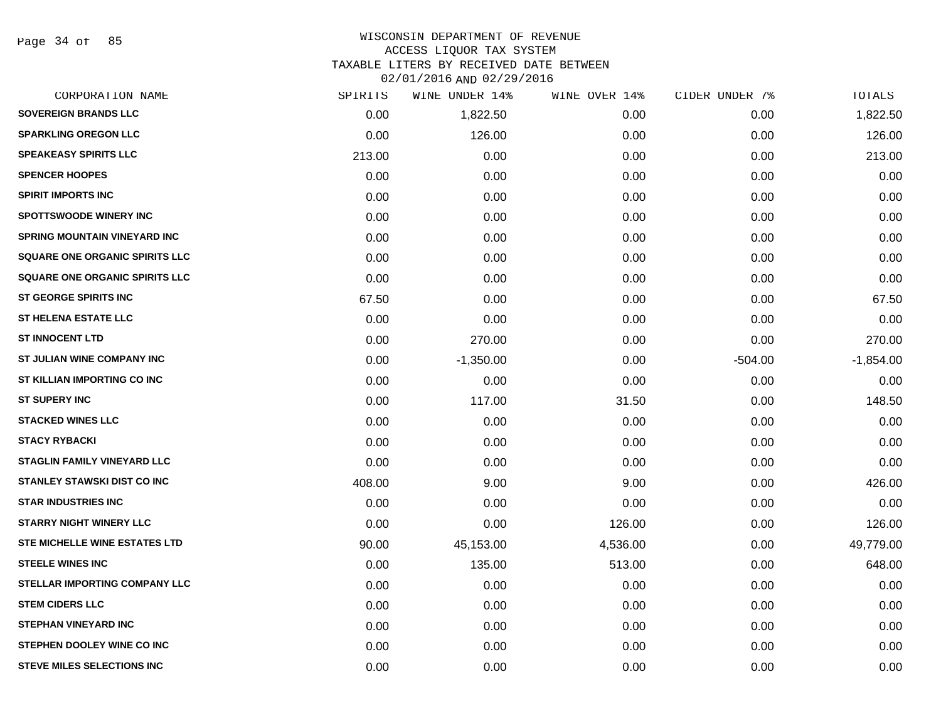Page 34 of 85

# WISCONSIN DEPARTMENT OF REVENUE ACCESS LIQUOR TAX SYSTEM TAXABLE LITERS BY RECEIVED DATE BETWEEN

| CORPORATION NAME                      | SPIRITS | WINE UNDER 14% | WINE OVER 14% | CIDER UNDER 7% | TOTALS      |
|---------------------------------------|---------|----------------|---------------|----------------|-------------|
| <b>SOVEREIGN BRANDS LLC</b>           | 0.00    | 1,822.50       | 0.00          | 0.00           | 1,822.50    |
| <b>SPARKLING OREGON LLC</b>           | 0.00    | 126.00         | 0.00          | 0.00           | 126.00      |
| <b>SPEAKEASY SPIRITS LLC</b>          | 213.00  | 0.00           | 0.00          | 0.00           | 213.00      |
| <b>SPENCER HOOPES</b>                 | 0.00    | 0.00           | 0.00          | 0.00           | 0.00        |
| <b>SPIRIT IMPORTS INC</b>             | 0.00    | 0.00           | 0.00          | 0.00           | 0.00        |
| <b>SPOTTSWOODE WINERY INC</b>         | 0.00    | 0.00           | 0.00          | 0.00           | 0.00        |
| SPRING MOUNTAIN VINEYARD INC          | 0.00    | 0.00           | 0.00          | 0.00           | 0.00        |
| <b>SQUARE ONE ORGANIC SPIRITS LLC</b> | 0.00    | 0.00           | 0.00          | 0.00           | 0.00        |
| <b>SQUARE ONE ORGANIC SPIRITS LLC</b> | 0.00    | 0.00           | 0.00          | 0.00           | 0.00        |
| <b>ST GEORGE SPIRITS INC</b>          | 67.50   | 0.00           | 0.00          | 0.00           | 67.50       |
| <b>ST HELENA ESTATE LLC</b>           | 0.00    | 0.00           | 0.00          | 0.00           | 0.00        |
| <b>ST INNOCENT LTD</b>                | 0.00    | 270.00         | 0.00          | 0.00           | 270.00      |
| ST JULIAN WINE COMPANY INC            | 0.00    | $-1,350.00$    | 0.00          | $-504.00$      | $-1,854.00$ |
| ST KILLIAN IMPORTING CO INC           | 0.00    | 0.00           | 0.00          | 0.00           | 0.00        |
| <b>ST SUPERY INC</b>                  | 0.00    | 117.00         | 31.50         | 0.00           | 148.50      |
| <b>STACKED WINES LLC</b>              | 0.00    | 0.00           | 0.00          | 0.00           | 0.00        |
| <b>STACY RYBACKI</b>                  | 0.00    | 0.00           | 0.00          | 0.00           | 0.00        |
| <b>STAGLIN FAMILY VINEYARD LLC</b>    | 0.00    | 0.00           | 0.00          | 0.00           | 0.00        |
| <b>STANLEY STAWSKI DIST CO INC</b>    | 408.00  | 9.00           | 9.00          | 0.00           | 426.00      |
| <b>STAR INDUSTRIES INC</b>            | 0.00    | 0.00           | 0.00          | 0.00           | 0.00        |
| <b>STARRY NIGHT WINERY LLC</b>        | 0.00    | 0.00           | 126.00        | 0.00           | 126.00      |
| STE MICHELLE WINE ESTATES LTD         | 90.00   | 45,153.00      | 4,536.00      | 0.00           | 49,779.00   |
| <b>STEELE WINES INC</b>               | 0.00    | 135.00         | 513.00        | 0.00           | 648.00      |
| <b>STELLAR IMPORTING COMPANY LLC</b>  | 0.00    | 0.00           | 0.00          | 0.00           | 0.00        |
| <b>STEM CIDERS LLC</b>                | 0.00    | 0.00           | 0.00          | 0.00           | 0.00        |
| <b>STEPHAN VINEYARD INC</b>           | 0.00    | 0.00           | 0.00          | 0.00           | 0.00        |
| STEPHEN DOOLEY WINE CO INC            | 0.00    | 0.00           | 0.00          | 0.00           | 0.00        |
| <b>STEVE MILES SELECTIONS INC</b>     | 0.00    | 0.00           | 0.00          | 0.00           | 0.00        |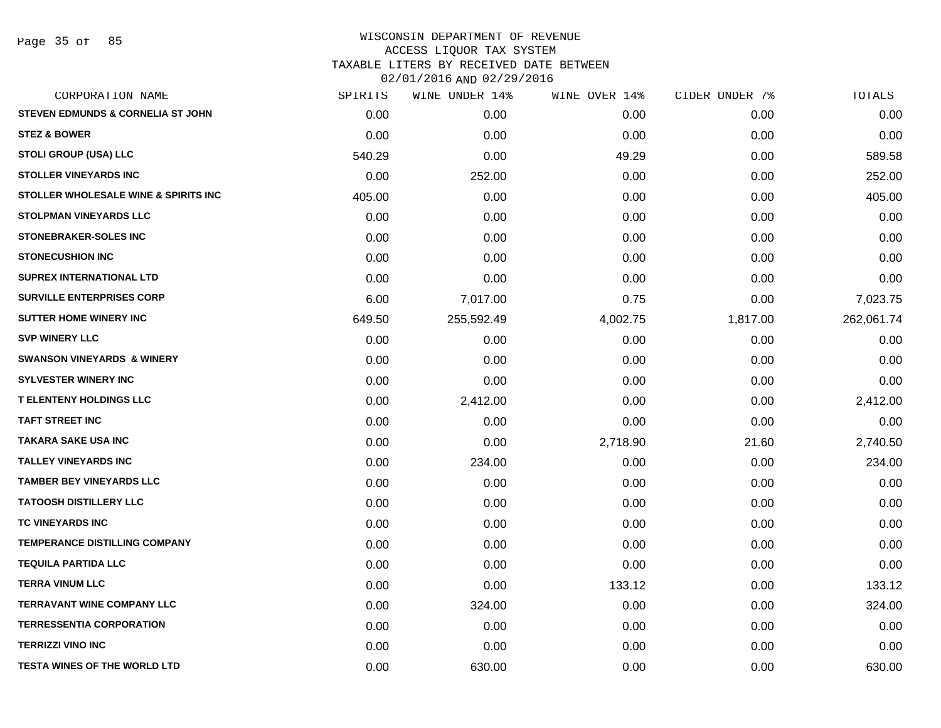Page 35 of 85

| CORPORATION NAME                      | SPIRITS | WINE UNDER 14% | WINE OVER 14% | CIDER UNDER 7% | TOTALS     |
|---------------------------------------|---------|----------------|---------------|----------------|------------|
| STEVEN EDMUNDS & CORNELIA ST JOHN     | 0.00    | 0.00           | 0.00          | 0.00           | 0.00       |
| <b>STEZ &amp; BOWER</b>               | 0.00    | 0.00           | 0.00          | 0.00           | 0.00       |
| STOLI GROUP (USA) LLC                 | 540.29  | 0.00           | 49.29         | 0.00           | 589.58     |
| <b>STOLLER VINEYARDS INC</b>          | 0.00    | 252.00         | 0.00          | 0.00           | 252.00     |
| STOLLER WHOLESALE WINE & SPIRITS INC  | 405.00  | 0.00           | 0.00          | 0.00           | 405.00     |
| <b>STOLPMAN VINEYARDS LLC</b>         | 0.00    | 0.00           | 0.00          | 0.00           | 0.00       |
| <b>STONEBRAKER-SOLES INC</b>          | 0.00    | 0.00           | 0.00          | 0.00           | 0.00       |
| <b>STONECUSHION INC</b>               | 0.00    | 0.00           | 0.00          | 0.00           | 0.00       |
| <b>SUPREX INTERNATIONAL LTD</b>       | 0.00    | 0.00           | 0.00          | 0.00           | 0.00       |
| <b>SURVILLE ENTERPRISES CORP</b>      | 6.00    | 7,017.00       | 0.75          | 0.00           | 7,023.75   |
| <b>SUTTER HOME WINERY INC</b>         | 649.50  | 255,592.49     | 4,002.75      | 1,817.00       | 262,061.74 |
| <b>SVP WINERY LLC</b>                 | 0.00    | 0.00           | 0.00          | 0.00           | 0.00       |
| <b>SWANSON VINEYARDS &amp; WINERY</b> | 0.00    | 0.00           | 0.00          | 0.00           | 0.00       |
| <b>SYLVESTER WINERY INC</b>           | 0.00    | 0.00           | 0.00          | 0.00           | 0.00       |
| <b>T ELENTENY HOLDINGS LLC</b>        | 0.00    | 2,412.00       | 0.00          | 0.00           | 2,412.00   |
| <b>TAFT STREET INC</b>                | 0.00    | 0.00           | 0.00          | 0.00           | 0.00       |
| <b>TAKARA SAKE USA INC</b>            | 0.00    | 0.00           | 2,718.90      | 21.60          | 2,740.50   |
| <b>TALLEY VINEYARDS INC</b>           | 0.00    | 234.00         | 0.00          | 0.00           | 234.00     |
| <b>TAMBER BEY VINEYARDS LLC</b>       | 0.00    | 0.00           | 0.00          | 0.00           | 0.00       |
| <b>TATOOSH DISTILLERY LLC</b>         | 0.00    | 0.00           | 0.00          | 0.00           | 0.00       |
| TC VINEYARDS INC                      | 0.00    | 0.00           | 0.00          | 0.00           | 0.00       |
| <b>TEMPERANCE DISTILLING COMPANY</b>  | 0.00    | 0.00           | 0.00          | 0.00           | 0.00       |
| <b>TEQUILA PARTIDA LLC</b>            | 0.00    | 0.00           | 0.00          | 0.00           | 0.00       |
| <b>TERRA VINUM LLC</b>                | 0.00    | 0.00           | 133.12        | 0.00           | 133.12     |
| <b>TERRAVANT WINE COMPANY LLC</b>     | 0.00    | 324.00         | 0.00          | 0.00           | 324.00     |
| <b>TERRESSENTIA CORPORATION</b>       | 0.00    | 0.00           | 0.00          | 0.00           | 0.00       |
| <b>TERRIZZI VINO INC</b>              | 0.00    | 0.00           | 0.00          | 0.00           | 0.00       |
| <b>TESTA WINES OF THE WORLD LTD</b>   | 0.00    | 630.00         | 0.00          | 0.00           | 630.00     |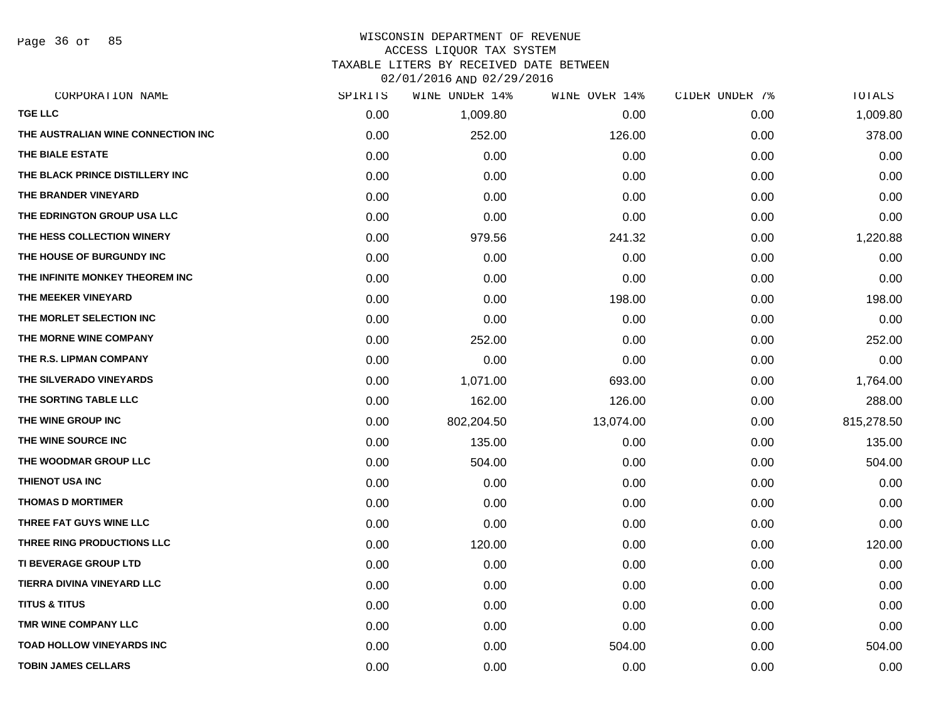Page 36 of 85

| CORPORATION NAME                   | SPIRITS | WINE UNDER 14% | WINE OVER 14% | CIDER UNDER 7% | TOTALS     |
|------------------------------------|---------|----------------|---------------|----------------|------------|
| <b>TGE LLC</b>                     | 0.00    | 1,009.80       | 0.00          | 0.00           | 1,009.80   |
| THE AUSTRALIAN WINE CONNECTION INC | 0.00    | 252.00         | 126.00        | 0.00           | 378.00     |
| THE BIALE ESTATE                   | 0.00    | 0.00           | 0.00          | 0.00           | 0.00       |
| THE BLACK PRINCE DISTILLERY INC    | 0.00    | 0.00           | 0.00          | 0.00           | 0.00       |
| THE BRANDER VINEYARD               | 0.00    | 0.00           | 0.00          | 0.00           | 0.00       |
| THE EDRINGTON GROUP USA LLC        | 0.00    | 0.00           | 0.00          | 0.00           | 0.00       |
| THE HESS COLLECTION WINERY         | 0.00    | 979.56         | 241.32        | 0.00           | 1,220.88   |
| THE HOUSE OF BURGUNDY INC          | 0.00    | 0.00           | 0.00          | 0.00           | 0.00       |
| THE INFINITE MONKEY THEOREM INC    | 0.00    | 0.00           | 0.00          | 0.00           | 0.00       |
| THE MEEKER VINEYARD                | 0.00    | 0.00           | 198.00        | 0.00           | 198.00     |
| THE MORLET SELECTION INC           | 0.00    | 0.00           | 0.00          | 0.00           | 0.00       |
| THE MORNE WINE COMPANY             | 0.00    | 252.00         | 0.00          | 0.00           | 252.00     |
| THE R.S. LIPMAN COMPANY            | 0.00    | 0.00           | 0.00          | 0.00           | 0.00       |
| THE SILVERADO VINEYARDS            | 0.00    | 1,071.00       | 693.00        | 0.00           | 1,764.00   |
| THE SORTING TABLE LLC              | 0.00    | 162.00         | 126.00        | 0.00           | 288.00     |
| THE WINE GROUP INC                 | 0.00    | 802,204.50     | 13,074.00     | 0.00           | 815,278.50 |
| THE WINE SOURCE INC                | 0.00    | 135.00         | 0.00          | 0.00           | 135.00     |
| THE WOODMAR GROUP LLC              | 0.00    | 504.00         | 0.00          | 0.00           | 504.00     |
| <b>THIENOT USA INC</b>             | 0.00    | 0.00           | 0.00          | 0.00           | 0.00       |
| <b>THOMAS D MORTIMER</b>           | 0.00    | 0.00           | 0.00          | 0.00           | 0.00       |
| THREE FAT GUYS WINE LLC            | 0.00    | 0.00           | 0.00          | 0.00           | 0.00       |
| THREE RING PRODUCTIONS LLC         | 0.00    | 120.00         | 0.00          | 0.00           | 120.00     |
| TI BEVERAGE GROUP LTD              | 0.00    | 0.00           | 0.00          | 0.00           | 0.00       |
| TIERRA DIVINA VINEYARD LLC         | 0.00    | 0.00           | 0.00          | 0.00           | 0.00       |
| <b>TITUS &amp; TITUS</b>           | 0.00    | 0.00           | 0.00          | 0.00           | 0.00       |
| TMR WINE COMPANY LLC               | 0.00    | 0.00           | 0.00          | 0.00           | 0.00       |
| <b>TOAD HOLLOW VINEYARDS INC</b>   | 0.00    | 0.00           | 504.00        | 0.00           | 504.00     |
| <b>TOBIN JAMES CELLARS</b>         | 0.00    | 0.00           | 0.00          | 0.00           | 0.00       |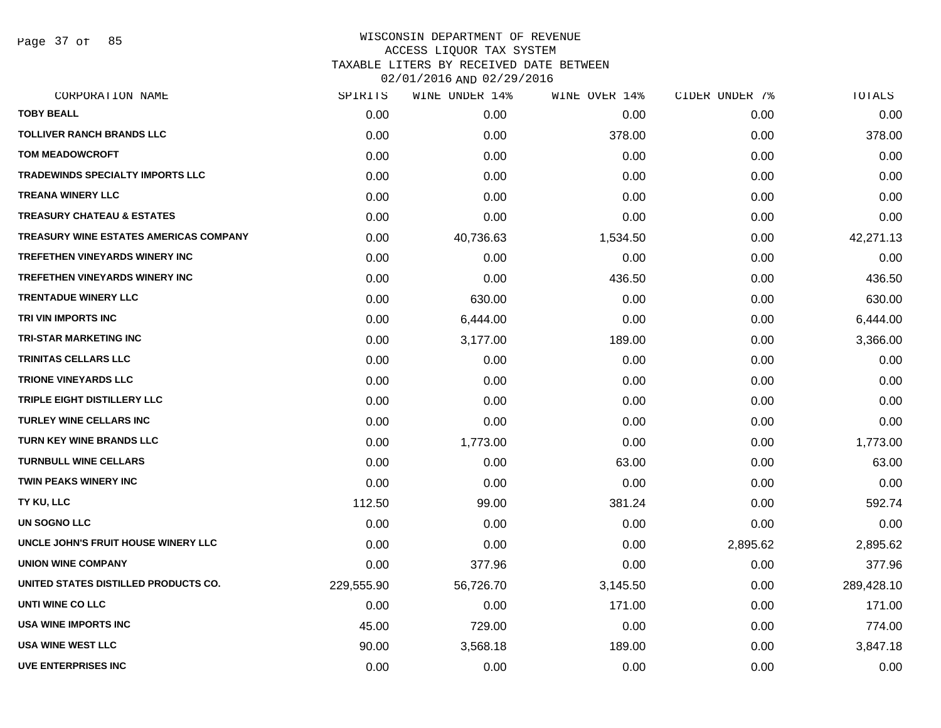Page 37 of 85

| CORPORATION NAME                        | SPIRITS    | WINE UNDER 14% | WINE OVER 14% | CIDER UNDER 7% | TOTALS     |
|-----------------------------------------|------------|----------------|---------------|----------------|------------|
| <b>TOBY BEALL</b>                       | 0.00       | 0.00           | 0.00          | 0.00           | 0.00       |
| <b>TOLLIVER RANCH BRANDS LLC</b>        | 0.00       | 0.00           | 378.00        | 0.00           | 378.00     |
| <b>TOM MEADOWCROFT</b>                  | 0.00       | 0.00           | 0.00          | 0.00           | 0.00       |
| <b>TRADEWINDS SPECIALTY IMPORTS LLC</b> | 0.00       | 0.00           | 0.00          | 0.00           | 0.00       |
| <b>TREANA WINERY LLC</b>                | 0.00       | 0.00           | 0.00          | 0.00           | 0.00       |
| <b>TREASURY CHATEAU &amp; ESTATES</b>   | 0.00       | 0.00           | 0.00          | 0.00           | 0.00       |
| TREASURY WINE ESTATES AMERICAS COMPANY  | 0.00       | 40,736.63      | 1,534.50      | 0.00           | 42,271.13  |
| TREFETHEN VINEYARDS WINERY INC          | 0.00       | 0.00           | 0.00          | 0.00           | 0.00       |
| TREFETHEN VINEYARDS WINERY INC          | 0.00       | 0.00           | 436.50        | 0.00           | 436.50     |
| <b>TRENTADUE WINERY LLC</b>             | 0.00       | 630.00         | 0.00          | 0.00           | 630.00     |
| TRI VIN IMPORTS INC                     | 0.00       | 6,444.00       | 0.00          | 0.00           | 6,444.00   |
| <b>TRI-STAR MARKETING INC</b>           | 0.00       | 3,177.00       | 189.00        | 0.00           | 3,366.00   |
| <b>TRINITAS CELLARS LLC</b>             | 0.00       | 0.00           | 0.00          | 0.00           | 0.00       |
| <b>TRIONE VINEYARDS LLC</b>             | 0.00       | 0.00           | 0.00          | 0.00           | 0.00       |
| TRIPLE EIGHT DISTILLERY LLC             | 0.00       | 0.00           | 0.00          | 0.00           | 0.00       |
| <b>TURLEY WINE CELLARS INC</b>          | 0.00       | 0.00           | 0.00          | 0.00           | 0.00       |
| <b>TURN KEY WINE BRANDS LLC</b>         | 0.00       | 1,773.00       | 0.00          | 0.00           | 1,773.00   |
| <b>TURNBULL WINE CELLARS</b>            | 0.00       | 0.00           | 63.00         | 0.00           | 63.00      |
| TWIN PEAKS WINERY INC                   | 0.00       | 0.00           | 0.00          | 0.00           | 0.00       |
| TY KU, LLC                              | 112.50     | 99.00          | 381.24        | 0.00           | 592.74     |
| UN SOGNO LLC                            | 0.00       | 0.00           | 0.00          | 0.00           | 0.00       |
| UNCLE JOHN'S FRUIT HOUSE WINERY LLC     | 0.00       | 0.00           | 0.00          | 2,895.62       | 2,895.62   |
| <b>UNION WINE COMPANY</b>               | 0.00       | 377.96         | 0.00          | 0.00           | 377.96     |
| UNITED STATES DISTILLED PRODUCTS CO.    | 229,555.90 | 56,726.70      | 3,145.50      | 0.00           | 289,428.10 |
| UNTI WINE CO LLC                        | 0.00       | 0.00           | 171.00        | 0.00           | 171.00     |
| USA WINE IMPORTS INC                    | 45.00      | 729.00         | 0.00          | 0.00           | 774.00     |
| <b>USA WINE WEST LLC</b>                | 90.00      | 3,568.18       | 189.00        | 0.00           | 3,847.18   |
| <b>UVE ENTERPRISES INC</b>              | 0.00       | 0.00           | 0.00          | 0.00           | 0.00       |
|                                         |            |                |               |                |            |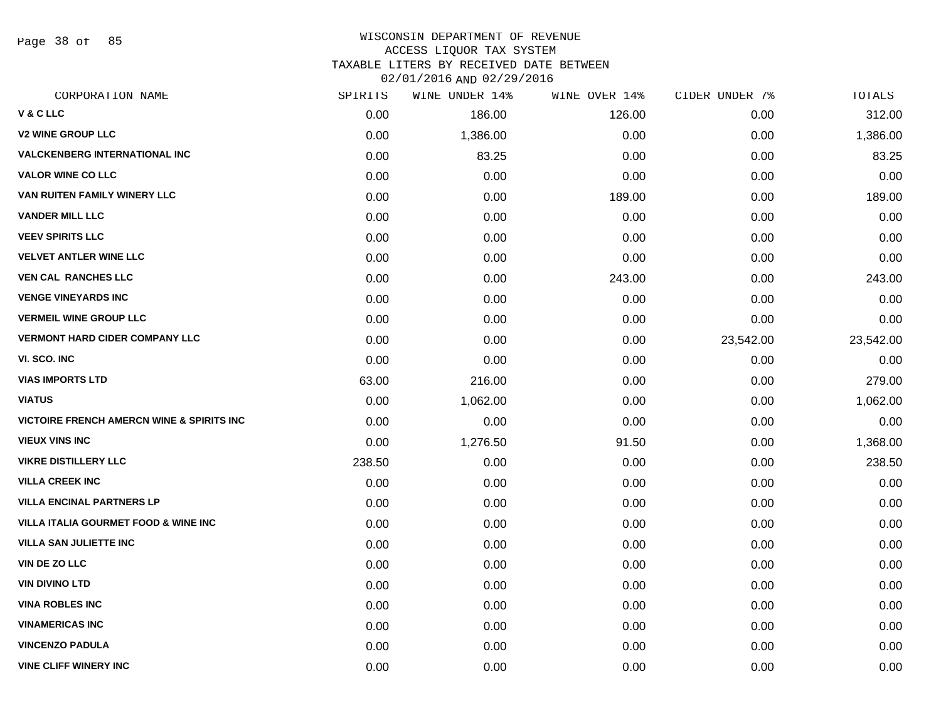Page 38 of 85

#### WISCONSIN DEPARTMENT OF REVENUE ACCESS LIQUOR TAX SYSTEM TAXABLE LITERS BY RECEIVED DATE BETWEEN

02/01/2016 AND 02/29/2016

| CORPORATION NAME                                     | SPIRITS | WINE UNDER 14% | WINE OVER 14% | CIDER UNDER 7% | TOTALS    |
|------------------------------------------------------|---------|----------------|---------------|----------------|-----------|
| V & C LLC                                            | 0.00    | 186.00         | 126.00        | 0.00           | 312.00    |
| <b>V2 WINE GROUP LLC</b>                             | 0.00    | 1,386.00       | 0.00          | 0.00           | 1,386.00  |
| <b>VALCKENBERG INTERNATIONAL INC</b>                 | 0.00    | 83.25          | 0.00          | 0.00           | 83.25     |
| <b>VALOR WINE CO LLC</b>                             | 0.00    | 0.00           | 0.00          | 0.00           | 0.00      |
| VAN RUITEN FAMILY WINERY LLC                         | 0.00    | 0.00           | 189.00        | 0.00           | 189.00    |
| <b>VANDER MILL LLC</b>                               | 0.00    | 0.00           | 0.00          | 0.00           | 0.00      |
| <b>VEEV SPIRITS LLC</b>                              | 0.00    | 0.00           | 0.00          | 0.00           | 0.00      |
| <b>VELVET ANTLER WINE LLC</b>                        | 0.00    | 0.00           | 0.00          | 0.00           | 0.00      |
| <b>VEN CAL RANCHES LLC</b>                           | 0.00    | 0.00           | 243.00        | 0.00           | 243.00    |
| <b>VENGE VINEYARDS INC</b>                           | 0.00    | 0.00           | 0.00          | 0.00           | 0.00      |
| <b>VERMEIL WINE GROUP LLC</b>                        | 0.00    | 0.00           | 0.00          | 0.00           | 0.00      |
| <b>VERMONT HARD CIDER COMPANY LLC</b>                | 0.00    | 0.00           | 0.00          | 23,542.00      | 23,542.00 |
| VI. SCO. INC                                         | 0.00    | 0.00           | 0.00          | 0.00           | 0.00      |
| <b>VIAS IMPORTS LTD</b>                              | 63.00   | 216.00         | 0.00          | 0.00           | 279.00    |
| <b>VIATUS</b>                                        | 0.00    | 1,062.00       | 0.00          | 0.00           | 1,062.00  |
| <b>VICTOIRE FRENCH AMERCN WINE &amp; SPIRITS INC</b> | 0.00    | 0.00           | 0.00          | 0.00           | 0.00      |
| <b>VIEUX VINS INC</b>                                | 0.00    | 1,276.50       | 91.50         | 0.00           | 1,368.00  |
| <b>VIKRE DISTILLERY LLC</b>                          | 238.50  | 0.00           | 0.00          | 0.00           | 238.50    |
| <b>VILLA CREEK INC</b>                               | 0.00    | 0.00           | 0.00          | 0.00           | 0.00      |
| <b>VILLA ENCINAL PARTNERS LP</b>                     | 0.00    | 0.00           | 0.00          | 0.00           | 0.00      |
| <b>VILLA ITALIA GOURMET FOOD &amp; WINE INC</b>      | 0.00    | 0.00           | 0.00          | 0.00           | 0.00      |
| <b>VILLA SAN JULIETTE INC</b>                        | 0.00    | 0.00           | 0.00          | 0.00           | 0.00      |
| <b>VIN DE ZO LLC</b>                                 | 0.00    | 0.00           | 0.00          | 0.00           | 0.00      |
| <b>VIN DIVINO LTD</b>                                | 0.00    | 0.00           | 0.00          | 0.00           | 0.00      |
| <b>VINA ROBLES INC</b>                               | 0.00    | 0.00           | 0.00          | 0.00           | 0.00      |
| <b>VINAMERICAS INC</b>                               | 0.00    | 0.00           | 0.00          | 0.00           | 0.00      |
| <b>VINCENZO PADULA</b>                               | 0.00    | 0.00           | 0.00          | 0.00           | 0.00      |
| <b>VINE CLIFF WINERY INC</b>                         | 0.00    | 0.00           | 0.00          | 0.00           | 0.00      |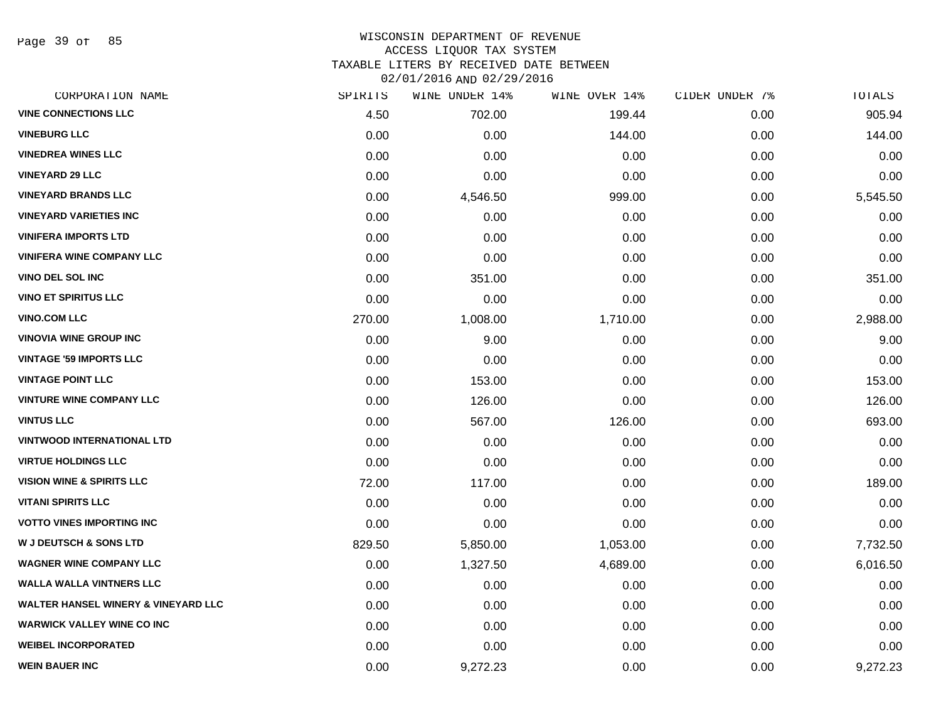Page 39 of 85

| CORPORATION NAME                     | SPIRITS | WINE UNDER 14% | WINE OVER 14% | CIDER UNDER 7% | TOTALS   |
|--------------------------------------|---------|----------------|---------------|----------------|----------|
| <b>VINE CONNECTIONS LLC</b>          | 4.50    | 702.00         | 199.44        | 0.00           | 905.94   |
| <b>VINEBURG LLC</b>                  | 0.00    | 0.00           | 144.00        | 0.00           | 144.00   |
| <b>VINEDREA WINES LLC</b>            | 0.00    | 0.00           | 0.00          | 0.00           | 0.00     |
| <b>VINEYARD 29 LLC</b>               | 0.00    | 0.00           | 0.00          | 0.00           | 0.00     |
| <b>VINEYARD BRANDS LLC</b>           | 0.00    | 4,546.50       | 999.00        | 0.00           | 5,545.50 |
| <b>VINEYARD VARIETIES INC</b>        | 0.00    | 0.00           | 0.00          | 0.00           | 0.00     |
| <b>VINIFERA IMPORTS LTD</b>          | 0.00    | 0.00           | 0.00          | 0.00           | 0.00     |
| <b>VINIFERA WINE COMPANY LLC</b>     | 0.00    | 0.00           | 0.00          | 0.00           | 0.00     |
| <b>VINO DEL SOL INC</b>              | 0.00    | 351.00         | 0.00          | 0.00           | 351.00   |
| <b>VINO ET SPIRITUS LLC</b>          | 0.00    | 0.00           | 0.00          | 0.00           | 0.00     |
| <b>VINO.COM LLC</b>                  | 270.00  | 1,008.00       | 1,710.00      | 0.00           | 2,988.00 |
| <b>VINOVIA WINE GROUP INC</b>        | 0.00    | 9.00           | 0.00          | 0.00           | 9.00     |
| <b>VINTAGE '59 IMPORTS LLC</b>       | 0.00    | 0.00           | 0.00          | 0.00           | 0.00     |
| <b>VINTAGE POINT LLC</b>             | 0.00    | 153.00         | 0.00          | 0.00           | 153.00   |
| <b>VINTURE WINE COMPANY LLC</b>      | 0.00    | 126.00         | 0.00          | 0.00           | 126.00   |
| <b>VINTUS LLC</b>                    | 0.00    | 567.00         | 126.00        | 0.00           | 693.00   |
| <b>VINTWOOD INTERNATIONAL LTD</b>    | 0.00    | 0.00           | 0.00          | 0.00           | 0.00     |
| <b>VIRTUE HOLDINGS LLC</b>           | 0.00    | 0.00           | 0.00          | 0.00           | 0.00     |
| <b>VISION WINE &amp; SPIRITS LLC</b> | 72.00   | 117.00         | 0.00          | 0.00           | 189.00   |
| <b>VITANI SPIRITS LLC</b>            | 0.00    | 0.00           | 0.00          | 0.00           | 0.00     |
| <b>VOTTO VINES IMPORTING INC</b>     | 0.00    | 0.00           | 0.00          | 0.00           | 0.00     |
| <b>W J DEUTSCH &amp; SONS LTD</b>    | 829.50  | 5,850.00       | 1,053.00      | 0.00           | 7,732.50 |
| <b>WAGNER WINE COMPANY LLC</b>       | 0.00    | 1,327.50       | 4,689.00      | 0.00           | 6,016.50 |
| <b>WALLA WALLA VINTNERS LLC</b>      | 0.00    | 0.00           | 0.00          | 0.00           | 0.00     |
| WALTER HANSEL WINERY & VINEYARD LLC  | 0.00    | 0.00           | 0.00          | 0.00           | 0.00     |
| <b>WARWICK VALLEY WINE CO INC</b>    | 0.00    | 0.00           | 0.00          | 0.00           | 0.00     |
| <b>WEIBEL INCORPORATED</b>           | 0.00    | 0.00           | 0.00          | 0.00           | 0.00     |
| <b>WEIN BAUER INC</b>                | 0.00    | 9,272.23       | 0.00          | 0.00           | 9,272.23 |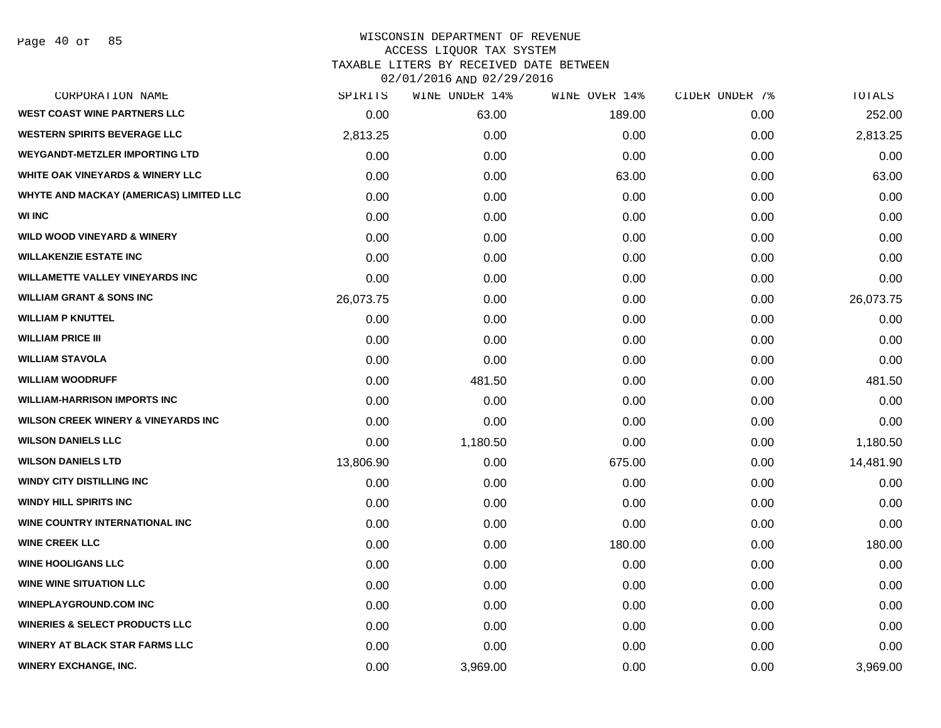Page 40 of 85

| CORPORATION NAME                               | SPIRITS   | WINE UNDER 14% | WINE OVER 14% | CIDER UNDER 7% | TOTALS    |
|------------------------------------------------|-----------|----------------|---------------|----------------|-----------|
| <b>WEST COAST WINE PARTNERS LLC</b>            | 0.00      | 63.00          | 189.00        | 0.00           | 252.00    |
| <b>WESTERN SPIRITS BEVERAGE LLC</b>            | 2,813.25  | 0.00           | 0.00          | 0.00           | 2,813.25  |
| <b>WEYGANDT-METZLER IMPORTING LTD</b>          | 0.00      | 0.00           | 0.00          | 0.00           | 0.00      |
| <b>WHITE OAK VINEYARDS &amp; WINERY LLC</b>    | 0.00      | 0.00           | 63.00         | 0.00           | 63.00     |
| <b>WHYTE AND MACKAY (AMERICAS) LIMITED LLC</b> | 0.00      | 0.00           | 0.00          | 0.00           | 0.00      |
| <b>WI INC</b>                                  | 0.00      | 0.00           | 0.00          | 0.00           | 0.00      |
| <b>WILD WOOD VINEYARD &amp; WINERY</b>         | 0.00      | 0.00           | 0.00          | 0.00           | 0.00      |
| <b>WILLAKENZIE ESTATE INC</b>                  | 0.00      | 0.00           | 0.00          | 0.00           | 0.00      |
| <b>WILLAMETTE VALLEY VINEYARDS INC</b>         | 0.00      | 0.00           | 0.00          | 0.00           | 0.00      |
| <b>WILLIAM GRANT &amp; SONS INC</b>            | 26,073.75 | 0.00           | 0.00          | 0.00           | 26,073.75 |
| <b>WILLIAM P KNUTTEL</b>                       | 0.00      | 0.00           | 0.00          | 0.00           | 0.00      |
| <b>WILLIAM PRICE III</b>                       | 0.00      | 0.00           | 0.00          | 0.00           | 0.00      |
| <b>WILLIAM STAVOLA</b>                         | 0.00      | 0.00           | 0.00          | 0.00           | 0.00      |
| <b>WILLIAM WOODRUFF</b>                        | 0.00      | 481.50         | 0.00          | 0.00           | 481.50    |
| <b>WILLIAM-HARRISON IMPORTS INC</b>            | 0.00      | 0.00           | 0.00          | 0.00           | 0.00      |
| <b>WILSON CREEK WINERY &amp; VINEYARDS INC</b> | 0.00      | 0.00           | 0.00          | 0.00           | 0.00      |
| <b>WILSON DANIELS LLC</b>                      | 0.00      | 1,180.50       | 0.00          | 0.00           | 1,180.50  |
| <b>WILSON DANIELS LTD</b>                      | 13,806.90 | 0.00           | 675.00        | 0.00           | 14,481.90 |
| <b>WINDY CITY DISTILLING INC</b>               | 0.00      | 0.00           | 0.00          | 0.00           | 0.00      |
| <b>WINDY HILL SPIRITS INC</b>                  | 0.00      | 0.00           | 0.00          | 0.00           | 0.00      |
| <b>WINE COUNTRY INTERNATIONAL INC</b>          | 0.00      | 0.00           | 0.00          | 0.00           | 0.00      |
| <b>WINE CREEK LLC</b>                          | 0.00      | 0.00           | 180.00        | 0.00           | 180.00    |
| <b>WINE HOOLIGANS LLC</b>                      | 0.00      | 0.00           | 0.00          | 0.00           | 0.00      |
| <b>WINE WINE SITUATION LLC</b>                 | 0.00      | 0.00           | 0.00          | 0.00           | 0.00      |
| <b>WINEPLAYGROUND.COM INC</b>                  | 0.00      | 0.00           | 0.00          | 0.00           | 0.00      |
| <b>WINERIES &amp; SELECT PRODUCTS LLC</b>      | 0.00      | 0.00           | 0.00          | 0.00           | 0.00      |
| <b>WINERY AT BLACK STAR FARMS LLC</b>          | 0.00      | 0.00           | 0.00          | 0.00           | 0.00      |
| <b>WINERY EXCHANGE, INC.</b>                   | 0.00      | 3,969.00       | 0.00          | 0.00           | 3,969.00  |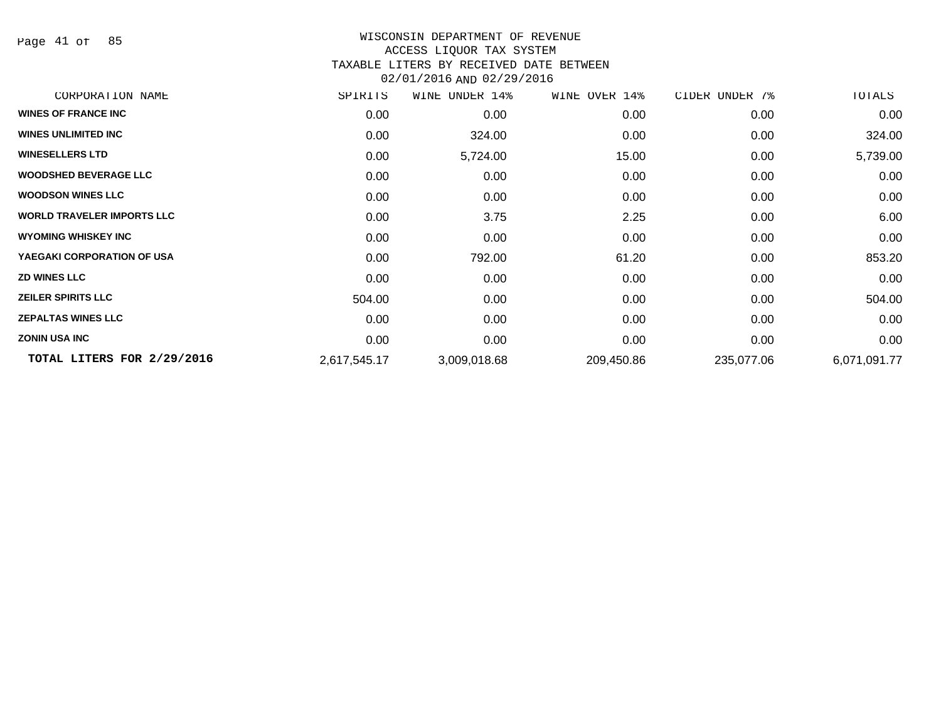Page 41 of 85

# WISCONSIN DEPARTMENT OF REVENUE ACCESS LIQUOR TAX SYSTEM

# TAXABLE LITERS BY RECEIVED DATE BETWEEN

02/01/2016 AND 02/29/2016

| CORPORATION NAME                  | SPIRITS      | WINE UNDER 14% | WINE OVER 14% | CIDER UNDER 7% | TOTALS       |
|-----------------------------------|--------------|----------------|---------------|----------------|--------------|
| <b>WINES OF FRANCE INC</b>        | 0.00         | 0.00           | 0.00          | 0.00           | 0.00         |
| <b>WINES UNLIMITED INC</b>        | 0.00         | 324.00         | 0.00          | 0.00           | 324.00       |
| <b>WINESELLERS LTD</b>            | 0.00         | 5,724.00       | 15.00         | 0.00           | 5,739.00     |
| <b>WOODSHED BEVERAGE LLC</b>      | 0.00         | 0.00           | 0.00          | 0.00           | 0.00         |
| <b>WOODSON WINES LLC</b>          | 0.00         | 0.00           | 0.00          | 0.00           | 0.00         |
| <b>WORLD TRAVELER IMPORTS LLC</b> | 0.00         | 3.75           | 2.25          | 0.00           | 6.00         |
| <b>WYOMING WHISKEY INC</b>        | 0.00         | 0.00           | 0.00          | 0.00           | 0.00         |
| YAEGAKI CORPORATION OF USA        | 0.00         | 792.00         | 61.20         | 0.00           | 853.20       |
| <b>ZD WINES LLC</b>               | 0.00         | 0.00           | 0.00          | 0.00           | 0.00         |
| <b>ZEILER SPIRITS LLC</b>         | 504.00       | 0.00           | 0.00          | 0.00           | 504.00       |
| <b>ZEPALTAS WINES LLC</b>         | 0.00         | 0.00           | 0.00          | 0.00           | 0.00         |
| <b>ZONIN USA INC</b>              | 0.00         | 0.00           | 0.00          | 0.00           | 0.00         |
| TOTAL LITERS FOR 2/29/2016        | 2,617,545.17 | 3,009,018.68   | 209,450.86    | 235,077.06     | 6,071,091.77 |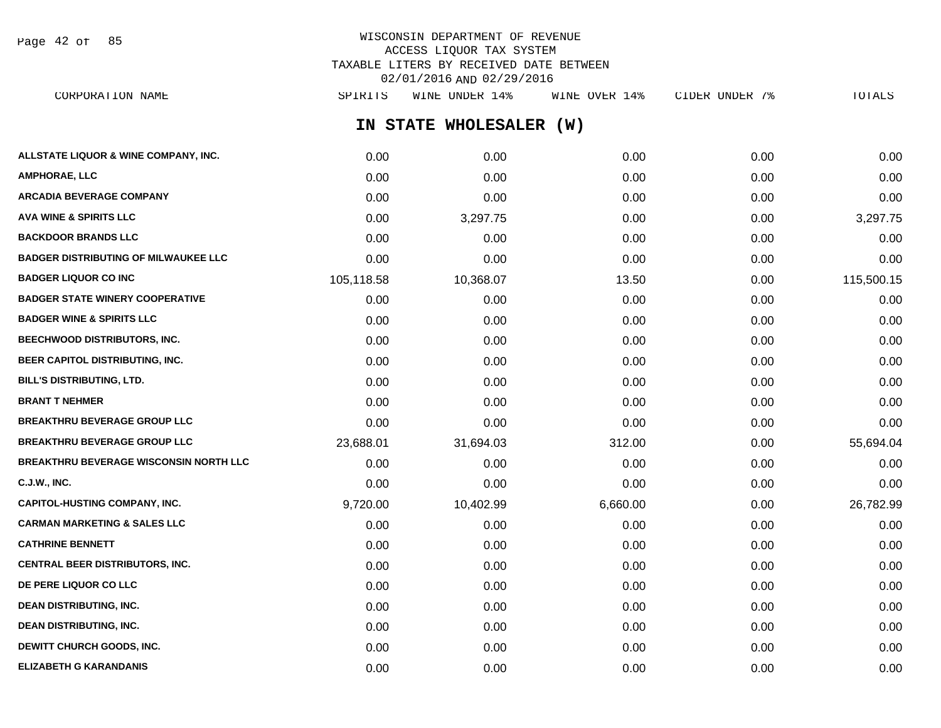Page 42 of 85

# WISCONSIN DEPARTMENT OF REVENUE ACCESS LIQUOR TAX SYSTEM TAXABLE LITERS BY RECEIVED DATE BETWEEN 02/01/2016 AND 02/29/2016

**IN STATE WHOLESALER (W) ALLSTATE LIQUOR & WINE COMPANY, INC.**  $0.00$   $0.00$   $0.00$   $0.00$   $0.00$   $0.00$   $0.00$   $0.00$   $0.00$   $0.00$   $0.00$   $0.00$ **AMPHORAE, LLC** 0.00 0.00 0.00 0.00 0.00 **ARCADIA BEVERAGE COMPANY** 0.00 0.00 0.00 0.00 0.00 **AVA WINE & SPIRITS LLC** 0.00 3,297.75 0.00 0.00 3,297.75 **BACKDOOR BRANDS LLC** 0.00 0.00 0.00 0.00 0.00 **BADGER DISTRIBUTING OF MILWAUKEE LLC** 0.00 0.00 0.00 0.00 0.00 **BADGER LIQUOR CO INC** 105,118.58 10,368.07 13.50 0.00 115,500.15 **BADGER STATE WINERY COOPERATIVE** 0.00 0.00 0.00 0.00 0.00 **BADGER WINE & SPIRITS LLC**  $\begin{array}{ccc} 0.00 & 0.00 & 0.00 \\ 0.00 & 0.00 & 0.00 \end{array}$ **BEECHWOOD DISTRIBUTORS, INC.** 0.00 0.00 0.00 0.00 0.00 **BEER CAPITOL DISTRIBUTING, INC.** 0.00 0.00 0.00 0.00 0.00 **BILL'S DISTRIBUTING, LTD.** 0.00 0.00 0.00 0.00 0.00 **BRANT T NEHMER** 0.00 0.00 0.00 0.00 0.00 **BREAKTHRU BEVERAGE GROUP LLC** 0.00 0.00 0.00 0.00 0.00 **BREAKTHRU BEVERAGE GROUP LLC** 23,688.01 31,694.03 312.00 0.00 55,694.04 **BREAKTHRU BEVERAGE WISCONSIN NORTH LLC** 0.00 0.00 0.00 0.00 0.00 **C.J.W., INC.** 0.00 0.00 0.00 0.00 0.00 **CAPITOL-HUSTING COMPANY, INC.**  $9,720.00$   $10,402.99$   $6,660.00$   $0.00$   $26,782.99$ **CARMAN MARKETING & SALES LLC** 0.00 0.00 0.00 0.00 0.00 **CATHRINE BENNETT** 0.00 0.00 0.00 0.00 0.00 **CENTRAL BEER DISTRIBUTORS, INC.** 0.00 0.00 0.00 0.00 0.00 **DE PERE LIQUOR CO LLC** 0.00 0.00 0.00 0.00 0.00 **DEAN DISTRIBUTING, INC.** 0.00 0.00 0.00 0.00 0.00 **DEAN DISTRIBUTING, INC.** 0.00 0.00 0.00 0.00 0.00 **DEWITT CHURCH GOODS, INC.** 0.00 0.00 0.00 0.00 0.00 CORPORATION NAME SPIRITS WINE UNDER 14% WINE OVER 14% CIDER UNDER 7% TOTALS

**ELIZABETH G KARANDANIS** 0.00 0.00 0.00 0.00 0.00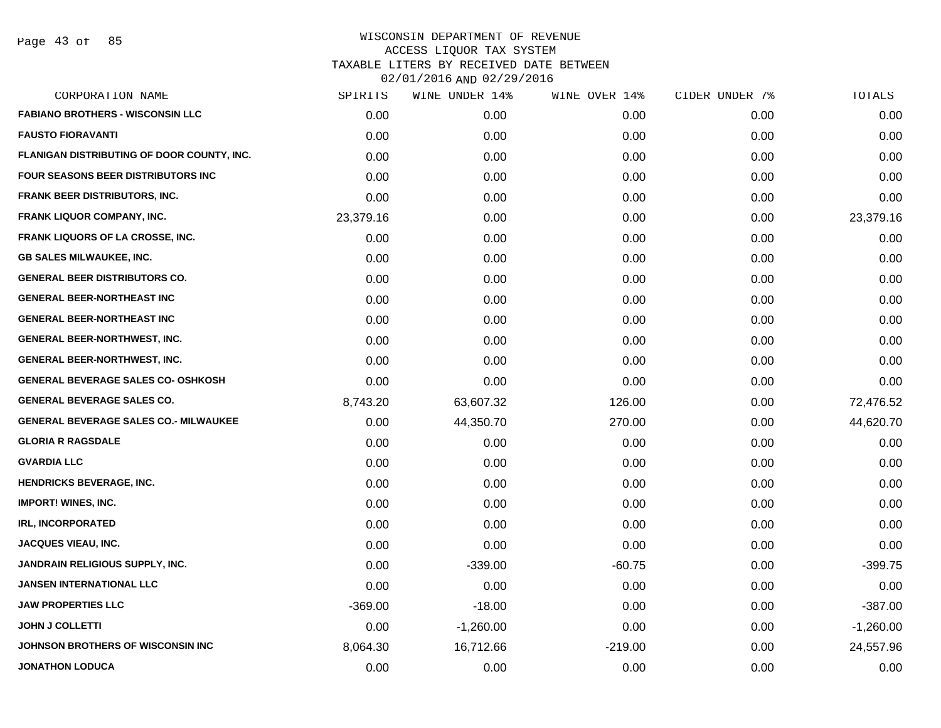| CORPORATION NAME                             | SPIRITS   | WINE UNDER 14% | WINE OVER 14% | CIDER UNDER 7% | TOTALS      |
|----------------------------------------------|-----------|----------------|---------------|----------------|-------------|
| <b>FABIANO BROTHERS - WISCONSIN LLC</b>      | 0.00      | 0.00           | 0.00          | 0.00           | 0.00        |
| <b>FAUSTO FIORAVANTI</b>                     | 0.00      | 0.00           | 0.00          | 0.00           | 0.00        |
| FLANIGAN DISTRIBUTING OF DOOR COUNTY, INC.   | 0.00      | 0.00           | 0.00          | 0.00           | 0.00        |
| <b>FOUR SEASONS BEER DISTRIBUTORS INC.</b>   | 0.00      | 0.00           | 0.00          | 0.00           | 0.00        |
| <b>FRANK BEER DISTRIBUTORS, INC.</b>         | 0.00      | 0.00           | 0.00          | 0.00           | 0.00        |
| <b>FRANK LIQUOR COMPANY, INC.</b>            | 23,379.16 | 0.00           | 0.00          | 0.00           | 23,379.16   |
| FRANK LIQUORS OF LA CROSSE, INC.             | 0.00      | 0.00           | 0.00          | 0.00           | 0.00        |
| <b>GB SALES MILWAUKEE, INC.</b>              | 0.00      | 0.00           | 0.00          | 0.00           | 0.00        |
| <b>GENERAL BEER DISTRIBUTORS CO.</b>         | 0.00      | 0.00           | 0.00          | 0.00           | 0.00        |
| <b>GENERAL BEER-NORTHEAST INC</b>            | 0.00      | 0.00           | 0.00          | 0.00           | 0.00        |
| <b>GENERAL BEER-NORTHEAST INC</b>            | 0.00      | 0.00           | 0.00          | 0.00           | 0.00        |
| GENERAL BEER-NORTHWEST, INC.                 | 0.00      | 0.00           | 0.00          | 0.00           | 0.00        |
| <b>GENERAL BEER-NORTHWEST, INC.</b>          | 0.00      | 0.00           | 0.00          | 0.00           | 0.00        |
| <b>GENERAL BEVERAGE SALES CO- OSHKOSH</b>    | 0.00      | 0.00           | 0.00          | 0.00           | 0.00        |
| <b>GENERAL BEVERAGE SALES CO.</b>            | 8,743.20  | 63,607.32      | 126.00        | 0.00           | 72,476.52   |
| <b>GENERAL BEVERAGE SALES CO.- MILWAUKEE</b> | 0.00      | 44,350.70      | 270.00        | 0.00           | 44,620.70   |
| <b>GLORIA R RAGSDALE</b>                     | 0.00      | 0.00           | 0.00          | 0.00           | 0.00        |
| <b>GVARDIA LLC</b>                           | 0.00      | 0.00           | 0.00          | 0.00           | 0.00        |
| <b>HENDRICKS BEVERAGE, INC.</b>              | 0.00      | 0.00           | 0.00          | 0.00           | 0.00        |
| <b>IMPORT! WINES, INC.</b>                   | 0.00      | 0.00           | 0.00          | 0.00           | 0.00        |
| <b>IRL, INCORPORATED</b>                     | 0.00      | 0.00           | 0.00          | 0.00           | 0.00        |
| <b>JACQUES VIEAU, INC.</b>                   | 0.00      | 0.00           | 0.00          | 0.00           | 0.00        |
| <b>JANDRAIN RELIGIOUS SUPPLY, INC.</b>       | 0.00      | $-339.00$      | $-60.75$      | 0.00           | $-399.75$   |
| <b>JANSEN INTERNATIONAL LLC</b>              | 0.00      | 0.00           | 0.00          | 0.00           | 0.00        |
| <b>JAW PROPERTIES LLC</b>                    | $-369.00$ | $-18.00$       | 0.00          | 0.00           | $-387.00$   |
| <b>JOHN J COLLETTI</b>                       | 0.00      | $-1,260.00$    | 0.00          | 0.00           | $-1,260.00$ |
| JOHNSON BROTHERS OF WISCONSIN INC            | 8,064.30  | 16,712.66      | $-219.00$     | 0.00           | 24,557.96   |
| <b>JONATHON LODUCA</b>                       | 0.00      | 0.00           | 0.00          | 0.00           | 0.00        |
|                                              |           |                |               |                |             |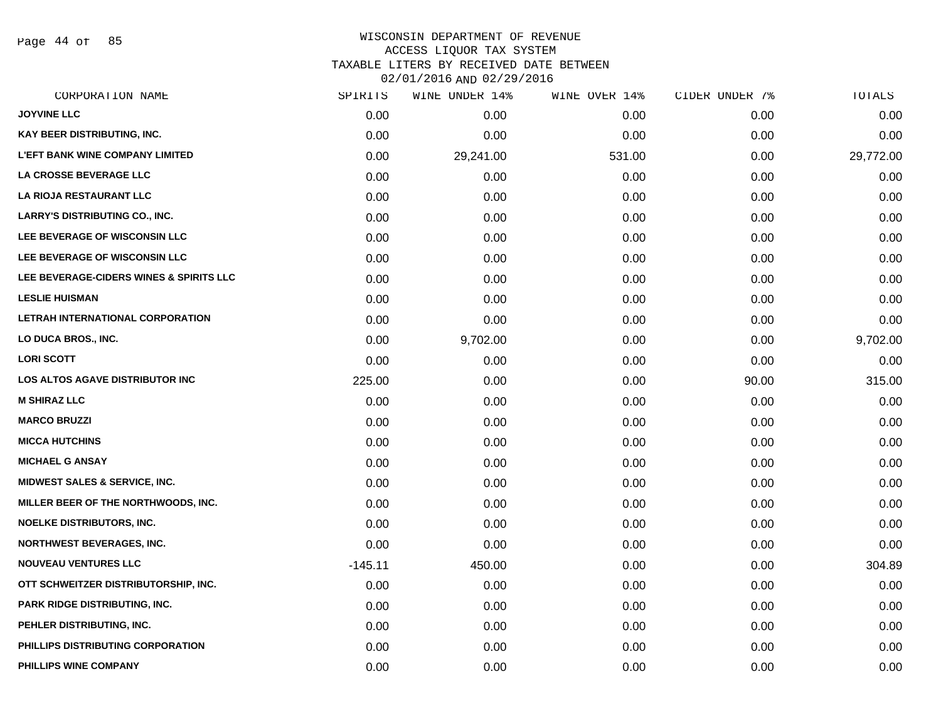Page 44 of 85

| CORPORATION NAME                        | SPIRITS   | WINE UNDER 14% | WINE OVER 14% | CIDER UNDER 7% | TOTALS    |
|-----------------------------------------|-----------|----------------|---------------|----------------|-----------|
| <b>JOYVINE LLC</b>                      | 0.00      | 0.00           | 0.00          | 0.00           | 0.00      |
| KAY BEER DISTRIBUTING, INC.             | 0.00      | 0.00           | 0.00          | 0.00           | 0.00      |
| <b>L'EFT BANK WINE COMPANY LIMITED</b>  | 0.00      | 29,241.00      | 531.00        | 0.00           | 29,772.00 |
| LA CROSSE BEVERAGE LLC                  | 0.00      | 0.00           | 0.00          | 0.00           | 0.00      |
| LA RIOJA RESTAURANT LLC                 | 0.00      | 0.00           | 0.00          | 0.00           | 0.00      |
| <b>LARRY'S DISTRIBUTING CO., INC.</b>   | 0.00      | 0.00           | 0.00          | 0.00           | 0.00      |
| LEE BEVERAGE OF WISCONSIN LLC           | 0.00      | 0.00           | 0.00          | 0.00           | 0.00      |
| LEE BEVERAGE OF WISCONSIN LLC           | 0.00      | 0.00           | 0.00          | 0.00           | 0.00      |
| LEE BEVERAGE-CIDERS WINES & SPIRITS LLC | 0.00      | 0.00           | 0.00          | 0.00           | 0.00      |
| <b>LESLIE HUISMAN</b>                   | 0.00      | 0.00           | 0.00          | 0.00           | 0.00      |
| LETRAH INTERNATIONAL CORPORATION        | 0.00      | 0.00           | 0.00          | 0.00           | 0.00      |
| LO DUCA BROS., INC.                     | 0.00      | 9,702.00       | 0.00          | 0.00           | 9,702.00  |
| <b>LORI SCOTT</b>                       | 0.00      | 0.00           | 0.00          | 0.00           | 0.00      |
| <b>LOS ALTOS AGAVE DISTRIBUTOR INC</b>  | 225.00    | 0.00           | 0.00          | 90.00          | 315.00    |
| <b>M SHIRAZ LLC</b>                     | 0.00      | 0.00           | 0.00          | 0.00           | 0.00      |
| <b>MARCO BRUZZI</b>                     | 0.00      | 0.00           | 0.00          | 0.00           | 0.00      |
| <b>MICCA HUTCHINS</b>                   | 0.00      | 0.00           | 0.00          | 0.00           | 0.00      |
| <b>MICHAEL G ANSAY</b>                  | 0.00      | 0.00           | 0.00          | 0.00           | 0.00      |
| MIDWEST SALES & SERVICE, INC.           | 0.00      | 0.00           | 0.00          | 0.00           | 0.00      |
| MILLER BEER OF THE NORTHWOODS, INC.     | 0.00      | 0.00           | 0.00          | 0.00           | 0.00      |
| <b>NOELKE DISTRIBUTORS, INC.</b>        | 0.00      | 0.00           | 0.00          | 0.00           | 0.00      |
| <b>NORTHWEST BEVERAGES, INC.</b>        | 0.00      | 0.00           | 0.00          | 0.00           | 0.00      |
| <b>NOUVEAU VENTURES LLC</b>             | $-145.11$ | 450.00         | 0.00          | 0.00           | 304.89    |
| OTT SCHWEITZER DISTRIBUTORSHIP, INC.    | 0.00      | 0.00           | 0.00          | 0.00           | 0.00      |
| PARK RIDGE DISTRIBUTING, INC.           | 0.00      | 0.00           | 0.00          | 0.00           | 0.00      |
| PEHLER DISTRIBUTING, INC.               | 0.00      | 0.00           | 0.00          | 0.00           | 0.00      |
| PHILLIPS DISTRIBUTING CORPORATION       | 0.00      | 0.00           | 0.00          | 0.00           | 0.00      |
| PHILLIPS WINE COMPANY                   | 0.00      | 0.00           | 0.00          | 0.00           | 0.00      |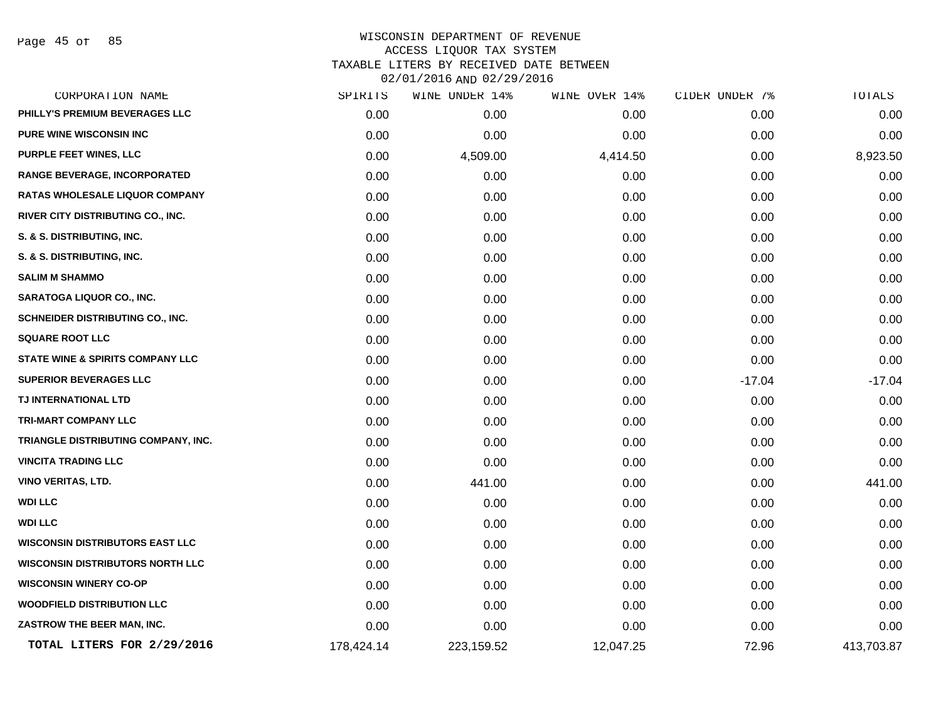Page 45 of 85

| CORPORATION NAME                        | SPIRITS    | WINE UNDER 14% | WINE OVER 14% | CIDER UNDER 7% | TOTALS     |
|-----------------------------------------|------------|----------------|---------------|----------------|------------|
| PHILLY'S PREMIUM BEVERAGES LLC          | 0.00       | 0.00           | 0.00          | 0.00           | 0.00       |
| <b>PURE WINE WISCONSIN INC.</b>         | 0.00       | 0.00           | 0.00          | 0.00           | 0.00       |
| PURPLE FEET WINES, LLC                  | 0.00       | 4,509.00       | 4,414.50      | 0.00           | 8,923.50   |
| <b>RANGE BEVERAGE, INCORPORATED</b>     | 0.00       | 0.00           | 0.00          | 0.00           | 0.00       |
| <b>RATAS WHOLESALE LIQUOR COMPANY</b>   | 0.00       | 0.00           | 0.00          | 0.00           | 0.00       |
| RIVER CITY DISTRIBUTING CO., INC.       | 0.00       | 0.00           | 0.00          | 0.00           | 0.00       |
| S. & S. DISTRIBUTING, INC.              | 0.00       | 0.00           | 0.00          | 0.00           | 0.00       |
| S. & S. DISTRIBUTING, INC.              | 0.00       | 0.00           | 0.00          | 0.00           | 0.00       |
| <b>SALIM M SHAMMO</b>                   | 0.00       | 0.00           | 0.00          | 0.00           | 0.00       |
| <b>SARATOGA LIQUOR CO., INC.</b>        | 0.00       | 0.00           | 0.00          | 0.00           | 0.00       |
| SCHNEIDER DISTRIBUTING CO., INC.        | 0.00       | 0.00           | 0.00          | 0.00           | 0.00       |
| <b>SQUARE ROOT LLC</b>                  | 0.00       | 0.00           | 0.00          | 0.00           | 0.00       |
| STATE WINE & SPIRITS COMPANY LLC        | 0.00       | 0.00           | 0.00          | 0.00           | 0.00       |
| <b>SUPERIOR BEVERAGES LLC</b>           | 0.00       | 0.00           | 0.00          | $-17.04$       | $-17.04$   |
| TJ INTERNATIONAL LTD                    | 0.00       | 0.00           | 0.00          | 0.00           | 0.00       |
| <b>TRI-MART COMPANY LLC</b>             | 0.00       | 0.00           | 0.00          | 0.00           | 0.00       |
| TRIANGLE DISTRIBUTING COMPANY, INC.     | 0.00       | 0.00           | 0.00          | 0.00           | 0.00       |
| <b>VINCITA TRADING LLC</b>              | 0.00       | 0.00           | 0.00          | 0.00           | 0.00       |
| VINO VERITAS, LTD.                      | 0.00       | 441.00         | 0.00          | 0.00           | 441.00     |
| <b>WDI LLC</b>                          | 0.00       | 0.00           | 0.00          | 0.00           | 0.00       |
| <b>WDI LLC</b>                          | 0.00       | 0.00           | 0.00          | 0.00           | 0.00       |
| <b>WISCONSIN DISTRIBUTORS EAST LLC</b>  | 0.00       | 0.00           | 0.00          | 0.00           | 0.00       |
| <b>WISCONSIN DISTRIBUTORS NORTH LLC</b> | 0.00       | 0.00           | 0.00          | 0.00           | 0.00       |
| <b>WISCONSIN WINERY CO-OP</b>           | 0.00       | 0.00           | 0.00          | 0.00           | 0.00       |
| <b>WOODFIELD DISTRIBUTION LLC</b>       | 0.00       | 0.00           | 0.00          | 0.00           | 0.00       |
| ZASTROW THE BEER MAN, INC.              | 0.00       | 0.00           | 0.00          | 0.00           | 0.00       |
| TOTAL LITERS FOR 2/29/2016              | 178,424.14 | 223,159.52     | 12,047.25     | 72.96          | 413,703.87 |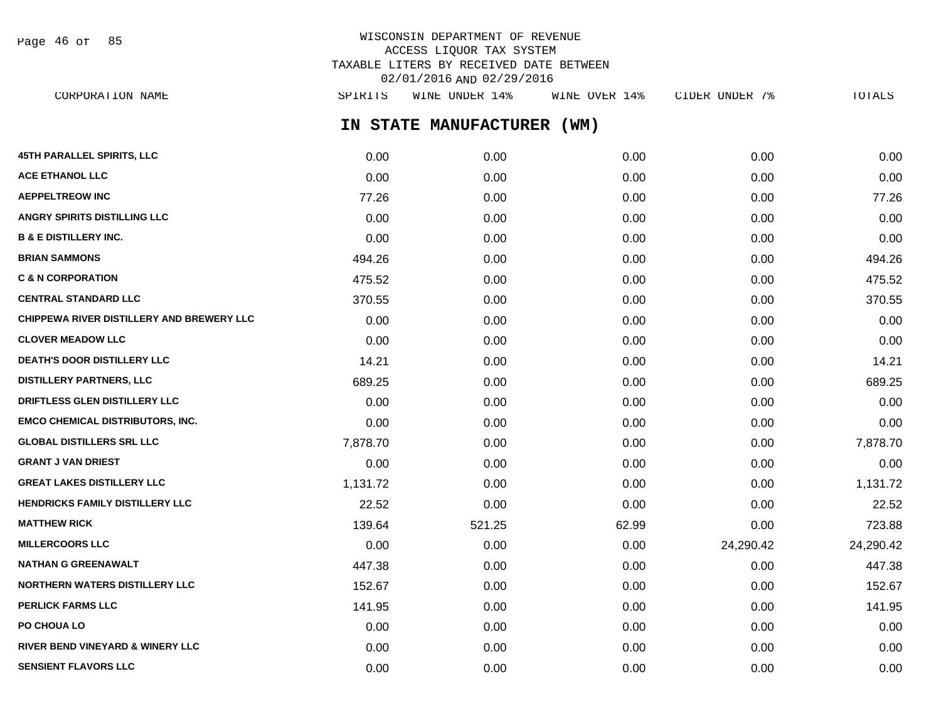Page 46 of 85

# WISCONSIN DEPARTMENT OF REVENUE ACCESS LIQUOR TAX SYSTEM TAXABLE LITERS BY RECEIVED DATE BETWEEN 02/01/2016 AND 02/29/2016

**IN STATE MANUFACTURER (WM) 45TH PARALLEL SPIRITS, LLC** 0.00 0.00 0.00 0.00 0.00 **ACE ETHANOL LLC** 0.00 0.00 0.00 0.00 0.00 **AEPPELTREOW INC** 77.26 0.00 0.00 0.00 77.26 **ANGRY SPIRITS DISTILLING LLC** 0.00 0.00 0.00 0.00 0.00 **B & E DISTILLERY INC.** 0.00 0.00 0.00 0.00 0.00 **BRIAN SAMMONS** 6.000 494.26 6.000 6.000 6.000 6.000 6.000 6.000 6.000 494.26 **C & N CORPORATION 60.00 60.00 475.52** 475.52 6.000 6.000 6.000 0.00 0.00 6.000 475.52 **CENTRAL STANDARD LLC** 370.55 0.00 0.00 0.00 370.55 **CHIPPEWA RIVER DISTILLERY AND BREWERY LLC** 0.00 0.00 0.00 0.00 0.00 **CLOVER MEADOW LLC** 0.00 0.00 0.00 0.00 0.00 **DEATH'S DOOR DISTILLERY LLC** 14.21 0.00 0.00 0.00 0.00 0.00 0.00 14.21 **DISTILLERY PARTNERS, LLC** 689.25 0.00 0.00 0.00 689.25 **DRIFTLESS GLEN DISTILLERY LLC** 0.00 0.00 0.00 0.00 0.00 **EMCO CHEMICAL DISTRIBUTORS, INC.** 0.00 0.00 0.00 0.00 0.00 **GLOBAL DISTILLERS SRL LLC** 7,878.70 0.00 0.00 0.00 7,878.70 **GRANT J VAN DRIEST** 0.00 0.00 0.00 0.00 0.00 **GREAT LAKES DISTILLERY LLC** 1,131.72 0.00 0.00 0.00 1,131.72 **HENDRICKS FAMILY DISTILLERY LLC** 22.52 0.00 0.00 0.00 22.52 **MATTHEW RICK 139.64 521.25 62.99 0.00 723.88 62.99 0.00 723.88 MILLERCOORS LLC** 0.00 0.00 0.00 24,290.42 24,290.42 **NATHAN G GREENAWALT** 447.38 0.00 0.00 0.00 447.38 **NORTHERN WATERS DISTILLERY LLC** 152.67 0.00 0.00 0.00 0.00 0.00 0.00 0.00 152.67 **PERLICK FARMS LLC** 141.95 0.00 0.00 0.00 141.95 **PO CHOUA LO** 0.00 0.00 0.00 0.00 0.00 **RIVER BEND VINEYARD & WINERY LLC** 0.00 0.00 0.00 0.00 0.00 CORPORATION NAME SPIRITS WINE UNDER 14% WINE OVER 14% CIDER UNDER 7% TOTALS

**SENSIENT FLAVORS LLC** 0.00 0.00 0.00 0.00 0.00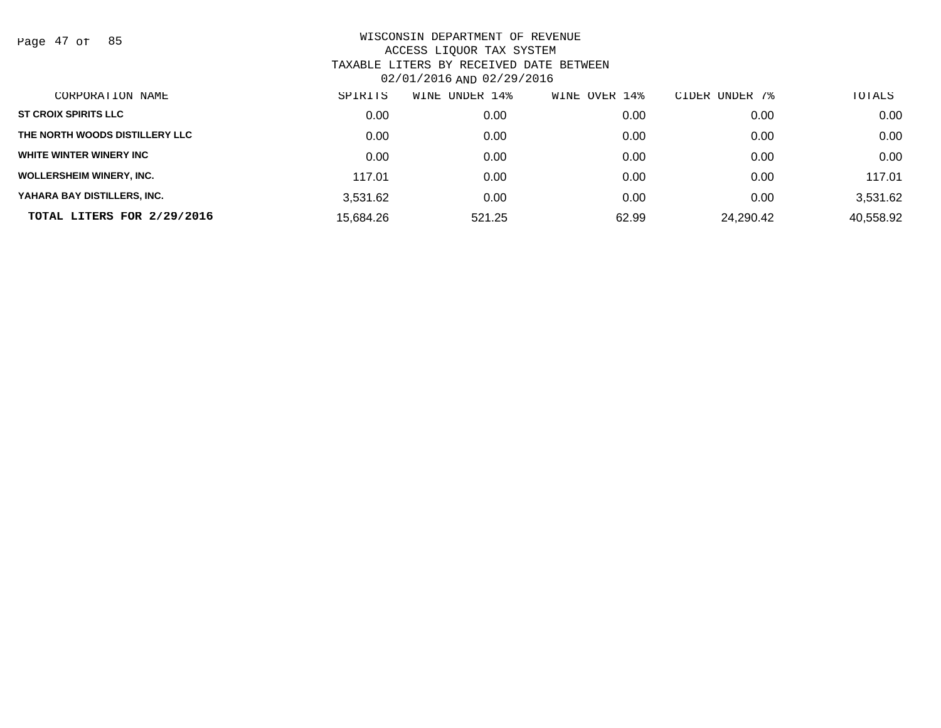Page 47 of 85

| CORPORATION NAME                | SPIRITS   | UNDER 14%<br>WINE | WINE OVER 14% | CIDER UNDER 7% | TOTALS    |
|---------------------------------|-----------|-------------------|---------------|----------------|-----------|
| <b>ST CROIX SPIRITS LLC</b>     | 0.00      | 0.00              | 0.00          | 0.00           | 0.00      |
| THE NORTH WOODS DISTILLERY LLC  | 0.00      | 0.00              | 0.00          | 0.00           | 0.00      |
| WHITE WINTER WINERY INC         | 0.00      | 0.00              | 0.00          | 0.00           | 0.00      |
| <b>WOLLERSHEIM WINERY, INC.</b> | 117.01    | 0.00              | 0.00          | 0.00           | 117.01    |
| YAHARA BAY DISTILLERS, INC.     | 3,531.62  | 0.00              | 0.00          | 0.00           | 3,531.62  |
| TOTAL LITERS FOR 2/29/2016      | 15,684.26 | 521.25            | 62.99         | 24,290.42      | 40,558.92 |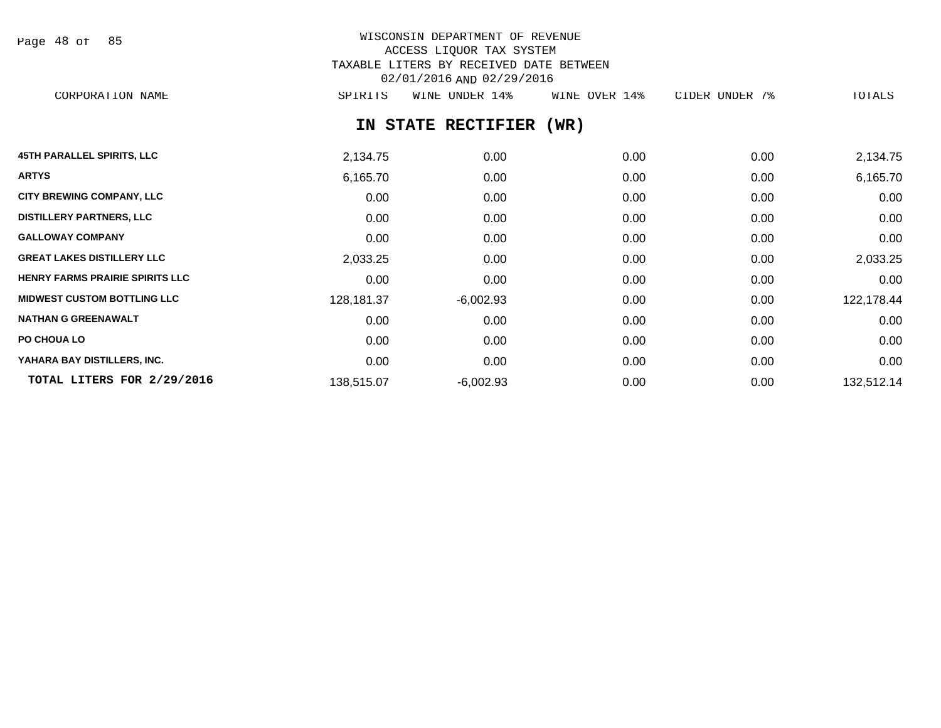| Page 48 of |  |  | 85 |
|------------|--|--|----|
|------------|--|--|----|

# WISCONSIN DEPARTMENT OF REVENUE ACCESS LIQUOR TAX SYSTEM TAXABLE LITERS BY RECEIVED DATE BETWEEN 02/01/2016 AND 02/29/2016

CORPORATION NAME SPIRITS WINE UNDER 14% WINE OVER 14% CIDER UNDER 7% TOTALS

# **IN STATE RECTIFIER (WR)**

| <b>45TH PARALLEL SPIRITS, LLC</b>      | 2,134.75   | 0.00        | 0.00 | 0.00 | 2,134.75   |
|----------------------------------------|------------|-------------|------|------|------------|
| <b>ARTYS</b>                           | 6,165.70   | 0.00        | 0.00 | 0.00 | 6,165.70   |
| <b>CITY BREWING COMPANY, LLC</b>       | 0.00       | 0.00        | 0.00 | 0.00 | 0.00       |
| <b>DISTILLERY PARTNERS, LLC</b>        | 0.00       | 0.00        | 0.00 | 0.00 | 0.00       |
| <b>GALLOWAY COMPANY</b>                | 0.00       | 0.00        | 0.00 | 0.00 | 0.00       |
| <b>GREAT LAKES DISTILLERY LLC</b>      | 2,033.25   | 0.00        | 0.00 | 0.00 | 2,033.25   |
| <b>HENRY FARMS PRAIRIE SPIRITS LLC</b> | 0.00       | 0.00        | 0.00 | 0.00 | 0.00       |
| <b>MIDWEST CUSTOM BOTTLING LLC</b>     | 128,181.37 | $-6,002.93$ | 0.00 | 0.00 | 122,178.44 |
| <b>NATHAN G GREENAWALT</b>             | 0.00       | 0.00        | 0.00 | 0.00 | 0.00       |
| <b>PO CHOUA LO</b>                     | 0.00       | 0.00        | 0.00 | 0.00 | 0.00       |
| YAHARA BAY DISTILLERS, INC.            | 0.00       | 0.00        | 0.00 | 0.00 | 0.00       |
| TOTAL LITERS FOR 2/29/2016             | 138,515.07 | $-6,002.93$ | 0.00 | 0.00 | 132,512.14 |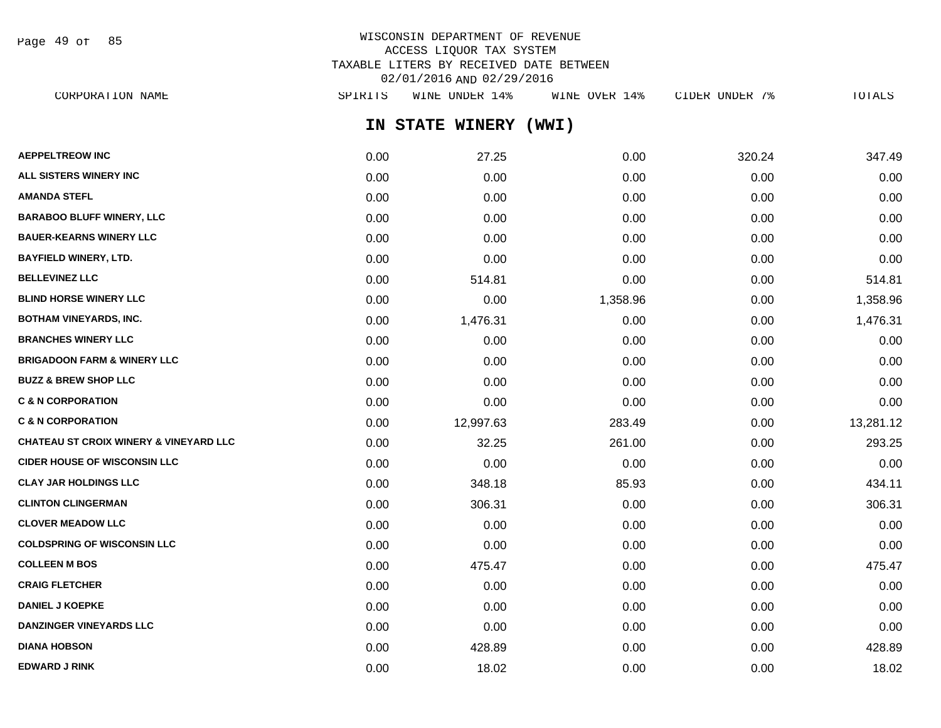Page 49 of 85

# WISCONSIN DEPARTMENT OF REVENUE ACCESS LIQUOR TAX SYSTEM TAXABLE LITERS BY RECEIVED DATE BETWEEN 02/01/2016 AND 02/29/2016

**IN STATE WINERY (WWI) AEPPELTREOW INC** 0.00 27.25 0.00 320.24 347.49 **ALL SISTERS WINERY INC** 0.00 0.00 0.00 0.00 0.00 **AMANDA STEFL** 0.00 0.00 0.00 0.00 0.00 **BARABOO BLUFF WINERY, LLC** 0.00 0.00 0.00 0.00 0.00 **BAUER-KEARNS WINERY LLC** 0.00 0.00 0.00 0.00 0.00 **BAYFIELD WINERY, LTD.** 0.00 0.00 0.00 0.00 0.00 **BELLEVINEZ LLC** 0.00 514.81 0.00 0.00 514.81 **BLIND HORSE WINERY LLC** 0.00 0.00 1,358.96 0.00 1,358.96 **BOTHAM VINEYARDS, INC.** 0.00 1,476.31 0.00 0.00 1,476.31 **BRANCHES WINERY LLC** 0.00 0.00 0.00 0.00 0.00 **BRIGADOON FARM & WINERY LLC**  $0.00$   $0.00$   $0.00$   $0.00$   $0.00$   $0.00$   $0.00$   $0.00$   $0.00$   $0.00$   $0.00$   $0.00$   $0.00$ **BUZZ & BREW SHOP LLC**  $\begin{array}{ccccccc} 0.00 & 0.00 & 0.00 & 0.00 & 0.00 & 0.00 & 0.00 & 0.00 & 0.00 & 0.00 & 0.00 & 0.00 & 0.00 & 0.00 & 0.00 & 0.00 & 0.00 & 0.00 & 0.00 & 0.00 & 0.00 & 0.00 & 0.00 & 0.00 & 0.00 & 0.00 & 0.00 & 0.00 & 0.00 & 0.00 & 0.00 & 0.0$ **C & N CORPORATION CONSUMED ASSOCIATION CONSUMING A LOCAL CONSUMING A LOCAL CONSUMING A LOCAL CONSUMING A LOCAL CONSUMING A LOCAL CONSUMING A LOCAL CONSUMING A LOCAL CONSUMING A LOCAL CONSUMING A LOCAL CONSUMING A LOCAL CO C & N CORPORATION** 0.00 12,997.63 283.49 0.00 13,281.12 **CHATEAU ST CROIX WINERY & VINEYARD LLC** 0.00 32.25 261.00 0.00 293.25 **CIDER HOUSE OF WISCONSIN LLC** 0.00 0.00 0.00 0.00 0.00 **CLAY JAR HOLDINGS LLC** 0.00 348.18 85.93 0.00 434.11 **CLINTON CLINGERMAN** 0.00 306.31 0.00 0.00 306.31 **CLOVER MEADOW LLC** 0.00 0.00 0.00 0.00 0.00 **COLDSPRING OF WISCONSIN LLC** 0.00 0.00 0.00 0.00 0.00 **COLLEEN M BOS** 0.00 475.47 0.00 0.00 475.47 **CRAIG FLETCHER** 0.00 0.00 0.00 0.00 0.00 **DANIEL J KOEPKE** 0.00 0.00 0.00 0.00 0.00 **DANZINGER VINEYARDS LLC** 0.00 0.00 0.00 0.00 0.00 **DIANA HOBSON** 0.00 428.89 0.00 0.00 428.89 CORPORATION NAME SPIRITS WINE UNDER 14% WINE OVER 14% CIDER UNDER 7% TOTALS

**EDWARD J RINK** 0.00 18.02 0.00 0.00 18.02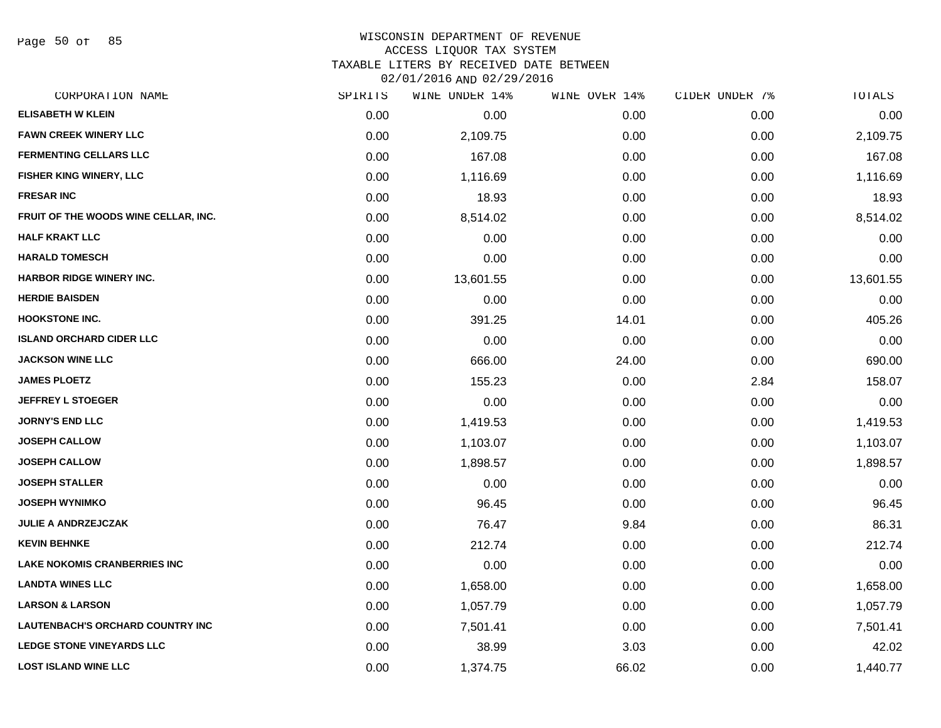Page 50 of 85

#### WISCONSIN DEPARTMENT OF REVENUE ACCESS LIQUOR TAX SYSTEM

TAXABLE LITERS BY RECEIVED DATE BETWEEN

02/01/2016 AND 02/29/2016

| CORPORATION NAME                        | SPIRITS | WINE UNDER 14% | WINE OVER 14% | CIDER UNDER 7% | TOTALS    |
|-----------------------------------------|---------|----------------|---------------|----------------|-----------|
| <b>ELISABETH W KLEIN</b>                | 0.00    | 0.00           | 0.00          | 0.00           | 0.00      |
| <b>FAWN CREEK WINERY LLC</b>            | 0.00    | 2,109.75       | 0.00          | 0.00           | 2,109.75  |
| <b>FERMENTING CELLARS LLC</b>           | 0.00    | 167.08         | 0.00          | 0.00           | 167.08    |
| <b>FISHER KING WINERY, LLC</b>          | 0.00    | 1,116.69       | 0.00          | 0.00           | 1,116.69  |
| <b>FRESAR INC</b>                       | 0.00    | 18.93          | 0.00          | 0.00           | 18.93     |
| FRUIT OF THE WOODS WINE CELLAR, INC.    | 0.00    | 8,514.02       | 0.00          | 0.00           | 8,514.02  |
| <b>HALF KRAKT LLC</b>                   | 0.00    | 0.00           | 0.00          | 0.00           | 0.00      |
| <b>HARALD TOMESCH</b>                   | 0.00    | 0.00           | 0.00          | 0.00           | 0.00      |
| HARBOR RIDGE WINERY INC.                | 0.00    | 13,601.55      | 0.00          | 0.00           | 13,601.55 |
| <b>HERDIE BAISDEN</b>                   | 0.00    | 0.00           | 0.00          | 0.00           | 0.00      |
| <b>HOOKSTONE INC.</b>                   | 0.00    | 391.25         | 14.01         | 0.00           | 405.26    |
| <b>ISLAND ORCHARD CIDER LLC</b>         | 0.00    | 0.00           | 0.00          | 0.00           | 0.00      |
| <b>JACKSON WINE LLC</b>                 | 0.00    | 666.00         | 24.00         | 0.00           | 690.00    |
| <b>JAMES PLOETZ</b>                     | 0.00    | 155.23         | 0.00          | 2.84           | 158.07    |
| <b>JEFFREY L STOEGER</b>                | 0.00    | 0.00           | 0.00          | 0.00           | 0.00      |
| <b>JORNY'S END LLC</b>                  | 0.00    | 1,419.53       | 0.00          | 0.00           | 1,419.53  |
| <b>JOSEPH CALLOW</b>                    | 0.00    | 1,103.07       | 0.00          | 0.00           | 1,103.07  |
| <b>JOSEPH CALLOW</b>                    | 0.00    | 1,898.57       | 0.00          | 0.00           | 1,898.57  |
| <b>JOSEPH STALLER</b>                   | 0.00    | 0.00           | 0.00          | 0.00           | 0.00      |
| <b>JOSEPH WYNIMKO</b>                   | 0.00    | 96.45          | 0.00          | 0.00           | 96.45     |
| <b>JULIE A ANDRZEJCZAK</b>              | 0.00    | 76.47          | 9.84          | 0.00           | 86.31     |
| <b>KEVIN BEHNKE</b>                     | 0.00    | 212.74         | 0.00          | 0.00           | 212.74    |
| <b>LAKE NOKOMIS CRANBERRIES INC</b>     | 0.00    | 0.00           | 0.00          | 0.00           | 0.00      |
| <b>LANDTA WINES LLC</b>                 | 0.00    | 1,658.00       | 0.00          | 0.00           | 1,658.00  |
| <b>LARSON &amp; LARSON</b>              | 0.00    | 1,057.79       | 0.00          | 0.00           | 1,057.79  |
| <b>LAUTENBACH'S ORCHARD COUNTRY INC</b> | 0.00    | 7,501.41       | 0.00          | 0.00           | 7,501.41  |
| <b>LEDGE STONE VINEYARDS LLC</b>        | 0.00    | 38.99          | 3.03          | 0.00           | 42.02     |
| <b>LOST ISLAND WINE LLC</b>             | 0.00    | 1,374.75       | 66.02         | 0.00           | 1,440.77  |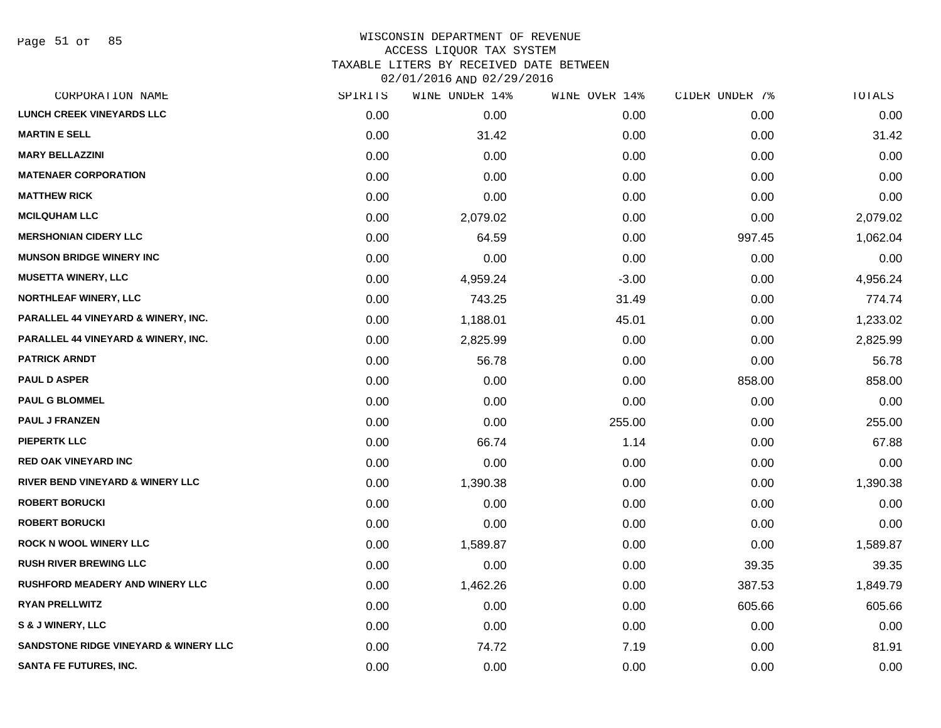Page 51 of 85

# WISCONSIN DEPARTMENT OF REVENUE ACCESS LIQUOR TAX SYSTEM TAXABLE LITERS BY RECEIVED DATE BETWEEN

02/01/2016 AND 02/29/2016

| CORPORATION NAME                                 | SPIRITS | WINE UNDER 14% | WINE OVER 14% | CIDER UNDER 7% | TOTALS   |
|--------------------------------------------------|---------|----------------|---------------|----------------|----------|
| <b>LUNCH CREEK VINEYARDS LLC</b>                 | 0.00    | 0.00           | 0.00          | 0.00           | 0.00     |
| <b>MARTIN E SELL</b>                             | 0.00    | 31.42          | 0.00          | 0.00           | 31.42    |
| <b>MARY BELLAZZINI</b>                           | 0.00    | 0.00           | 0.00          | 0.00           | 0.00     |
| <b>MATENAER CORPORATION</b>                      | 0.00    | 0.00           | 0.00          | 0.00           | 0.00     |
| <b>MATTHEW RICK</b>                              | 0.00    | 0.00           | 0.00          | 0.00           | 0.00     |
| <b>MCILQUHAM LLC</b>                             | 0.00    | 2,079.02       | 0.00          | 0.00           | 2,079.02 |
| <b>MERSHONIAN CIDERY LLC</b>                     | 0.00    | 64.59          | 0.00          | 997.45         | 1,062.04 |
| <b>MUNSON BRIDGE WINERY INC</b>                  | 0.00    | 0.00           | 0.00          | 0.00           | 0.00     |
| <b>MUSETTA WINERY, LLC</b>                       | 0.00    | 4,959.24       | $-3.00$       | 0.00           | 4,956.24 |
| <b>NORTHLEAF WINERY, LLC</b>                     | 0.00    | 743.25         | 31.49         | 0.00           | 774.74   |
| PARALLEL 44 VINEYARD & WINERY, INC.              | 0.00    | 1,188.01       | 45.01         | 0.00           | 1,233.02 |
| PARALLEL 44 VINEYARD & WINERY, INC.              | 0.00    | 2,825.99       | 0.00          | 0.00           | 2,825.99 |
| <b>PATRICK ARNDT</b>                             | 0.00    | 56.78          | 0.00          | 0.00           | 56.78    |
| <b>PAUL D ASPER</b>                              | 0.00    | 0.00           | 0.00          | 858.00         | 858.00   |
| <b>PAUL G BLOMMEL</b>                            | 0.00    | 0.00           | 0.00          | 0.00           | 0.00     |
| <b>PAUL J FRANZEN</b>                            | 0.00    | 0.00           | 255.00        | 0.00           | 255.00   |
| <b>PIEPERTK LLC</b>                              | 0.00    | 66.74          | 1.14          | 0.00           | 67.88    |
| <b>RED OAK VINEYARD INC</b>                      | 0.00    | 0.00           | 0.00          | 0.00           | 0.00     |
| RIVER BEND VINEYARD & WINERY LLC                 | 0.00    | 1,390.38       | 0.00          | 0.00           | 1,390.38 |
| <b>ROBERT BORUCKI</b>                            | 0.00    | 0.00           | 0.00          | 0.00           | 0.00     |
| <b>ROBERT BORUCKI</b>                            | 0.00    | 0.00           | 0.00          | 0.00           | 0.00     |
| <b>ROCK N WOOL WINERY LLC</b>                    | 0.00    | 1,589.87       | 0.00          | 0.00           | 1,589.87 |
| <b>RUSH RIVER BREWING LLC</b>                    | 0.00    | 0.00           | 0.00          | 39.35          | 39.35    |
| <b>RUSHFORD MEADERY AND WINERY LLC</b>           | 0.00    | 1,462.26       | 0.00          | 387.53         | 1,849.79 |
| <b>RYAN PRELLWITZ</b>                            | 0.00    | 0.00           | 0.00          | 605.66         | 605.66   |
| <b>S &amp; J WINERY, LLC</b>                     | 0.00    | 0.00           | 0.00          | 0.00           | 0.00     |
| <b>SANDSTONE RIDGE VINEYARD &amp; WINERY LLC</b> | 0.00    | 74.72          | 7.19          | 0.00           | 81.91    |
| <b>SANTA FE FUTURES, INC.</b>                    | 0.00    | 0.00           | 0.00          | 0.00           | 0.00     |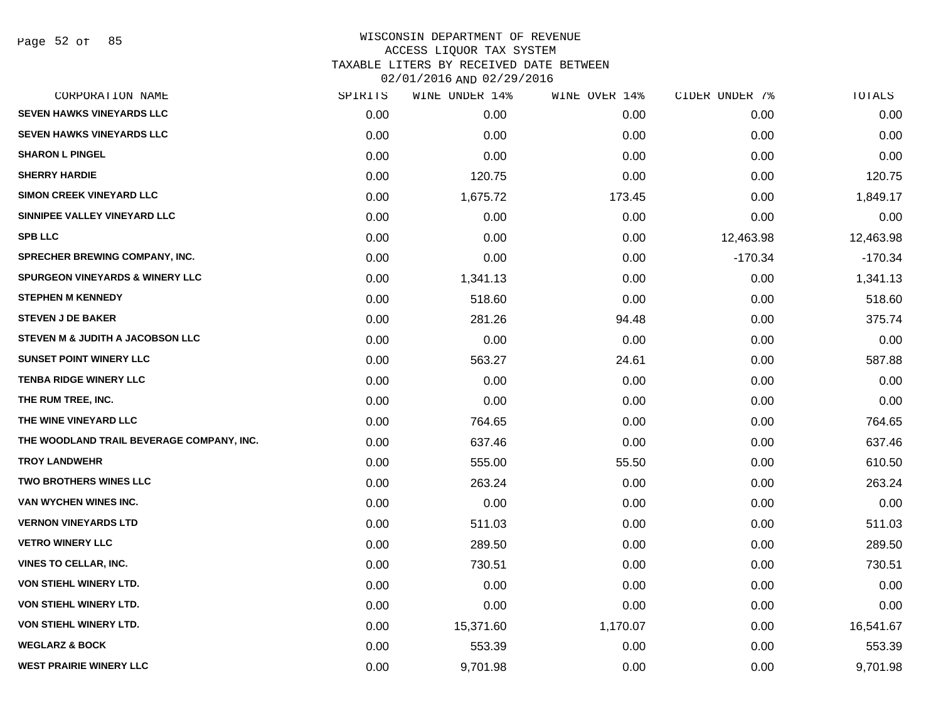| CORPORATION NAME                           | SPIRITS | WINE UNDER 14% | WINE OVER 14% | CIDER UNDER 7% | TOTALS    |
|--------------------------------------------|---------|----------------|---------------|----------------|-----------|
| <b>SEVEN HAWKS VINEYARDS LLC</b>           | 0.00    | 0.00           | 0.00          | 0.00           | 0.00      |
| <b>SEVEN HAWKS VINEYARDS LLC</b>           | 0.00    | 0.00           | 0.00          | 0.00           | 0.00      |
| <b>SHARON L PINGEL</b>                     | 0.00    | 0.00           | 0.00          | 0.00           | 0.00      |
| <b>SHERRY HARDIE</b>                       | 0.00    | 120.75         | 0.00          | 0.00           | 120.75    |
| <b>SIMON CREEK VINEYARD LLC</b>            | 0.00    | 1,675.72       | 173.45        | 0.00           | 1,849.17  |
| SINNIPEE VALLEY VINEYARD LLC               | 0.00    | 0.00           | 0.00          | 0.00           | 0.00      |
| <b>SPB LLC</b>                             | 0.00    | 0.00           | 0.00          | 12,463.98      | 12,463.98 |
| SPRECHER BREWING COMPANY, INC.             | 0.00    | 0.00           | 0.00          | $-170.34$      | $-170.34$ |
| <b>SPURGEON VINEYARDS &amp; WINERY LLC</b> | 0.00    | 1,341.13       | 0.00          | 0.00           | 1,341.13  |
| <b>STEPHEN M KENNEDY</b>                   | 0.00    | 518.60         | 0.00          | 0.00           | 518.60    |
| <b>STEVEN J DE BAKER</b>                   | 0.00    | 281.26         | 94.48         | 0.00           | 375.74    |
| STEVEN M & JUDITH A JACOBSON LLC           | 0.00    | 0.00           | 0.00          | 0.00           | 0.00      |
| <b>SUNSET POINT WINERY LLC</b>             | 0.00    | 563.27         | 24.61         | 0.00           | 587.88    |
| <b>TENBA RIDGE WINERY LLC</b>              | 0.00    | 0.00           | 0.00          | 0.00           | 0.00      |
| THE RUM TREE, INC.                         | 0.00    | 0.00           | 0.00          | 0.00           | 0.00      |
| THE WINE VINEYARD LLC                      | 0.00    | 764.65         | 0.00          | 0.00           | 764.65    |
| THE WOODLAND TRAIL BEVERAGE COMPANY, INC.  | 0.00    | 637.46         | 0.00          | 0.00           | 637.46    |
| <b>TROY LANDWEHR</b>                       | 0.00    | 555.00         | 55.50         | 0.00           | 610.50    |
| <b>TWO BROTHERS WINES LLC</b>              | 0.00    | 263.24         | 0.00          | 0.00           | 263.24    |
| VAN WYCHEN WINES INC.                      | 0.00    | 0.00           | 0.00          | 0.00           | 0.00      |
| <b>VERNON VINEYARDS LTD</b>                | 0.00    | 511.03         | 0.00          | 0.00           | 511.03    |
| <b>VETRO WINERY LLC</b>                    | 0.00    | 289.50         | 0.00          | 0.00           | 289.50    |
| <b>VINES TO CELLAR, INC.</b>               | 0.00    | 730.51         | 0.00          | 0.00           | 730.51    |
| VON STIEHL WINERY LTD.                     | 0.00    | 0.00           | 0.00          | 0.00           | 0.00      |
| VON STIEHL WINERY LTD.                     | 0.00    | 0.00           | 0.00          | 0.00           | 0.00      |
| <b>VON STIEHL WINERY LTD.</b>              | 0.00    | 15,371.60      | 1,170.07      | 0.00           | 16,541.67 |
| <b>WEGLARZ &amp; BOCK</b>                  | 0.00    | 553.39         | 0.00          | 0.00           | 553.39    |
| <b>WEST PRAIRIE WINERY LLC</b>             | 0.00    | 9,701.98       | 0.00          | 0.00           | 9,701.98  |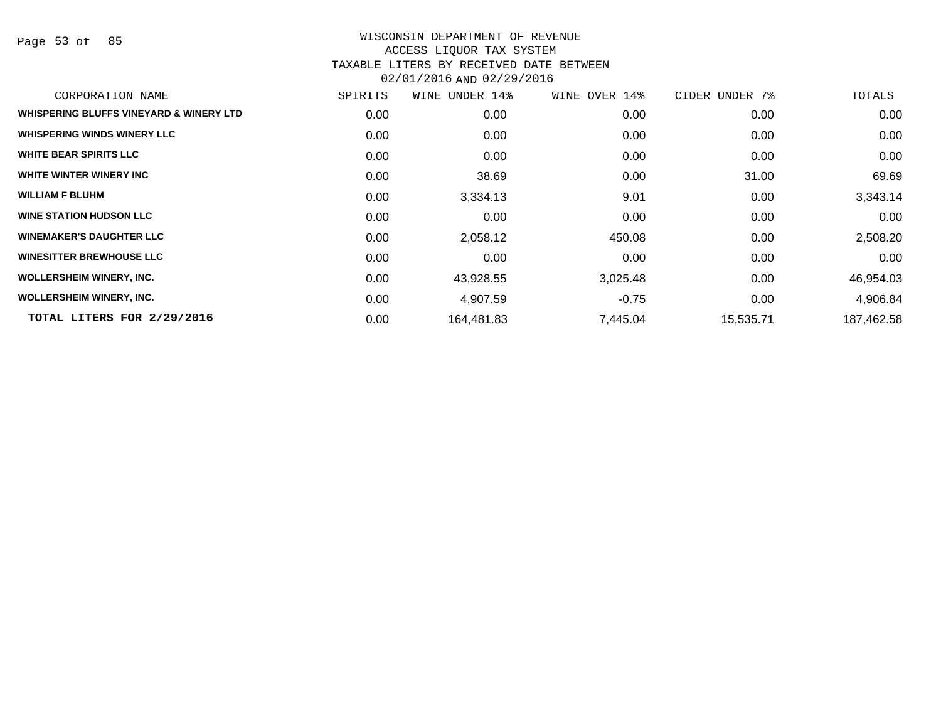Page 53 of 85

| CORPORATION NAME                        | SPIRITS | WINE UNDER 14% | WINE OVER 14% | CIDER<br>UNDER 7% | TOTALS     |
|-----------------------------------------|---------|----------------|---------------|-------------------|------------|
| WHISPERING BLUFFS VINEYARD & WINERY LTD | 0.00    | 0.00           | 0.00          | 0.00              | 0.00       |
| <b>WHISPERING WINDS WINERY LLC</b>      | 0.00    | 0.00           | 0.00          | 0.00              | 0.00       |
| <b>WHITE BEAR SPIRITS LLC</b>           | 0.00    | 0.00           | 0.00          | 0.00              | 0.00       |
| WHITE WINTER WINERY INC                 | 0.00    | 38.69          | 0.00          | 31.00             | 69.69      |
| <b>WILLIAM F BLUHM</b>                  | 0.00    | 3,334.13       | 9.01          | 0.00              | 3,343.14   |
| <b>WINE STATION HUDSON LLC</b>          | 0.00    | 0.00           | 0.00          | 0.00              | 0.00       |
| <b>WINEMAKER'S DAUGHTER LLC</b>         | 0.00    | 2,058.12       | 450.08        | 0.00              | 2,508.20   |
| <b>WINESITTER BREWHOUSE LLC</b>         | 0.00    | 0.00           | 0.00          | 0.00              | 0.00       |
| <b>WOLLERSHEIM WINERY, INC.</b>         | 0.00    | 43,928.55      | 3,025.48      | 0.00              | 46,954.03  |
| <b>WOLLERSHEIM WINERY, INC.</b>         | 0.00    | 4,907.59       | $-0.75$       | 0.00              | 4,906.84   |
| TOTAL LITERS FOR 2/29/2016              | 0.00    | 164,481.83     | 7,445.04      | 15,535.71         | 187,462.58 |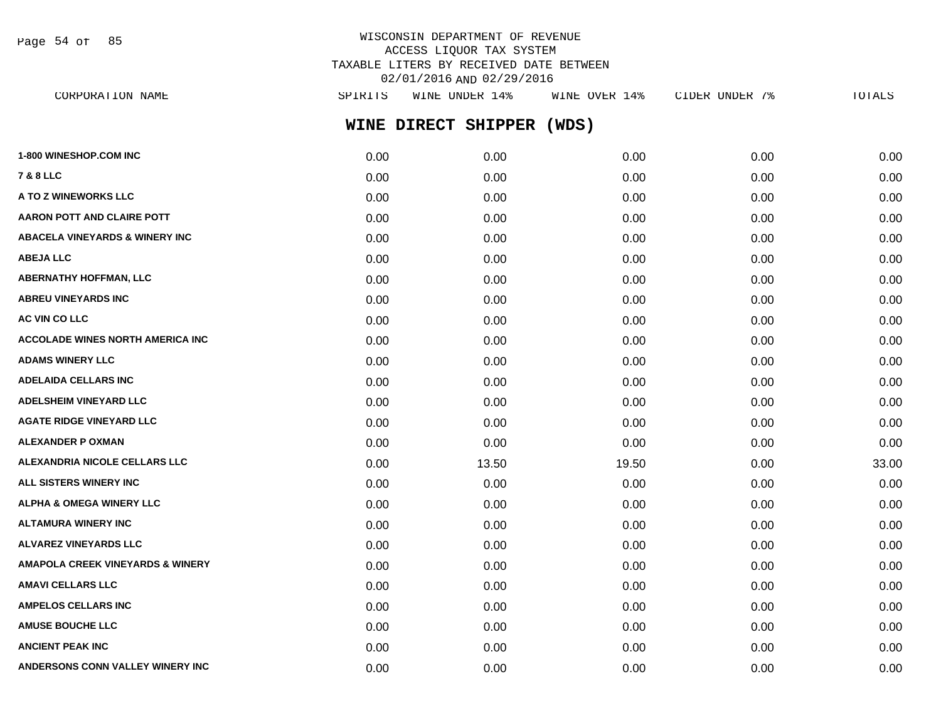Page 54 of 85

# WISCONSIN DEPARTMENT OF REVENUE ACCESS LIQUOR TAX SYSTEM TAXABLE LITERS BY RECEIVED DATE BETWEEN 02/01/2016 AND 02/29/2016

| CORPORATION NAME                        | SPIRITS | WINE UNDER 14%      | WINE OVER 14% | CIDER UNDER 7% | TOTALS |
|-----------------------------------------|---------|---------------------|---------------|----------------|--------|
|                                         |         | WINE DIRECT SHIPPER | (WDS)         |                |        |
| <b>1-800 WINESHOP.COM INC</b>           | 0.00    | 0.00                | 0.00          | 0.00           | 0.00   |
| 7 & 8 LLC                               | 0.00    | 0.00                | 0.00          | 0.00           | 0.00   |
| <b>A TO Z WINEWORKS LLC</b>             | 0.00    | 0.00                | 0.00          | 0.00           | 0.00   |
| AARON POTT AND CLAIRE POTT              | 0.00    | 0.00                | 0.00          | 0.00           | 0.00   |
| ABACELA VINEYARDS & WINERY INC          | 0.00    | 0.00                | 0.00          | 0.00           | 0.00   |
| <b>ABEJA LLC</b>                        | 0.00    | 0.00                | 0.00          | 0.00           | 0.00   |
| <b>ABERNATHY HOFFMAN, LLC</b>           | 0.00    | 0.00                | 0.00          | 0.00           | 0.00   |
| <b>ABREU VINEYARDS INC</b>              | 0.00    | 0.00                | 0.00          | 0.00           | 0.00   |
| <b>AC VIN CO LLC</b>                    | 0.00    | 0.00                | 0.00          | 0.00           | 0.00   |
| <b>ACCOLADE WINES NORTH AMERICA INC</b> | 0.00    | 0.00                | 0.00          | 0.00           | 0.00   |
| <b>ADAMS WINERY LLC</b>                 | 0.00    | 0.00                | 0.00          | 0.00           | 0.00   |
| ADELAIDA CELLARS INC                    | 0.00    | 0.00                | 0.00          | 0.00           | 0.00   |
| ADELSHEIM VINEYARD LLC                  | 0.00    | 0.00                | 0.00          | 0.00           | 0.00   |
| <b>AGATE RIDGE VINEYARD LLC</b>         | 0.00    | 0.00                | 0.00          | 0.00           | 0.00   |
| ALEXANDER P OXMAN                       | 0.00    | 0.00                | 0.00          | 0.00           | 0.00   |
| ALEXANDRIA NICOLE CELLARS LLC           | 0.00    | 13.50               | 19.50         | 0.00           | 33.00  |
| ALL SISTERS WINERY INC                  | 0.00    | 0.00                | 0.00          | 0.00           | 0.00   |
| <b>ALPHA &amp; OMEGA WINERY LLC</b>     | 0.00    | 0.00                | 0.00          | 0.00           | 0.00   |
| ALTAMURA WINERY INC                     | 0.00    | 0.00                | 0.00          | 0.00           | 0.00   |
| <b>ALVAREZ VINEYARDS LLC</b>            | 0.00    | 0.00                | 0.00          | 0.00           | 0.00   |
| AMAPOLA CREEK VINEYARDS & WINERY        | 0.00    | 0.00                | 0.00          | 0.00           | 0.00   |
| AMAVI CELLARS LLC                       | 0.00    | 0.00                | 0.00          | 0.00           | 0.00   |
| <b>AMPELOS CELLARS INC</b>              | 0.00    | 0.00                | 0.00          | 0.00           | 0.00   |
| <b>AMUSE BOUCHE LLC</b>                 | 0.00    | 0.00                | 0.00          | 0.00           | 0.00   |
| <b>ANCIENT PEAK INC</b>                 | 0.00    | 0.00                | 0.00          | 0.00           | 0.00   |
|                                         |         |                     |               |                |        |

**ANDERSONS CONN VALLEY WINERY INC** 0.00 0.00 0.00 0.00 0.00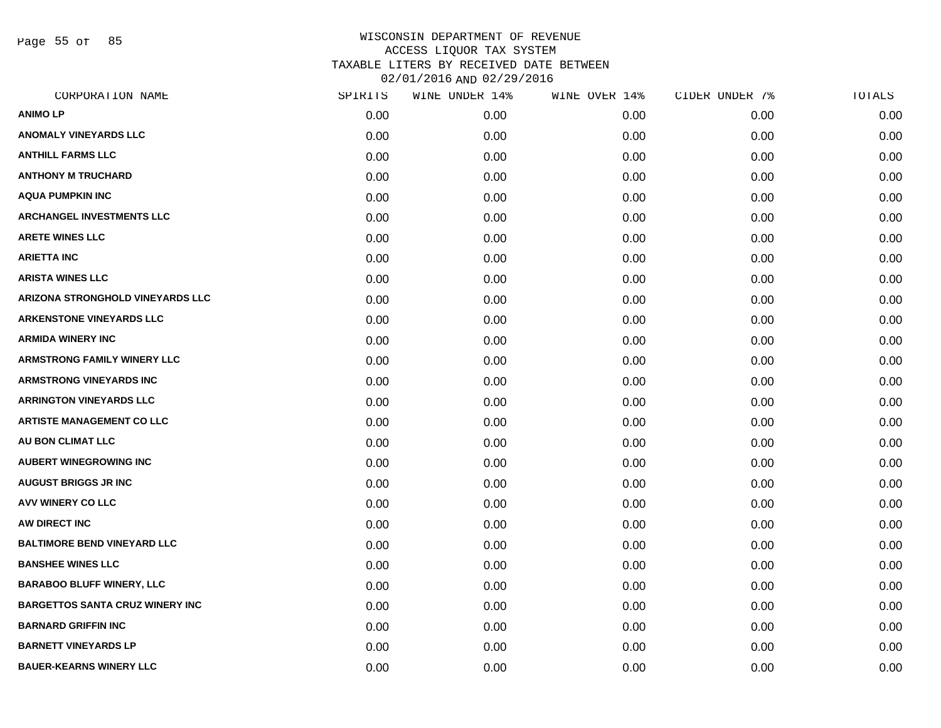Page 55 of 85

| CORPORATION NAME                       | SPIRITS | WINE UNDER 14% | WINE OVER 14% | CIDER UNDER 7% | TOTALS |
|----------------------------------------|---------|----------------|---------------|----------------|--------|
| <b>ANIMOLP</b>                         | 0.00    | 0.00           | 0.00          | 0.00           | 0.00   |
| <b>ANOMALY VINEYARDS LLC</b>           | 0.00    | 0.00           | 0.00          | 0.00           | 0.00   |
| <b>ANTHILL FARMS LLC</b>               | 0.00    | 0.00           | 0.00          | 0.00           | 0.00   |
| <b>ANTHONY M TRUCHARD</b>              | 0.00    | 0.00           | 0.00          | 0.00           | 0.00   |
| <b>AQUA PUMPKIN INC</b>                | 0.00    | 0.00           | 0.00          | 0.00           | 0.00   |
| <b>ARCHANGEL INVESTMENTS LLC</b>       | 0.00    | 0.00           | 0.00          | 0.00           | 0.00   |
| <b>ARETE WINES LLC</b>                 | 0.00    | 0.00           | 0.00          | 0.00           | 0.00   |
| <b>ARIETTA INC</b>                     | 0.00    | 0.00           | 0.00          | 0.00           | 0.00   |
| <b>ARISTA WINES LLC</b>                | 0.00    | 0.00           | 0.00          | 0.00           | 0.00   |
| ARIZONA STRONGHOLD VINEYARDS LLC       | 0.00    | 0.00           | 0.00          | 0.00           | 0.00   |
| <b>ARKENSTONE VINEYARDS LLC</b>        | 0.00    | 0.00           | 0.00          | 0.00           | 0.00   |
| <b>ARMIDA WINERY INC</b>               | 0.00    | 0.00           | 0.00          | 0.00           | 0.00   |
| <b>ARMSTRONG FAMILY WINERY LLC</b>     | 0.00    | 0.00           | 0.00          | 0.00           | 0.00   |
| <b>ARMSTRONG VINEYARDS INC</b>         | 0.00    | 0.00           | 0.00          | 0.00           | 0.00   |
| <b>ARRINGTON VINEYARDS LLC</b>         | 0.00    | 0.00           | 0.00          | 0.00           | 0.00   |
| <b>ARTISTE MANAGEMENT CO LLC</b>       | 0.00    | 0.00           | 0.00          | 0.00           | 0.00   |
| AU BON CLIMAT LLC                      | 0.00    | 0.00           | 0.00          | 0.00           | 0.00   |
| <b>AUBERT WINEGROWING INC</b>          | 0.00    | 0.00           | 0.00          | 0.00           | 0.00   |
| <b>AUGUST BRIGGS JR INC</b>            | 0.00    | 0.00           | 0.00          | 0.00           | 0.00   |
| <b>AVV WINERY CO LLC</b>               | 0.00    | 0.00           | 0.00          | 0.00           | 0.00   |
| AW DIRECT INC                          | 0.00    | 0.00           | 0.00          | 0.00           | 0.00   |
| <b>BALTIMORE BEND VINEYARD LLC</b>     | 0.00    | 0.00           | 0.00          | 0.00           | 0.00   |
| <b>BANSHEE WINES LLC</b>               | 0.00    | 0.00           | 0.00          | 0.00           | 0.00   |
| <b>BARABOO BLUFF WINERY, LLC</b>       | 0.00    | 0.00           | 0.00          | 0.00           | 0.00   |
| <b>BARGETTOS SANTA CRUZ WINERY INC</b> | 0.00    | 0.00           | 0.00          | 0.00           | 0.00   |
| <b>BARNARD GRIFFIN INC</b>             | 0.00    | 0.00           | 0.00          | 0.00           | 0.00   |
| <b>BARNETT VINEYARDS LP</b>            | 0.00    | 0.00           | 0.00          | 0.00           | 0.00   |
| <b>BAUER-KEARNS WINERY LLC</b>         | 0.00    | 0.00           | 0.00          | 0.00           | 0.00   |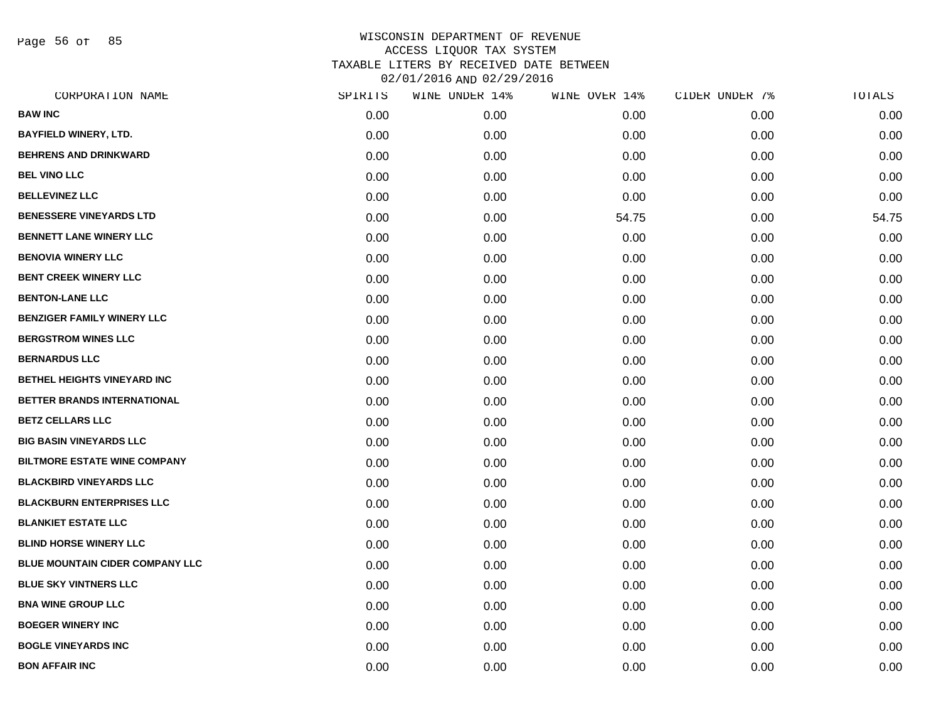Page 56 of 85

| CORPORATION NAME                       | SPIRITS | WINE UNDER 14% | WINE OVER 14% | CIDER UNDER 7% | TOTALS |
|----------------------------------------|---------|----------------|---------------|----------------|--------|
| <b>BAW INC</b>                         | 0.00    | 0.00           | 0.00          | 0.00           | 0.00   |
| <b>BAYFIELD WINERY, LTD.</b>           | 0.00    | 0.00           | 0.00          | 0.00           | 0.00   |
| <b>BEHRENS AND DRINKWARD</b>           | 0.00    | 0.00           | 0.00          | 0.00           | 0.00   |
| <b>BEL VINO LLC</b>                    | 0.00    | 0.00           | 0.00          | 0.00           | 0.00   |
| <b>BELLEVINEZ LLC</b>                  | 0.00    | 0.00           | 0.00          | 0.00           | 0.00   |
| <b>BENESSERE VINEYARDS LTD</b>         | 0.00    | 0.00           | 54.75         | 0.00           | 54.75  |
| <b>BENNETT LANE WINERY LLC</b>         | 0.00    | 0.00           | 0.00          | 0.00           | 0.00   |
| <b>BENOVIA WINERY LLC</b>              | 0.00    | 0.00           | 0.00          | 0.00           | 0.00   |
| <b>BENT CREEK WINERY LLC</b>           | 0.00    | 0.00           | 0.00          | 0.00           | 0.00   |
| <b>BENTON-LANE LLC</b>                 | 0.00    | 0.00           | 0.00          | 0.00           | 0.00   |
| <b>BENZIGER FAMILY WINERY LLC</b>      | 0.00    | 0.00           | 0.00          | 0.00           | 0.00   |
| <b>BERGSTROM WINES LLC</b>             | 0.00    | 0.00           | 0.00          | 0.00           | 0.00   |
| <b>BERNARDUS LLC</b>                   | 0.00    | 0.00           | 0.00          | 0.00           | 0.00   |
| <b>BETHEL HEIGHTS VINEYARD INC</b>     | 0.00    | 0.00           | 0.00          | 0.00           | 0.00   |
| <b>BETTER BRANDS INTERNATIONAL</b>     | 0.00    | 0.00           | 0.00          | 0.00           | 0.00   |
| <b>BETZ CELLARS LLC</b>                | 0.00    | 0.00           | 0.00          | 0.00           | 0.00   |
| <b>BIG BASIN VINEYARDS LLC</b>         | 0.00    | 0.00           | 0.00          | 0.00           | 0.00   |
| <b>BILTMORE ESTATE WINE COMPANY</b>    | 0.00    | 0.00           | 0.00          | 0.00           | 0.00   |
| <b>BLACKBIRD VINEYARDS LLC</b>         | 0.00    | 0.00           | 0.00          | 0.00           | 0.00   |
| <b>BLACKBURN ENTERPRISES LLC</b>       | 0.00    | 0.00           | 0.00          | 0.00           | 0.00   |
| <b>BLANKIET ESTATE LLC</b>             | 0.00    | 0.00           | 0.00          | 0.00           | 0.00   |
| <b>BLIND HORSE WINERY LLC</b>          | 0.00    | 0.00           | 0.00          | 0.00           | 0.00   |
| <b>BLUE MOUNTAIN CIDER COMPANY LLC</b> | 0.00    | 0.00           | 0.00          | 0.00           | 0.00   |
| <b>BLUE SKY VINTNERS LLC</b>           | 0.00    | 0.00           | 0.00          | 0.00           | 0.00   |
| <b>BNA WINE GROUP LLC</b>              | 0.00    | 0.00           | 0.00          | 0.00           | 0.00   |
| <b>BOEGER WINERY INC</b>               | 0.00    | 0.00           | 0.00          | 0.00           | 0.00   |
| <b>BOGLE VINEYARDS INC</b>             | 0.00    | 0.00           | 0.00          | 0.00           | 0.00   |
| <b>BON AFFAIR INC</b>                  | 0.00    | 0.00           | 0.00          | 0.00           | 0.00   |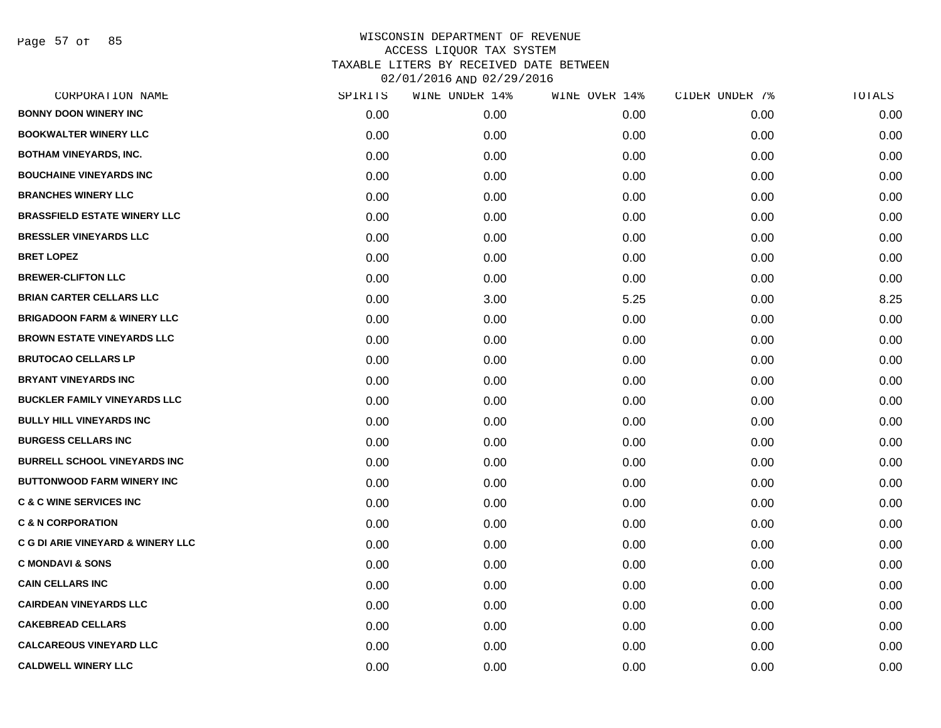Page 57 of 85

| CORPORATION NAME                       | SPIRITS           | WINE UNDER 14% | WINE OVER 14% | CIDER UNDER 7% | TOTALS |
|----------------------------------------|-------------------|----------------|---------------|----------------|--------|
| <b>BONNY DOON WINERY INC</b>           | 0.00 <sub>1</sub> | 0.00           | 0.00          | 0.00           | 0.00   |
| <b>BOOKWALTER WINERY LLC</b>           | 0.00              | 0.00           | 0.00          | 0.00           | 0.00   |
| <b>BOTHAM VINEYARDS, INC.</b>          | 0.00              | 0.00           | 0.00          | 0.00           | 0.00   |
| <b>BOUCHAINE VINEYARDS INC</b>         | 0.00              | 0.00           | 0.00          | 0.00           | 0.00   |
| <b>BRANCHES WINERY LLC</b>             | 0.00              | 0.00           | 0.00          | 0.00           | 0.00   |
| <b>BRASSFIELD ESTATE WINERY LLC</b>    | 0.00              | 0.00           | 0.00          | 0.00           | 0.00   |
| <b>BRESSLER VINEYARDS LLC</b>          | 0.00              | 0.00           | 0.00          | 0.00           | 0.00   |
| <b>BRET LOPEZ</b>                      | 0.00              | 0.00           | 0.00          | 0.00           | 0.00   |
| <b>BREWER-CLIFTON LLC</b>              | 0.00              | 0.00           | 0.00          | 0.00           | 0.00   |
| <b>BRIAN CARTER CELLARS LLC</b>        | 0.00              | 3.00           | 5.25          | 0.00           | 8.25   |
| <b>BRIGADOON FARM &amp; WINERY LLC</b> | 0.00              | 0.00           | 0.00          | 0.00           | 0.00   |
| <b>BROWN ESTATE VINEYARDS LLC</b>      | 0.00              | 0.00           | 0.00          | 0.00           | 0.00   |
| <b>BRUTOCAO CELLARS LP</b>             | 0.00              | 0.00           | 0.00          | 0.00           | 0.00   |
| <b>BRYANT VINEYARDS INC</b>            | 0.00              | 0.00           | 0.00          | 0.00           | 0.00   |
| <b>BUCKLER FAMILY VINEYARDS LLC</b>    | 0.00              | 0.00           | 0.00          | 0.00           | 0.00   |
| <b>BULLY HILL VINEYARDS INC</b>        | 0.00              | 0.00           | 0.00          | 0.00           | 0.00   |
| <b>BURGESS CELLARS INC</b>             | 0.00              | 0.00           | 0.00          | 0.00           | 0.00   |
| <b>BURRELL SCHOOL VINEYARDS INC</b>    | 0.00              | 0.00           | 0.00          | 0.00           | 0.00   |
| <b>BUTTONWOOD FARM WINERY INC</b>      | 0.00              | 0.00           | 0.00          | 0.00           | 0.00   |
| <b>C &amp; C WINE SERVICES INC</b>     | 0.00              | 0.00           | 0.00          | 0.00           | 0.00   |
| <b>C &amp; N CORPORATION</b>           | 0.00              | 0.00           | 0.00          | 0.00           | 0.00   |
| C G DI ARIE VINEYARD & WINERY LLC      | 0.00              | 0.00           | 0.00          | 0.00           | 0.00   |
| <b>C MONDAVI &amp; SONS</b>            | 0.00              | 0.00           | 0.00          | 0.00           | 0.00   |
| <b>CAIN CELLARS INC</b>                | 0.00              | 0.00           | 0.00          | 0.00           | 0.00   |
| <b>CAIRDEAN VINEYARDS LLC</b>          | 0.00              | 0.00           | 0.00          | 0.00           | 0.00   |
| <b>CAKEBREAD CELLARS</b>               | 0.00              | 0.00           | 0.00          | 0.00           | 0.00   |
| <b>CALCAREOUS VINEYARD LLC</b>         | 0.00              | 0.00           | 0.00          | 0.00           | 0.00   |
| <b>CALDWELL WINERY LLC</b>             | 0.00              | 0.00           | 0.00          | 0.00           | 0.00   |
|                                        |                   |                |               |                |        |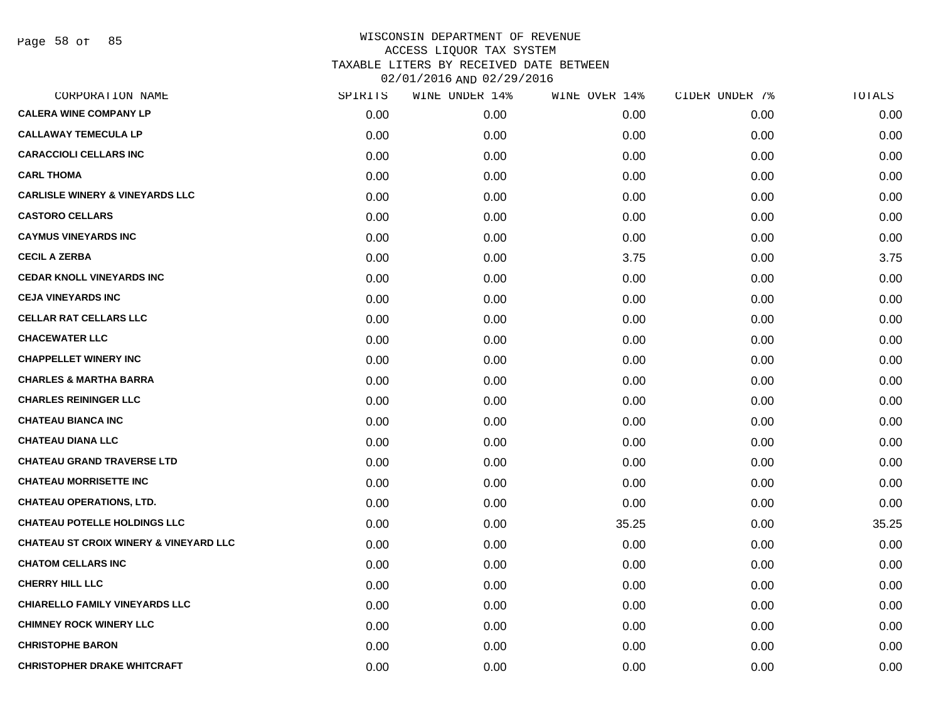Page 58 of 85

| CORPORATION NAME                                  | SPIRITS | WINE UNDER 14% | WINE OVER 14% | CIDER UNDER 7% | TOTALS |
|---------------------------------------------------|---------|----------------|---------------|----------------|--------|
| <b>CALERA WINE COMPANY LP</b>                     | 0.00    | 0.00           | 0.00          | 0.00           | 0.00   |
| <b>CALLAWAY TEMECULA LP</b>                       | 0.00    | 0.00           | 0.00          | 0.00           | 0.00   |
| <b>CARACCIOLI CELLARS INC</b>                     | 0.00    | 0.00           | 0.00          | 0.00           | 0.00   |
| <b>CARL THOMA</b>                                 | 0.00    | 0.00           | 0.00          | 0.00           | 0.00   |
| <b>CARLISLE WINERY &amp; VINEYARDS LLC</b>        | 0.00    | 0.00           | 0.00          | 0.00           | 0.00   |
| <b>CASTORO CELLARS</b>                            | 0.00    | 0.00           | 0.00          | 0.00           | 0.00   |
| <b>CAYMUS VINEYARDS INC</b>                       | 0.00    | 0.00           | 0.00          | 0.00           | 0.00   |
| <b>CECIL A ZERBA</b>                              | 0.00    | 0.00           | 3.75          | 0.00           | 3.75   |
| <b>CEDAR KNOLL VINEYARDS INC</b>                  | 0.00    | 0.00           | 0.00          | 0.00           | 0.00   |
| <b>CEJA VINEYARDS INC</b>                         | 0.00    | 0.00           | 0.00          | 0.00           | 0.00   |
| <b>CELLAR RAT CELLARS LLC</b>                     | 0.00    | 0.00           | 0.00          | 0.00           | 0.00   |
| <b>CHACEWATER LLC</b>                             | 0.00    | 0.00           | 0.00          | 0.00           | 0.00   |
| <b>CHAPPELLET WINERY INC</b>                      | 0.00    | 0.00           | 0.00          | 0.00           | 0.00   |
| <b>CHARLES &amp; MARTHA BARRA</b>                 | 0.00    | 0.00           | 0.00          | 0.00           | 0.00   |
| <b>CHARLES REININGER LLC</b>                      | 0.00    | 0.00           | 0.00          | 0.00           | 0.00   |
| <b>CHATEAU BIANCA INC</b>                         | 0.00    | 0.00           | 0.00          | 0.00           | 0.00   |
| <b>CHATEAU DIANA LLC</b>                          | 0.00    | 0.00           | 0.00          | 0.00           | 0.00   |
| <b>CHATEAU GRAND TRAVERSE LTD</b>                 | 0.00    | 0.00           | 0.00          | 0.00           | 0.00   |
| <b>CHATEAU MORRISETTE INC</b>                     | 0.00    | 0.00           | 0.00          | 0.00           | 0.00   |
| <b>CHATEAU OPERATIONS, LTD.</b>                   | 0.00    | 0.00           | 0.00          | 0.00           | 0.00   |
| <b>CHATEAU POTELLE HOLDINGS LLC</b>               | 0.00    | 0.00           | 35.25         | 0.00           | 35.25  |
| <b>CHATEAU ST CROIX WINERY &amp; VINEYARD LLC</b> | 0.00    | 0.00           | 0.00          | 0.00           | 0.00   |
| <b>CHATOM CELLARS INC</b>                         | 0.00    | 0.00           | 0.00          | 0.00           | 0.00   |
| <b>CHERRY HILL LLC</b>                            | 0.00    | 0.00           | 0.00          | 0.00           | 0.00   |
| <b>CHIARELLO FAMILY VINEYARDS LLC</b>             | 0.00    | 0.00           | 0.00          | 0.00           | 0.00   |
| <b>CHIMNEY ROCK WINERY LLC</b>                    | 0.00    | 0.00           | 0.00          | 0.00           | 0.00   |
| <b>CHRISTOPHE BARON</b>                           | 0.00    | 0.00           | 0.00          | 0.00           | 0.00   |
| <b>CHRISTOPHER DRAKE WHITCRAFT</b>                | 0.00    | 0.00           | 0.00          | 0.00           | 0.00   |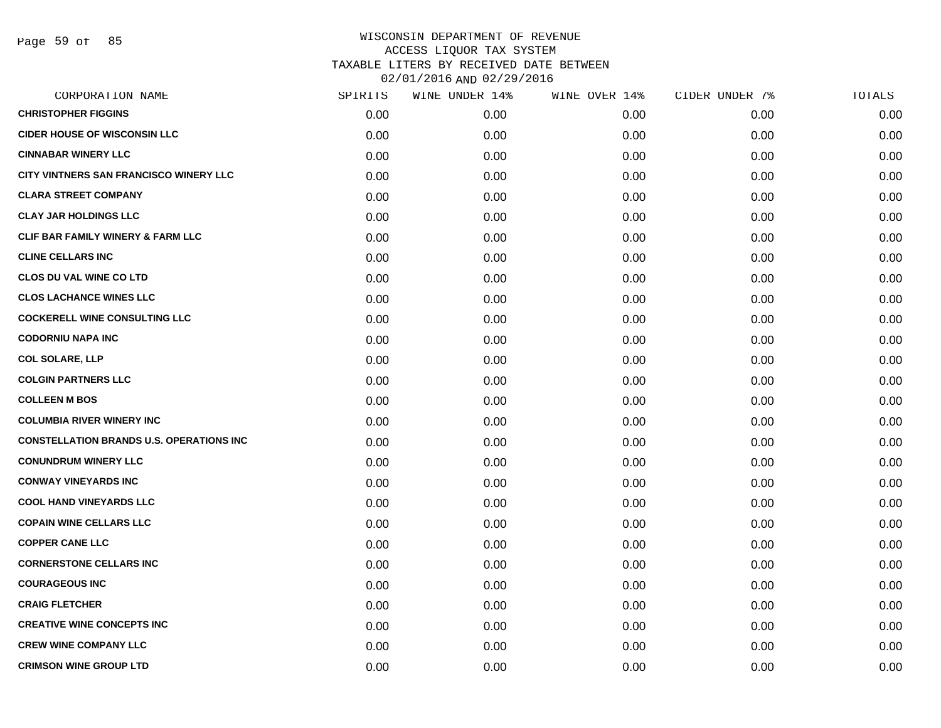| CORPORATION NAME                                | SPIRITS | WINE UNDER 14% | WINE OVER 14% | CIDER UNDER 7% | TOTALS |
|-------------------------------------------------|---------|----------------|---------------|----------------|--------|
| <b>CHRISTOPHER FIGGINS</b>                      | 0.00    | 0.00           | 0.00          | 0.00           | 0.00   |
| <b>CIDER HOUSE OF WISCONSIN LLC</b>             | 0.00    | 0.00           | 0.00          | 0.00           | 0.00   |
| <b>CINNABAR WINERY LLC</b>                      | 0.00    | 0.00           | 0.00          | 0.00           | 0.00   |
| CITY VINTNERS SAN FRANCISCO WINERY LLC          | 0.00    | 0.00           | 0.00          | 0.00           | 0.00   |
| <b>CLARA STREET COMPANY</b>                     | 0.00    | 0.00           | 0.00          | 0.00           | 0.00   |
| <b>CLAY JAR HOLDINGS LLC</b>                    | 0.00    | 0.00           | 0.00          | 0.00           | 0.00   |
| CLIF BAR FAMILY WINERY & FARM LLC               | 0.00    | 0.00           | 0.00          | 0.00           | 0.00   |
| <b>CLINE CELLARS INC</b>                        | 0.00    | 0.00           | 0.00          | 0.00           | 0.00   |
| <b>CLOS DU VAL WINE CO LTD</b>                  | 0.00    | 0.00           | 0.00          | 0.00           | 0.00   |
| <b>CLOS LACHANCE WINES LLC</b>                  | 0.00    | 0.00           | 0.00          | 0.00           | 0.00   |
| <b>COCKERELL WINE CONSULTING LLC</b>            | 0.00    | 0.00           | 0.00          | 0.00           | 0.00   |
| <b>CODORNIU NAPA INC</b>                        | 0.00    | 0.00           | 0.00          | 0.00           | 0.00   |
| <b>COL SOLARE, LLP</b>                          | 0.00    | 0.00           | 0.00          | 0.00           | 0.00   |
| <b>COLGIN PARTNERS LLC</b>                      | 0.00    | 0.00           | 0.00          | 0.00           | 0.00   |
| <b>COLLEEN M BOS</b>                            | 0.00    | 0.00           | 0.00          | 0.00           | 0.00   |
| <b>COLUMBIA RIVER WINERY INC</b>                | 0.00    | 0.00           | 0.00          | 0.00           | 0.00   |
| <b>CONSTELLATION BRANDS U.S. OPERATIONS INC</b> | 0.00    | 0.00           | 0.00          | 0.00           | 0.00   |
| <b>CONUNDRUM WINERY LLC</b>                     | 0.00    | 0.00           | 0.00          | 0.00           | 0.00   |
| <b>CONWAY VINEYARDS INC</b>                     | 0.00    | 0.00           | 0.00          | 0.00           | 0.00   |
| <b>COOL HAND VINEYARDS LLC</b>                  | 0.00    | 0.00           | 0.00          | 0.00           | 0.00   |
| <b>COPAIN WINE CELLARS LLC</b>                  | 0.00    | 0.00           | 0.00          | 0.00           | 0.00   |
| <b>COPPER CANE LLC</b>                          | 0.00    | 0.00           | 0.00          | 0.00           | 0.00   |
| <b>CORNERSTONE CELLARS INC</b>                  | 0.00    | 0.00           | 0.00          | 0.00           | 0.00   |
| <b>COURAGEOUS INC</b>                           | 0.00    | 0.00           | 0.00          | 0.00           | 0.00   |
| <b>CRAIG FLETCHER</b>                           | 0.00    | 0.00           | 0.00          | 0.00           | 0.00   |
| <b>CREATIVE WINE CONCEPTS INC</b>               | 0.00    | 0.00           | 0.00          | 0.00           | 0.00   |
| <b>CREW WINE COMPANY LLC</b>                    | 0.00    | 0.00           | 0.00          | 0.00           | 0.00   |
| <b>CRIMSON WINE GROUP LTD</b>                   | 0.00    | 0.00           | 0.00          | 0.00           | 0.00   |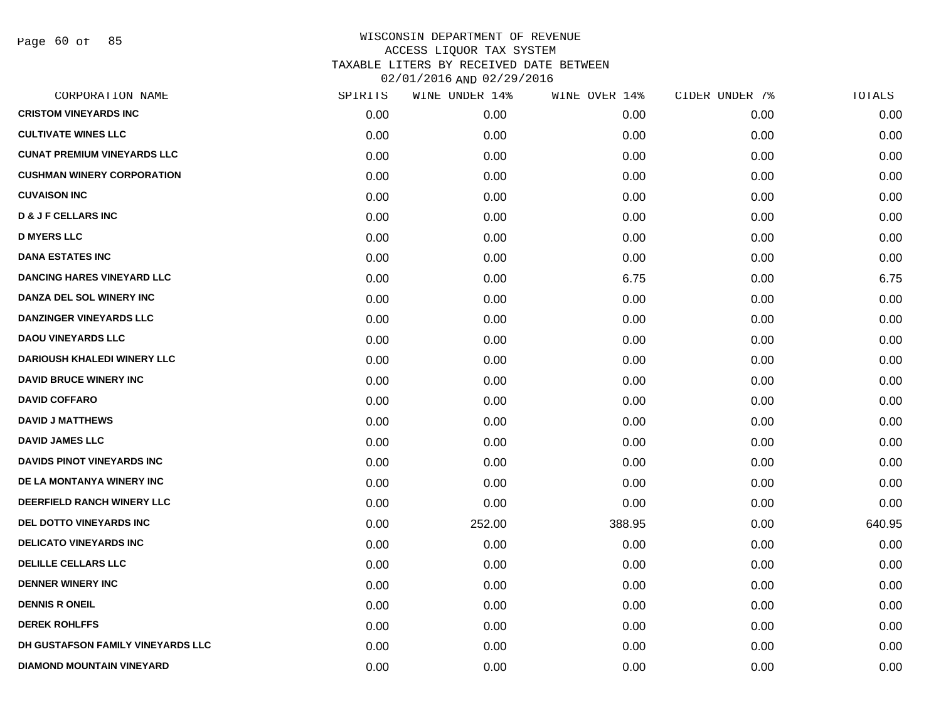Page 60 of 85

| CORPORATION NAME                   | SPIRITS | WINE UNDER 14% | WINE OVER 14% | CIDER UNDER 7% | TOTALS |
|------------------------------------|---------|----------------|---------------|----------------|--------|
| <b>CRISTOM VINEYARDS INC</b>       | 0.00    | 0.00           | 0.00          | 0.00           | 0.00   |
| <b>CULTIVATE WINES LLC</b>         | 0.00    | 0.00           | 0.00          | 0.00           | 0.00   |
| <b>CUNAT PREMIUM VINEYARDS LLC</b> | 0.00    | 0.00           | 0.00          | 0.00           | 0.00   |
| <b>CUSHMAN WINERY CORPORATION</b>  | 0.00    | 0.00           | 0.00          | 0.00           | 0.00   |
| <b>CUVAISON INC</b>                | 0.00    | 0.00           | 0.00          | 0.00           | 0.00   |
| <b>D &amp; J F CELLARS INC</b>     | 0.00    | 0.00           | 0.00          | 0.00           | 0.00   |
| <b>D MYERS LLC</b>                 | 0.00    | 0.00           | 0.00          | 0.00           | 0.00   |
| <b>DANA ESTATES INC</b>            | 0.00    | 0.00           | 0.00          | 0.00           | 0.00   |
| <b>DANCING HARES VINEYARD LLC</b>  | 0.00    | 0.00           | 6.75          | 0.00           | 6.75   |
| DANZA DEL SOL WINERY INC           | 0.00    | 0.00           | 0.00          | 0.00           | 0.00   |
| <b>DANZINGER VINEYARDS LLC</b>     | 0.00    | 0.00           | 0.00          | 0.00           | 0.00   |
| <b>DAOU VINEYARDS LLC</b>          | 0.00    | 0.00           | 0.00          | 0.00           | 0.00   |
| <b>DARIOUSH KHALEDI WINERY LLC</b> | 0.00    | 0.00           | 0.00          | 0.00           | 0.00   |
| <b>DAVID BRUCE WINERY INC</b>      | 0.00    | 0.00           | 0.00          | 0.00           | 0.00   |
| <b>DAVID COFFARO</b>               | 0.00    | 0.00           | 0.00          | 0.00           | 0.00   |
| <b>DAVID J MATTHEWS</b>            | 0.00    | 0.00           | 0.00          | 0.00           | 0.00   |
| <b>DAVID JAMES LLC</b>             | 0.00    | 0.00           | 0.00          | 0.00           | 0.00   |
| <b>DAVIDS PINOT VINEYARDS INC</b>  | 0.00    | 0.00           | 0.00          | 0.00           | 0.00   |
| DE LA MONTANYA WINERY INC          | 0.00    | 0.00           | 0.00          | 0.00           | 0.00   |
| DEERFIELD RANCH WINERY LLC         | 0.00    | 0.00           | 0.00          | 0.00           | 0.00   |
| <b>DEL DOTTO VINEYARDS INC</b>     | 0.00    | 252.00         | 388.95        | 0.00           | 640.95 |
| <b>DELICATO VINEYARDS INC</b>      | 0.00    | 0.00           | 0.00          | 0.00           | 0.00   |
| <b>DELILLE CELLARS LLC</b>         | 0.00    | 0.00           | 0.00          | 0.00           | 0.00   |
| <b>DENNER WINERY INC</b>           | 0.00    | 0.00           | 0.00          | 0.00           | 0.00   |
| <b>DENNIS R ONEIL</b>              | 0.00    | 0.00           | 0.00          | 0.00           | 0.00   |
| <b>DEREK ROHLFFS</b>               | 0.00    | 0.00           | 0.00          | 0.00           | 0.00   |
| DH GUSTAFSON FAMILY VINEYARDS LLC  | 0.00    | 0.00           | 0.00          | 0.00           | 0.00   |
| <b>DIAMOND MOUNTAIN VINEYARD</b>   | 0.00    | 0.00           | 0.00          | 0.00           | 0.00   |
|                                    |         |                |               |                |        |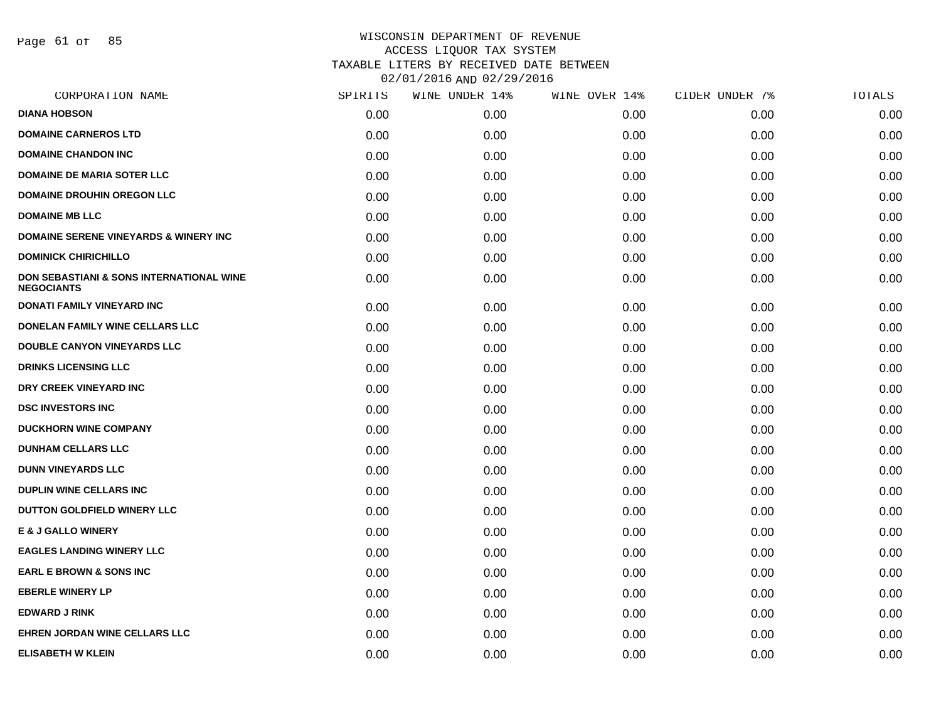Page 61 of 85

| SPIRITS | WINE UNDER 14% | WINE OVER 14% | CIDER UNDER 7% | TOTALS |
|---------|----------------|---------------|----------------|--------|
| 0.00    | 0.00           | 0.00          | 0.00           | 0.00   |
| 0.00    | 0.00           | 0.00          | 0.00           | 0.00   |
| 0.00    | 0.00           | 0.00          | 0.00           | 0.00   |
| 0.00    | 0.00           | 0.00          | 0.00           | 0.00   |
| 0.00    | 0.00           | 0.00          | 0.00           | 0.00   |
| 0.00    | 0.00           | 0.00          | 0.00           | 0.00   |
| 0.00    | 0.00           | 0.00          | 0.00           | 0.00   |
| 0.00    | 0.00           | 0.00          | 0.00           | 0.00   |
| 0.00    | 0.00           | 0.00          | 0.00           | 0.00   |
| 0.00    | 0.00           | 0.00          | 0.00           | 0.00   |
| 0.00    | 0.00           | 0.00          | 0.00           | 0.00   |
| 0.00    | 0.00           | 0.00          | 0.00           | 0.00   |
| 0.00    | 0.00           | 0.00          | 0.00           | 0.00   |
| 0.00    | 0.00           | 0.00          | 0.00           | 0.00   |
| 0.00    | 0.00           | 0.00          | 0.00           | 0.00   |
| 0.00    | 0.00           | 0.00          | 0.00           | 0.00   |
| 0.00    | 0.00           | 0.00          | 0.00           | 0.00   |
| 0.00    | 0.00           | 0.00          | 0.00           | 0.00   |
| 0.00    | 0.00           | 0.00          | 0.00           | 0.00   |
| 0.00    | 0.00           | 0.00          | 0.00           | 0.00   |
| 0.00    | 0.00           | 0.00          | 0.00           | 0.00   |
| 0.00    | 0.00           | 0.00          | 0.00           | 0.00   |
| 0.00    | 0.00           | 0.00          | 0.00           | 0.00   |
| 0.00    | 0.00           | 0.00          | 0.00           | 0.00   |
| 0.00    | 0.00           | 0.00          | 0.00           | 0.00   |
| 0.00    | 0.00           | 0.00          | 0.00           | 0.00   |
| 0.00    | 0.00           | 0.00          | 0.00           | 0.00   |
|         |                |               |                |        |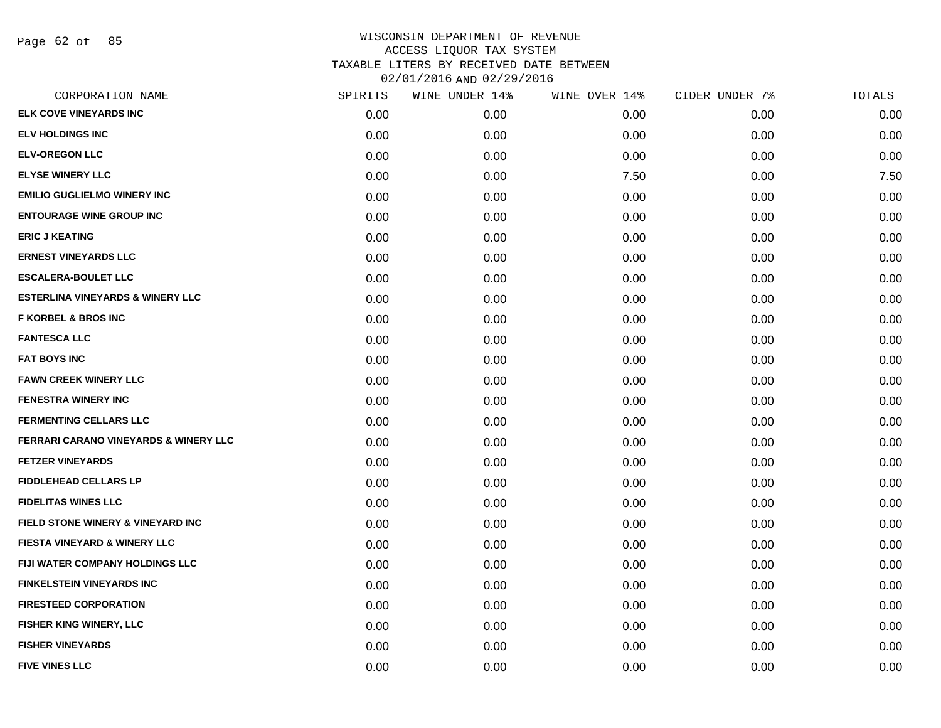Page 62 of 85

| CORPORATION NAME                                 | SPIRITS | WINE UNDER 14% | WINE OVER 14% | CIDER UNDER 7% | <b>TOTALS</b> |
|--------------------------------------------------|---------|----------------|---------------|----------------|---------------|
| <b>ELK COVE VINEYARDS INC</b>                    | 0.00    | 0.00           | 0.00          | 0.00           | 0.00          |
| <b>ELV HOLDINGS INC</b>                          | 0.00    | 0.00           | 0.00          | 0.00           | 0.00          |
| <b>ELV-OREGON LLC</b>                            | 0.00    | 0.00           | 0.00          | 0.00           | 0.00          |
| <b>ELYSE WINERY LLC</b>                          | 0.00    | 0.00           | 7.50          | 0.00           | 7.50          |
| <b>EMILIO GUGLIELMO WINERY INC</b>               | 0.00    | 0.00           | 0.00          | 0.00           | 0.00          |
| <b>ENTOURAGE WINE GROUP INC</b>                  | 0.00    | 0.00           | 0.00          | 0.00           | 0.00          |
| <b>ERIC J KEATING</b>                            | 0.00    | 0.00           | 0.00          | 0.00           | 0.00          |
| <b>ERNEST VINEYARDS LLC</b>                      | 0.00    | 0.00           | 0.00          | 0.00           | 0.00          |
| <b>ESCALERA-BOULET LLC</b>                       | 0.00    | 0.00           | 0.00          | 0.00           | 0.00          |
| <b>ESTERLINA VINEYARDS &amp; WINERY LLC</b>      | 0.00    | 0.00           | 0.00          | 0.00           | 0.00          |
| <b>F KORBEL &amp; BROS INC</b>                   | 0.00    | 0.00           | 0.00          | 0.00           | 0.00          |
| <b>FANTESCA LLC</b>                              | 0.00    | 0.00           | 0.00          | 0.00           | 0.00          |
| <b>FAT BOYS INC</b>                              | 0.00    | 0.00           | 0.00          | 0.00           | 0.00          |
| <b>FAWN CREEK WINERY LLC</b>                     | 0.00    | 0.00           | 0.00          | 0.00           | 0.00          |
| <b>FENESTRA WINERY INC</b>                       | 0.00    | 0.00           | 0.00          | 0.00           | 0.00          |
| <b>FERMENTING CELLARS LLC</b>                    | 0.00    | 0.00           | 0.00          | 0.00           | 0.00          |
| <b>FERRARI CARANO VINEYARDS &amp; WINERY LLC</b> | 0.00    | 0.00           | 0.00          | 0.00           | 0.00          |
| <b>FETZER VINEYARDS</b>                          | 0.00    | 0.00           | 0.00          | 0.00           | 0.00          |
| <b>FIDDLEHEAD CELLARS LP</b>                     | 0.00    | 0.00           | 0.00          | 0.00           | 0.00          |
| <b>FIDELITAS WINES LLC</b>                       | 0.00    | 0.00           | 0.00          | 0.00           | 0.00          |
| <b>FIELD STONE WINERY &amp; VINEYARD INC</b>     | 0.00    | 0.00           | 0.00          | 0.00           | 0.00          |
| FIESTA VINEYARD & WINERY LLC                     | 0.00    | 0.00           | 0.00          | 0.00           | 0.00          |
| FIJI WATER COMPANY HOLDINGS LLC                  | 0.00    | 0.00           | 0.00          | 0.00           | 0.00          |
| <b>FINKELSTEIN VINEYARDS INC</b>                 | 0.00    | 0.00           | 0.00          | 0.00           | 0.00          |
| <b>FIRESTEED CORPORATION</b>                     | 0.00    | 0.00           | 0.00          | 0.00           | 0.00          |
| FISHER KING WINERY, LLC                          | 0.00    | 0.00           | 0.00          | 0.00           | 0.00          |
| <b>FISHER VINEYARDS</b>                          | 0.00    | 0.00           | 0.00          | 0.00           | 0.00          |
| <b>FIVE VINES LLC</b>                            | 0.00    | 0.00           | 0.00          | 0.00           | 0.00          |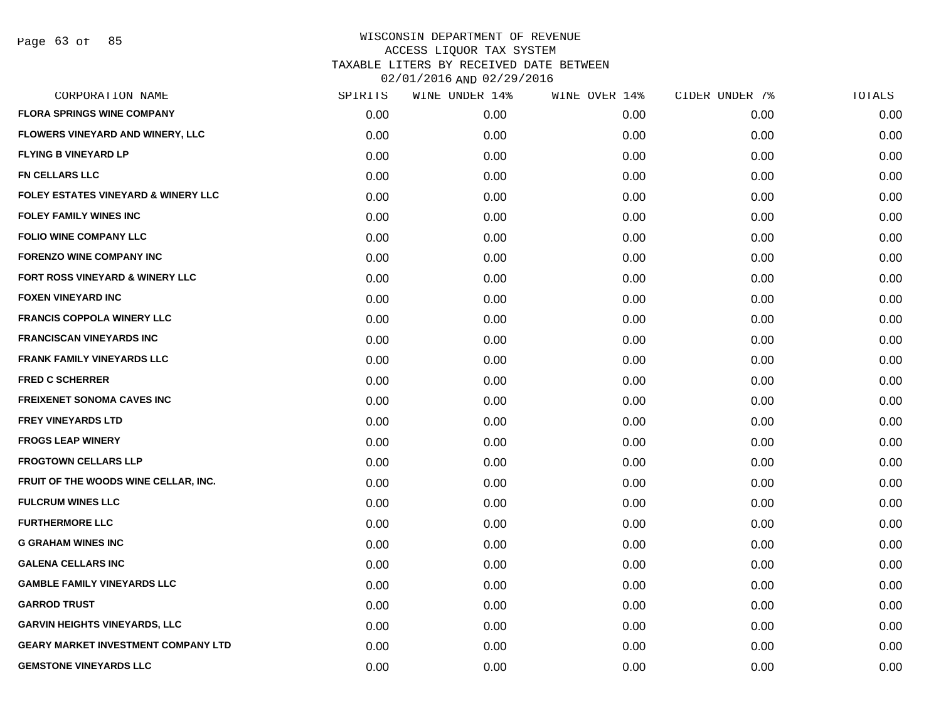| CORPORATION NAME                           | SPIRITS | WINE UNDER 14% | WINE OVER 14% | CIDER UNDER 7% | TOTALS |
|--------------------------------------------|---------|----------------|---------------|----------------|--------|
| <b>FLORA SPRINGS WINE COMPANY</b>          | 0.00    | 0.00           | 0.00          | 0.00           | 0.00   |
| FLOWERS VINEYARD AND WINERY, LLC           | 0.00    | 0.00           | 0.00          | 0.00           | 0.00   |
| <b>FLYING B VINEYARD LP</b>                | 0.00    | 0.00           | 0.00          | 0.00           | 0.00   |
| <b>FN CELLARS LLC</b>                      | 0.00    | 0.00           | 0.00          | 0.00           | 0.00   |
| FOLEY ESTATES VINEYARD & WINERY LLC        | 0.00    | 0.00           | 0.00          | 0.00           | 0.00   |
| <b>FOLEY FAMILY WINES INC</b>              | 0.00    | 0.00           | 0.00          | 0.00           | 0.00   |
| <b>FOLIO WINE COMPANY LLC</b>              | 0.00    | 0.00           | 0.00          | 0.00           | 0.00   |
| <b>FORENZO WINE COMPANY INC</b>            | 0.00    | 0.00           | 0.00          | 0.00           | 0.00   |
| FORT ROSS VINEYARD & WINERY LLC            | 0.00    | 0.00           | 0.00          | 0.00           | 0.00   |
| <b>FOXEN VINEYARD INC</b>                  | 0.00    | 0.00           | 0.00          | 0.00           | 0.00   |
| <b>FRANCIS COPPOLA WINERY LLC</b>          | 0.00    | 0.00           | 0.00          | 0.00           | 0.00   |
| <b>FRANCISCAN VINEYARDS INC</b>            | 0.00    | 0.00           | 0.00          | 0.00           | 0.00   |
| <b>FRANK FAMILY VINEYARDS LLC</b>          | 0.00    | 0.00           | 0.00          | 0.00           | 0.00   |
| <b>FRED C SCHERRER</b>                     | 0.00    | 0.00           | 0.00          | 0.00           | 0.00   |
| <b>FREIXENET SONOMA CAVES INC</b>          | 0.00    | 0.00           | 0.00          | 0.00           | 0.00   |
| <b>FREY VINEYARDS LTD</b>                  | 0.00    | 0.00           | 0.00          | 0.00           | 0.00   |
| <b>FROGS LEAP WINERY</b>                   | 0.00    | 0.00           | 0.00          | 0.00           | 0.00   |
| <b>FROGTOWN CELLARS LLP</b>                | 0.00    | 0.00           | 0.00          | 0.00           | 0.00   |
| FRUIT OF THE WOODS WINE CELLAR, INC.       | 0.00    | 0.00           | 0.00          | 0.00           | 0.00   |
| <b>FULCRUM WINES LLC</b>                   | 0.00    | 0.00           | 0.00          | 0.00           | 0.00   |
| <b>FURTHERMORE LLC</b>                     | 0.00    | 0.00           | 0.00          | 0.00           | 0.00   |
| <b>G GRAHAM WINES INC</b>                  | 0.00    | 0.00           | 0.00          | 0.00           | 0.00   |
| <b>GALENA CELLARS INC</b>                  | 0.00    | 0.00           | 0.00          | 0.00           | 0.00   |
| <b>GAMBLE FAMILY VINEYARDS LLC</b>         | 0.00    | 0.00           | 0.00          | 0.00           | 0.00   |
| <b>GARROD TRUST</b>                        | 0.00    | 0.00           | 0.00          | 0.00           | 0.00   |
| <b>GARVIN HEIGHTS VINEYARDS, LLC</b>       | 0.00    | 0.00           | 0.00          | 0.00           | 0.00   |
| <b>GEARY MARKET INVESTMENT COMPANY LTD</b> | 0.00    | 0.00           | 0.00          | 0.00           | 0.00   |
| <b>GEMSTONE VINEYARDS LLC</b>              | 0.00    | 0.00           | 0.00          | 0.00           | 0.00   |
|                                            |         |                |               |                |        |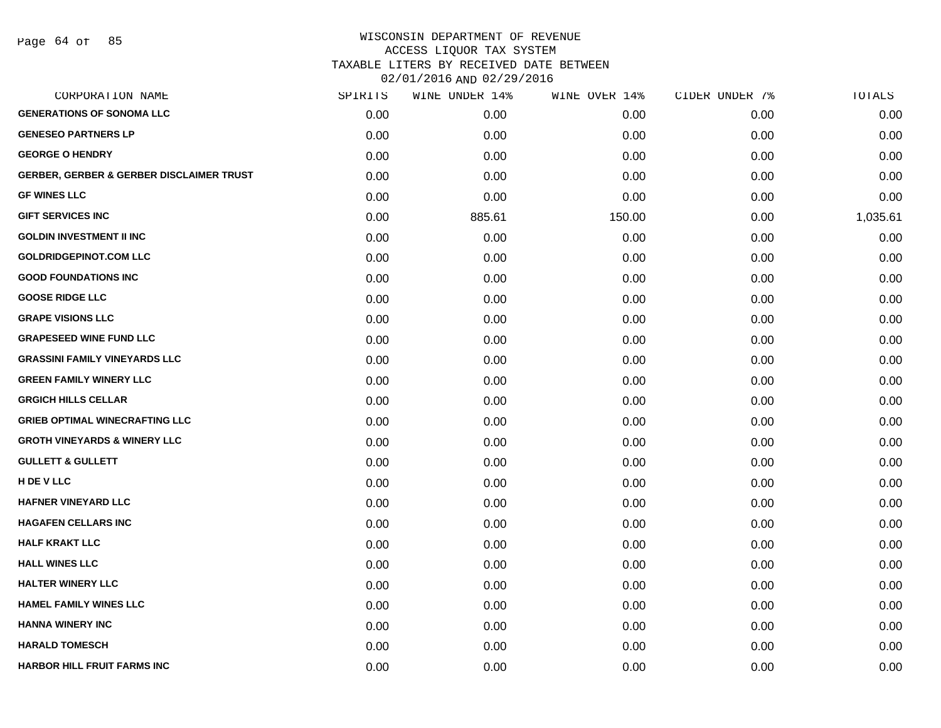| CORPORATION NAME                                    | SPIRITS | WINE UNDER 14% | WINE OVER 14% | CIDER UNDER 7% | TOTALS   |
|-----------------------------------------------------|---------|----------------|---------------|----------------|----------|
| <b>GENERATIONS OF SONOMA LLC</b>                    | 0.00    | 0.00           | 0.00          | 0.00           | 0.00     |
| <b>GENESEO PARTNERS LP</b>                          | 0.00    | 0.00           | 0.00          | 0.00           | 0.00     |
| <b>GEORGE O HENDRY</b>                              | 0.00    | 0.00           | 0.00          | 0.00           | 0.00     |
| <b>GERBER, GERBER &amp; GERBER DISCLAIMER TRUST</b> | 0.00    | 0.00           | 0.00          | 0.00           | 0.00     |
| <b>GF WINES LLC</b>                                 | 0.00    | 0.00           | 0.00          | 0.00           | 0.00     |
| <b>GIFT SERVICES INC</b>                            | 0.00    | 885.61         | 150.00        | 0.00           | 1,035.61 |
| <b>GOLDIN INVESTMENT II INC</b>                     | 0.00    | 0.00           | 0.00          | 0.00           | 0.00     |
| <b>GOLDRIDGEPINOT.COM LLC</b>                       | 0.00    | 0.00           | 0.00          | 0.00           | 0.00     |
| <b>GOOD FOUNDATIONS INC</b>                         | 0.00    | 0.00           | 0.00          | 0.00           | 0.00     |
| <b>GOOSE RIDGE LLC</b>                              | 0.00    | 0.00           | 0.00          | 0.00           | 0.00     |
| <b>GRAPE VISIONS LLC</b>                            | 0.00    | 0.00           | 0.00          | 0.00           | 0.00     |
| <b>GRAPESEED WINE FUND LLC</b>                      | 0.00    | 0.00           | 0.00          | 0.00           | 0.00     |
| <b>GRASSINI FAMILY VINEYARDS LLC</b>                | 0.00    | 0.00           | 0.00          | 0.00           | 0.00     |
| <b>GREEN FAMILY WINERY LLC</b>                      | 0.00    | 0.00           | 0.00          | 0.00           | 0.00     |
| <b>GRGICH HILLS CELLAR</b>                          | 0.00    | 0.00           | 0.00          | 0.00           | 0.00     |
| <b>GRIEB OPTIMAL WINECRAFTING LLC</b>               | 0.00    | 0.00           | 0.00          | 0.00           | 0.00     |
| <b>GROTH VINEYARDS &amp; WINERY LLC</b>             | 0.00    | 0.00           | 0.00          | 0.00           | 0.00     |
| <b>GULLETT &amp; GULLETT</b>                        | 0.00    | 0.00           | 0.00          | 0.00           | 0.00     |
| H DE V LLC                                          | 0.00    | 0.00           | 0.00          | 0.00           | 0.00     |
| <b>HAFNER VINEYARD LLC</b>                          | 0.00    | 0.00           | 0.00          | 0.00           | 0.00     |
| <b>HAGAFEN CELLARS INC</b>                          | 0.00    | 0.00           | 0.00          | 0.00           | 0.00     |
| <b>HALF KRAKT LLC</b>                               | 0.00    | 0.00           | 0.00          | 0.00           | 0.00     |
| <b>HALL WINES LLC</b>                               | 0.00    | 0.00           | 0.00          | 0.00           | 0.00     |
| <b>HALTER WINERY LLC</b>                            | 0.00    | 0.00           | 0.00          | 0.00           | 0.00     |
| <b>HAMEL FAMILY WINES LLC</b>                       | 0.00    | 0.00           | 0.00          | 0.00           | 0.00     |
| <b>HANNA WINERY INC</b>                             | 0.00    | 0.00           | 0.00          | 0.00           | 0.00     |
| <b>HARALD TOMESCH</b>                               | 0.00    | 0.00           | 0.00          | 0.00           | 0.00     |
| HARBOR HILL FRUIT FARMS INC                         | 0.00    | 0.00           | 0.00          | 0.00           | 0.00     |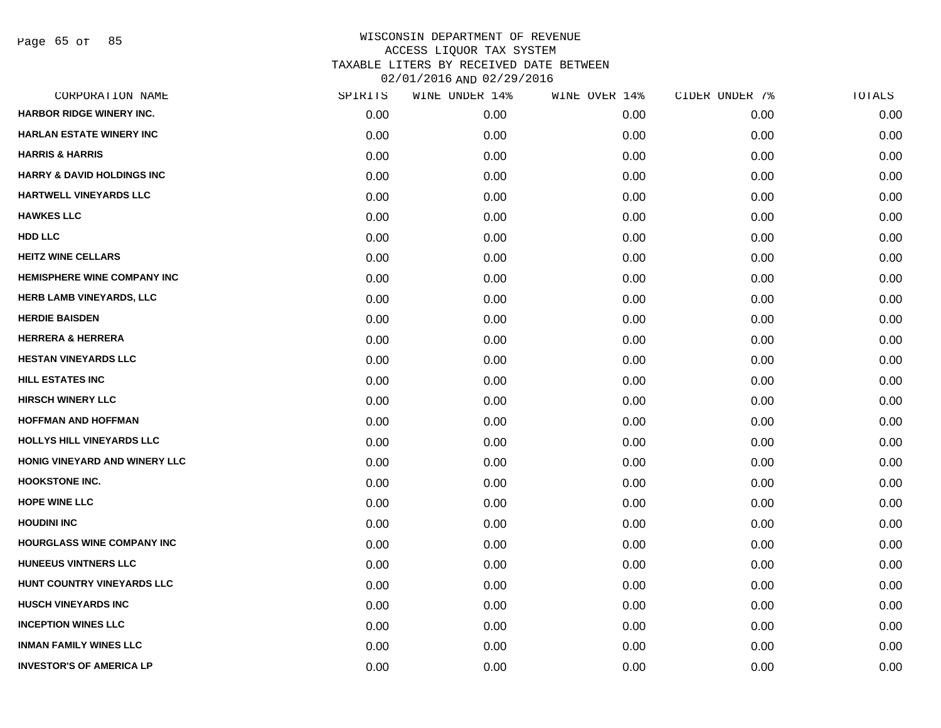Page 65 of 85

| CORPORATION NAME                      | SPIRITS | WINE UNDER 14% | WINE OVER 14% | CIDER UNDER 7% | TOTALS |
|---------------------------------------|---------|----------------|---------------|----------------|--------|
| <b>HARBOR RIDGE WINERY INC.</b>       | 0.00    | 0.00           | 0.00          | 0.00           | 0.00   |
| <b>HARLAN ESTATE WINERY INC</b>       | 0.00    | 0.00           | 0.00          | 0.00           | 0.00   |
| <b>HARRIS &amp; HARRIS</b>            | 0.00    | 0.00           | 0.00          | 0.00           | 0.00   |
| <b>HARRY &amp; DAVID HOLDINGS INC</b> | 0.00    | 0.00           | 0.00          | 0.00           | 0.00   |
| <b>HARTWELL VINEYARDS LLC</b>         | 0.00    | 0.00           | 0.00          | 0.00           | 0.00   |
| <b>HAWKES LLC</b>                     | 0.00    | 0.00           | 0.00          | 0.00           | 0.00   |
| <b>HDD LLC</b>                        | 0.00    | 0.00           | 0.00          | 0.00           | 0.00   |
| <b>HEITZ WINE CELLARS</b>             | 0.00    | 0.00           | 0.00          | 0.00           | 0.00   |
| <b>HEMISPHERE WINE COMPANY INC</b>    | 0.00    | 0.00           | 0.00          | 0.00           | 0.00   |
| HERB LAMB VINEYARDS, LLC              | 0.00    | 0.00           | 0.00          | 0.00           | 0.00   |
| <b>HERDIE BAISDEN</b>                 | 0.00    | 0.00           | 0.00          | 0.00           | 0.00   |
| <b>HERRERA &amp; HERRERA</b>          | 0.00    | 0.00           | 0.00          | 0.00           | 0.00   |
| <b>HESTAN VINEYARDS LLC</b>           | 0.00    | 0.00           | 0.00          | 0.00           | 0.00   |
| <b>HILL ESTATES INC</b>               | 0.00    | 0.00           | 0.00          | 0.00           | 0.00   |
| <b>HIRSCH WINERY LLC</b>              | 0.00    | 0.00           | 0.00          | 0.00           | 0.00   |
| <b>HOFFMAN AND HOFFMAN</b>            | 0.00    | 0.00           | 0.00          | 0.00           | 0.00   |
| HOLLYS HILL VINEYARDS LLC             | 0.00    | 0.00           | 0.00          | 0.00           | 0.00   |
| HONIG VINEYARD AND WINERY LLC         | 0.00    | 0.00           | 0.00          | 0.00           | 0.00   |
| <b>HOOKSTONE INC.</b>                 | 0.00    | 0.00           | 0.00          | 0.00           | 0.00   |
| <b>HOPE WINE LLC</b>                  | 0.00    | 0.00           | 0.00          | 0.00           | 0.00   |
| <b>HOUDINI INC</b>                    | 0.00    | 0.00           | 0.00          | 0.00           | 0.00   |
| HOURGLASS WINE COMPANY INC            | 0.00    | 0.00           | 0.00          | 0.00           | 0.00   |
| <b>HUNEEUS VINTNERS LLC</b>           | 0.00    | 0.00           | 0.00          | 0.00           | 0.00   |
| HUNT COUNTRY VINEYARDS LLC            | 0.00    | 0.00           | 0.00          | 0.00           | 0.00   |
| <b>HUSCH VINEYARDS INC</b>            | 0.00    | 0.00           | 0.00          | 0.00           | 0.00   |
| <b>INCEPTION WINES LLC</b>            | 0.00    | 0.00           | 0.00          | 0.00           | 0.00   |
| <b>INMAN FAMILY WINES LLC</b>         | 0.00    | 0.00           | 0.00          | 0.00           | 0.00   |
| <b>INVESTOR'S OF AMERICA LP</b>       | 0.00    | 0.00           | 0.00          | 0.00           | 0.00   |
|                                       |         |                |               |                |        |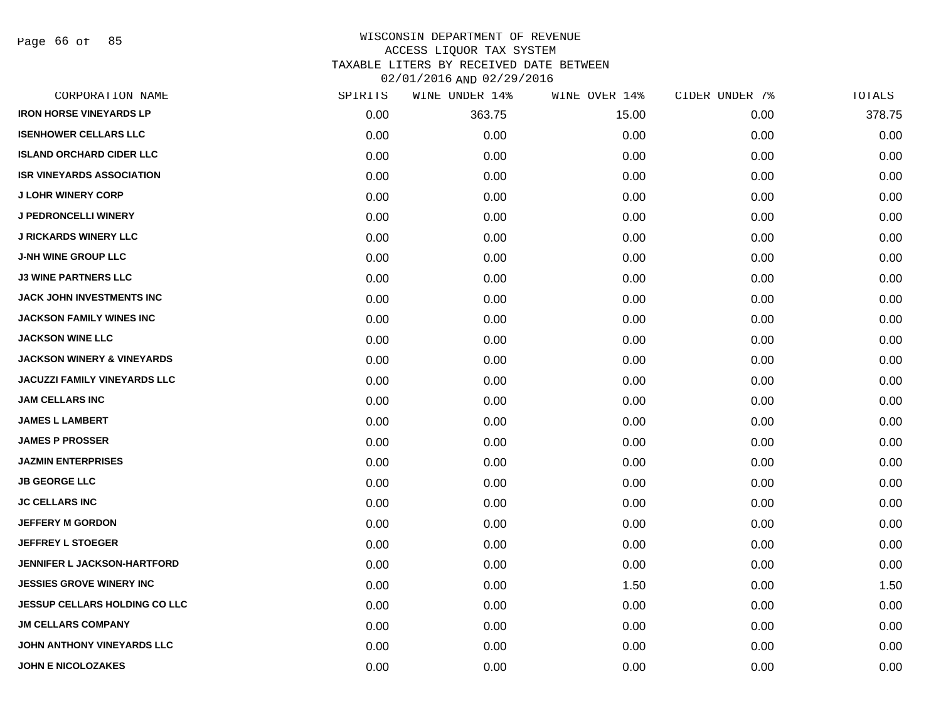Page 66 of 85

| CORPORATION NAME                      | SPIRITS | WINE UNDER 14% | WINE OVER 14% | CIDER UNDER 7% | TOTALS |
|---------------------------------------|---------|----------------|---------------|----------------|--------|
| <b>IRON HORSE VINEYARDS LP</b>        | 0.00    | 363.75         | 15.00         | 0.00           | 378.75 |
| <b>ISENHOWER CELLARS LLC</b>          | 0.00    | 0.00           | 0.00          | 0.00           | 0.00   |
| <b>ISLAND ORCHARD CIDER LLC</b>       | 0.00    | 0.00           | 0.00          | 0.00           | 0.00   |
| <b>ISR VINEYARDS ASSOCIATION</b>      | 0.00    | 0.00           | 0.00          | 0.00           | 0.00   |
| <b>J LOHR WINERY CORP</b>             | 0.00    | 0.00           | 0.00          | 0.00           | 0.00   |
| <b>J PEDRONCELLI WINERY</b>           | 0.00    | 0.00           | 0.00          | 0.00           | 0.00   |
| <b>J RICKARDS WINERY LLC</b>          | 0.00    | 0.00           | 0.00          | 0.00           | 0.00   |
| <b>J-NH WINE GROUP LLC</b>            | 0.00    | 0.00           | 0.00          | 0.00           | 0.00   |
| <b>J3 WINE PARTNERS LLC</b>           | 0.00    | 0.00           | 0.00          | 0.00           | 0.00   |
| <b>JACK JOHN INVESTMENTS INC</b>      | 0.00    | 0.00           | 0.00          | 0.00           | 0.00   |
| <b>JACKSON FAMILY WINES INC</b>       | 0.00    | 0.00           | 0.00          | 0.00           | 0.00   |
| <b>JACKSON WINE LLC</b>               | 0.00    | 0.00           | 0.00          | 0.00           | 0.00   |
| <b>JACKSON WINERY &amp; VINEYARDS</b> | 0.00    | 0.00           | 0.00          | 0.00           | 0.00   |
| <b>JACUZZI FAMILY VINEYARDS LLC</b>   | 0.00    | 0.00           | 0.00          | 0.00           | 0.00   |
| <b>JAM CELLARS INC</b>                | 0.00    | 0.00           | 0.00          | 0.00           | 0.00   |
| <b>JAMES L LAMBERT</b>                | 0.00    | 0.00           | 0.00          | 0.00           | 0.00   |
| <b>JAMES P PROSSER</b>                | 0.00    | 0.00           | 0.00          | 0.00           | 0.00   |
| <b>JAZMIN ENTERPRISES</b>             | 0.00    | 0.00           | 0.00          | 0.00           | 0.00   |
| <b>JB GEORGE LLC</b>                  | 0.00    | 0.00           | 0.00          | 0.00           | 0.00   |
| <b>JC CELLARS INC</b>                 | 0.00    | 0.00           | 0.00          | 0.00           | 0.00   |
| <b>JEFFERY M GORDON</b>               | 0.00    | 0.00           | 0.00          | 0.00           | 0.00   |
| <b>JEFFREY L STOEGER</b>              | 0.00    | 0.00           | 0.00          | 0.00           | 0.00   |
| <b>JENNIFER L JACKSON-HARTFORD</b>    | 0.00    | 0.00           | 0.00          | 0.00           | 0.00   |
| <b>JESSIES GROVE WINERY INC.</b>      | 0.00    | 0.00           | 1.50          | 0.00           | 1.50   |
| <b>JESSUP CELLARS HOLDING CO LLC</b>  | 0.00    | 0.00           | 0.00          | 0.00           | 0.00   |
| <b>JM CELLARS COMPANY</b>             | 0.00    | 0.00           | 0.00          | 0.00           | 0.00   |
| JOHN ANTHONY VINEYARDS LLC            | 0.00    | 0.00           | 0.00          | 0.00           | 0.00   |
| <b>JOHN E NICOLOZAKES</b>             | 0.00    | 0.00           | 0.00          | 0.00           | 0.00   |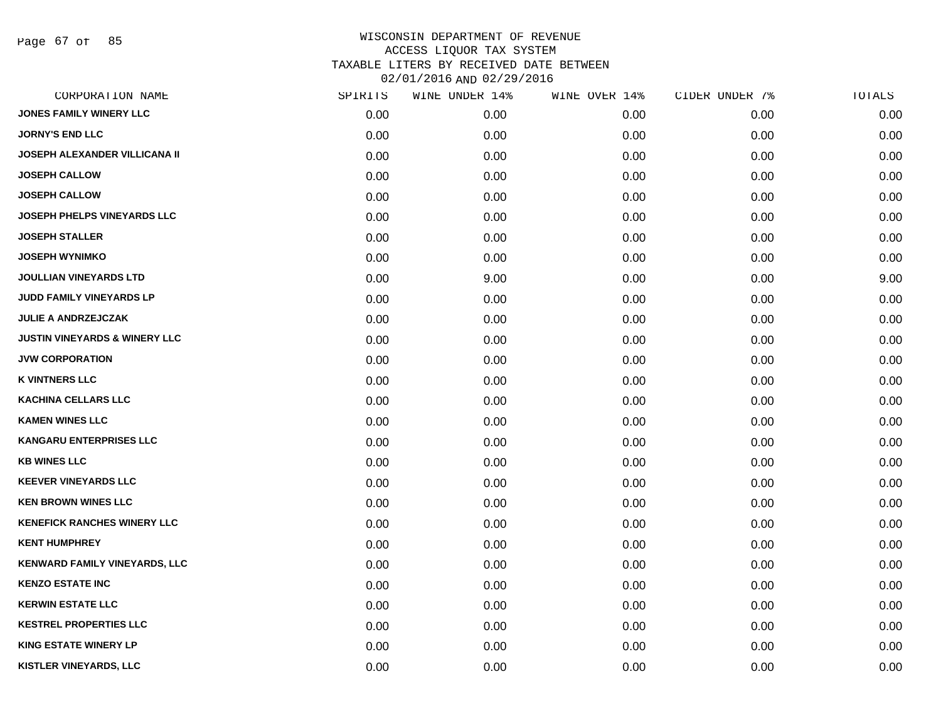Page 67 of 85

| CORPORATION NAME                         | SPIRITS | WINE UNDER 14% | WINE OVER 14% | CIDER UNDER 7% | TOTALS |
|------------------------------------------|---------|----------------|---------------|----------------|--------|
| <b>JONES FAMILY WINERY LLC</b>           | 0.00    | 0.00           | 0.00          | 0.00           | 0.00   |
| <b>JORNY'S END LLC</b>                   | 0.00    | 0.00           | 0.00          | 0.00           | 0.00   |
| <b>JOSEPH ALEXANDER VILLICANA II</b>     | 0.00    | 0.00           | 0.00          | 0.00           | 0.00   |
| <b>JOSEPH CALLOW</b>                     | 0.00    | 0.00           | 0.00          | 0.00           | 0.00   |
| <b>JOSEPH CALLOW</b>                     | 0.00    | 0.00           | 0.00          | 0.00           | 0.00   |
| <b>JOSEPH PHELPS VINEYARDS LLC</b>       | 0.00    | 0.00           | 0.00          | 0.00           | 0.00   |
| <b>JOSEPH STALLER</b>                    | 0.00    | 0.00           | 0.00          | 0.00           | 0.00   |
| <b>JOSEPH WYNIMKO</b>                    | 0.00    | 0.00           | 0.00          | 0.00           | 0.00   |
| <b>JOULLIAN VINEYARDS LTD</b>            | 0.00    | 9.00           | 0.00          | 0.00           | 9.00   |
| JUDD FAMILY VINEYARDS LP                 | 0.00    | 0.00           | 0.00          | 0.00           | 0.00   |
| <b>JULIE A ANDRZEJCZAK</b>               | 0.00    | 0.00           | 0.00          | 0.00           | 0.00   |
| <b>JUSTIN VINEYARDS &amp; WINERY LLC</b> | 0.00    | 0.00           | 0.00          | 0.00           | 0.00   |
| <b>JVW CORPORATION</b>                   | 0.00    | 0.00           | 0.00          | 0.00           | 0.00   |
| <b>K VINTNERS LLC</b>                    | 0.00    | 0.00           | 0.00          | 0.00           | 0.00   |
| <b>KACHINA CELLARS LLC</b>               | 0.00    | 0.00           | 0.00          | 0.00           | 0.00   |
| <b>KAMEN WINES LLC</b>                   | 0.00    | 0.00           | 0.00          | 0.00           | 0.00   |
| <b>KANGARU ENTERPRISES LLC</b>           | 0.00    | 0.00           | 0.00          | 0.00           | 0.00   |
| <b>KB WINES LLC</b>                      | 0.00    | 0.00           | 0.00          | 0.00           | 0.00   |
| <b>KEEVER VINEYARDS LLC</b>              | 0.00    | 0.00           | 0.00          | 0.00           | 0.00   |
| <b>KEN BROWN WINES LLC</b>               | 0.00    | 0.00           | 0.00          | 0.00           | 0.00   |
| <b>KENEFICK RANCHES WINERY LLC</b>       | 0.00    | 0.00           | 0.00          | 0.00           | 0.00   |
| <b>KENT HUMPHREY</b>                     | 0.00    | 0.00           | 0.00          | 0.00           | 0.00   |
| <b>KENWARD FAMILY VINEYARDS, LLC</b>     | 0.00    | 0.00           | 0.00          | 0.00           | 0.00   |
| <b>KENZO ESTATE INC</b>                  | 0.00    | 0.00           | 0.00          | 0.00           | 0.00   |
| <b>KERWIN ESTATE LLC</b>                 | 0.00    | 0.00           | 0.00          | 0.00           | 0.00   |
| <b>KESTREL PROPERTIES LLC</b>            | 0.00    | 0.00           | 0.00          | 0.00           | 0.00   |
| <b>KING ESTATE WINERY LP</b>             | 0.00    | 0.00           | 0.00          | 0.00           | 0.00   |
| KISTLER VINEYARDS, LLC                   | 0.00    | 0.00           | 0.00          | 0.00           | 0.00   |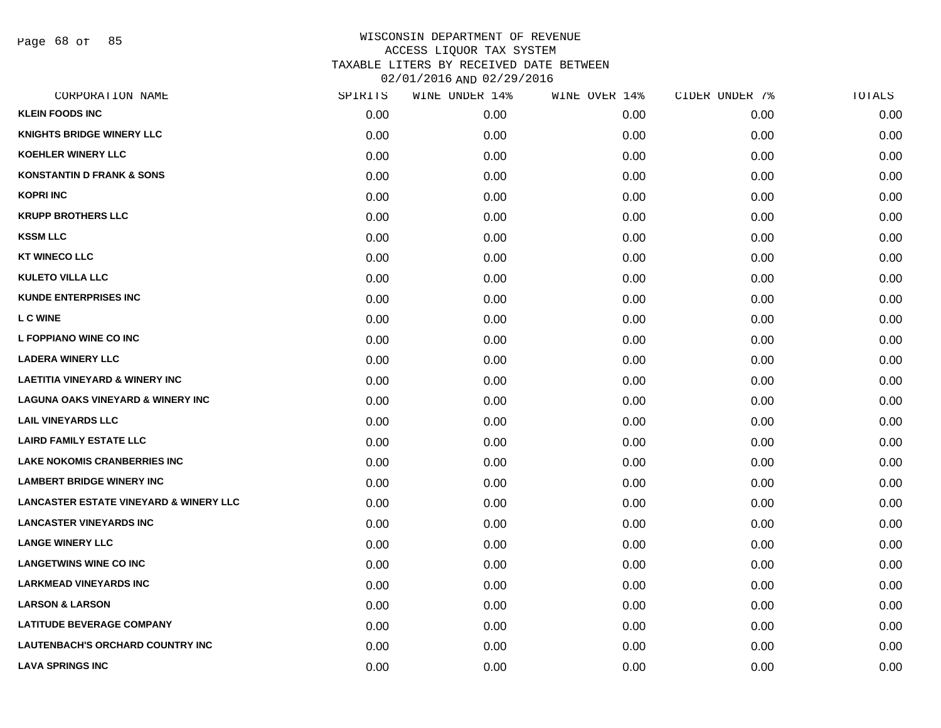Page 68 of 85

| 0.00 |      |      |      |      |
|------|------|------|------|------|
|      | 0.00 | 0.00 | 0.00 | 0.00 |
| 0.00 | 0.00 | 0.00 | 0.00 | 0.00 |
| 0.00 | 0.00 | 0.00 | 0.00 | 0.00 |
| 0.00 | 0.00 | 0.00 | 0.00 | 0.00 |
| 0.00 | 0.00 | 0.00 | 0.00 | 0.00 |
| 0.00 | 0.00 | 0.00 | 0.00 | 0.00 |
| 0.00 | 0.00 | 0.00 | 0.00 | 0.00 |
| 0.00 | 0.00 | 0.00 | 0.00 | 0.00 |
| 0.00 | 0.00 | 0.00 | 0.00 | 0.00 |
| 0.00 | 0.00 | 0.00 | 0.00 | 0.00 |
| 0.00 | 0.00 | 0.00 | 0.00 | 0.00 |
| 0.00 | 0.00 | 0.00 | 0.00 | 0.00 |
| 0.00 | 0.00 | 0.00 | 0.00 | 0.00 |
| 0.00 | 0.00 | 0.00 | 0.00 | 0.00 |
| 0.00 | 0.00 | 0.00 | 0.00 | 0.00 |
| 0.00 | 0.00 | 0.00 | 0.00 | 0.00 |
| 0.00 | 0.00 | 0.00 | 0.00 | 0.00 |
| 0.00 | 0.00 | 0.00 | 0.00 | 0.00 |
| 0.00 | 0.00 | 0.00 | 0.00 | 0.00 |
| 0.00 | 0.00 | 0.00 | 0.00 | 0.00 |
| 0.00 | 0.00 | 0.00 | 0.00 | 0.00 |
| 0.00 | 0.00 | 0.00 | 0.00 | 0.00 |
| 0.00 | 0.00 | 0.00 | 0.00 | 0.00 |
| 0.00 | 0.00 | 0.00 | 0.00 | 0.00 |
| 0.00 | 0.00 | 0.00 | 0.00 | 0.00 |
| 0.00 | 0.00 | 0.00 | 0.00 | 0.00 |
| 0.00 | 0.00 | 0.00 | 0.00 | 0.00 |
| 0.00 | 0.00 | 0.00 | 0.00 | 0.00 |
|      |      |      |      |      |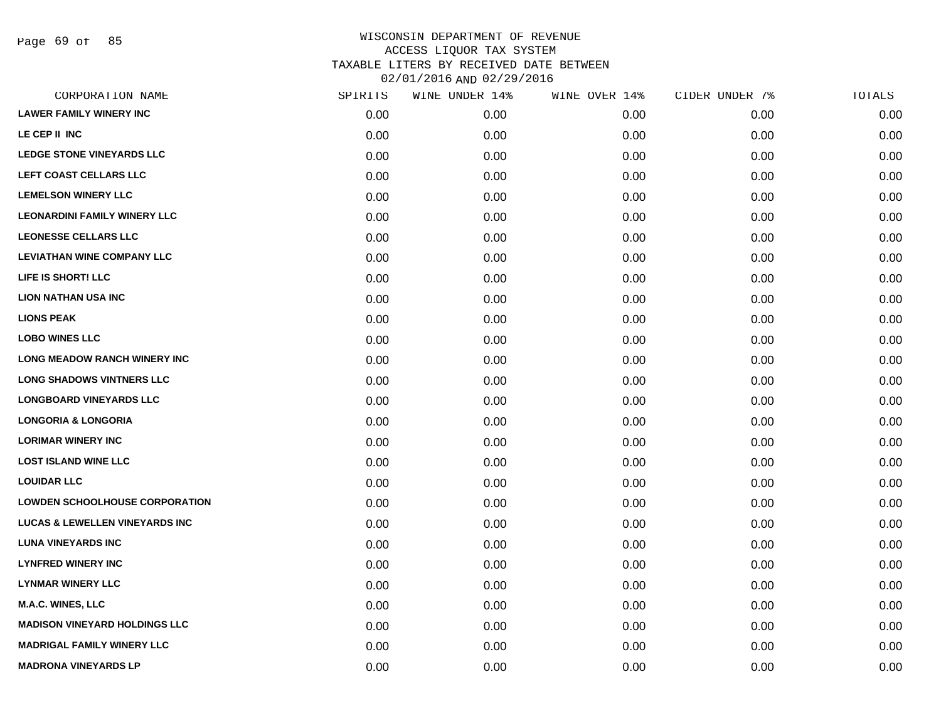Page 69 of 85

| CORPORATION NAME                          | SPIRITS | WINE UNDER 14% | WINE OVER 14% | CIDER UNDER 7% | TOTALS |
|-------------------------------------------|---------|----------------|---------------|----------------|--------|
| <b>LAWER FAMILY WINERY INC</b>            | 0.00    | 0.00           | 0.00          | 0.00           | 0.00   |
| LE CEP II INC                             | 0.00    | 0.00           | 0.00          | 0.00           | 0.00   |
| <b>LEDGE STONE VINEYARDS LLC</b>          | 0.00    | 0.00           | 0.00          | 0.00           | 0.00   |
| LEFT COAST CELLARS LLC                    | 0.00    | 0.00           | 0.00          | 0.00           | 0.00   |
| <b>LEMELSON WINERY LLC</b>                | 0.00    | 0.00           | 0.00          | 0.00           | 0.00   |
| <b>LEONARDINI FAMILY WINERY LLC</b>       | 0.00    | 0.00           | 0.00          | 0.00           | 0.00   |
| <b>LEONESSE CELLARS LLC</b>               | 0.00    | 0.00           | 0.00          | 0.00           | 0.00   |
| <b>LEVIATHAN WINE COMPANY LLC</b>         | 0.00    | 0.00           | 0.00          | 0.00           | 0.00   |
| LIFE IS SHORT! LLC                        | 0.00    | 0.00           | 0.00          | 0.00           | 0.00   |
| <b>LION NATHAN USA INC</b>                | 0.00    | 0.00           | 0.00          | 0.00           | 0.00   |
| <b>LIONS PEAK</b>                         | 0.00    | 0.00           | 0.00          | 0.00           | 0.00   |
| <b>LOBO WINES LLC</b>                     | 0.00    | 0.00           | 0.00          | 0.00           | 0.00   |
| <b>LONG MEADOW RANCH WINERY INC</b>       | 0.00    | 0.00           | 0.00          | 0.00           | 0.00   |
| <b>LONG SHADOWS VINTNERS LLC</b>          | 0.00    | 0.00           | 0.00          | 0.00           | 0.00   |
| <b>LONGBOARD VINEYARDS LLC</b>            | 0.00    | 0.00           | 0.00          | 0.00           | 0.00   |
| <b>LONGORIA &amp; LONGORIA</b>            | 0.00    | 0.00           | 0.00          | 0.00           | 0.00   |
| <b>LORIMAR WINERY INC</b>                 | 0.00    | 0.00           | 0.00          | 0.00           | 0.00   |
| <b>LOST ISLAND WINE LLC</b>               | 0.00    | 0.00           | 0.00          | 0.00           | 0.00   |
| <b>LOUIDAR LLC</b>                        | 0.00    | 0.00           | 0.00          | 0.00           | 0.00   |
| <b>LOWDEN SCHOOLHOUSE CORPORATION</b>     | 0.00    | 0.00           | 0.00          | 0.00           | 0.00   |
| <b>LUCAS &amp; LEWELLEN VINEYARDS INC</b> | 0.00    | 0.00           | 0.00          | 0.00           | 0.00   |
| <b>LUNA VINEYARDS INC</b>                 | 0.00    | 0.00           | 0.00          | 0.00           | 0.00   |
| <b>LYNFRED WINERY INC</b>                 | 0.00    | 0.00           | 0.00          | 0.00           | 0.00   |
| <b>LYNMAR WINERY LLC</b>                  | 0.00    | 0.00           | 0.00          | 0.00           | 0.00   |
| M.A.C. WINES, LLC                         | 0.00    | 0.00           | 0.00          | 0.00           | 0.00   |
| <b>MADISON VINEYARD HOLDINGS LLC</b>      | 0.00    | 0.00           | 0.00          | 0.00           | 0.00   |
| <b>MADRIGAL FAMILY WINERY LLC</b>         | 0.00    | 0.00           | 0.00          | 0.00           | 0.00   |
| <b>MADRONA VINEYARDS LP</b>               | 0.00    | 0.00           | 0.00          | 0.00           | 0.00   |
|                                           |         |                |               |                |        |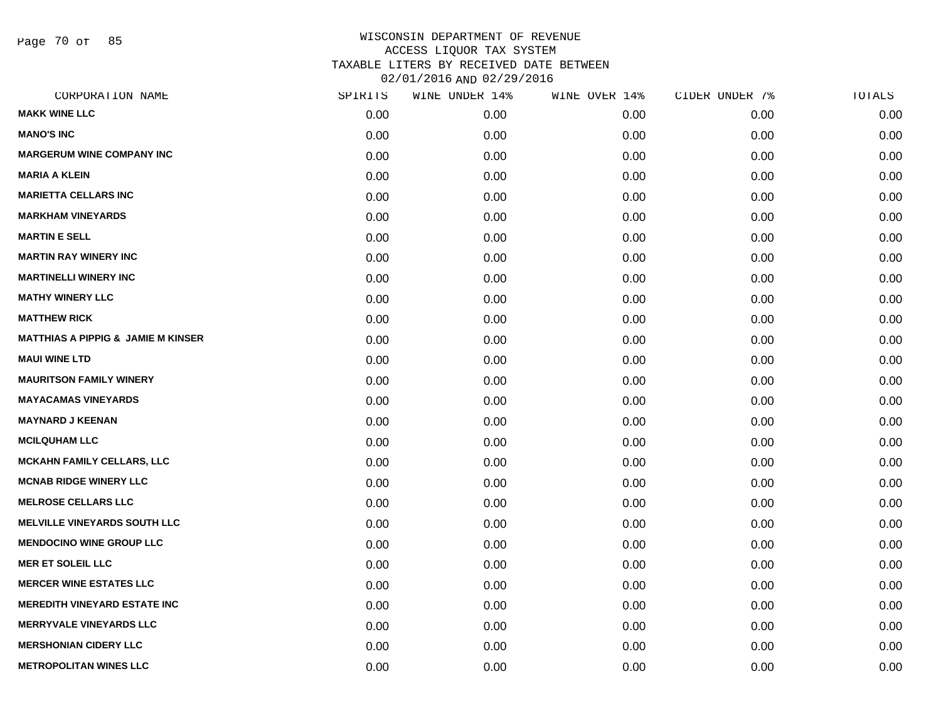Page 70 of 85

| CORPORATION NAME                              | SPIRITS | WINE UNDER 14% | WINE OVER 14% | CIDER UNDER 7% | TOTALS |
|-----------------------------------------------|---------|----------------|---------------|----------------|--------|
| <b>MAKK WINE LLC</b>                          | 0.00    | 0.00           | 0.00          | 0.00           | 0.00   |
| <b>MANO'S INC</b>                             | 0.00    | 0.00           | 0.00          | 0.00           | 0.00   |
| <b>MARGERUM WINE COMPANY INC</b>              | 0.00    | 0.00           | 0.00          | 0.00           | 0.00   |
| <b>MARIA A KLEIN</b>                          | 0.00    | 0.00           | 0.00          | 0.00           | 0.00   |
| <b>MARIETTA CELLARS INC</b>                   | 0.00    | 0.00           | 0.00          | 0.00           | 0.00   |
| <b>MARKHAM VINEYARDS</b>                      | 0.00    | 0.00           | 0.00          | 0.00           | 0.00   |
| <b>MARTIN E SELL</b>                          | 0.00    | 0.00           | 0.00          | 0.00           | 0.00   |
| <b>MARTIN RAY WINERY INC</b>                  | 0.00    | 0.00           | 0.00          | 0.00           | 0.00   |
| <b>MARTINELLI WINERY INC</b>                  | 0.00    | 0.00           | 0.00          | 0.00           | 0.00   |
| <b>MATHY WINERY LLC</b>                       | 0.00    | 0.00           | 0.00          | 0.00           | 0.00   |
| <b>MATTHEW RICK</b>                           | 0.00    | 0.00           | 0.00          | 0.00           | 0.00   |
| <b>MATTHIAS A PIPPIG &amp; JAMIE M KINSER</b> | 0.00    | 0.00           | 0.00          | 0.00           | 0.00   |
| <b>MAUI WINE LTD</b>                          | 0.00    | 0.00           | 0.00          | 0.00           | 0.00   |
| <b>MAURITSON FAMILY WINERY</b>                | 0.00    | 0.00           | 0.00          | 0.00           | 0.00   |
| <b>MAYACAMAS VINEYARDS</b>                    | 0.00    | 0.00           | 0.00          | 0.00           | 0.00   |
| <b>MAYNARD J KEENAN</b>                       | 0.00    | 0.00           | 0.00          | 0.00           | 0.00   |
| <b>MCILQUHAM LLC</b>                          | 0.00    | 0.00           | 0.00          | 0.00           | 0.00   |
| <b>MCKAHN FAMILY CELLARS, LLC</b>             | 0.00    | 0.00           | 0.00          | 0.00           | 0.00   |
| <b>MCNAB RIDGE WINERY LLC</b>                 | 0.00    | 0.00           | 0.00          | 0.00           | 0.00   |
| <b>MELROSE CELLARS LLC</b>                    | 0.00    | 0.00           | 0.00          | 0.00           | 0.00   |
| <b>MELVILLE VINEYARDS SOUTH LLC</b>           | 0.00    | 0.00           | 0.00          | 0.00           | 0.00   |
| <b>MENDOCINO WINE GROUP LLC</b>               | 0.00    | 0.00           | 0.00          | 0.00           | 0.00   |
| <b>MER ET SOLEIL LLC</b>                      | 0.00    | 0.00           | 0.00          | 0.00           | 0.00   |
| <b>MERCER WINE ESTATES LLC</b>                | 0.00    | 0.00           | 0.00          | 0.00           | 0.00   |
| <b>MEREDITH VINEYARD ESTATE INC</b>           | 0.00    | 0.00           | 0.00          | 0.00           | 0.00   |
| <b>MERRYVALE VINEYARDS LLC</b>                | 0.00    | 0.00           | 0.00          | 0.00           | 0.00   |
| <b>MERSHONIAN CIDERY LLC</b>                  | 0.00    | 0.00           | 0.00          | 0.00           | 0.00   |
| <b>METROPOLITAN WINES LLC</b>                 | 0.00    | 0.00           | 0.00          | 0.00           | 0.00   |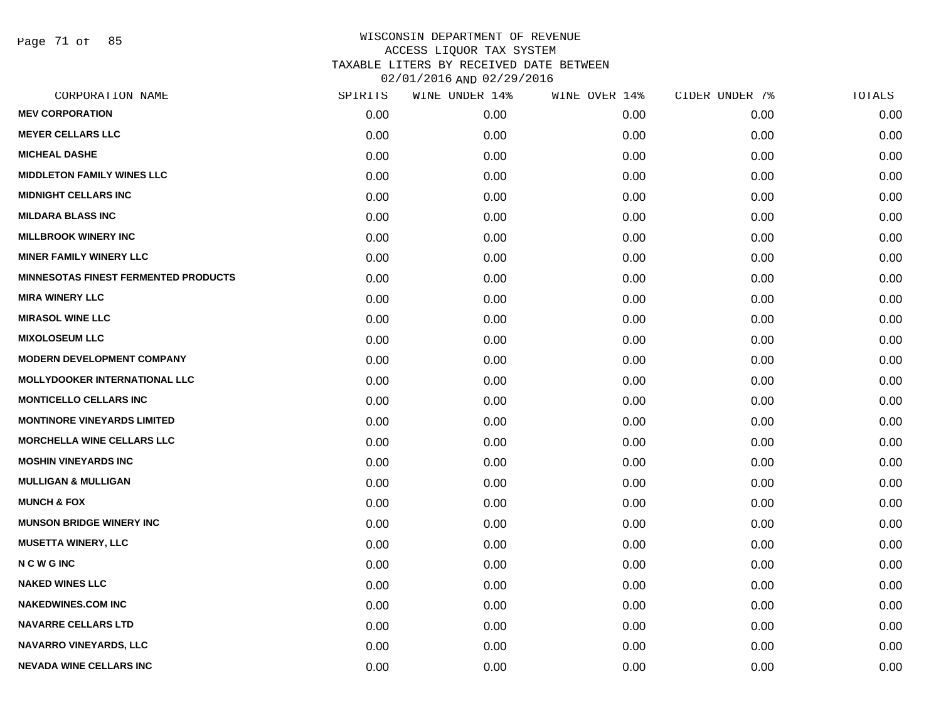Page 71 of 85

| CORPORATION NAME                            | SPIRITS | WINE UNDER 14% | WINE OVER 14% | CIDER UNDER 7% | TOTALS |
|---------------------------------------------|---------|----------------|---------------|----------------|--------|
| <b>MEV CORPORATION</b>                      | 0.00    | 0.00           | 0.00          | 0.00           | 0.00   |
| <b>MEYER CELLARS LLC</b>                    | 0.00    | 0.00           | 0.00          | 0.00           | 0.00   |
| <b>MICHEAL DASHE</b>                        | 0.00    | 0.00           | 0.00          | 0.00           | 0.00   |
| <b>MIDDLETON FAMILY WINES LLC</b>           | 0.00    | 0.00           | 0.00          | 0.00           | 0.00   |
| <b>MIDNIGHT CELLARS INC</b>                 | 0.00    | 0.00           | 0.00          | 0.00           | 0.00   |
| <b>MILDARA BLASS INC</b>                    | 0.00    | 0.00           | 0.00          | 0.00           | 0.00   |
| <b>MILLBROOK WINERY INC</b>                 | 0.00    | 0.00           | 0.00          | 0.00           | 0.00   |
| <b>MINER FAMILY WINERY LLC</b>              | 0.00    | 0.00           | 0.00          | 0.00           | 0.00   |
| <b>MINNESOTAS FINEST FERMENTED PRODUCTS</b> | 0.00    | 0.00           | 0.00          | 0.00           | 0.00   |
| <b>MIRA WINERY LLC</b>                      | 0.00    | 0.00           | 0.00          | 0.00           | 0.00   |
| <b>MIRASOL WINE LLC</b>                     | 0.00    | 0.00           | 0.00          | 0.00           | 0.00   |
| <b>MIXOLOSEUM LLC</b>                       | 0.00    | 0.00           | 0.00          | 0.00           | 0.00   |
| <b>MODERN DEVELOPMENT COMPANY</b>           | 0.00    | 0.00           | 0.00          | 0.00           | 0.00   |
| <b>MOLLYDOOKER INTERNATIONAL LLC</b>        | 0.00    | 0.00           | 0.00          | 0.00           | 0.00   |
| <b>MONTICELLO CELLARS INC</b>               | 0.00    | 0.00           | 0.00          | 0.00           | 0.00   |
| <b>MONTINORE VINEYARDS LIMITED</b>          | 0.00    | 0.00           | 0.00          | 0.00           | 0.00   |
| <b>MORCHELLA WINE CELLARS LLC</b>           | 0.00    | 0.00           | 0.00          | 0.00           | 0.00   |
| <b>MOSHIN VINEYARDS INC</b>                 | 0.00    | 0.00           | 0.00          | 0.00           | 0.00   |
| <b>MULLIGAN &amp; MULLIGAN</b>              | 0.00    | 0.00           | 0.00          | 0.00           | 0.00   |
| <b>MUNCH &amp; FOX</b>                      | 0.00    | 0.00           | 0.00          | 0.00           | 0.00   |
| <b>MUNSON BRIDGE WINERY INC</b>             | 0.00    | 0.00           | 0.00          | 0.00           | 0.00   |
| <b>MUSETTA WINERY, LLC</b>                  | 0.00    | 0.00           | 0.00          | 0.00           | 0.00   |
| <b>NCWGINC</b>                              | 0.00    | 0.00           | 0.00          | 0.00           | 0.00   |
| <b>NAKED WINES LLC</b>                      | 0.00    | 0.00           | 0.00          | 0.00           | 0.00   |
| <b>NAKEDWINES.COM INC</b>                   | 0.00    | 0.00           | 0.00          | 0.00           | 0.00   |
| <b>NAVARRE CELLARS LTD</b>                  | 0.00    | 0.00           | 0.00          | 0.00           | 0.00   |
| <b>NAVARRO VINEYARDS, LLC</b>               | 0.00    | 0.00           | 0.00          | 0.00           | 0.00   |
| <b>NEVADA WINE CELLARS INC</b>              | 0.00    | 0.00           | 0.00          | 0.00           | 0.00   |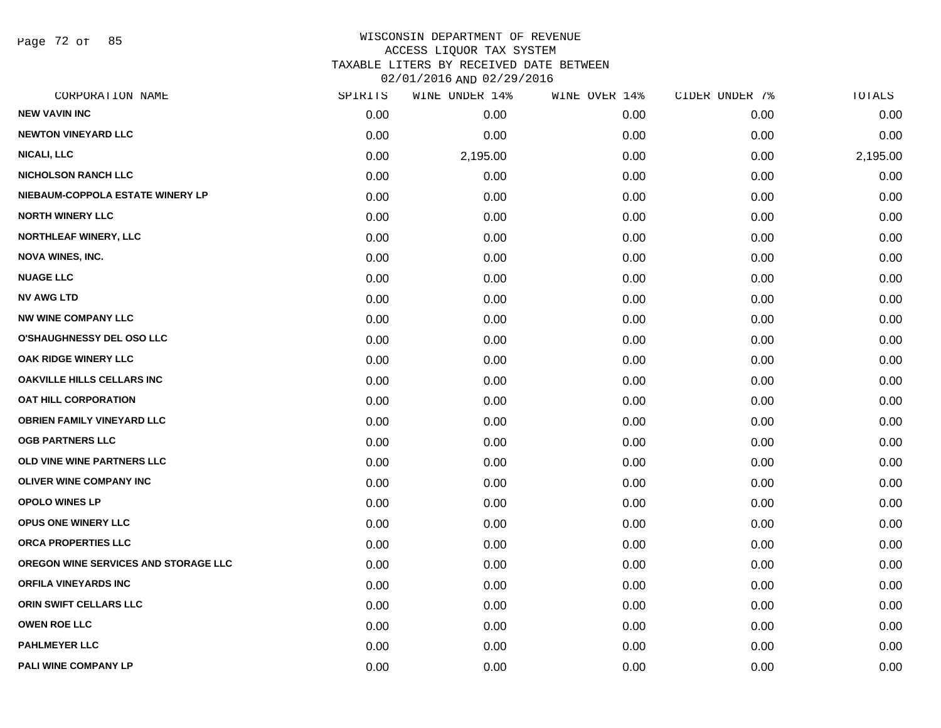Page 72 of 85

#### WISCONSIN DEPARTMENT OF REVENUE ACCESS LIQUOR TAX SYSTEM TAXABLE LITERS BY RECEIVED DATE BETWEEN

02/01/2016 AND 02/29/2016

| CORPORATION NAME                     | SPIRITS | WINE UNDER 14% | WINE OVER 14% | CIDER UNDER 7% | TOTALS   |
|--------------------------------------|---------|----------------|---------------|----------------|----------|
| <b>NEW VAVIN INC</b>                 | 0.00    | 0.00           | 0.00          | 0.00           | 0.00     |
| <b>NEWTON VINEYARD LLC</b>           | 0.00    | 0.00           | 0.00          | 0.00           | 0.00     |
| <b>NICALI, LLC</b>                   | 0.00    | 2,195.00       | 0.00          | 0.00           | 2,195.00 |
| <b>NICHOLSON RANCH LLC</b>           | 0.00    | 0.00           | 0.00          | 0.00           | 0.00     |
| NIEBAUM-COPPOLA ESTATE WINERY LP     | 0.00    | 0.00           | 0.00          | 0.00           | 0.00     |
| <b>NORTH WINERY LLC</b>              | 0.00    | 0.00           | 0.00          | 0.00           | 0.00     |
| NORTHLEAF WINERY, LLC                | 0.00    | 0.00           | 0.00          | 0.00           | 0.00     |
| <b>NOVA WINES, INC.</b>              | 0.00    | 0.00           | 0.00          | 0.00           | 0.00     |
| <b>NUAGE LLC</b>                     | 0.00    | 0.00           | 0.00          | 0.00           | 0.00     |
| <b>NV AWG LTD</b>                    | 0.00    | 0.00           | 0.00          | 0.00           | 0.00     |
| <b>NW WINE COMPANY LLC</b>           | 0.00    | 0.00           | 0.00          | 0.00           | 0.00     |
| <b>O'SHAUGHNESSY DEL OSO LLC</b>     | 0.00    | 0.00           | 0.00          | 0.00           | 0.00     |
| <b>OAK RIDGE WINERY LLC</b>          | 0.00    | 0.00           | 0.00          | 0.00           | 0.00     |
| <b>OAKVILLE HILLS CELLARS INC</b>    | 0.00    | 0.00           | 0.00          | 0.00           | 0.00     |
| <b>OAT HILL CORPORATION</b>          | 0.00    | 0.00           | 0.00          | 0.00           | 0.00     |
| <b>OBRIEN FAMILY VINEYARD LLC</b>    | 0.00    | 0.00           | 0.00          | 0.00           | 0.00     |
| <b>OGB PARTNERS LLC</b>              | 0.00    | 0.00           | 0.00          | 0.00           | 0.00     |
| <b>OLD VINE WINE PARTNERS LLC</b>    | 0.00    | 0.00           | 0.00          | 0.00           | 0.00     |
| <b>OLIVER WINE COMPANY INC</b>       | 0.00    | 0.00           | 0.00          | 0.00           | 0.00     |
| <b>OPOLO WINES LP</b>                | 0.00    | 0.00           | 0.00          | 0.00           | 0.00     |
| <b>OPUS ONE WINERY LLC</b>           | 0.00    | 0.00           | 0.00          | 0.00           | 0.00     |
| ORCA PROPERTIES LLC                  | 0.00    | 0.00           | 0.00          | 0.00           | 0.00     |
| OREGON WINE SERVICES AND STORAGE LLC | 0.00    | 0.00           | 0.00          | 0.00           | 0.00     |
| <b>ORFILA VINEYARDS INC</b>          | 0.00    | 0.00           | 0.00          | 0.00           | 0.00     |
| ORIN SWIFT CELLARS LLC               | 0.00    | 0.00           | 0.00          | 0.00           | 0.00     |
| <b>OWEN ROE LLC</b>                  | 0.00    | 0.00           | 0.00          | 0.00           | 0.00     |
| <b>PAHLMEYER LLC</b>                 | 0.00    | 0.00           | 0.00          | 0.00           | 0.00     |
| PALI WINE COMPANY LP                 | 0.00    | 0.00           | 0.00          | 0.00           | 0.00     |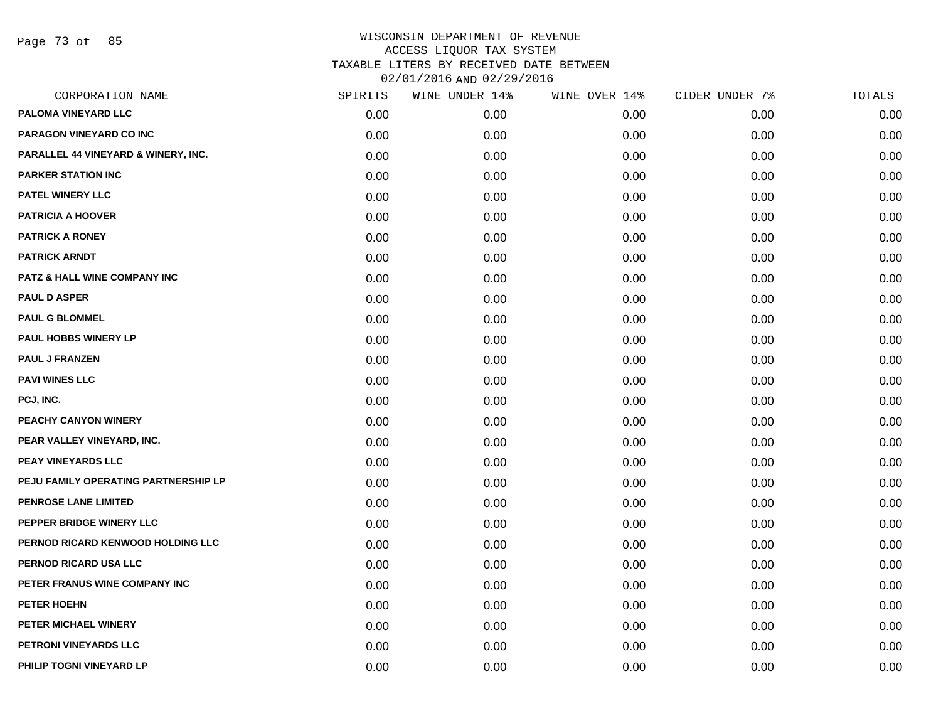Page 73 of 85

| CORPORATION NAME                     | SPIRITS | WINE UNDER 14% | WINE OVER 14% | CIDER UNDER 7% | TOTALS |
|--------------------------------------|---------|----------------|---------------|----------------|--------|
| PALOMA VINEYARD LLC                  | 0.00    | 0.00           | 0.00          | 0.00           | 0.00   |
| PARAGON VINEYARD CO INC              | 0.00    | 0.00           | 0.00          | 0.00           | 0.00   |
| PARALLEL 44 VINEYARD & WINERY, INC.  | 0.00    | 0.00           | 0.00          | 0.00           | 0.00   |
| <b>PARKER STATION INC</b>            | 0.00    | 0.00           | 0.00          | 0.00           | 0.00   |
| PATEL WINERY LLC                     | 0.00    | 0.00           | 0.00          | 0.00           | 0.00   |
| <b>PATRICIA A HOOVER</b>             | 0.00    | 0.00           | 0.00          | 0.00           | 0.00   |
| <b>PATRICK A RONEY</b>               | 0.00    | 0.00           | 0.00          | 0.00           | 0.00   |
| <b>PATRICK ARNDT</b>                 | 0.00    | 0.00           | 0.00          | 0.00           | 0.00   |
| PATZ & HALL WINE COMPANY INC         | 0.00    | 0.00           | 0.00          | 0.00           | 0.00   |
| <b>PAUL D ASPER</b>                  | 0.00    | 0.00           | 0.00          | 0.00           | 0.00   |
| <b>PAUL G BLOMMEL</b>                | 0.00    | 0.00           | 0.00          | 0.00           | 0.00   |
| PAUL HOBBS WINERY LP                 | 0.00    | 0.00           | 0.00          | 0.00           | 0.00   |
| <b>PAUL J FRANZEN</b>                | 0.00    | 0.00           | 0.00          | 0.00           | 0.00   |
| <b>PAVI WINES LLC</b>                | 0.00    | 0.00           | 0.00          | 0.00           | 0.00   |
| PCJ, INC.                            | 0.00    | 0.00           | 0.00          | 0.00           | 0.00   |
| PEACHY CANYON WINERY                 | 0.00    | 0.00           | 0.00          | 0.00           | 0.00   |
| PEAR VALLEY VINEYARD, INC.           | 0.00    | 0.00           | 0.00          | 0.00           | 0.00   |
| PEAY VINEYARDS LLC                   | 0.00    | 0.00           | 0.00          | 0.00           | 0.00   |
| PEJU FAMILY OPERATING PARTNERSHIP LP | 0.00    | 0.00           | 0.00          | 0.00           | 0.00   |
| <b>PENROSE LANE LIMITED</b>          | 0.00    | 0.00           | 0.00          | 0.00           | 0.00   |
| PEPPER BRIDGE WINERY LLC             | 0.00    | 0.00           | 0.00          | 0.00           | 0.00   |
| PERNOD RICARD KENWOOD HOLDING LLC    | 0.00    | 0.00           | 0.00          | 0.00           | 0.00   |
| PERNOD RICARD USA LLC                | 0.00    | 0.00           | 0.00          | 0.00           | 0.00   |
| PETER FRANUS WINE COMPANY INC        | 0.00    | 0.00           | 0.00          | 0.00           | 0.00   |
| PETER HOEHN                          | 0.00    | 0.00           | 0.00          | 0.00           | 0.00   |
| PETER MICHAEL WINERY                 | 0.00    | 0.00           | 0.00          | 0.00           | 0.00   |
| PETRONI VINEYARDS LLC                | 0.00    | 0.00           | 0.00          | 0.00           | 0.00   |
| PHILIP TOGNI VINEYARD LP             | 0.00    | 0.00           | 0.00          | 0.00           | 0.00   |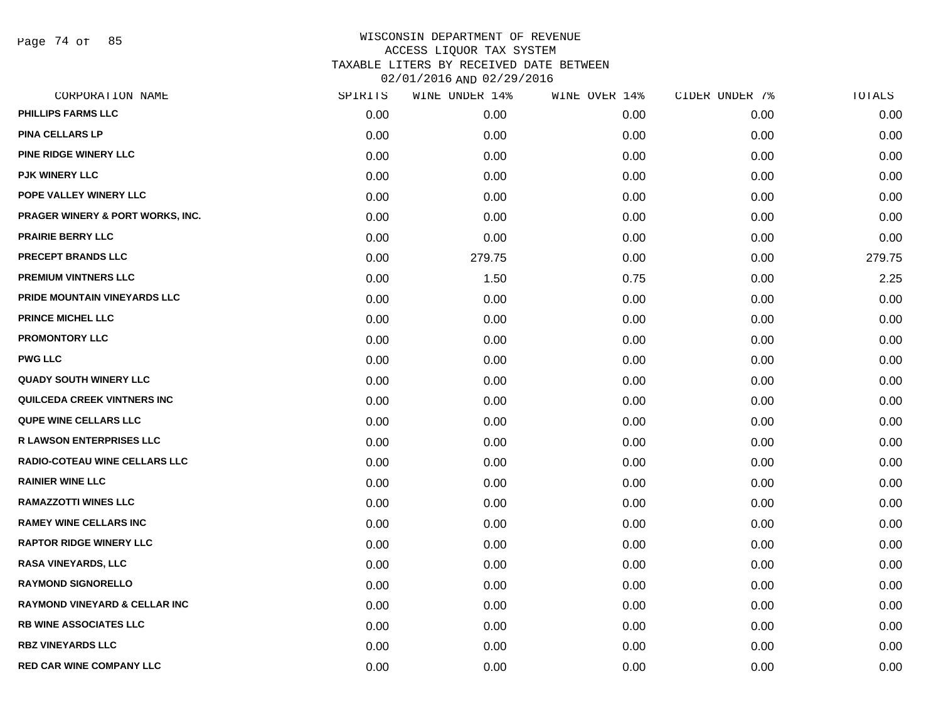Page 74 of 85

| CORPORATION NAME                            | SPIRITS | WINE UNDER 14% | WINE OVER 14% | CIDER UNDER 7% | TOTALS |
|---------------------------------------------|---------|----------------|---------------|----------------|--------|
| PHILLIPS FARMS LLC                          | 0.00    | 0.00           | 0.00          | 0.00           | 0.00   |
| <b>PINA CELLARS LP</b>                      | 0.00    | 0.00           | 0.00          | 0.00           | 0.00   |
| PINE RIDGE WINERY LLC                       | 0.00    | 0.00           | 0.00          | 0.00           | 0.00   |
| <b>PJK WINERY LLC</b>                       | 0.00    | 0.00           | 0.00          | 0.00           | 0.00   |
| POPE VALLEY WINERY LLC                      | 0.00    | 0.00           | 0.00          | 0.00           | 0.00   |
| <b>PRAGER WINERY &amp; PORT WORKS, INC.</b> | 0.00    | 0.00           | 0.00          | 0.00           | 0.00   |
| <b>PRAIRIE BERRY LLC</b>                    | 0.00    | 0.00           | 0.00          | 0.00           | 0.00   |
| <b>PRECEPT BRANDS LLC</b>                   | 0.00    | 279.75         | 0.00          | 0.00           | 279.75 |
| PREMIUM VINTNERS LLC                        | 0.00    | 1.50           | 0.75          | 0.00           | 2.25   |
| PRIDE MOUNTAIN VINEYARDS LLC                | 0.00    | 0.00           | 0.00          | 0.00           | 0.00   |
| PRINCE MICHEL LLC                           | 0.00    | 0.00           | 0.00          | 0.00           | 0.00   |
| <b>PROMONTORY LLC</b>                       | 0.00    | 0.00           | 0.00          | 0.00           | 0.00   |
| <b>PWG LLC</b>                              | 0.00    | 0.00           | 0.00          | 0.00           | 0.00   |
| <b>QUADY SOUTH WINERY LLC</b>               | 0.00    | 0.00           | 0.00          | 0.00           | 0.00   |
| QUILCEDA CREEK VINTNERS INC                 | 0.00    | 0.00           | 0.00          | 0.00           | 0.00   |
| <b>QUPE WINE CELLARS LLC</b>                | 0.00    | 0.00           | 0.00          | 0.00           | 0.00   |
| <b>R LAWSON ENTERPRISES LLC</b>             | 0.00    | 0.00           | 0.00          | 0.00           | 0.00   |
| RADIO-COTEAU WINE CELLARS LLC               | 0.00    | 0.00           | 0.00          | 0.00           | 0.00   |
| <b>RAINIER WINE LLC</b>                     | 0.00    | 0.00           | 0.00          | 0.00           | 0.00   |
| <b>RAMAZZOTTI WINES LLC</b>                 | 0.00    | 0.00           | 0.00          | 0.00           | 0.00   |
| <b>RAMEY WINE CELLARS INC</b>               | 0.00    | 0.00           | 0.00          | 0.00           | 0.00   |
| <b>RAPTOR RIDGE WINERY LLC</b>              | 0.00    | 0.00           | 0.00          | 0.00           | 0.00   |
| <b>RASA VINEYARDS, LLC</b>                  | 0.00    | 0.00           | 0.00          | 0.00           | 0.00   |
| <b>RAYMOND SIGNORELLO</b>                   | 0.00    | 0.00           | 0.00          | 0.00           | 0.00   |
| <b>RAYMOND VINEYARD &amp; CELLAR INC</b>    | 0.00    | 0.00           | 0.00          | 0.00           | 0.00   |
| <b>RB WINE ASSOCIATES LLC</b>               | 0.00    | 0.00           | 0.00          | 0.00           | 0.00   |
| <b>RBZ VINEYARDS LLC</b>                    | 0.00    | 0.00           | 0.00          | 0.00           | 0.00   |
| <b>RED CAR WINE COMPANY LLC</b>             | 0.00    | 0.00           | 0.00          | 0.00           | 0.00   |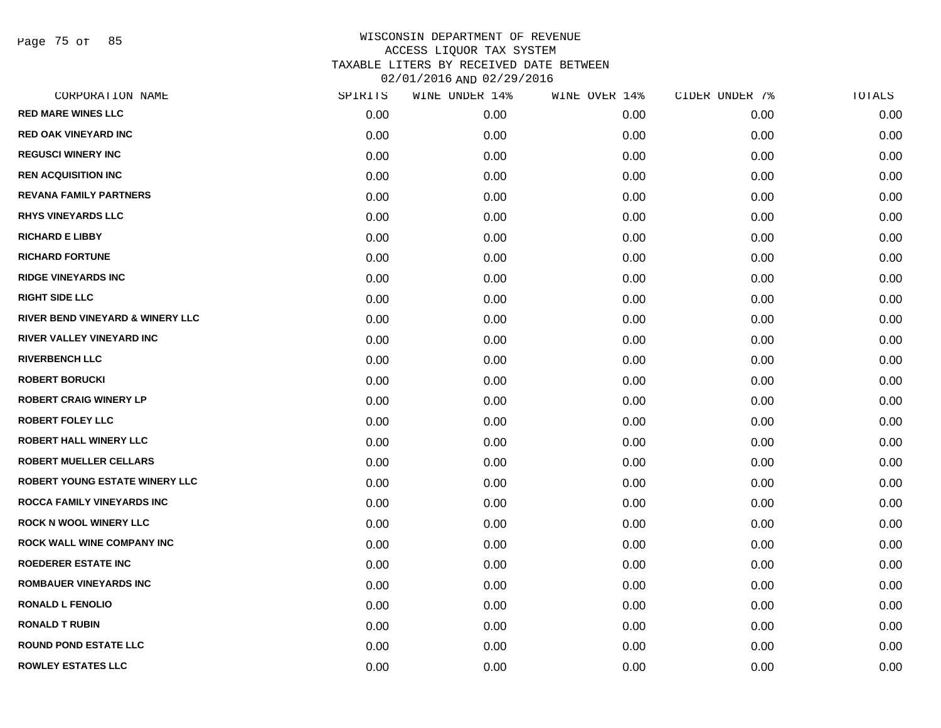Page 75 of 85

| CORPORATION NAME                      | SPIRITS | WINE UNDER 14% | WINE OVER 14% | CIDER UNDER 7% | TOTALS |
|---------------------------------------|---------|----------------|---------------|----------------|--------|
| <b>RED MARE WINES LLC</b>             | 0.00    | 0.00           | 0.00          | 0.00           | 0.00   |
| <b>RED OAK VINEYARD INC</b>           | 0.00    | 0.00           | 0.00          | 0.00           | 0.00   |
| <b>REGUSCI WINERY INC</b>             | 0.00    | 0.00           | 0.00          | 0.00           | 0.00   |
| <b>REN ACQUISITION INC</b>            | 0.00    | 0.00           | 0.00          | 0.00           | 0.00   |
| <b>REVANA FAMILY PARTNERS</b>         | 0.00    | 0.00           | 0.00          | 0.00           | 0.00   |
| <b>RHYS VINEYARDS LLC</b>             | 0.00    | 0.00           | 0.00          | 0.00           | 0.00   |
| <b>RICHARD E LIBBY</b>                | 0.00    | 0.00           | 0.00          | 0.00           | 0.00   |
| <b>RICHARD FORTUNE</b>                | 0.00    | 0.00           | 0.00          | 0.00           | 0.00   |
| <b>RIDGE VINEYARDS INC</b>            | 0.00    | 0.00           | 0.00          | 0.00           | 0.00   |
| <b>RIGHT SIDE LLC</b>                 | 0.00    | 0.00           | 0.00          | 0.00           | 0.00   |
| RIVER BEND VINEYARD & WINERY LLC      | 0.00    | 0.00           | 0.00          | 0.00           | 0.00   |
| RIVER VALLEY VINEYARD INC             | 0.00    | 0.00           | 0.00          | 0.00           | 0.00   |
| <b>RIVERBENCH LLC</b>                 | 0.00    | 0.00           | 0.00          | 0.00           | 0.00   |
| <b>ROBERT BORUCKI</b>                 | 0.00    | 0.00           | 0.00          | 0.00           | 0.00   |
| <b>ROBERT CRAIG WINERY LP</b>         | 0.00    | 0.00           | 0.00          | 0.00           | 0.00   |
| <b>ROBERT FOLEY LLC</b>               | 0.00    | 0.00           | 0.00          | 0.00           | 0.00   |
| <b>ROBERT HALL WINERY LLC</b>         | 0.00    | 0.00           | 0.00          | 0.00           | 0.00   |
| <b>ROBERT MUELLER CELLARS</b>         | 0.00    | 0.00           | 0.00          | 0.00           | 0.00   |
| <b>ROBERT YOUNG ESTATE WINERY LLC</b> | 0.00    | 0.00           | 0.00          | 0.00           | 0.00   |
| <b>ROCCA FAMILY VINEYARDS INC</b>     | 0.00    | 0.00           | 0.00          | 0.00           | 0.00   |
| <b>ROCK N WOOL WINERY LLC</b>         | 0.00    | 0.00           | 0.00          | 0.00           | 0.00   |
| <b>ROCK WALL WINE COMPANY INC</b>     | 0.00    | 0.00           | 0.00          | 0.00           | 0.00   |
| <b>ROEDERER ESTATE INC</b>            | 0.00    | 0.00           | 0.00          | 0.00           | 0.00   |
| <b>ROMBAUER VINEYARDS INC</b>         | 0.00    | 0.00           | 0.00          | 0.00           | 0.00   |
| <b>RONALD L FENOLIO</b>               | 0.00    | 0.00           | 0.00          | 0.00           | 0.00   |
| <b>RONALD T RUBIN</b>                 | 0.00    | 0.00           | 0.00          | 0.00           | 0.00   |
| <b>ROUND POND ESTATE LLC</b>          | 0.00    | 0.00           | 0.00          | 0.00           | 0.00   |
| <b>ROWLEY ESTATES LLC</b>             | 0.00    | 0.00           | 0.00          | 0.00           | 0.00   |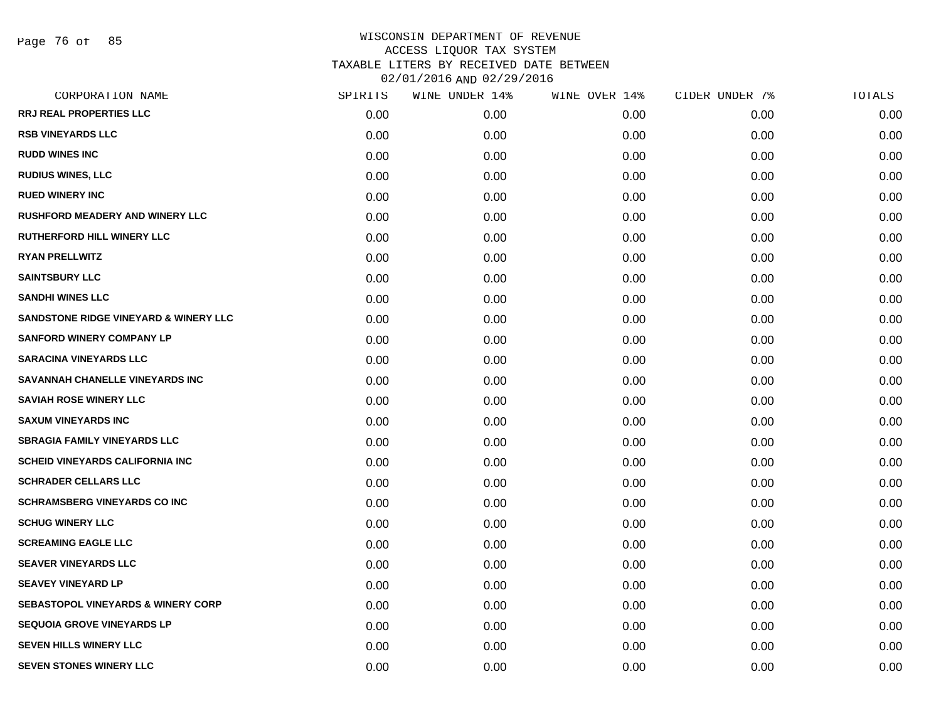| CORPORATION NAME                                 | SPIRITS | WINE UNDER 14% | WINE OVER 14% | CIDER UNDER 7% | TOTALS |
|--------------------------------------------------|---------|----------------|---------------|----------------|--------|
| <b>RRJ REAL PROPERTIES LLC</b>                   | 0.00    | 0.00           | 0.00          | 0.00           | 0.00   |
| <b>RSB VINEYARDS LLC</b>                         | 0.00    | 0.00           | 0.00          | 0.00           | 0.00   |
| <b>RUDD WINES INC</b>                            | 0.00    | 0.00           | 0.00          | 0.00           | 0.00   |
| <b>RUDIUS WINES, LLC</b>                         | 0.00    | 0.00           | 0.00          | 0.00           | 0.00   |
| <b>RUED WINERY INC</b>                           | 0.00    | 0.00           | 0.00          | 0.00           | 0.00   |
| <b>RUSHFORD MEADERY AND WINERY LLC</b>           | 0.00    | 0.00           | 0.00          | 0.00           | 0.00   |
| RUTHERFORD HILL WINERY LLC                       | 0.00    | 0.00           | 0.00          | 0.00           | 0.00   |
| <b>RYAN PRELLWITZ</b>                            | 0.00    | 0.00           | 0.00          | 0.00           | 0.00   |
| <b>SAINTSBURY LLC</b>                            | 0.00    | 0.00           | 0.00          | 0.00           | 0.00   |
| <b>SANDHI WINES LLC</b>                          | 0.00    | 0.00           | 0.00          | 0.00           | 0.00   |
| <b>SANDSTONE RIDGE VINEYARD &amp; WINERY LLC</b> | 0.00    | 0.00           | 0.00          | 0.00           | 0.00   |
| <b>SANFORD WINERY COMPANY LP</b>                 | 0.00    | 0.00           | 0.00          | 0.00           | 0.00   |
| <b>SARACINA VINEYARDS LLC</b>                    | 0.00    | 0.00           | 0.00          | 0.00           | 0.00   |
| SAVANNAH CHANELLE VINEYARDS INC                  | 0.00    | 0.00           | 0.00          | 0.00           | 0.00   |
| <b>SAVIAH ROSE WINERY LLC</b>                    | 0.00    | 0.00           | 0.00          | 0.00           | 0.00   |
| <b>SAXUM VINEYARDS INC</b>                       | 0.00    | 0.00           | 0.00          | 0.00           | 0.00   |
| <b>SBRAGIA FAMILY VINEYARDS LLC</b>              | 0.00    | 0.00           | 0.00          | 0.00           | 0.00   |
| <b>SCHEID VINEYARDS CALIFORNIA INC</b>           | 0.00    | 0.00           | 0.00          | 0.00           | 0.00   |
| <b>SCHRADER CELLARS LLC</b>                      | 0.00    | 0.00           | 0.00          | 0.00           | 0.00   |
| <b>SCHRAMSBERG VINEYARDS CO INC</b>              | 0.00    | 0.00           | 0.00          | 0.00           | 0.00   |
| <b>SCHUG WINERY LLC</b>                          | 0.00    | 0.00           | 0.00          | 0.00           | 0.00   |
| <b>SCREAMING EAGLE LLC</b>                       | 0.00    | 0.00           | 0.00          | 0.00           | 0.00   |
| <b>SEAVER VINEYARDS LLC</b>                      | 0.00    | 0.00           | 0.00          | 0.00           | 0.00   |
| <b>SEAVEY VINEYARD LP</b>                        | 0.00    | 0.00           | 0.00          | 0.00           | 0.00   |
| <b>SEBASTOPOL VINEYARDS &amp; WINERY CORP</b>    | 0.00    | 0.00           | 0.00          | 0.00           | 0.00   |
| <b>SEQUOIA GROVE VINEYARDS LP</b>                | 0.00    | 0.00           | 0.00          | 0.00           | 0.00   |
| <b>SEVEN HILLS WINERY LLC</b>                    | 0.00    | 0.00           | 0.00          | 0.00           | 0.00   |
| <b>SEVEN STONES WINERY LLC</b>                   | 0.00    | 0.00           | 0.00          | 0.00           | 0.00   |
|                                                  |         |                |               |                |        |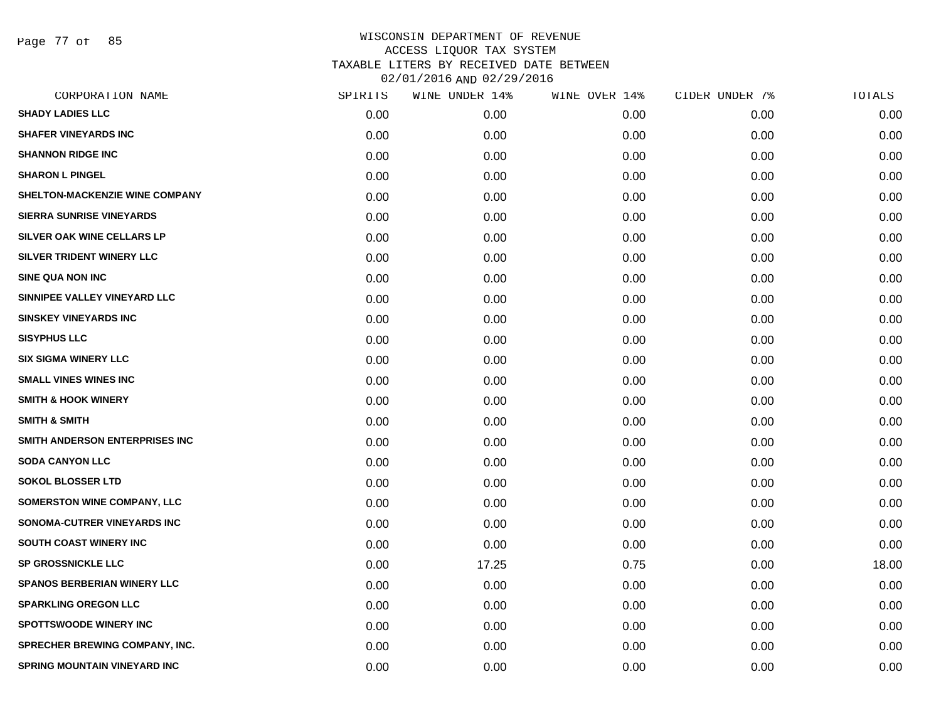Page 77 of 85

| CORPORATION NAME                      | SPIRITS | WINE UNDER 14% | WINE OVER 14% | CIDER UNDER 7% | TOTALS |
|---------------------------------------|---------|----------------|---------------|----------------|--------|
| <b>SHADY LADIES LLC</b>               | 0.00    | 0.00           | 0.00          | 0.00           | 0.00   |
| <b>SHAFER VINEYARDS INC</b>           | 0.00    | 0.00           | 0.00          | 0.00           | 0.00   |
| <b>SHANNON RIDGE INC</b>              | 0.00    | 0.00           | 0.00          | 0.00           | 0.00   |
| <b>SHARON L PINGEL</b>                | 0.00    | 0.00           | 0.00          | 0.00           | 0.00   |
| SHELTON-MACKENZIE WINE COMPANY        | 0.00    | 0.00           | 0.00          | 0.00           | 0.00   |
| <b>SIERRA SUNRISE VINEYARDS</b>       | 0.00    | 0.00           | 0.00          | 0.00           | 0.00   |
| <b>SILVER OAK WINE CELLARS LP</b>     | 0.00    | 0.00           | 0.00          | 0.00           | 0.00   |
| SILVER TRIDENT WINERY LLC             | 0.00    | 0.00           | 0.00          | 0.00           | 0.00   |
| <b>SINE QUA NON INC</b>               | 0.00    | 0.00           | 0.00          | 0.00           | 0.00   |
| SINNIPEE VALLEY VINEYARD LLC          | 0.00    | 0.00           | 0.00          | 0.00           | 0.00   |
| <b>SINSKEY VINEYARDS INC</b>          | 0.00    | 0.00           | 0.00          | 0.00           | 0.00   |
| <b>SISYPHUS LLC</b>                   | 0.00    | 0.00           | 0.00          | 0.00           | 0.00   |
| <b>SIX SIGMA WINERY LLC</b>           | 0.00    | 0.00           | 0.00          | 0.00           | 0.00   |
| <b>SMALL VINES WINES INC</b>          | 0.00    | 0.00           | 0.00          | 0.00           | 0.00   |
| <b>SMITH &amp; HOOK WINERY</b>        | 0.00    | 0.00           | 0.00          | 0.00           | 0.00   |
| <b>SMITH &amp; SMITH</b>              | 0.00    | 0.00           | 0.00          | 0.00           | 0.00   |
| SMITH ANDERSON ENTERPRISES INC        | 0.00    | 0.00           | 0.00          | 0.00           | 0.00   |
| <b>SODA CANYON LLC</b>                | 0.00    | 0.00           | 0.00          | 0.00           | 0.00   |
| <b>SOKOL BLOSSER LTD</b>              | 0.00    | 0.00           | 0.00          | 0.00           | 0.00   |
| <b>SOMERSTON WINE COMPANY, LLC</b>    | 0.00    | 0.00           | 0.00          | 0.00           | 0.00   |
| SONOMA-CUTRER VINEYARDS INC           | 0.00    | 0.00           | 0.00          | 0.00           | 0.00   |
| <b>SOUTH COAST WINERY INC</b>         | 0.00    | 0.00           | 0.00          | 0.00           | 0.00   |
| SP GROSSNICKLE LLC                    | 0.00    | 17.25          | 0.75          | 0.00           | 18.00  |
| <b>SPANOS BERBERIAN WINERY LLC</b>    | 0.00    | 0.00           | 0.00          | 0.00           | 0.00   |
| <b>SPARKLING OREGON LLC</b>           | 0.00    | 0.00           | 0.00          | 0.00           | 0.00   |
| <b>SPOTTSWOODE WINERY INC</b>         | 0.00    | 0.00           | 0.00          | 0.00           | 0.00   |
| <b>SPRECHER BREWING COMPANY, INC.</b> | 0.00    | 0.00           | 0.00          | 0.00           | 0.00   |
| SPRING MOUNTAIN VINEYARD INC          | 0.00    | 0.00           | 0.00          | 0.00           | 0.00   |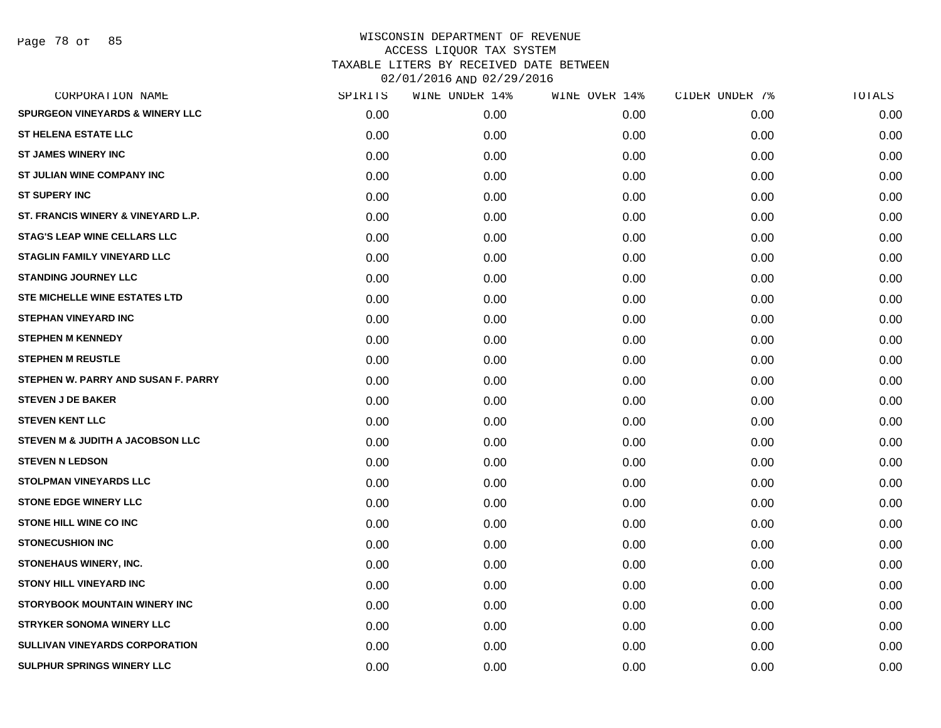Page 78 of 85

|                   | WINE UNDER 14% | WINE OVER 14% | CIDER UNDER 7% | TOTALS |
|-------------------|----------------|---------------|----------------|--------|
| 0.00 <sub>1</sub> | 0.00           | 0.00          | 0.00           | 0.00   |
| 0.00              | 0.00           | 0.00          | 0.00           | 0.00   |
| 0.00              | 0.00           | 0.00          | 0.00           | 0.00   |
| 0.00              | 0.00           | 0.00          | 0.00           | 0.00   |
| 0.00              | 0.00           | 0.00          | 0.00           | 0.00   |
| 0.00              | 0.00           | 0.00          | 0.00           | 0.00   |
| 0.00              | 0.00           | 0.00          | 0.00           | 0.00   |
| 0.00              | 0.00           | 0.00          | 0.00           | 0.00   |
| 0.00              | 0.00           | 0.00          | 0.00           | 0.00   |
| 0.00              | 0.00           | 0.00          | 0.00           | 0.00   |
| 0.00              | 0.00           | 0.00          | 0.00           | 0.00   |
| 0.00              | 0.00           | 0.00          | 0.00           | 0.00   |
| 0.00              | 0.00           | 0.00          | 0.00           | 0.00   |
| 0.00              | 0.00           | 0.00          | 0.00           | 0.00   |
| 0.00              | 0.00           | 0.00          | 0.00           | 0.00   |
| 0.00              | 0.00           | 0.00          | 0.00           | 0.00   |
| 0.00              | 0.00           | 0.00          | 0.00           | 0.00   |
| 0.00              | 0.00           | 0.00          | 0.00           | 0.00   |
| 0.00              | 0.00           | 0.00          | 0.00           | 0.00   |
| 0.00              | 0.00           | 0.00          | 0.00           | 0.00   |
| 0.00              | 0.00           | 0.00          | 0.00           | 0.00   |
| 0.00              | 0.00           | 0.00          | 0.00           | 0.00   |
| 0.00              | 0.00           | 0.00          | 0.00           | 0.00   |
| 0.00              | 0.00           | 0.00          | 0.00           | 0.00   |
| 0.00              | 0.00           | 0.00          | 0.00           | 0.00   |
| 0.00              | 0.00           | 0.00          | 0.00           | 0.00   |
| 0.00              | 0.00           | 0.00          | 0.00           | 0.00   |
| 0.00              | 0.00           | 0.00          | 0.00           | 0.00   |
|                   | SPIRITS        |               |                |        |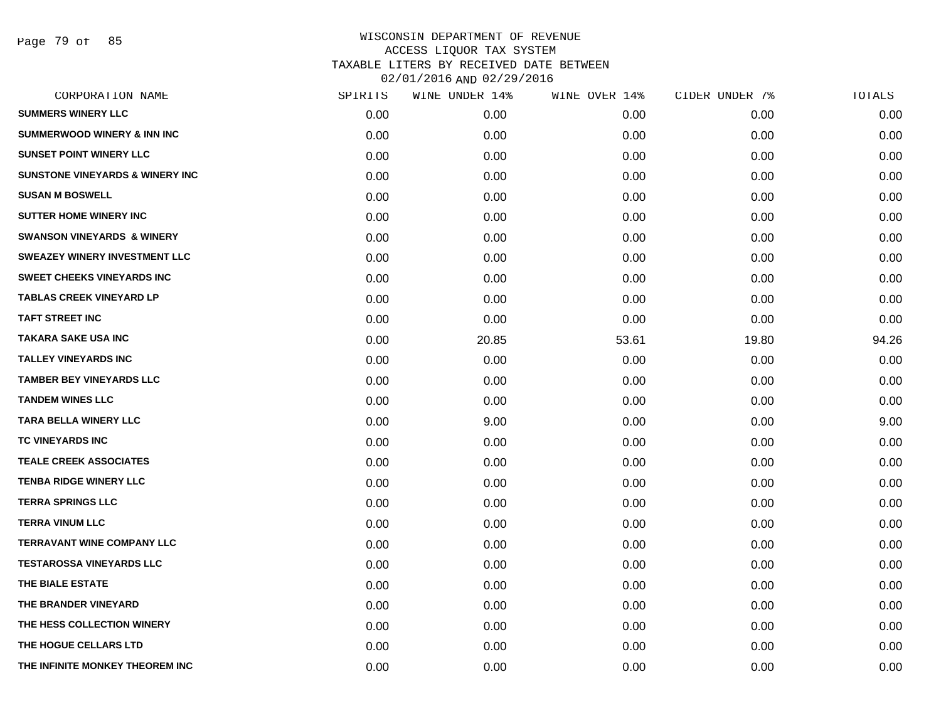Page 79 of 85

| CORPORATION NAME                           | SPIRITS | WINE UNDER 14% | WINE OVER 14% | CIDER UNDER 7% | TOTALS |
|--------------------------------------------|---------|----------------|---------------|----------------|--------|
| <b>SUMMERS WINERY LLC</b>                  | 0.00    | 0.00           | 0.00          | 0.00           | 0.00   |
| <b>SUMMERWOOD WINERY &amp; INN INC</b>     | 0.00    | 0.00           | 0.00          | 0.00           | 0.00   |
| <b>SUNSET POINT WINERY LLC</b>             | 0.00    | 0.00           | 0.00          | 0.00           | 0.00   |
| <b>SUNSTONE VINEYARDS &amp; WINERY INC</b> | 0.00    | 0.00           | 0.00          | 0.00           | 0.00   |
| <b>SUSAN M BOSWELL</b>                     | 0.00    | 0.00           | 0.00          | 0.00           | 0.00   |
| <b>SUTTER HOME WINERY INC</b>              | 0.00    | 0.00           | 0.00          | 0.00           | 0.00   |
| <b>SWANSON VINEYARDS &amp; WINERY</b>      | 0.00    | 0.00           | 0.00          | 0.00           | 0.00   |
| <b>SWEAZEY WINERY INVESTMENT LLC</b>       | 0.00    | 0.00           | 0.00          | 0.00           | 0.00   |
| <b>SWEET CHEEKS VINEYARDS INC</b>          | 0.00    | 0.00           | 0.00          | 0.00           | 0.00   |
| <b>TABLAS CREEK VINEYARD LP</b>            | 0.00    | 0.00           | 0.00          | 0.00           | 0.00   |
| <b>TAFT STREET INC</b>                     | 0.00    | 0.00           | 0.00          | 0.00           | 0.00   |
| TAKARA SAKE USA INC                        | 0.00    | 20.85          | 53.61         | 19.80          | 94.26  |
| <b>TALLEY VINEYARDS INC</b>                | 0.00    | 0.00           | 0.00          | 0.00           | 0.00   |
| <b>TAMBER BEY VINEYARDS LLC</b>            | 0.00    | 0.00           | 0.00          | 0.00           | 0.00   |
| <b>TANDEM WINES LLC</b>                    | 0.00    | 0.00           | 0.00          | 0.00           | 0.00   |
| TARA BELLA WINERY LLC                      | 0.00    | 9.00           | 0.00          | 0.00           | 9.00   |
| <b>TC VINEYARDS INC</b>                    | 0.00    | 0.00           | 0.00          | 0.00           | 0.00   |
| <b>TEALE CREEK ASSOCIATES</b>              | 0.00    | 0.00           | 0.00          | 0.00           | 0.00   |
| <b>TENBA RIDGE WINERY LLC</b>              | 0.00    | 0.00           | 0.00          | 0.00           | 0.00   |
| <b>TERRA SPRINGS LLC</b>                   | 0.00    | 0.00           | 0.00          | 0.00           | 0.00   |
| <b>TERRA VINUM LLC</b>                     | 0.00    | 0.00           | 0.00          | 0.00           | 0.00   |
| <b>TERRAVANT WINE COMPANY LLC</b>          | 0.00    | 0.00           | 0.00          | 0.00           | 0.00   |
| <b>TESTAROSSA VINEYARDS LLC</b>            | 0.00    | 0.00           | 0.00          | 0.00           | 0.00   |
| THE BIALE ESTATE                           | 0.00    | 0.00           | 0.00          | 0.00           | 0.00   |
| THE BRANDER VINEYARD                       | 0.00    | 0.00           | 0.00          | 0.00           | 0.00   |
| THE HESS COLLECTION WINERY                 | 0.00    | 0.00           | 0.00          | 0.00           | 0.00   |
| THE HOGUE CELLARS LTD                      | 0.00    | 0.00           | 0.00          | 0.00           | 0.00   |
| THE INFINITE MONKEY THEOREM INC            | 0.00    | 0.00           | 0.00          | 0.00           | 0.00   |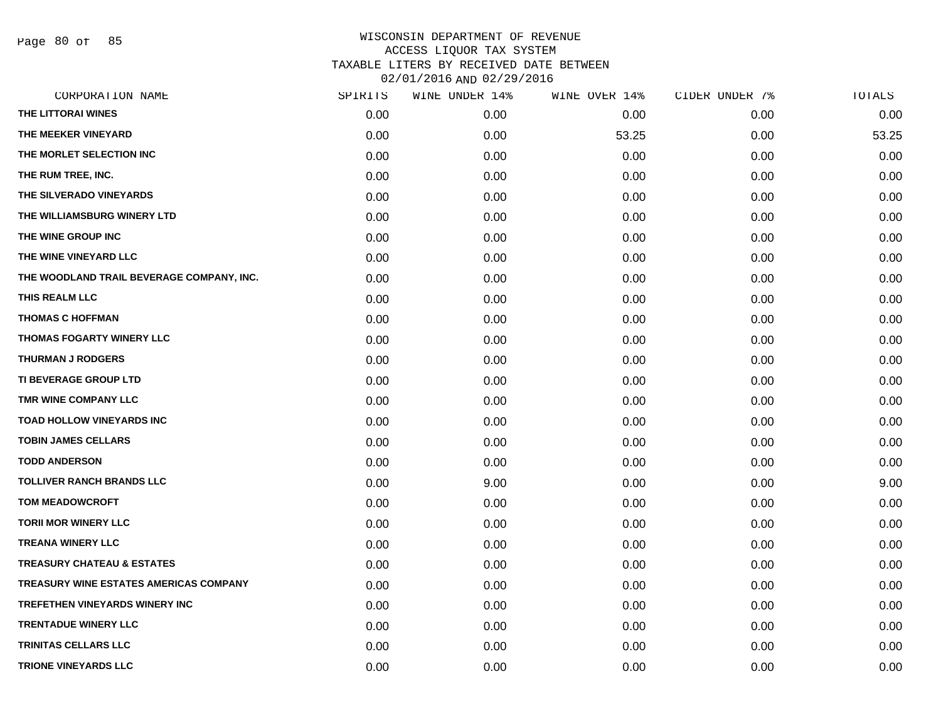Page 80 of 85

|      | WINE UNDER 14% | WINE OVER 14% | CIDER UNDER 7% | TOTALS |
|------|----------------|---------------|----------------|--------|
| 0.00 | 0.00           | 0.00          | 0.00           | 0.00   |
| 0.00 | 0.00           | 53.25         | 0.00           | 53.25  |
| 0.00 | 0.00           | 0.00          | 0.00           | 0.00   |
| 0.00 | 0.00           | 0.00          | 0.00           | 0.00   |
| 0.00 | 0.00           | 0.00          | 0.00           | 0.00   |
| 0.00 | 0.00           | 0.00          | 0.00           | 0.00   |
| 0.00 | 0.00           | 0.00          | 0.00           | 0.00   |
| 0.00 | 0.00           | 0.00          | 0.00           | 0.00   |
| 0.00 | 0.00           | 0.00          | 0.00           | 0.00   |
| 0.00 | 0.00           | 0.00          | 0.00           | 0.00   |
| 0.00 | 0.00           | 0.00          | 0.00           | 0.00   |
| 0.00 | 0.00           | 0.00          | 0.00           | 0.00   |
| 0.00 | 0.00           | 0.00          | 0.00           | 0.00   |
| 0.00 | 0.00           | 0.00          | 0.00           | 0.00   |
| 0.00 | 0.00           | 0.00          | 0.00           | 0.00   |
| 0.00 | 0.00           | 0.00          | 0.00           | 0.00   |
| 0.00 | 0.00           | 0.00          | 0.00           | 0.00   |
| 0.00 | 0.00           | 0.00          | 0.00           | 0.00   |
| 0.00 | 9.00           | 0.00          | 0.00           | 9.00   |
| 0.00 | 0.00           | 0.00          | 0.00           | 0.00   |
| 0.00 | 0.00           | 0.00          | 0.00           | 0.00   |
| 0.00 | 0.00           | 0.00          | 0.00           | 0.00   |
| 0.00 | 0.00           | 0.00          | 0.00           | 0.00   |
| 0.00 | 0.00           | 0.00          | 0.00           | 0.00   |
| 0.00 | 0.00           | 0.00          | 0.00           | 0.00   |
| 0.00 | 0.00           | 0.00          | 0.00           | 0.00   |
| 0.00 | 0.00           | 0.00          | 0.00           | 0.00   |
| 0.00 | 0.00           | 0.00          | 0.00           | 0.00   |
|      | SPIRITS        |               |                |        |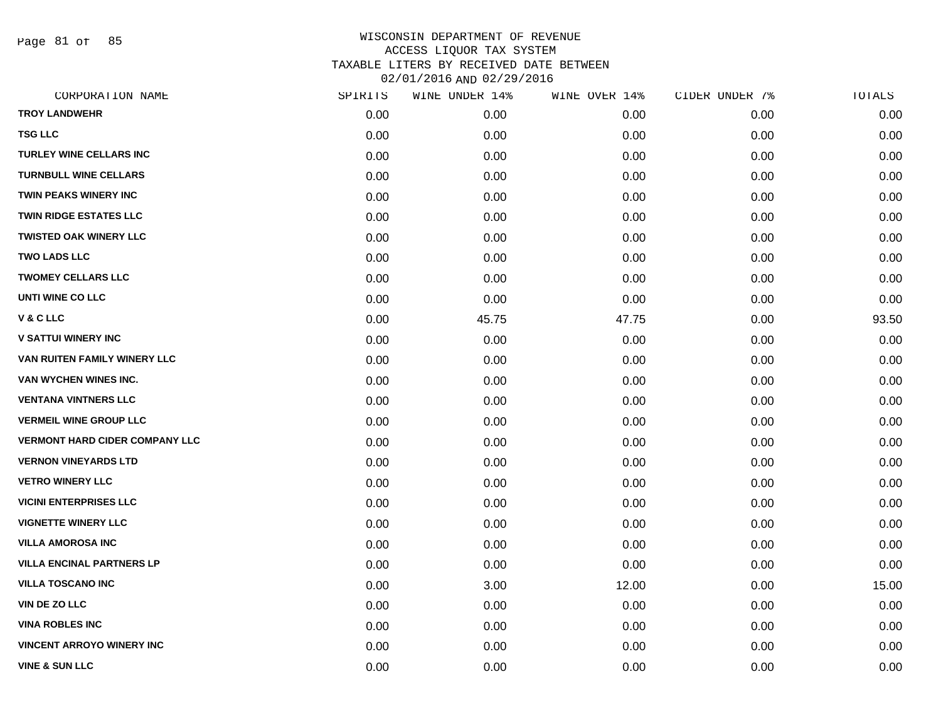Page 81 of 85

| CORPORATION NAME                      | SPIRITS | WINE UNDER 14% | WINE OVER 14% | CIDER UNDER 7% | TOTALS |
|---------------------------------------|---------|----------------|---------------|----------------|--------|
| <b>TROY LANDWEHR</b>                  | 0.00    | 0.00           | 0.00          | 0.00           | 0.00   |
| <b>TSG LLC</b>                        | 0.00    | 0.00           | 0.00          | 0.00           | 0.00   |
| TURLEY WINE CELLARS INC               | 0.00    | 0.00           | 0.00          | 0.00           | 0.00   |
| <b>TURNBULL WINE CELLARS</b>          | 0.00    | 0.00           | 0.00          | 0.00           | 0.00   |
| <b>TWIN PEAKS WINERY INC</b>          | 0.00    | 0.00           | 0.00          | 0.00           | 0.00   |
| <b>TWIN RIDGE ESTATES LLC</b>         | 0.00    | 0.00           | 0.00          | 0.00           | 0.00   |
| <b>TWISTED OAK WINERY LLC</b>         | 0.00    | 0.00           | 0.00          | 0.00           | 0.00   |
| <b>TWO LADS LLC</b>                   | 0.00    | 0.00           | 0.00          | 0.00           | 0.00   |
| <b>TWOMEY CELLARS LLC</b>             | 0.00    | 0.00           | 0.00          | 0.00           | 0.00   |
| UNTI WINE CO LLC                      | 0.00    | 0.00           | 0.00          | 0.00           | 0.00   |
| V & C LLC                             | 0.00    | 45.75          | 47.75         | 0.00           | 93.50  |
| <b>V SATTUI WINERY INC</b>            | 0.00    | 0.00           | 0.00          | 0.00           | 0.00   |
| VAN RUITEN FAMILY WINERY LLC          | 0.00    | 0.00           | 0.00          | 0.00           | 0.00   |
| VAN WYCHEN WINES INC.                 | 0.00    | 0.00           | 0.00          | 0.00           | 0.00   |
| <b>VENTANA VINTNERS LLC</b>           | 0.00    | 0.00           | 0.00          | 0.00           | 0.00   |
| <b>VERMEIL WINE GROUP LLC</b>         | 0.00    | 0.00           | 0.00          | 0.00           | 0.00   |
| <b>VERMONT HARD CIDER COMPANY LLC</b> | 0.00    | 0.00           | 0.00          | 0.00           | 0.00   |
| <b>VERNON VINEYARDS LTD</b>           | 0.00    | 0.00           | 0.00          | 0.00           | 0.00   |
| <b>VETRO WINERY LLC</b>               | 0.00    | 0.00           | 0.00          | 0.00           | 0.00   |
| <b>VICINI ENTERPRISES LLC</b>         | 0.00    | 0.00           | 0.00          | 0.00           | 0.00   |
| <b>VIGNETTE WINERY LLC</b>            | 0.00    | 0.00           | 0.00          | 0.00           | 0.00   |
| <b>VILLA AMOROSA INC</b>              | 0.00    | 0.00           | 0.00          | 0.00           | 0.00   |
| <b>VILLA ENCINAL PARTNERS LP</b>      | 0.00    | 0.00           | 0.00          | 0.00           | 0.00   |
| <b>VILLA TOSCANO INC</b>              | 0.00    | 3.00           | 12.00         | 0.00           | 15.00  |
| VIN DE ZO LLC                         | 0.00    | 0.00           | 0.00          | 0.00           | 0.00   |
| <b>VINA ROBLES INC</b>                | 0.00    | 0.00           | 0.00          | 0.00           | 0.00   |
| <b>VINCENT ARROYO WINERY INC</b>      | 0.00    | 0.00           | 0.00          | 0.00           | 0.00   |
| <b>VINE &amp; SUN LLC</b>             | 0.00    | 0.00           | 0.00          | 0.00           | 0.00   |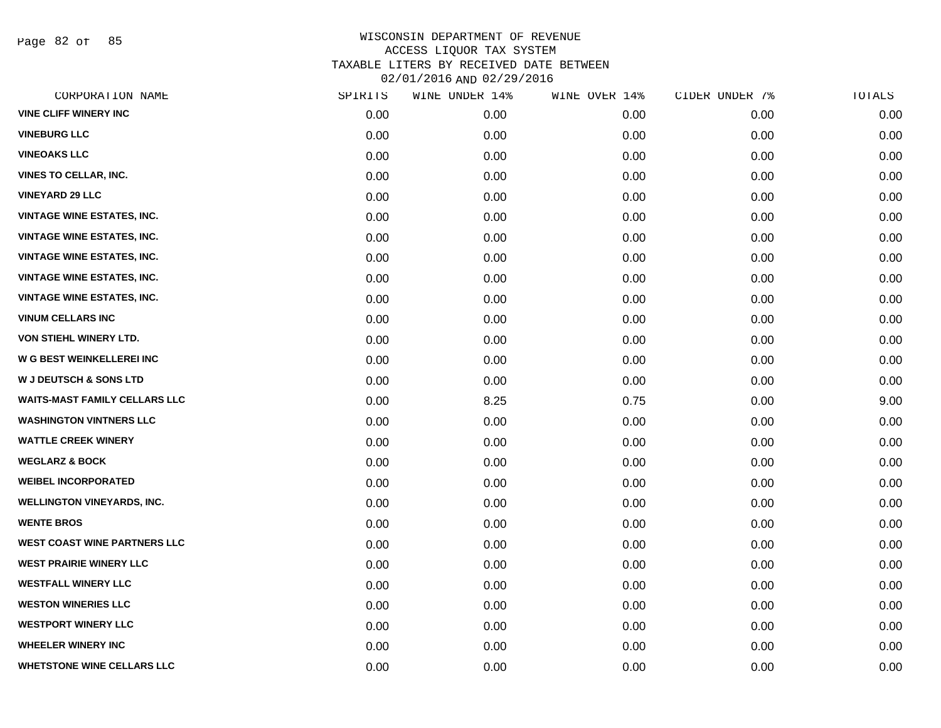Page 82 of 85

| CORPORATION NAME                     | SPIRITS | WINE UNDER 14% | WINE OVER 14% | CIDER UNDER 7% | TOTALS |
|--------------------------------------|---------|----------------|---------------|----------------|--------|
| <b>VINE CLIFF WINERY INC</b>         | 0.00    | 0.00           | 0.00          | 0.00           | 0.00   |
| <b>VINEBURG LLC</b>                  | 0.00    | 0.00           | 0.00          | 0.00           | 0.00   |
| <b>VINEOAKS LLC</b>                  | 0.00    | 0.00           | 0.00          | 0.00           | 0.00   |
| <b>VINES TO CELLAR, INC.</b>         | 0.00    | 0.00           | 0.00          | 0.00           | 0.00   |
| <b>VINEYARD 29 LLC</b>               | 0.00    | 0.00           | 0.00          | 0.00           | 0.00   |
| <b>VINTAGE WINE ESTATES, INC.</b>    | 0.00    | 0.00           | 0.00          | 0.00           | 0.00   |
| <b>VINTAGE WINE ESTATES, INC.</b>    | 0.00    | 0.00           | 0.00          | 0.00           | 0.00   |
| <b>VINTAGE WINE ESTATES, INC.</b>    | 0.00    | 0.00           | 0.00          | 0.00           | 0.00   |
| <b>VINTAGE WINE ESTATES, INC.</b>    | 0.00    | 0.00           | 0.00          | 0.00           | 0.00   |
| <b>VINTAGE WINE ESTATES, INC.</b>    | 0.00    | 0.00           | 0.00          | 0.00           | 0.00   |
| <b>VINUM CELLARS INC</b>             | 0.00    | 0.00           | 0.00          | 0.00           | 0.00   |
| VON STIEHL WINERY LTD.               | 0.00    | 0.00           | 0.00          | 0.00           | 0.00   |
| <b>W G BEST WEINKELLEREI INC</b>     | 0.00    | 0.00           | 0.00          | 0.00           | 0.00   |
| <b>W J DEUTSCH &amp; SONS LTD</b>    | 0.00    | 0.00           | 0.00          | 0.00           | 0.00   |
| <b>WAITS-MAST FAMILY CELLARS LLC</b> | 0.00    | 8.25           | 0.75          | 0.00           | 9.00   |
| <b>WASHINGTON VINTNERS LLC</b>       | 0.00    | 0.00           | 0.00          | 0.00           | 0.00   |
| <b>WATTLE CREEK WINERY</b>           | 0.00    | 0.00           | 0.00          | 0.00           | 0.00   |
| <b>WEGLARZ &amp; BOCK</b>            | 0.00    | 0.00           | 0.00          | 0.00           | 0.00   |
| <b>WEIBEL INCORPORATED</b>           | 0.00    | 0.00           | 0.00          | 0.00           | 0.00   |
| <b>WELLINGTON VINEYARDS, INC.</b>    | 0.00    | 0.00           | 0.00          | 0.00           | 0.00   |
| <b>WENTE BROS</b>                    | 0.00    | 0.00           | 0.00          | 0.00           | 0.00   |
| <b>WEST COAST WINE PARTNERS LLC</b>  | 0.00    | 0.00           | 0.00          | 0.00           | 0.00   |
| <b>WEST PRAIRIE WINERY LLC</b>       | 0.00    | 0.00           | 0.00          | 0.00           | 0.00   |
| <b>WESTFALL WINERY LLC</b>           | 0.00    | 0.00           | 0.00          | 0.00           | 0.00   |
| <b>WESTON WINERIES LLC</b>           | 0.00    | 0.00           | 0.00          | 0.00           | 0.00   |
| <b>WESTPORT WINERY LLC</b>           | 0.00    | 0.00           | 0.00          | 0.00           | 0.00   |
| <b>WHEELER WINERY INC</b>            | 0.00    | 0.00           | 0.00          | 0.00           | 0.00   |
| <b>WHETSTONE WINE CELLARS LLC</b>    | 0.00    | 0.00           | 0.00          | 0.00           | 0.00   |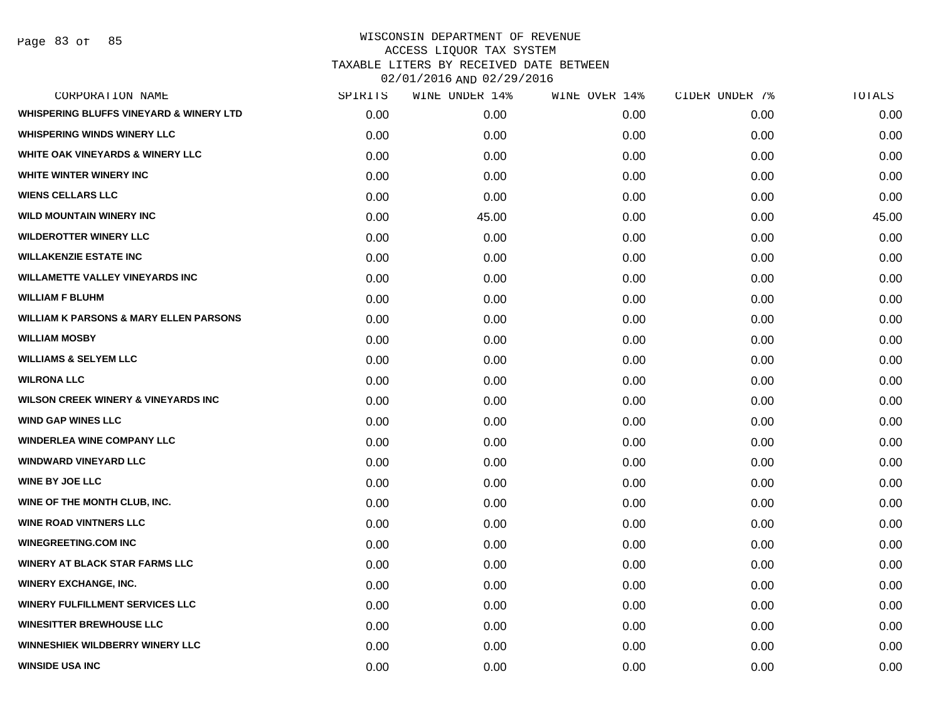Page 83 of 85

|      | WINE UNDER 14% | WINE OVER 14% | CIDER UNDER 7% | TOTALS |
|------|----------------|---------------|----------------|--------|
| 0.00 | 0.00           | 0.00          | 0.00           | 0.00   |
| 0.00 | 0.00           | 0.00          | 0.00           | 0.00   |
| 0.00 | 0.00           | 0.00          | 0.00           | 0.00   |
| 0.00 | 0.00           | 0.00          | 0.00           | 0.00   |
| 0.00 | 0.00           | 0.00          | 0.00           | 0.00   |
| 0.00 | 45.00          | 0.00          | 0.00           | 45.00  |
| 0.00 | 0.00           | 0.00          | 0.00           | 0.00   |
| 0.00 | 0.00           | 0.00          | 0.00           | 0.00   |
| 0.00 | 0.00           | 0.00          | 0.00           | 0.00   |
| 0.00 | 0.00           | 0.00          | 0.00           | 0.00   |
| 0.00 | 0.00           | 0.00          | 0.00           | 0.00   |
| 0.00 | 0.00           | 0.00          | 0.00           | 0.00   |
| 0.00 | 0.00           | 0.00          | 0.00           | 0.00   |
| 0.00 | 0.00           | 0.00          | 0.00           | 0.00   |
| 0.00 | 0.00           | 0.00          | 0.00           | 0.00   |
| 0.00 | 0.00           | 0.00          | 0.00           | 0.00   |
| 0.00 | 0.00           | 0.00          | 0.00           | 0.00   |
| 0.00 | 0.00           | 0.00          | 0.00           | 0.00   |
| 0.00 | 0.00           | 0.00          | 0.00           | 0.00   |
| 0.00 | 0.00           | 0.00          | 0.00           | 0.00   |
| 0.00 | 0.00           | 0.00          | 0.00           | 0.00   |
| 0.00 | 0.00           | 0.00          | 0.00           | 0.00   |
| 0.00 | 0.00           | 0.00          | 0.00           | 0.00   |
| 0.00 | 0.00           | 0.00          | 0.00           | 0.00   |
| 0.00 | 0.00           | 0.00          | 0.00           | 0.00   |
| 0.00 | 0.00           | 0.00          | 0.00           | 0.00   |
| 0.00 | 0.00           | 0.00          | 0.00           | 0.00   |
| 0.00 | 0.00           | 0.00          | 0.00           | 0.00   |
|      | SPIRITS        |               |                |        |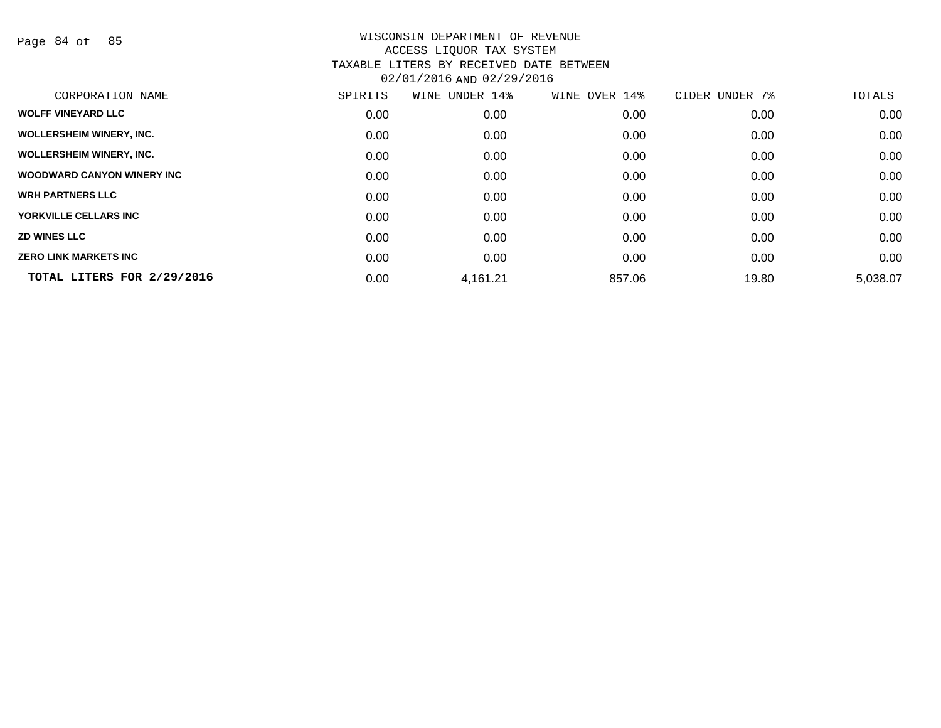Page 84 of 85

| CORPORATION NAME                | SPIRITS | WINE UNDER 14% | WINE OVER 14% | CIDER UNDER 7% | TOTALS   |
|---------------------------------|---------|----------------|---------------|----------------|----------|
| <b>WOLFF VINEYARD LLC</b>       | 0.00    | 0.00           | 0.00          | 0.00           | 0.00     |
| <b>WOLLERSHEIM WINERY, INC.</b> | 0.00    | 0.00           | 0.00          | 0.00           | 0.00     |
| <b>WOLLERSHEIM WINERY, INC.</b> | 0.00    | 0.00           | 0.00          | 0.00           | 0.00     |
| WOODWARD CANYON WINERY INC      | 0.00    | 0.00           | 0.00          | 0.00           | 0.00     |
| <b>WRH PARTNERS LLC</b>         | 0.00    | 0.00           | 0.00          | 0.00           | 0.00     |
| YORKVILLE CELLARS INC           | 0.00    | 0.00           | 0.00          | 0.00           | 0.00     |
| <b>ZD WINES LLC</b>             | 0.00    | 0.00           | 0.00          | 0.00           | 0.00     |
| <b>ZERO LINK MARKETS INC</b>    | 0.00    | 0.00           | 0.00          | 0.00           | 0.00     |
| TOTAL LITERS FOR 2/29/2016      | 0.00    | 4,161.21       | 857.06        | 19.80          | 5,038.07 |